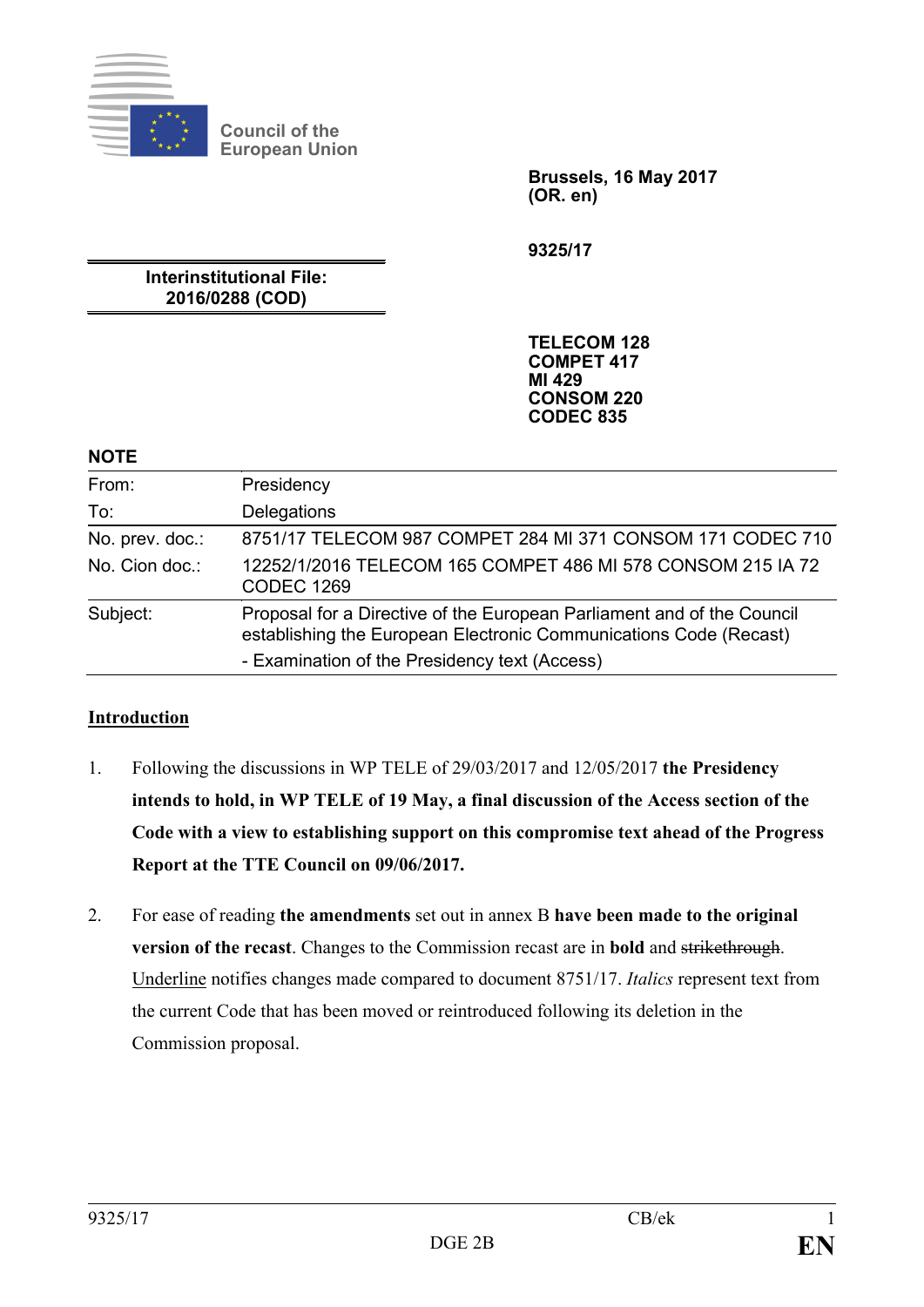

**Council of the European Union**

> **Brussels, 16 May 2017 (OR. en)**

**9325/17**

**Interinstitutional File: 2016/0288 (COD)**

> **TELECOM 128 COMPET 417 MI 429 CONSOM 220 CODEC 835**

#### **NOTE**

| From:           | Presidency                                                                                                                                  |
|-----------------|---------------------------------------------------------------------------------------------------------------------------------------------|
| To:             | Delegations                                                                                                                                 |
| No. prev. doc.: | 8751/17 TELECOM 987 COMPET 284 MI 371 CONSOM 171 CODEC 710                                                                                  |
| No. Cion doc.:  | 12252/1/2016 TELECOM 165 COMPET 486 MI 578 CONSOM 215 IA 72<br><b>CODEC 1269</b>                                                            |
| Subject:        | Proposal for a Directive of the European Parliament and of the Council<br>establishing the European Electronic Communications Code (Recast) |
|                 | - Examination of the Presidency text (Access)                                                                                               |

## **Introduction**

- 1. Following the discussions in WP TELE of 29/03/2017 and 12/05/2017 **the Presidency intends to hold, in WP TELE of 19 May, a final discussion of the Access section of the Code with a view to establishing support on this compromise text ahead of the Progress Report at the TTE Council on 09/06/2017.**
- 2. For ease of reading **the amendments** set out in annex B **have been made to the original version of the recast**. Changes to the Commission recast are in **bold** and strikethrough. Underline notifies changes made compared to document 8751/17. *Italics* represent text from the current Code that has been moved or reintroduced following its deletion in the Commission proposal.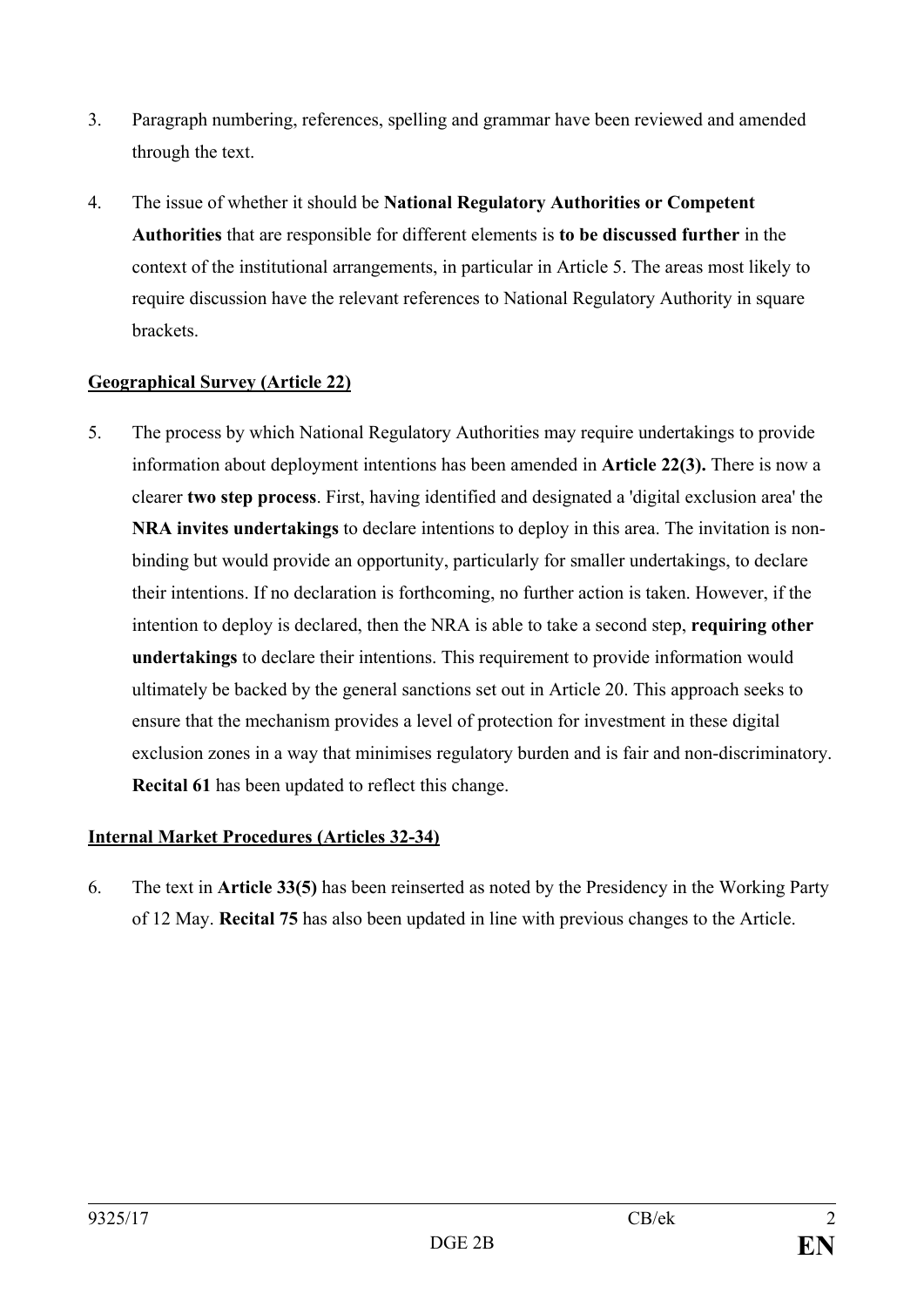- 3. Paragraph numbering, references, spelling and grammar have been reviewed and amended through the text.
- 4. The issue of whether it should be **National Regulatory Authorities or Competent Authorities** that are responsible for different elements is **to be discussed further** in the context of the institutional arrangements, in particular in Article 5. The areas most likely to require discussion have the relevant references to National Regulatory Authority in square brackets.

## **Geographical Survey (Article 22)**

5. The process by which National Regulatory Authorities may require undertakings to provide information about deployment intentions has been amended in **Article 22(3).** There is now a clearer **two step process**. First, having identified and designated a 'digital exclusion area' the **NRA invites undertakings** to declare intentions to deploy in this area. The invitation is nonbinding but would provide an opportunity, particularly for smaller undertakings, to declare their intentions. If no declaration is forthcoming, no further action is taken. However, if the intention to deploy is declared, then the NRA is able to take a second step, **requiring other undertakings** to declare their intentions. This requirement to provide information would ultimately be backed by the general sanctions set out in Article 20. This approach seeks to ensure that the mechanism provides a level of protection for investment in these digital exclusion zones in a way that minimises regulatory burden and is fair and non-discriminatory. **Recital 61** has been updated to reflect this change.

# **Internal Market Procedures (Articles 32-34)**

6. The text in **Article 33(5)** has been reinserted as noted by the Presidency in the Working Party of 12 May. **Recital 75** has also been updated in line with previous changes to the Article.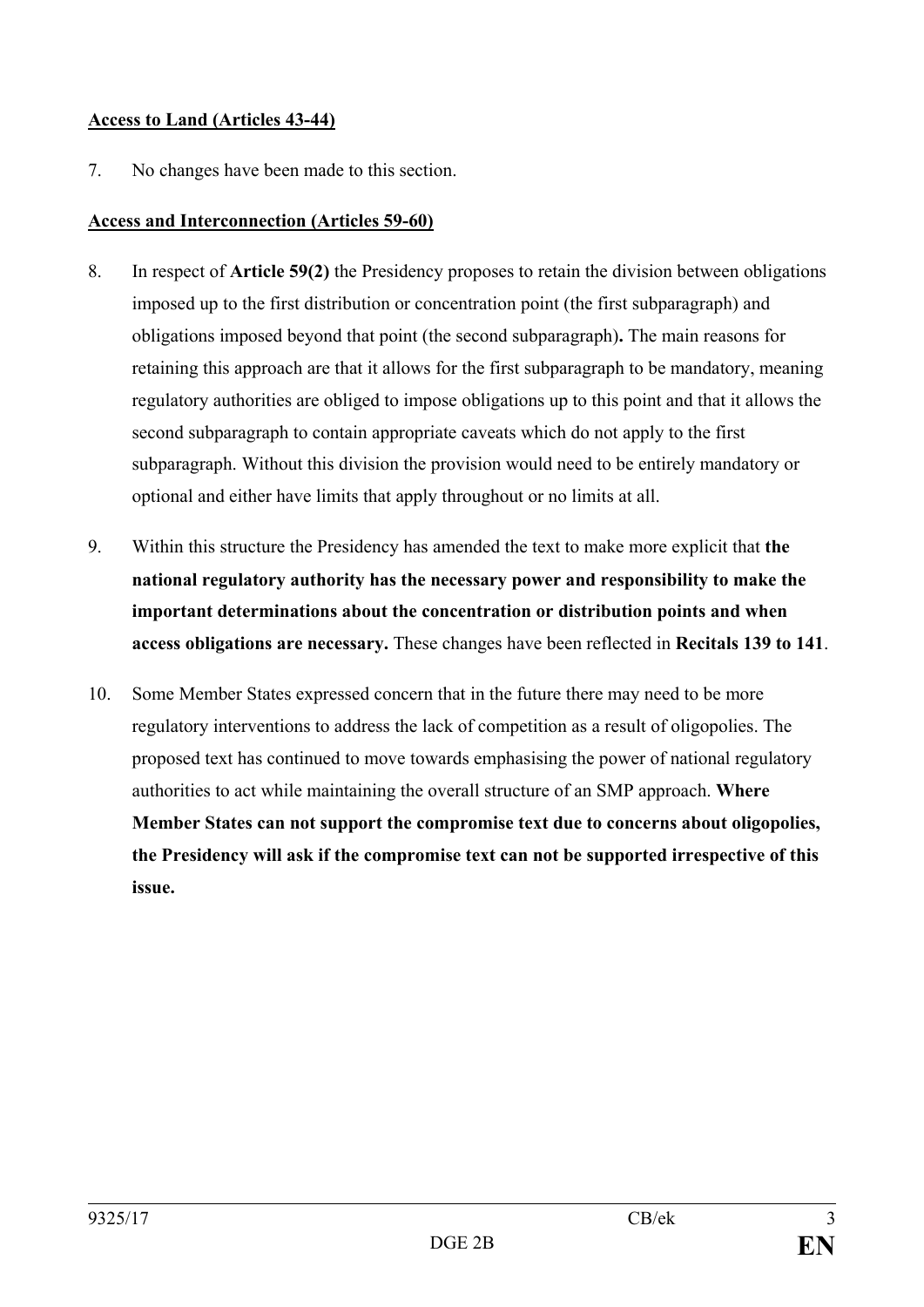## **Access to Land (Articles 43-44)**

7. No changes have been made to this section.

## **Access and Interconnection (Articles 59-60)**

- 8. In respect of **Article 59(2)** the Presidency proposes to retain the division between obligations imposed up to the first distribution or concentration point (the first subparagraph) and obligations imposed beyond that point (the second subparagraph)**.** The main reasons for retaining this approach are that it allows for the first subparagraph to be mandatory, meaning regulatory authorities are obliged to impose obligations up to this point and that it allows the second subparagraph to contain appropriate caveats which do not apply to the first subparagraph. Without this division the provision would need to be entirely mandatory or optional and either have limits that apply throughout or no limits at all.
- 9. Within this structure the Presidency has amended the text to make more explicit that **the national regulatory authority has the necessary power and responsibility to make the important determinations about the concentration or distribution points and when access obligations are necessary.** These changes have been reflected in **Recitals 139 to 141**.
- 10. Some Member States expressed concern that in the future there may need to be more regulatory interventions to address the lack of competition as a result of oligopolies. The proposed text has continued to move towards emphasising the power of national regulatory authorities to act while maintaining the overall structure of an SMP approach. **Where Member States can not support the compromise text due to concerns about oligopolies, the Presidency will ask if the compromise text can not be supported irrespective of this issue.**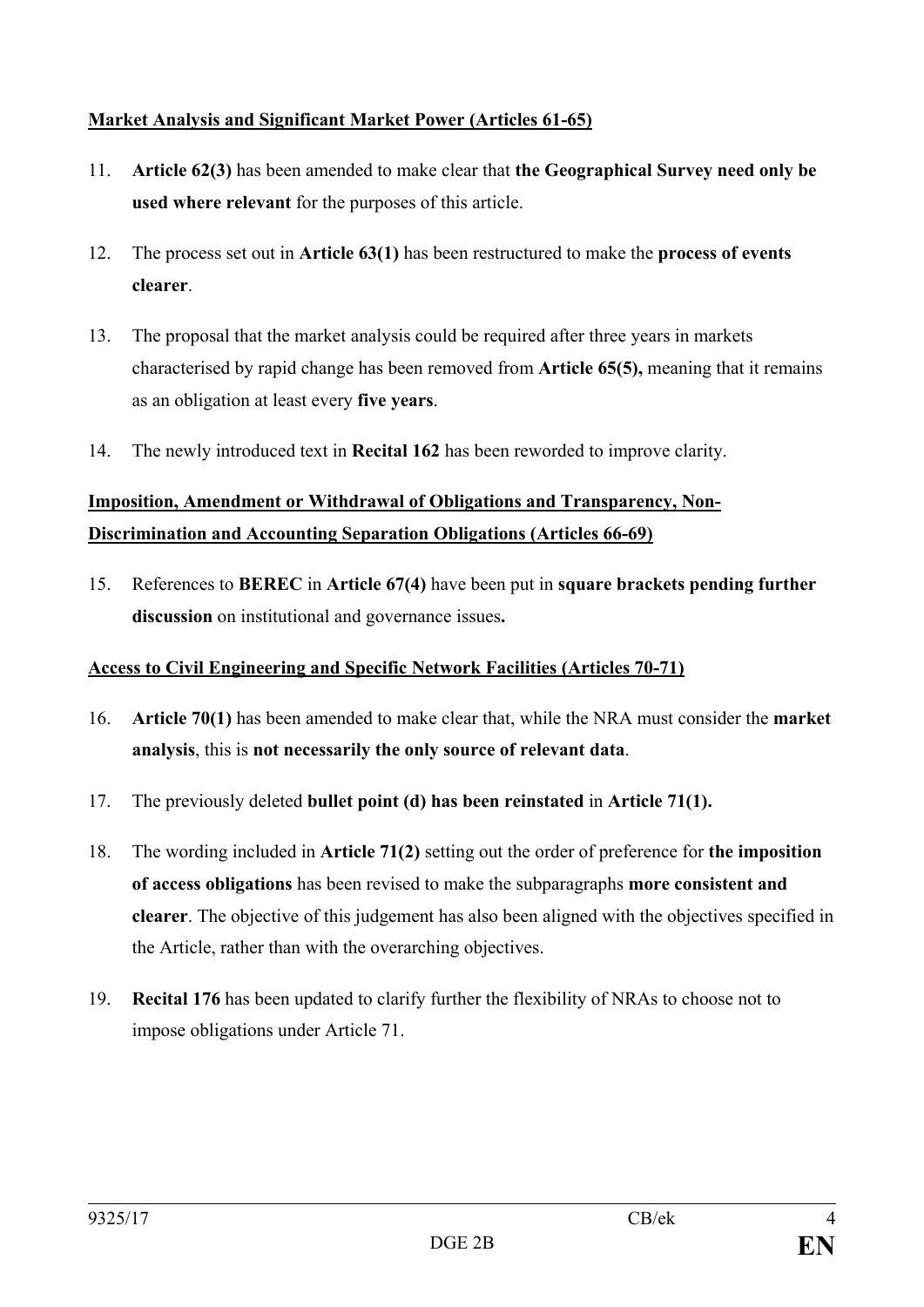## **Market Analysis and Significant Market Power (Articles 61-65)**

- 11. **Article 62(3)** has been amended to make clear that **the Geographical Survey need only be used where relevant** for the purposes of this article.
- 12. The process set out in **Article 63(1)** has been restructured to make the **process of events clearer**.
- 13. The proposal that the market analysis could be required after three years in markets characterised by rapid change has been removed from **Article 65(5),** meaning that it remains as an obligation at least every **five years**.
- 14. The newly introduced text in **Recital 162** has been reworded to improve clarity.

# **Imposition, Amendment or Withdrawal of Obligations and Transparency, Non-Discrimination and Accounting Separation Obligations (Articles 66-69)**

15. References to **BEREC** in **Article 67(4)** have been put in **square brackets pending further discussion** on institutional and governance issues**.**

## **Access to Civil Engineering and Specific Network Facilities (Articles 70-71)**

- 16. **Article 70(1)** has been amended to make clear that, while the NRA must consider the **market analysis**, this is **not necessarily the only source of relevant data**.
- 17. The previously deleted **bullet point (d) has been reinstated** in **Article 71(1).**
- 18. The wording included in **Article 71(2)** setting out the order of preference for **the imposition of access obligations** has been revised to make the subparagraphs **more consistent and clearer**. The objective of this judgement has also been aligned with the objectives specified in the Article, rather than with the overarching objectives.
- 19. **Recital 176** has been updated to clarify further the flexibility of NRAs to choose not to impose obligations under Article 71.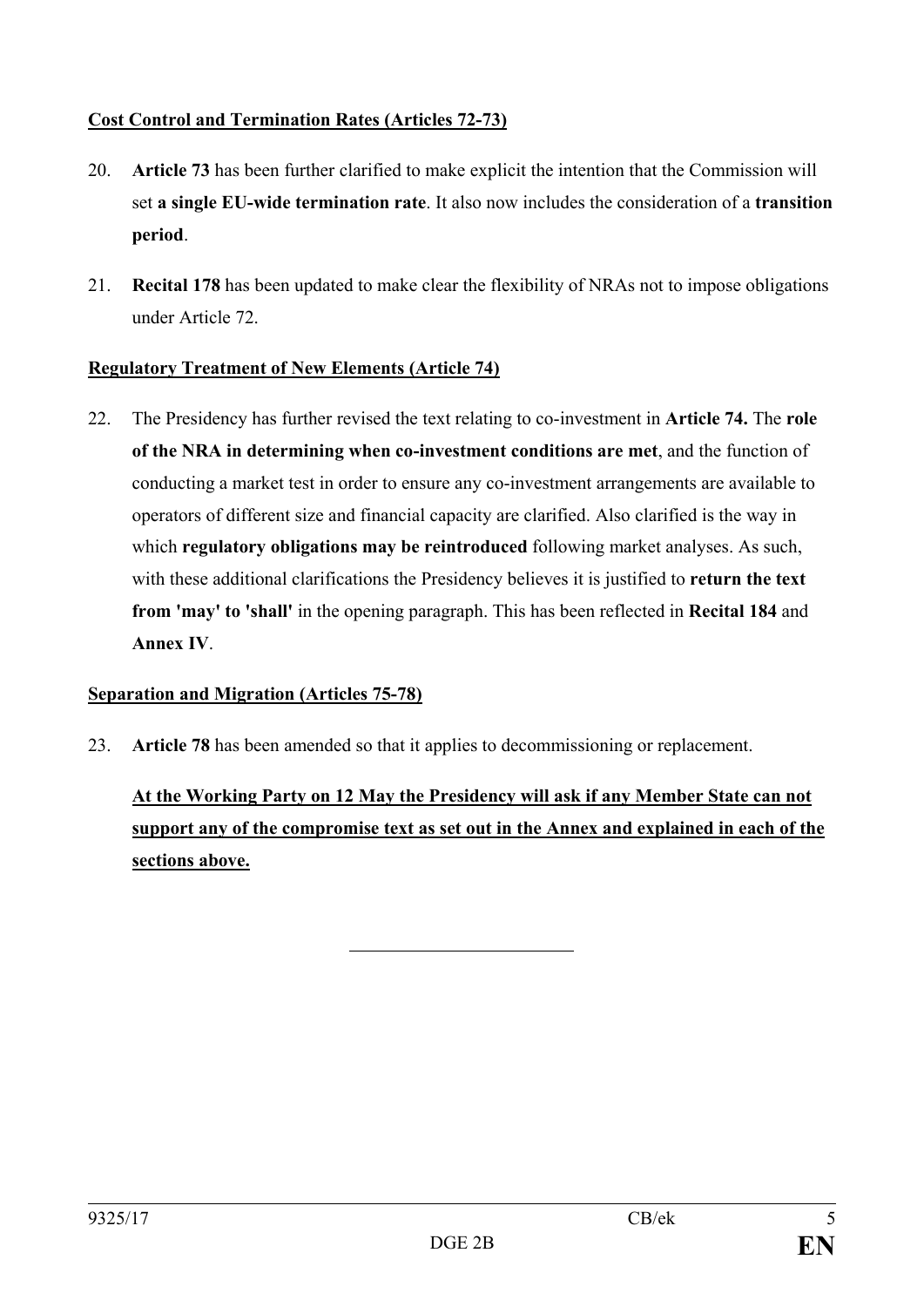# **Cost Control and Termination Rates (Articles 72-73)**

- 20. **Article 73** has been further clarified to make explicit the intention that the Commission will set **a single EU-wide termination rate**. It also now includes the consideration of a **transition period**.
- 21. **Recital 178** has been updated to make clear the flexibility of NRAs not to impose obligations under Article 72.

## **Regulatory Treatment of New Elements (Article 74)**

22. The Presidency has further revised the text relating to co-investment in **Article 74.** The **role of the NRA in determining when co-investment conditions are met**, and the function of conducting a market test in order to ensure any co-investment arrangements are available to operators of different size and financial capacity are clarified. Also clarified is the way in which **regulatory obligations may be reintroduced** following market analyses. As such, with these additional clarifications the Presidency believes it is justified to **return the text from 'may' to 'shall'** in the opening paragraph. This has been reflected in **Recital 184** and **Annex IV**.

#### **Separation and Migration (Articles 75-78)**

23. **Article 78** has been amended so that it applies to decommissioning or replacement.

**At the Working Party on 12 May the Presidency will ask if any Member State can not support any of the compromise text as set out in the Annex and explained in each of the sections above.**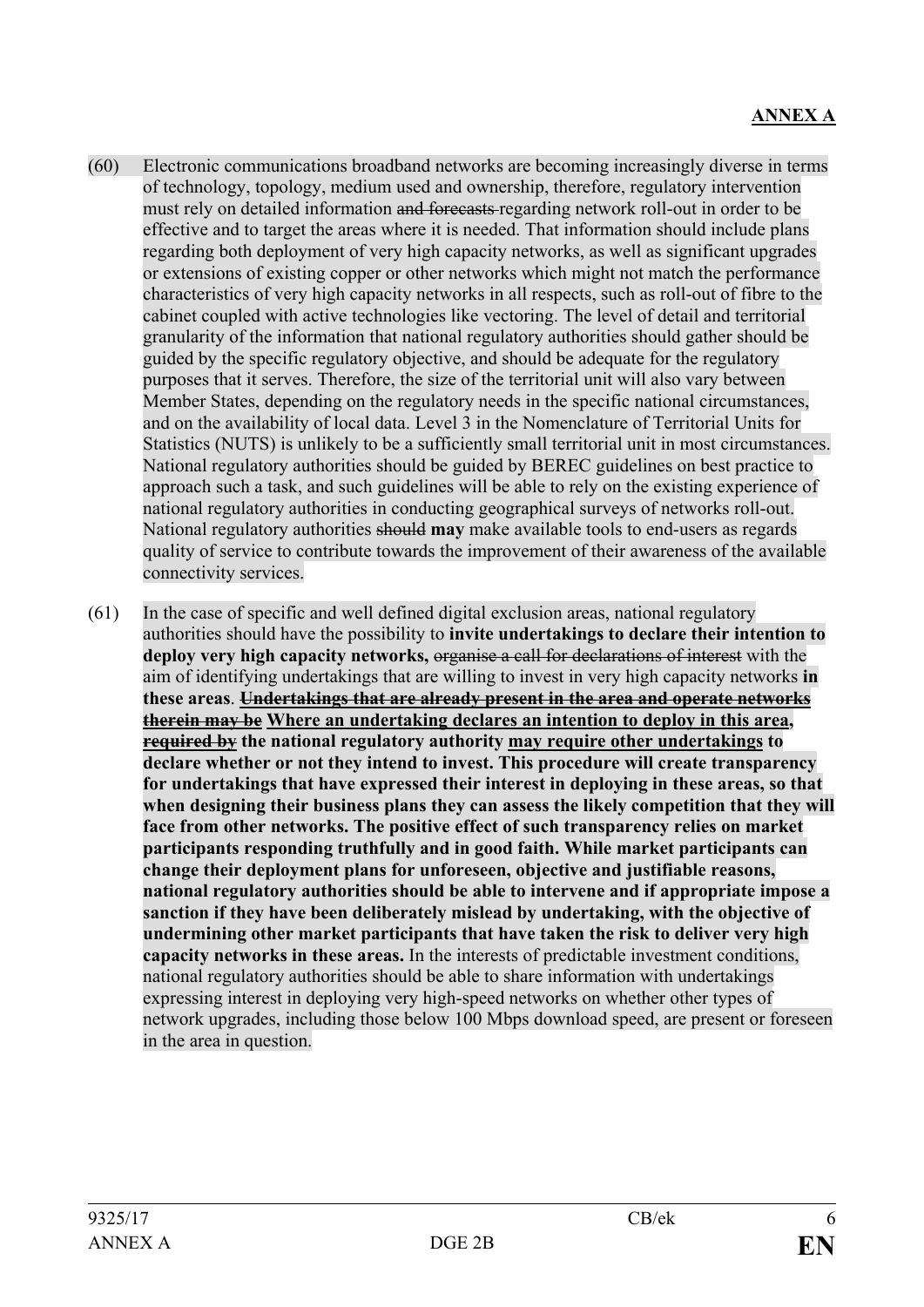- (60) Electronic communications broadband networks are becoming increasingly diverse in terms of technology, topology, medium used and ownership, therefore, regulatory intervention must rely on detailed information and forecasts regarding network roll-out in order to be effective and to target the areas where it is needed. That information should include plans regarding both deployment of very high capacity networks, as well as significant upgrades or extensions of existing copper or other networks which might not match the performance characteristics of very high capacity networks in all respects, such as roll-out of fibre to the cabinet coupled with active technologies like vectoring. The level of detail and territorial granularity of the information that national regulatory authorities should gather should be guided by the specific regulatory objective, and should be adequate for the regulatory purposes that it serves. Therefore, the size of the territorial unit will also vary between Member States, depending on the regulatory needs in the specific national circumstances, and on the availability of local data. Level 3 in the Nomenclature of Territorial Units for Statistics (NUTS) is unlikely to be a sufficiently small territorial unit in most circumstances. National regulatory authorities should be guided by BEREC guidelines on best practice to approach such a task, and such guidelines will be able to rely on the existing experience of national regulatory authorities in conducting geographical surveys of networks roll-out. National regulatory authorities should **may** make available tools to end-users as regards quality of service to contribute towards the improvement of their awareness of the available connectivity services.
- (61) In the case of specific and well defined digital exclusion areas, national regulatory authorities should have the possibility to **invite undertakings to declare their intention to deploy very high capacity networks,** organise a call for declarations of interest with the aim of identifying undertakings that are willing to invest in very high capacity networks **in these areas**. **Undertakings that are already present in the area and operate networks therein may be Where an undertaking declares an intention to deploy in this area, required by the national regulatory authority may require other undertakings to declare whether or not they intend to invest. This procedure will create transparency for undertakings that have expressed their interest in deploying in these areas, so that when designing their business plans they can assess the likely competition that they will face from other networks. The positive effect of such transparency relies on market participants responding truthfully and in good faith. While market participants can change their deployment plans for unforeseen, objective and justifiable reasons, national regulatory authorities should be able to intervene and if appropriate impose a sanction if they have been deliberately mislead by undertaking, with the objective of undermining other market participants that have taken the risk to deliver very high capacity networks in these areas.** In the interests of predictable investment conditions, national regulatory authorities should be able to share information with undertakings expressing interest in deploying very high-speed networks on whether other types of network upgrades, including those below 100 Mbps download speed, are present or foreseen in the area in question.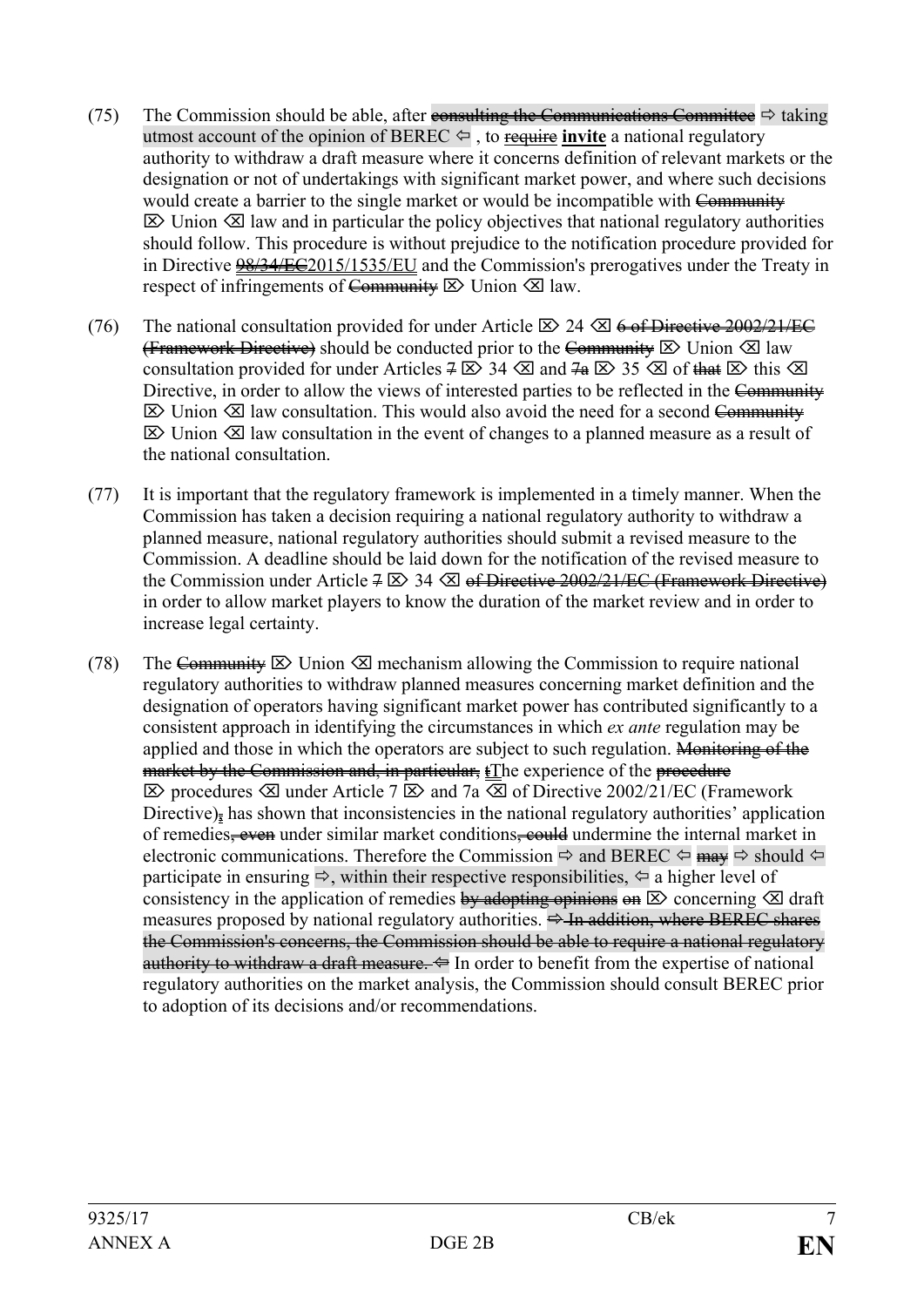- (75) The Commission should be able, after consulting the Communications Committee  $\Rightarrow$  taking utmost account of the opinion of BEREC  $\Leftarrow$ , to **require invite** a national regulatory authority to withdraw a draft measure where it concerns definition of relevant markets or the designation or not of undertakings with significant market power, and where such decisions would create a barrier to the single market or would be incompatible with Community  $\boxtimes$  Union  $\boxtimes$  law and in particular the policy objectives that national regulatory authorities should follow. This procedure is without prejudice to the notification procedure provided for in Directive 98/34/EC2015/1535/EU and the Commission's prerogatives under the Treaty in respect of infringements of  $\overline{\mathsf{Commumitw}} \boxtimes \text{Union } \textcircled{x}$  law.
- (76) The national consultation provided for under Article  $\boxtimes$  24  $\otimes$  6 of Directive 2002/21/EC (Framework Directive) should be conducted prior to the Community  $\boxtimes$  Union  $\boxtimes$  law consultation provided for under Articles  $\neq \boxtimes$  34  $\times$  and  $\neq \cong$  35  $\times$  of that  $\times$  this  $\times$ Directive, in order to allow the views of interested parties to be reflected in the Community  $\boxtimes$  Union  $\boxtimes$  law consultation. This would also avoid the need for a second Community  $\boxtimes$  Union  $\boxtimes$  law consultation in the event of changes to a planned measure as a result of the national consultation.
- (77) It is important that the regulatory framework is implemented in a timely manner. When the Commission has taken a decision requiring a national regulatory authority to withdraw a planned measure, national regulatory authorities should submit a revised measure to the Commission. A deadline should be laid down for the notification of the revised measure to the Commission under Article  $\neq \boxtimes$  34  $\otimes$  of Directive 2002/21/EC (Framework Directive) in order to allow market players to know the duration of the market review and in order to increase legal certainty.
- (78) The Community  $\boxtimes$  Union  $\boxtimes$  mechanism allowing the Commission to require national regulatory authorities to withdraw planned measures concerning market definition and the designation of operators having significant market power has contributed significantly to a consistent approach in identifying the circumstances in which *ex ante* regulation may be applied and those in which the operators are subject to such regulation. Monitoring of the market by the Commission and, in particular, tThe experience of the procedure  $\boxtimes$  procedures  $\boxtimes$  under Article 7  $\boxtimes$  and 7a  $\boxtimes$  of Directive 2002/21/EC (Framework Directive), has shown that inconsistencies in the national regulatory authorities' application of remedies<del>, even</del> under similar market conditions<del>, could</del> undermine the internal market in electronic communications. Therefore the Commission  $\Rightarrow$  and BEREC  $\Leftarrow$  may  $\Rightarrow$  should  $\Leftarrow$ participate in ensuring  $\Rightarrow$ , within their respective responsibilities,  $\Leftarrow$  a higher level of consistency in the application of remedies by adopting opinions on  $\boxtimes$  concerning  $\boxtimes$  draft measures proposed by national regulatory authorities.  $\Rightarrow$  In addition, where BEREC shares the Commission's concerns, the Commission should be able to require a national regulatory authority to withdraw a draft measure.  $\Leftarrow$  In order to benefit from the expertise of national regulatory authorities on the market analysis, the Commission should consult BEREC prior to adoption of its decisions and/or recommendations.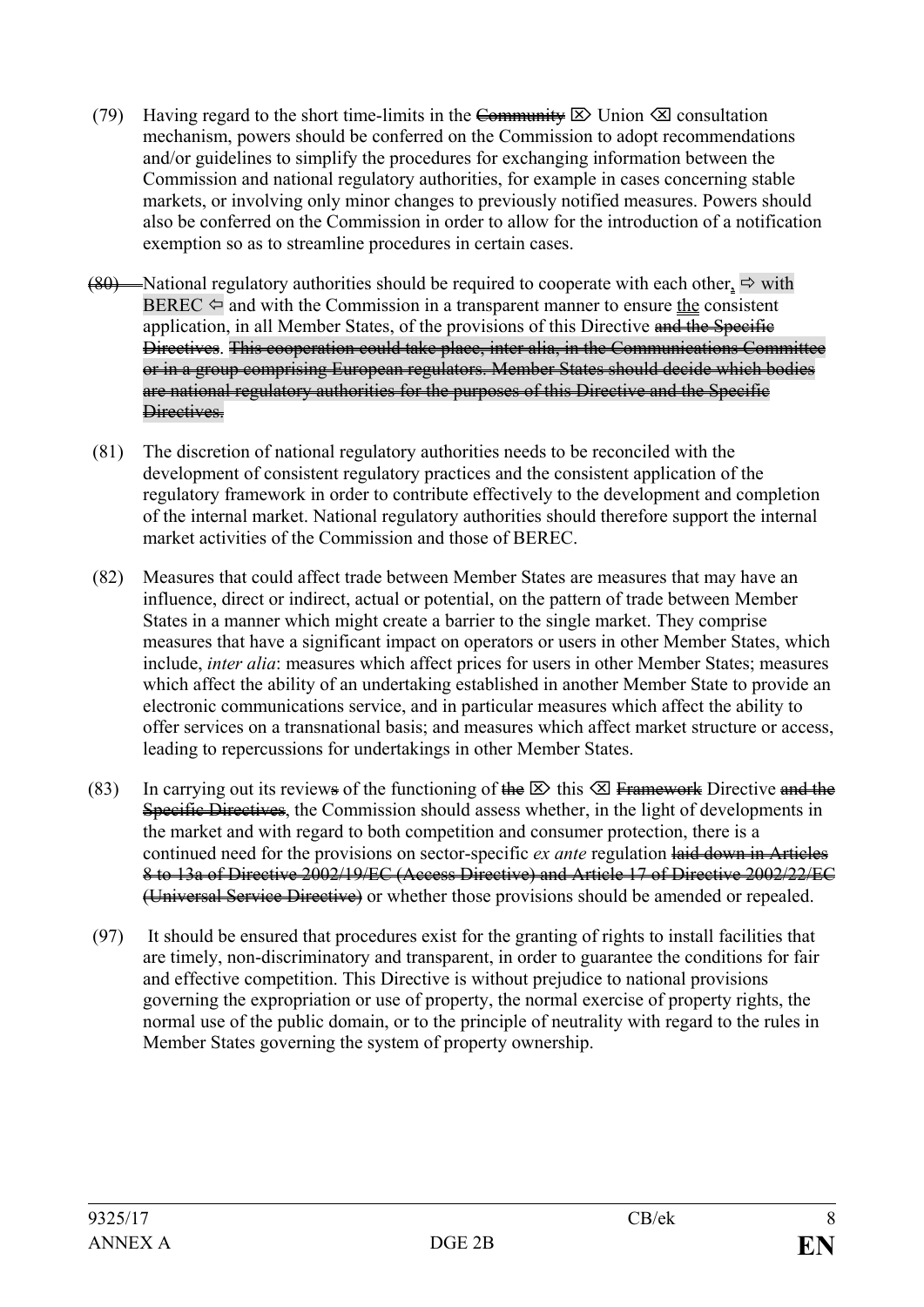- (79) Having regard to the short time-limits in the Community  $\boxtimes$  Union  $\boxtimes$  consultation mechanism, powers should be conferred on the Commission to adopt recommendations and/or guidelines to simplify the procedures for exchanging information between the Commission and national regulatory authorities, for example in cases concerning stable markets, or involving only minor changes to previously notified measures. Powers should also be conferred on the Commission in order to allow for the introduction of a notification exemption so as to streamline procedures in certain cases.
- $(80)$  National regulatory authorities should be required to cooperate with each other,  $\Rightarrow$  with BEREC  $\Leftarrow$  and with the Commission in a transparent manner to ensure the consistent application, in all Member States, of the provisions of this Directive and the Specific Directives. This cooperation could take place, inter alia, in the Communications Committee or in a group comprising European regulators. Member States should decide which bodies are national regulatory authorities for the purposes of this Directive and the Specific Directives.
- (81) The discretion of national regulatory authorities needs to be reconciled with the development of consistent regulatory practices and the consistent application of the regulatory framework in order to contribute effectively to the development and completion of the internal market. National regulatory authorities should therefore support the internal market activities of the Commission and those of BEREC.
- (82) Measures that could affect trade between Member States are measures that may have an influence, direct or indirect, actual or potential, on the pattern of trade between Member States in a manner which might create a barrier to the single market. They comprise measures that have a significant impact on operators or users in other Member States, which include, *inter alia*: measures which affect prices for users in other Member States; measures which affect the ability of an undertaking established in another Member State to provide an electronic communications service, and in particular measures which affect the ability to offer services on a transnational basis; and measures which affect market structure or access, leading to repercussions for undertakings in other Member States.
- (83) In carrying out its reviews of the functioning of the  $\boxtimes$  this  $\boxtimes$  Framework Directive and the Specific Directives, the Commission should assess whether, in the light of developments in the market and with regard to both competition and consumer protection, there is a continued need for the provisions on sector-specific *ex ante* regulation laid down in Articles 8 to 13a of Directive 2002/19/EC (Access Directive) and Article 17 of Directive 2002/22/EC (Universal Service Directive) or whether those provisions should be amended or repealed.
- (97) It should be ensured that procedures exist for the granting of rights to install facilities that are timely, non-discriminatory and transparent, in order to guarantee the conditions for fair and effective competition. This Directive is without prejudice to national provisions governing the expropriation or use of property, the normal exercise of property rights, the normal use of the public domain, or to the principle of neutrality with regard to the rules in Member States governing the system of property ownership.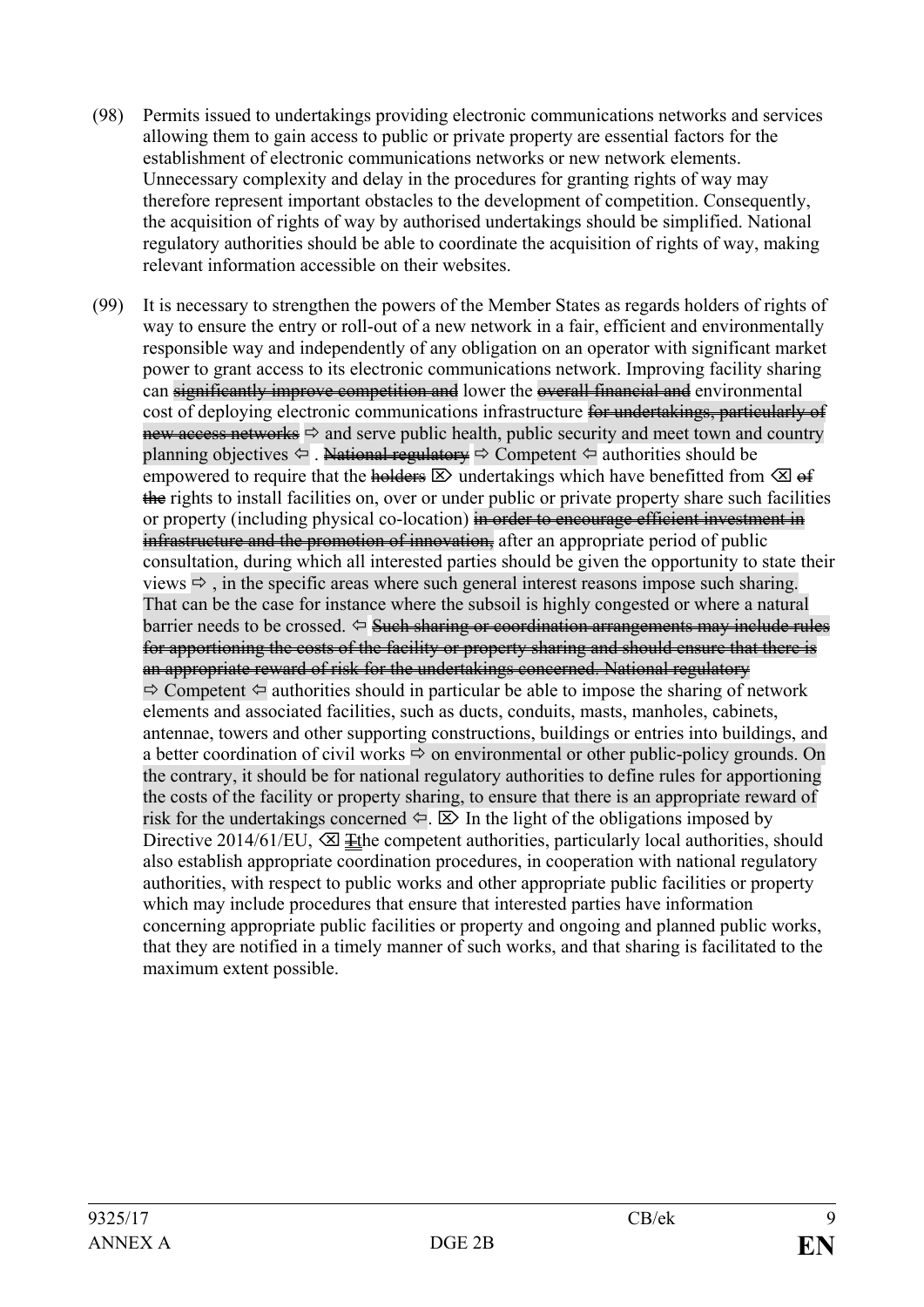- (98) Permits issued to undertakings providing electronic communications networks and services allowing them to gain access to public or private property are essential factors for the establishment of electronic communications networks or new network elements. Unnecessary complexity and delay in the procedures for granting rights of way may therefore represent important obstacles to the development of competition. Consequently, the acquisition of rights of way by authorised undertakings should be simplified. National regulatory authorities should be able to coordinate the acquisition of rights of way, making relevant information accessible on their websites.
- (99) It is necessary to strengthen the powers of the Member States as regards holders of rights of way to ensure the entry or roll-out of a new network in a fair, efficient and environmentally responsible way and independently of any obligation on an operator with significant market power to grant access to its electronic communications network. Improving facility sharing can significantly improve competition and lower the overall financial and environmental cost of deploying electronic communications infrastructure for undertakings, particularly of new access networks  $\Rightarrow$  and serve public health, public security and meet town and country planning objectives  $\Leftarrow$ . National regulatory  $\Rightarrow$  Competent  $\Leftarrow$  authorities should be empowered to require that the holders  $\boxtimes$  undertakings which have benefitted from  $\boxtimes$  of the rights to install facilities on, over or under public or private property share such facilities or property (including physical co-location) in order to encourage efficient investment in infrastructure and the promotion of innovation, after an appropriate period of public consultation, during which all interested parties should be given the opportunity to state their views  $\Rightarrow$ , in the specific areas where such general interest reasons impose such sharing. That can be the case for instance where the subsoil is highly congested or where a natural barrier needs to be crossed.  $\Leftrightarrow$  Such sharing or coordination arrangements may include rules for apportioning the costs of the facility or property sharing and should ensure that there is an appropriate reward of risk for the undertakings concerned. National regulatory  $\Rightarrow$  Competent  $\Leftarrow$  authorities should in particular be able to impose the sharing of network elements and associated facilities, such as ducts, conduits, masts, manholes, cabinets, antennae, towers and other supporting constructions, buildings or entries into buildings, and a better coordination of civil works  $\Rightarrow$  on environmental or other public-policy grounds. On the contrary, it should be for national regulatory authorities to define rules for apportioning the costs of the facility or property sharing, to ensure that there is an appropriate reward of risk for the undertakings concerned  $\Leftarrow$ .  $\boxtimes$  In the light of the obligations imposed by Directive 2014/61/EU,  $\overline{\otimes}$  The competent authorities, particularly local authorities, should also establish appropriate coordination procedures, in cooperation with national regulatory authorities, with respect to public works and other appropriate public facilities or property which may include procedures that ensure that interested parties have information concerning appropriate public facilities or property and ongoing and planned public works, that they are notified in a timely manner of such works, and that sharing is facilitated to the maximum extent possible.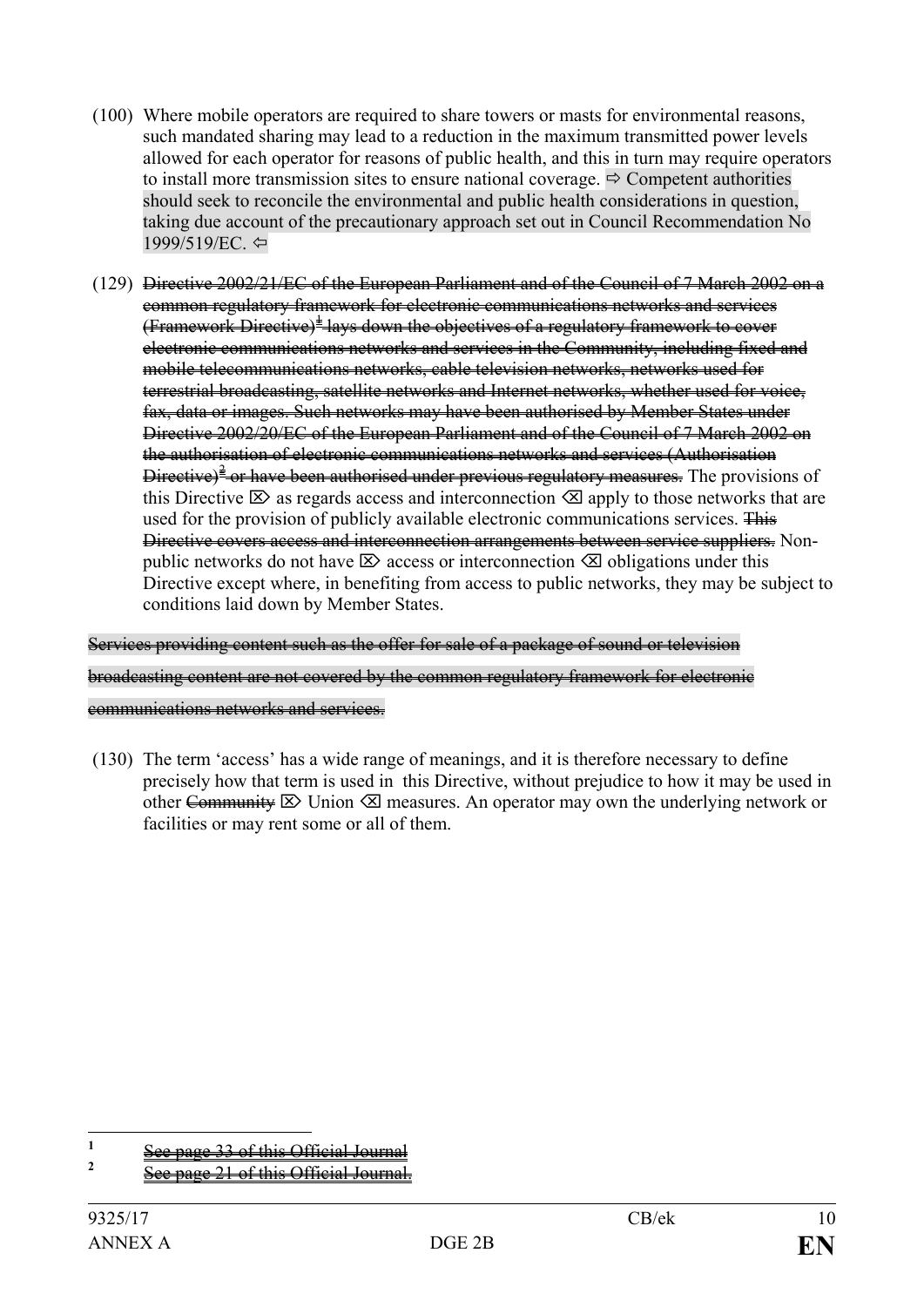- (100) Where mobile operators are required to share towers or masts for environmental reasons, such mandated sharing may lead to a reduction in the maximum transmitted power levels allowed for each operator for reasons of public health, and this in turn may require operators to install more transmission sites to ensure national coverage.  $\Rightarrow$  Convergent authorities should seek to reconcile the environmental and public health considerations in question, taking due account of the precautionary approach set out in Council Recommendation No 1999/519/EC. ⇔
- (129) Directive 2002/21/EC of the European Parliament and of the Council of 7 March 2002 on a common regulatory framework for electronic communications networks and services (Framework Directive) $\pm$  lays down the objectives of a regulatory framework to cover electronic communications networks and services in the Community, including fixed and mobile telecommunications networks, cable television networks, networks used for terrestrial broadcasting, satellite networks and Internet networks, whether used for voice, fax, data or images. Such networks may have been authorised by Member States under Directive 2002/20/EC of the European Parliament and of the Council of 7 March 2002 on the authorisation of electronic communications networks and services (Authorisation  $\overrightarrow{Directive}^2$  or have been authorised under previous regulatory measures. The provisions of this Directive  $\boxtimes$  as regards access and interconnection  $\boxtimes$  apply to those networks that are used for the provision of publicly available electronic communications services.  $\overline{\text{This}}$ Directive covers access and interconnection arrangements between service suppliers. Nonpublic networks do not have  $\boxtimes$  access or interconnection  $\boxtimes$  obligations under this Directive except where, in benefiting from access to public networks, they may be subject to conditions laid down by Member States.

Services providing content such as the offer for sale of a package of sound or television broadcasting content are not covered by the common regulatory framework for electronic communications networks and services.

(130) The term 'access' has a wide range of meanings, and it is therefore necessary to define precisely how that term is used in this Directive, without prejudice to how it may be used in other Community  $\boxtimes$  Union  $\boxtimes$  measures. An operator may own the underlying network or facilities or may rent some or all of them.

 $\frac{1}{2}$  See page 33 of this Official Journal

**<sup>2</sup>** See page 21 of this Official Journal.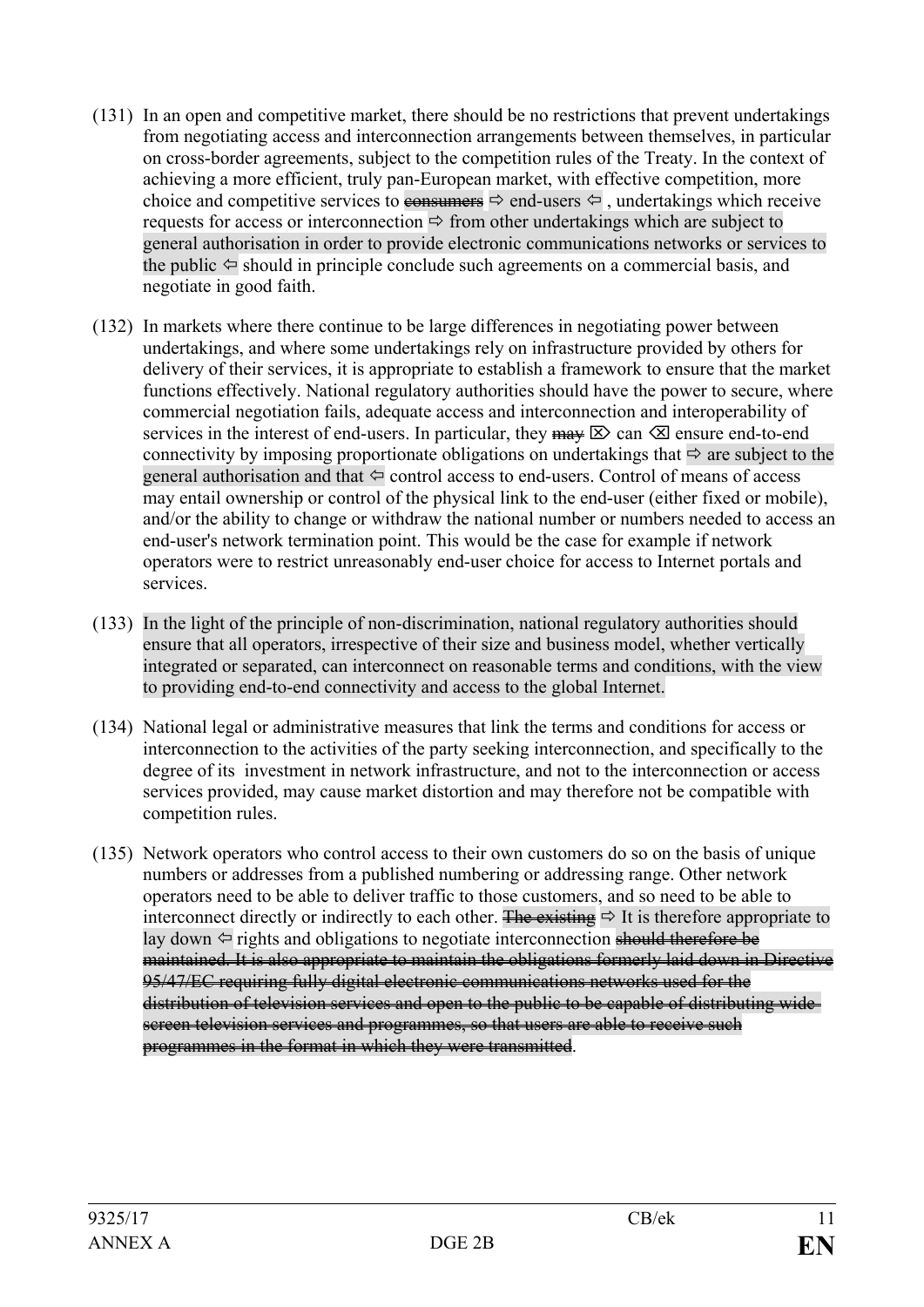- (131) In an open and competitive market, there should be no restrictions that prevent undertakings from negotiating access and interconnection arrangements between themselves, in particular on cross-border agreements, subject to the competition rules of the Treaty. In the context of achieving a more efficient, truly pan-European market, with effective competition, more choice and competitive services to consumers  $\Leftrightarrow$  end-users  $\Leftrightarrow$ , undertakings which receive requests for access or interconnection  $\Rightarrow$  from other undertakings which are subject to general authorisation in order to provide electronic communications networks or services to the public  $\Leftarrow$  should in principle conclude such agreements on a commercial basis, and negotiate in good faith.
- (132) In markets where there continue to be large differences in negotiating power between undertakings, and where some undertakings rely on infrastructure provided by others for delivery of their services, it is appropriate to establish a framework to ensure that the market functions effectively. National regulatory authorities should have the power to secure, where commercial negotiation fails, adequate access and interconnection and interoperability of services in the interest of end-users. In particular, they  $\overline{m}$   $\overline{\otimes}$  can  $\overline{\otimes}$  ensure end-to-end connectivity by imposing proportionate obligations on undertakings that  $\Rightarrow$  are subject to the general authorisation and that  $\Leftrightarrow$  control access to end-users. Control of means of access may entail ownership or control of the physical link to the end-user (either fixed or mobile), and/or the ability to change or withdraw the national number or numbers needed to access an end-user's network termination point. This would be the case for example if network operators were to restrict unreasonably end-user choice for access to Internet portals and services.
- (133) In the light of the principle of non-discrimination, national regulatory authorities should ensure that all operators, irrespective of their size and business model, whether vertically integrated or separated, can interconnect on reasonable terms and conditions, with the view to providing end-to-end connectivity and access to the global Internet.
- (134) National legal or administrative measures that link the terms and conditions for access or interconnection to the activities of the party seeking interconnection, and specifically to the degree of its investment in network infrastructure, and not to the interconnection or access services provided, may cause market distortion and may therefore not be compatible with competition rules.
- (135) Network operators who control access to their own customers do so on the basis of unique numbers or addresses from a published numbering or addressing range. Other network operators need to be able to deliver traffic to those customers, and so need to be able to interconnect directly or indirectly to each other. The existing  $\Rightarrow$  It is therefore appropriate to lay down  $\Leftrightarrow$  rights and obligations to negotiate interconnection should therefore be maintained. It is also appropriate to maintain the obligations formerly laid down in Directive 95/47/EC requiring fully digital electronic communications networks used for the distribution of television services and open to the public to be capable of distributing wide screen television services and programmes, so that users are able to receive such programmes in the format in which they were transmitted.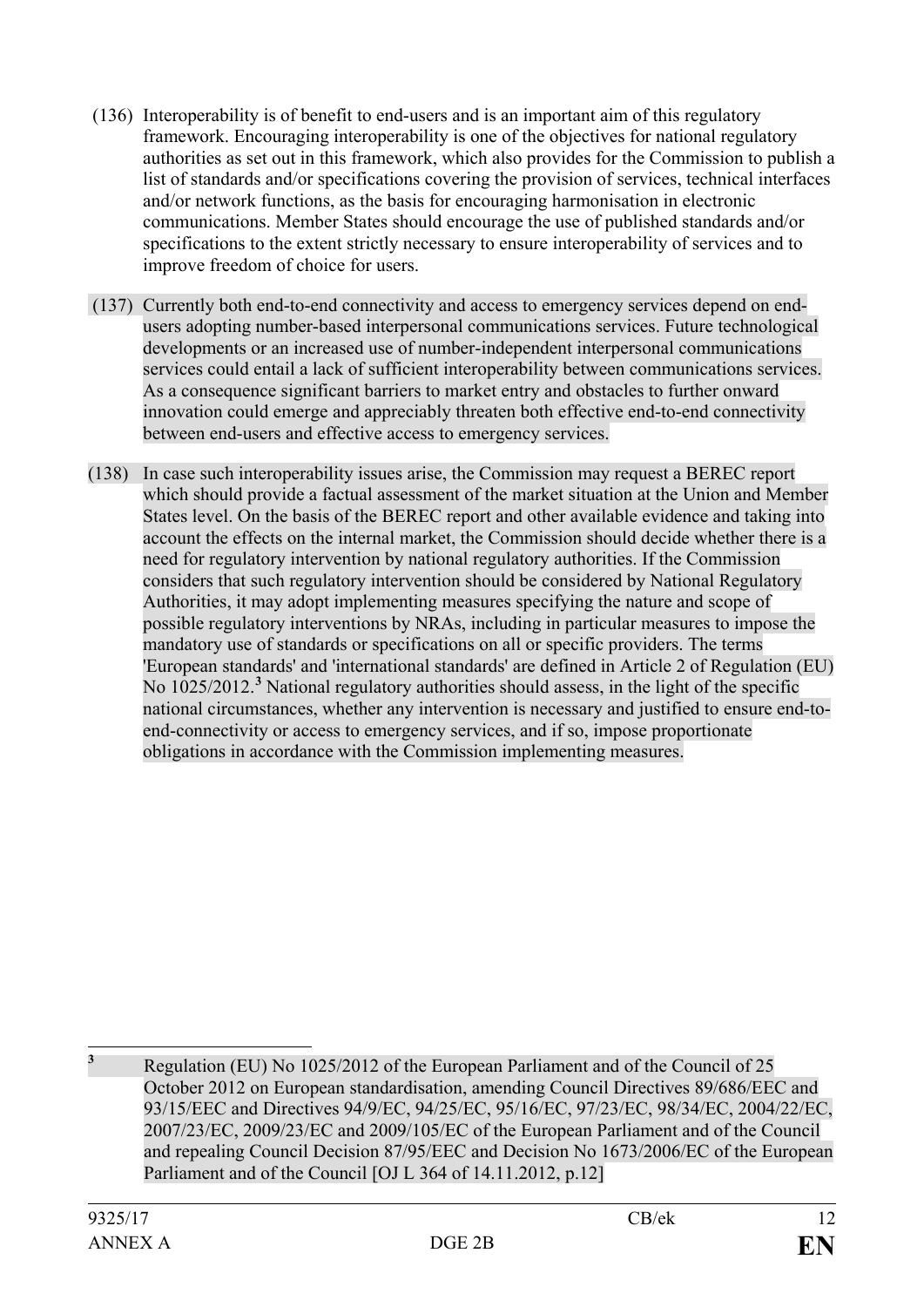- (136) Interoperability is of benefit to end-users and is an important aim of this regulatory framework. Encouraging interoperability is one of the objectives for national regulatory authorities as set out in this framework, which also provides for the Commission to publish a list of standards and/or specifications covering the provision of services, technical interfaces and/or network functions, as the basis for encouraging harmonisation in electronic communications. Member States should encourage the use of published standards and/or specifications to the extent strictly necessary to ensure interoperability of services and to improve freedom of choice for users.
- (137) Currently both end-to-end connectivity and access to emergency services depend on endusers adopting number-based interpersonal communications services. Future technological developments or an increased use of number-independent interpersonal communications services could entail a lack of sufficient interoperability between communications services. As a consequence significant barriers to market entry and obstacles to further onward innovation could emerge and appreciably threaten both effective end-to-end connectivity between end-users and effective access to emergency services.
- (138) In case such interoperability issues arise, the Commission may request a BEREC report which should provide a factual assessment of the market situation at the Union and Member States level. On the basis of the BEREC report and other available evidence and taking into account the effects on the internal market, the Commission should decide whether there is a need for regulatory intervention by national regulatory authorities. If the Commission considers that such regulatory intervention should be considered by National Regulatory Authorities, it may adopt implementing measures specifying the nature and scope of possible regulatory interventions by NRAs, including in particular measures to impose the mandatory use of standards or specifications on all or specific providers. The terms 'European standards' and 'international standards' are defined in Article 2 of Regulation (EU) No 1025/2012.**<sup>3</sup>** National regulatory authorities should assess, in the light of the specific national circumstances, whether any intervention is necessary and justified to ensure end-toend-connectivity or access to emergency services, and if so, impose proportionate obligations in accordance with the Commission implementing measures.

**<sup>3</sup>** Regulation (EU) No 1025/2012 of the European Parliament and of the Council of 25 October 2012 on European standardisation, amending Council Directives 89/686/EEC and 93/15/EEC and Directives 94/9/EC, 94/25/EC, 95/16/EC, 97/23/EC, 98/34/EC, 2004/22/EC, 2007/23/EC, 2009/23/EC and 2009/105/EC of the European Parliament and of the Council and repealing Council Decision 87/95/EEC and Decision No 1673/2006/EC of the European Parliament and of the Council [OJ L 364 of 14.11.2012, p.12]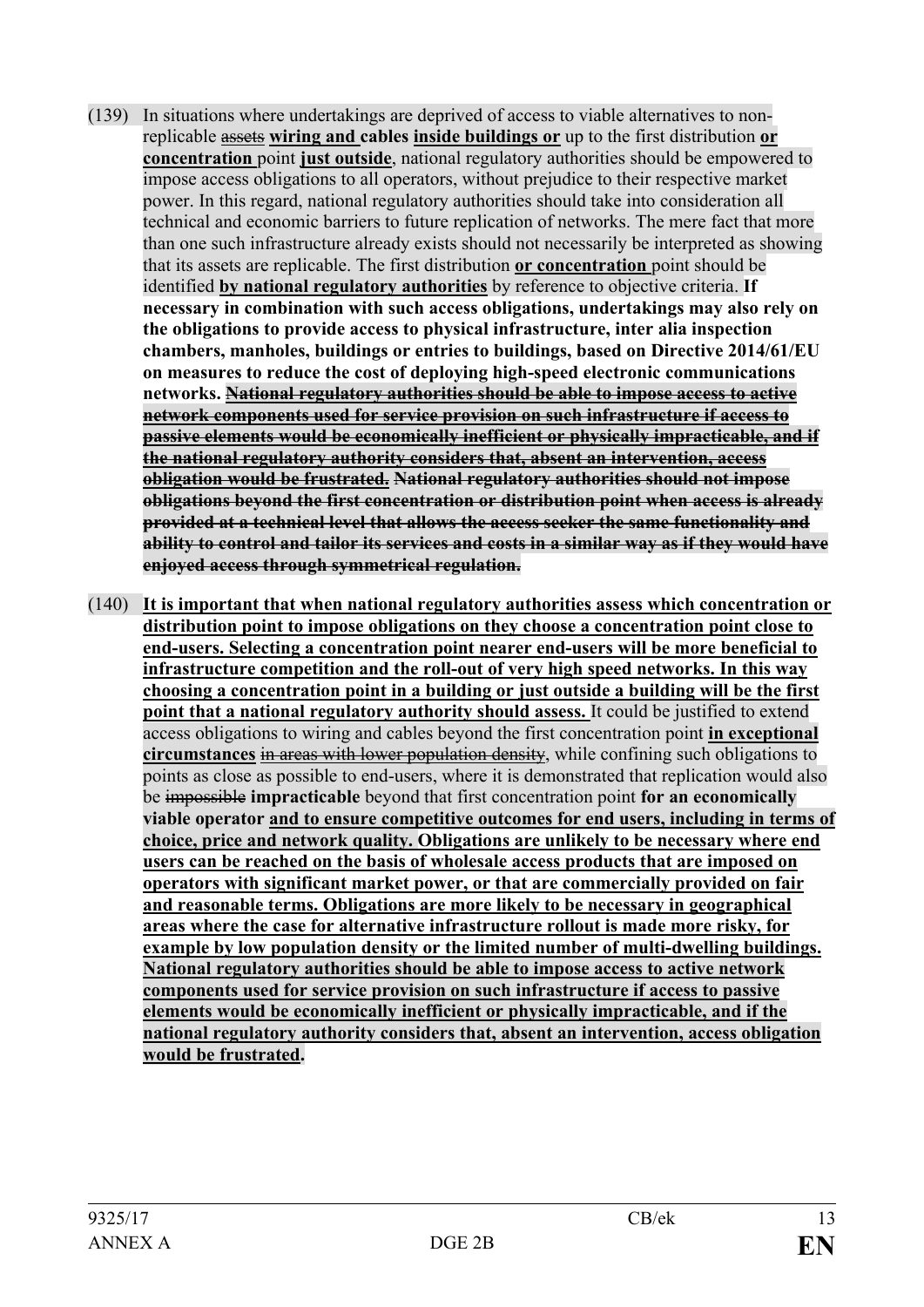- (139) In situations where undertakings are deprived of access to viable alternatives to nonreplicable assets **wiring and cables inside buildings or** up to the first distribution **or concentration** point **just outside**, national regulatory authorities should be empowered to impose access obligations to all operators, without prejudice to their respective market power. In this regard, national regulatory authorities should take into consideration all technical and economic barriers to future replication of networks. The mere fact that more than one such infrastructure already exists should not necessarily be interpreted as showing that its assets are replicable. The first distribution **or concentration** point should be identified **by national regulatory authorities** by reference to objective criteria. **If necessary in combination with such access obligations, undertakings may also rely on the obligations to provide access to physical infrastructure, inter alia inspection chambers, manholes, buildings or entries to buildings, based on Directive 2014/61/EU on measures to reduce the cost of deploying high-speed electronic communications networks. National regulatory authorities should be able to impose access to active network components used for service provision on such infrastructure if access to passive elements would be economically inefficient or physically impracticable, and if the national regulatory authority considers that, absent an intervention, access obligation would be frustrated. National regulatory authorities should not impose obligations beyond the first concentration or distribution point when access is already provided at a technical level that allows the access seeker the same functionality and ability to control and tailor its services and costs in a similar way as if they would have enjoyed access through symmetrical regulation.**
- (140) **It is important that when national regulatory authorities assess which concentration or distribution point to impose obligations on they choose a concentration point close to end-users. Selecting a concentration point nearer end-users will be more beneficial to infrastructure competition and the roll-out of very high speed networks. In this way choosing a concentration point in a building or just outside a building will be the first point that a national regulatory authority should assess.** It could be justified to extend access obligations to wiring and cables beyond the first concentration point **in exceptional circumstances** in areas with lower population density, while confining such obligations to points as close as possible to end-users, where it is demonstrated that replication would also be impossible **impracticable** beyond that first concentration point **for an economically viable operator and to ensure competitive outcomes for end users, including in terms of choice, price and network quality. Obligations are unlikely to be necessary where end users can be reached on the basis of wholesale access products that are imposed on operators with significant market power, or that are commercially provided on fair and reasonable terms. Obligations are more likely to be necessary in geographical areas where the case for alternative infrastructure rollout is made more risky, for example by low population density or the limited number of multi-dwelling buildings. National regulatory authorities should be able to impose access to active network components used for service provision on such infrastructure if access to passive elements would be economically inefficient or physically impracticable, and if the national regulatory authority considers that, absent an intervention, access obligation would be frustrated.**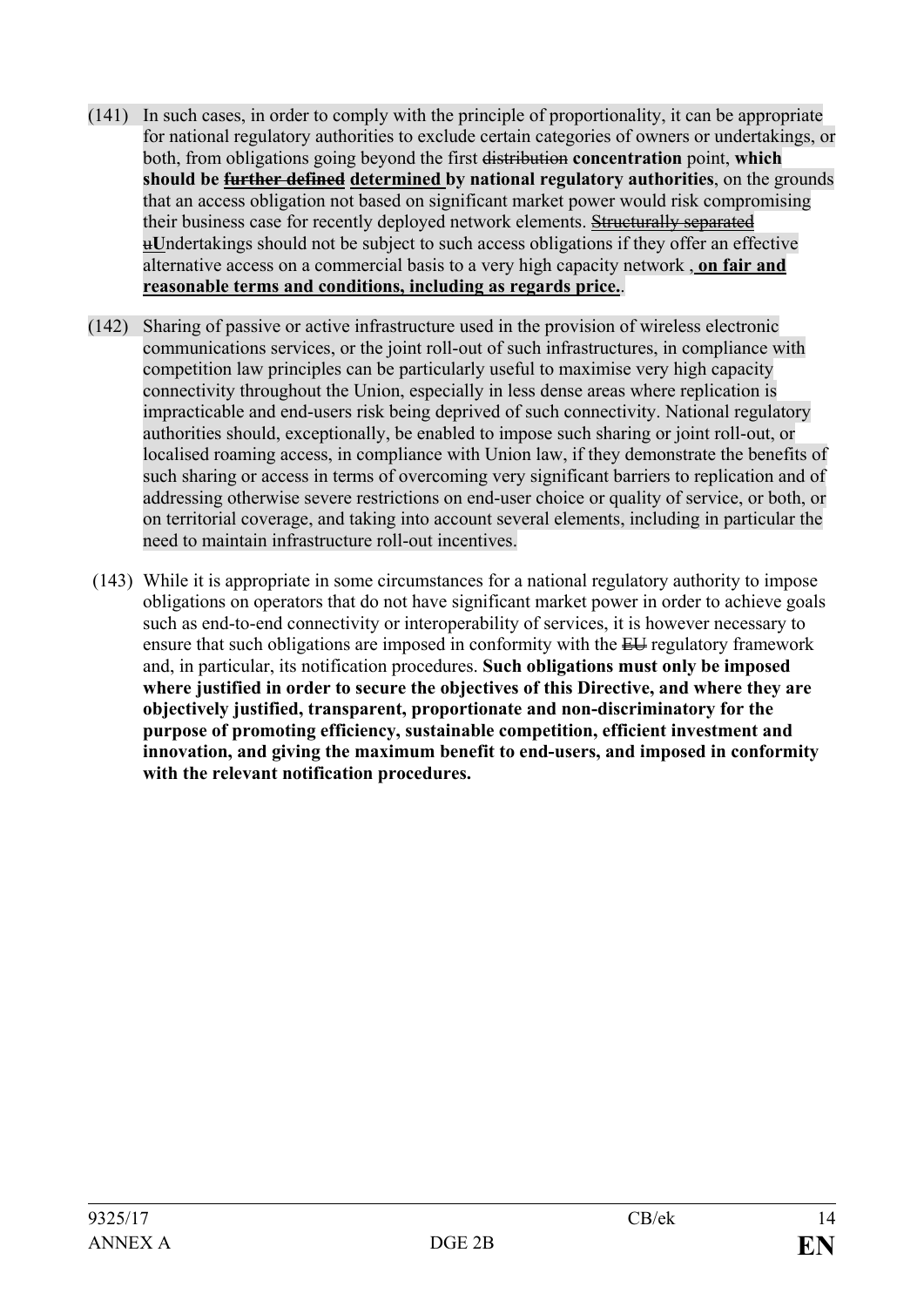- (141) In such cases, in order to comply with the principle of proportionality, it can be appropriate for national regulatory authorities to exclude certain categories of owners or undertakings, or both, from obligations going beyond the first distribution **concentration** point, **which should be further defined determined by national regulatory authorities**, on the grounds that an access obligation not based on significant market power would risk compromising their business case for recently deployed network elements. Structurally separated u**U**ndertakings should not be subject to such access obligations if they offer an effective alternative access on a commercial basis to a very high capacity network , **on fair and reasonable terms and conditions, including as regards price.**.
- (142) Sharing of passive or active infrastructure used in the provision of wireless electronic communications services, or the joint roll-out of such infrastructures, in compliance with competition law principles can be particularly useful to maximise very high capacity connectivity throughout the Union, especially in less dense areas where replication is impracticable and end-users risk being deprived of such connectivity. National regulatory authorities should, exceptionally, be enabled to impose such sharing or joint roll-out, or localised roaming access, in compliance with Union law, if they demonstrate the benefits of such sharing or access in terms of overcoming very significant barriers to replication and of addressing otherwise severe restrictions on end-user choice or quality of service, or both, or on territorial coverage, and taking into account several elements, including in particular the need to maintain infrastructure roll-out incentives.
- (143) While it is appropriate in some circumstances for a national regulatory authority to impose obligations on operators that do not have significant market power in order to achieve goals such as end-to-end connectivity or interoperability of services, it is however necessary to ensure that such obligations are imposed in conformity with the EU regulatory framework and, in particular, its notification procedures. **Such obligations must only be imposed where justified in order to secure the objectives of this Directive, and where they are objectively justified, transparent, proportionate and non-discriminatory for the purpose of promoting efficiency, sustainable competition, efficient investment and innovation, and giving the maximum benefit to end-users, and imposed in conformity with the relevant notification procedures.**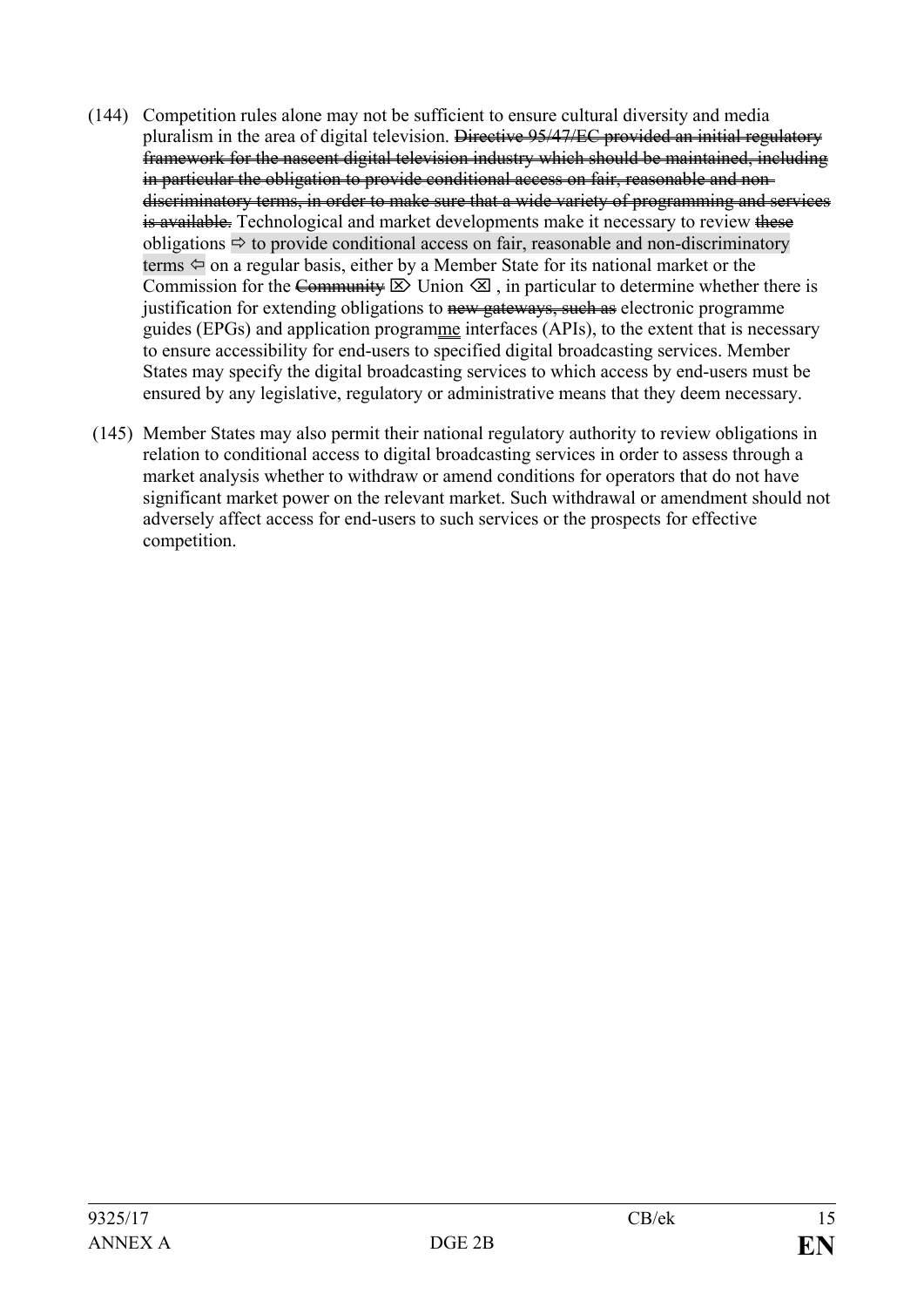- (144) Competition rules alone may not be sufficient to ensure cultural diversity and media pluralism in the area of digital television. Directive 95/47/EC provided an initial regulatory framework for the nascent digital television industry which should be maintained, including in particular the obligation to provide conditional access on fair, reasonable and non discriminatory terms, in order to make sure that a wide variety of programming and services is available. Technological and market developments make it necessary to review these obligations  $\Rightarrow$  to provide conditional access on fair, reasonable and non-discriminatory terms  $\Leftarrow$  on a regular basis, either by a Member State for its national market or the Commission for the Community  $\boxtimes$  Union  $\boxtimes$ , in particular to determine whether there is justification for extending obligations to new gateways, such as electronic programme guides (EPGs) and application programme interfaces (APIs), to the extent that is necessary to ensure accessibility for end-users to specified digital broadcasting services. Member States may specify the digital broadcasting services to which access by end-users must be ensured by any legislative, regulatory or administrative means that they deem necessary.
- (145) Member States may also permit their national regulatory authority to review obligations in relation to conditional access to digital broadcasting services in order to assess through a market analysis whether to withdraw or amend conditions for operators that do not have significant market power on the relevant market. Such withdrawal or amendment should not adversely affect access for end-users to such services or the prospects for effective competition.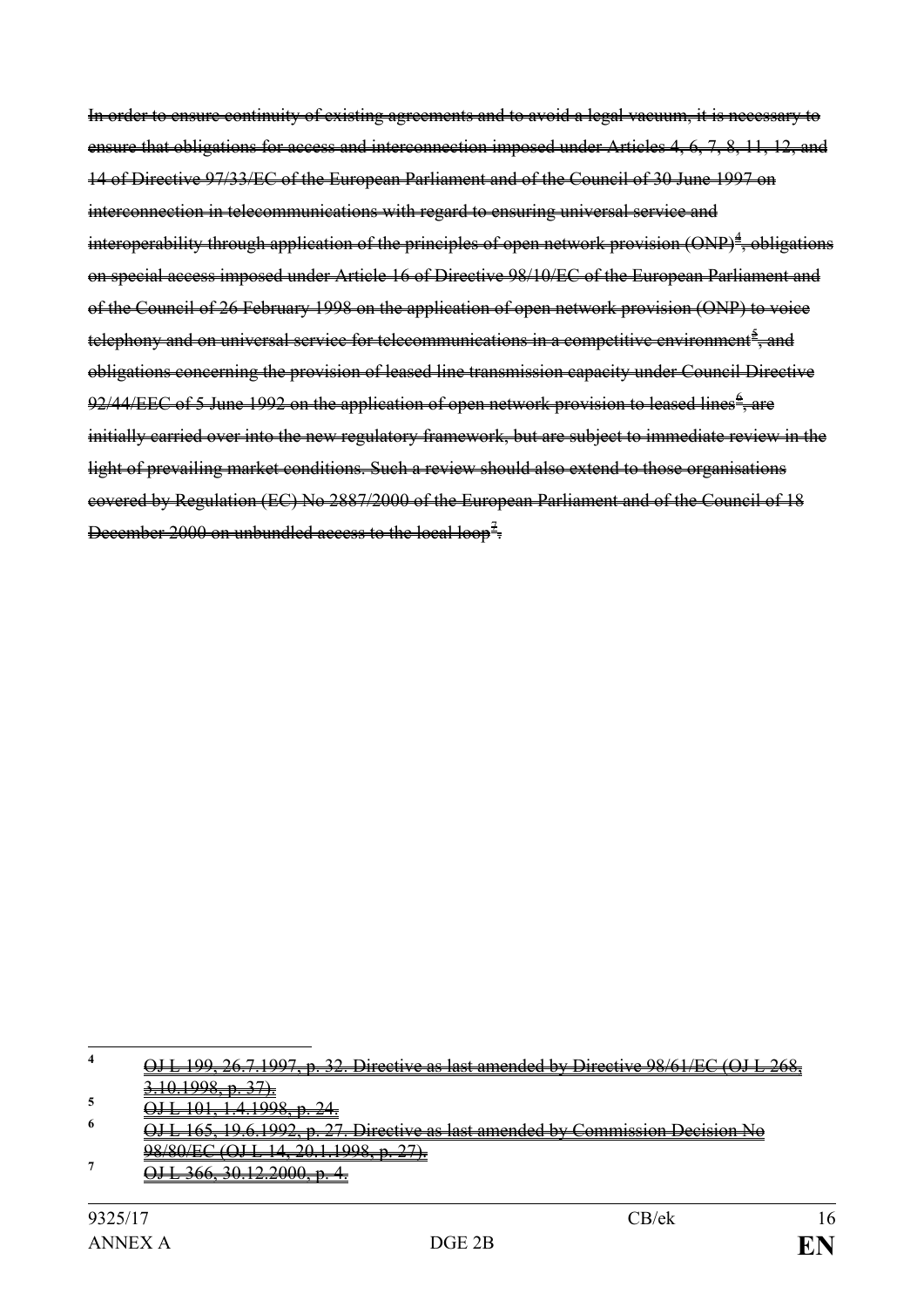In order to ensure continuity of existing agreements and to avoid a legal vacuum, it is necessary to ensure that obligations for access and interconnection imposed under Articles 4, 6, 7, 8, 11, 12, and 14 of Directive 97/33/EC of the European Parliament and of the Council of 30 June 1997 on interconnection in telecommunications with regard to ensuring universal service and interoperability through application of the principles of open network provision  $\mathrm{(OMP)}^4, \mathrm{obligations}$ on special access imposed under Article 16 of Directive 98/10/EC of the European Parliament and of the Council of 26 February 1998 on the application of open network provision (ONP) to voice telephony and on universal service for telecommunications in a competitive environment<sup>s</sup>, and obligations concerning the provision of leased line transmission capacity under Council Directive 92/44/EEC of 5 June 1992 on the application of open network provision to leased lines $\frac{6}{7}$  are initially carried over into the new regulatory framework, but are subject to immediate review in the light of prevailing market conditions. Such a review should also extend to those organisations covered by Regulation (EC) No 2887/2000 of the European Parliament and of the Council of 18 December 2000 on unbundled access to the local loop<sup>7</sup>.

**<sup>4</sup>** OJ L 199, 26.7.1997, p. 32. Directive as last amended by Directive 98/61/EC (OJ L 268,  $3.10.1998, p.37$ 

 $\overline{91 \pm 101, 1.4.1998, p. 24.}$ 

**<sup>6</sup>** OJ L 165, 19.6.1992, p. 27. Directive as last amended by Commission Decision No 98/80/EC (OJ L 14, 20.1.1998, p. 27).

<sup>7 &</sup>lt;del>QH 366, 30.12.2000 p. 4.</del>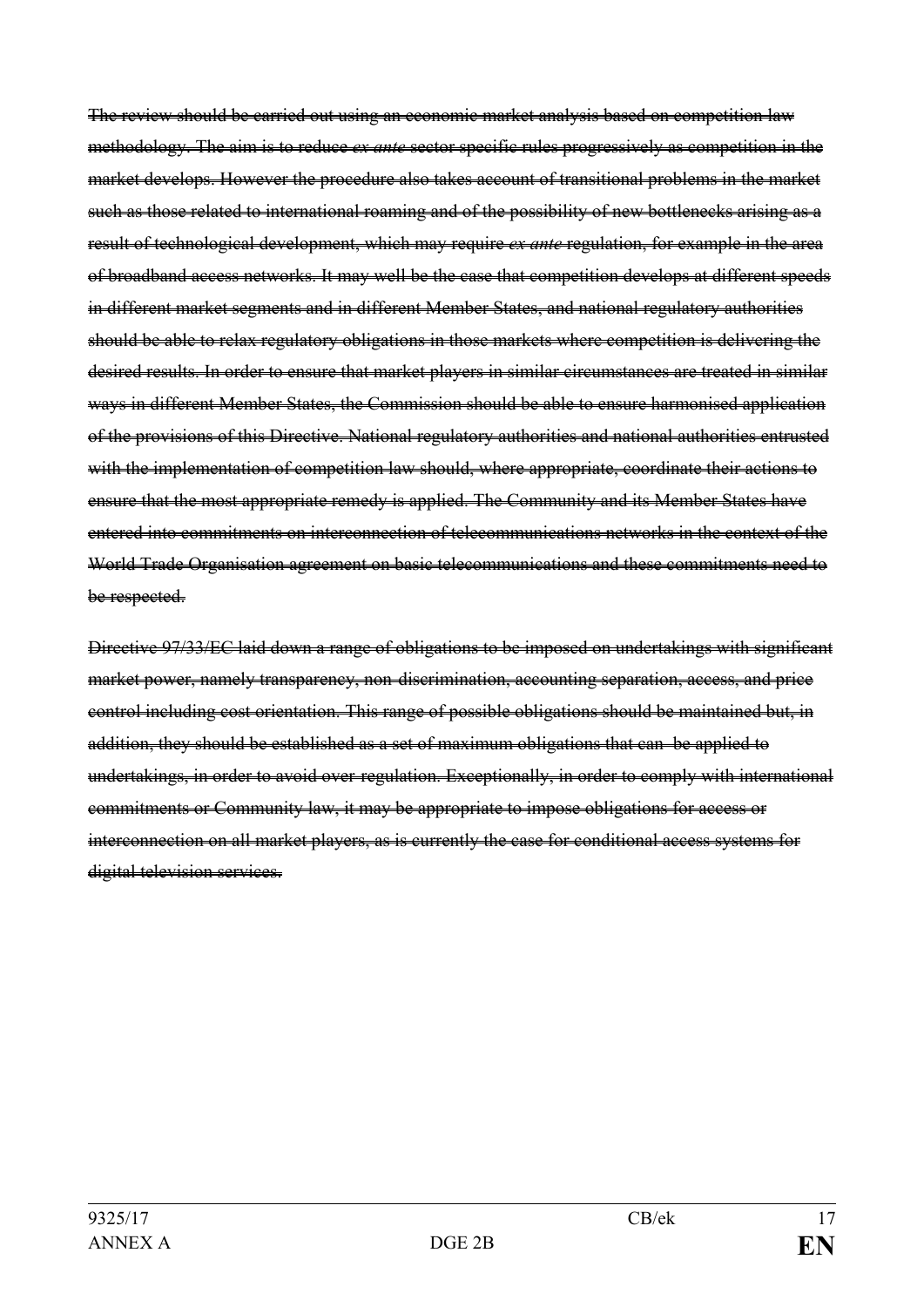The review should be carried out using an economic market analysis based on competition law methodology. The aim is to reduce *ex ante* sector specific rules progressively as competition in the market develops. However the procedure also takes account of transitional problems in the market such as those related to international roaming and of the possibility of new bottlenecks arising as a result of technological development, which may require *ex ante* regulation, for example in the area of broadband access networks. It may well be the case that competition develops at different speeds in different market segments and in different Member States, and national regulatory authorities should be able to relax regulatory obligations in those markets where competition is delivering the desired results. In order to ensure that market players in similar circumstances are treated in similar ways in different Member States, the Commission should be able to ensure harmonised application of the provisions of this Directive. National regulatory authorities and national authorities entrusted with the implementation of competition law should, where appropriate, coordinate their actions to ensure that the most appropriate remedy is applied. The Community and its Member States have entered into commitments on interconnection of telecommunications networks in the context of the World Trade Organisation agreement on basic telecommunications and these commitments need to be respected.

Directive 97/33/EC laid down a range of obligations to be imposed on undertakings with significant market power, namely transparency, non discrimination, accounting separation, access, and price control including cost orientation. This range of possible obligations should be maintained but, in addition, they should be established as a set of maximum obligations that can be applied to undertakings, in order to avoid over regulation. Exceptionally, in order to comply with international commitments or Community law, it may be appropriate to impose obligations for access or interconnection on all market players, as is currently the case for conditional access systems for digital television services.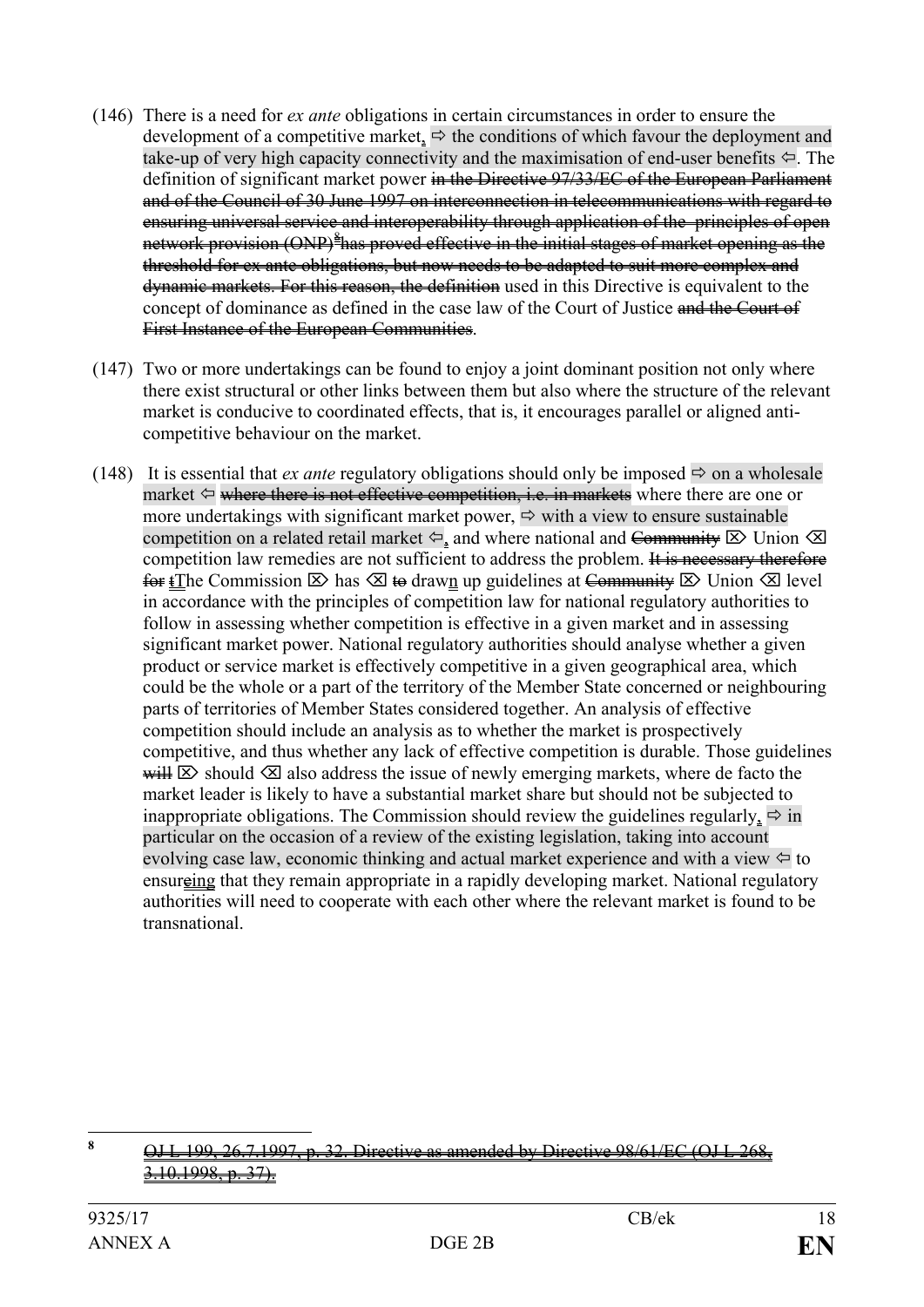- (146) There is a need for *ex ante* obligations in certain circumstances in order to ensure the development of a competitive market,  $\Rightarrow$  the conditions of which favour the deployment and take-up of very high capacity connectivity and the maximisation of end-user benefits  $\Leftarrow$ . The definition of significant market power in the Directive 97/33/EC of the European Parliament and of the Council of 30 June 1997 on interconnection in telecommunications with regard to ensuring universal service and interoperability through application of the principles of open network provision (ONP)<sup>8</sup>has proved effective in the initial stages of market opening as the threshold for ex ante obligations, but now needs to be adapted to suit more complex and dynamic markets. For this reason, the definition used in this Directive is equivalent to the concept of dominance as defined in the case law of the Court of Justice and the Court of First Instance of the European Communities.
- (147) Two or more undertakings can be found to enjoy a joint dominant position not only where there exist structural or other links between them but also where the structure of the relevant market is conducive to coordinated effects, that is, it encourages parallel or aligned anticompetitive behaviour on the market.
- (148) It is essential that *ex ante* regulatory obligations should only be imposed  $\Rightarrow$  on a wholesale market  $\Leftrightarrow$  where there is not effective competition, i.e. in markets where there are one or more undertakings with significant market power,  $\Rightarrow$  with a view to ensure sustainable competition on a related retail market  $\leftarrow$ , and where national and Community  $\boxtimes$  Union  $\boxtimes$ competition law remedies are not sufficient to address the problem. It is necessary therefore for the Commission  $\boxtimes$  has  $\boxtimes$  to drawn up guidelines at Community  $\boxtimes$  Union  $\boxtimes$  level in accordance with the principles of competition law for national regulatory authorities to follow in assessing whether competition is effective in a given market and in assessing significant market power. National regulatory authorities should analyse whether a given product or service market is effectively competitive in a given geographical area, which could be the whole or a part of the territory of the Member State concerned or neighbouring parts of territories of Member States considered together. An analysis of effective competition should include an analysis as to whether the market is prospectively competitive, and thus whether any lack of effective competition is durable. Those guidelines  $\overline{\text{with}} \ \boxtimes$  should  $\textless 2$  also address the issue of newly emerging markets, where de facto the market leader is likely to have a substantial market share but should not be subjected to inappropriate obligations. The Commission should review the guidelines regularly,  $\Rightarrow$  in particular on the occasion of a review of the existing legislation, taking into account evolving case law, economic thinking and actual market experience and with a view  $\Leftarrow$  to ensureing that they remain appropriate in a rapidly developing market. National regulatory authorities will need to cooperate with each other where the relevant market is found to be transnational.

# $8$  OJ L 199, 26.7.1997, p. 32. Directive as amended by Directive  $\frac{210}{1998}$  p. 37).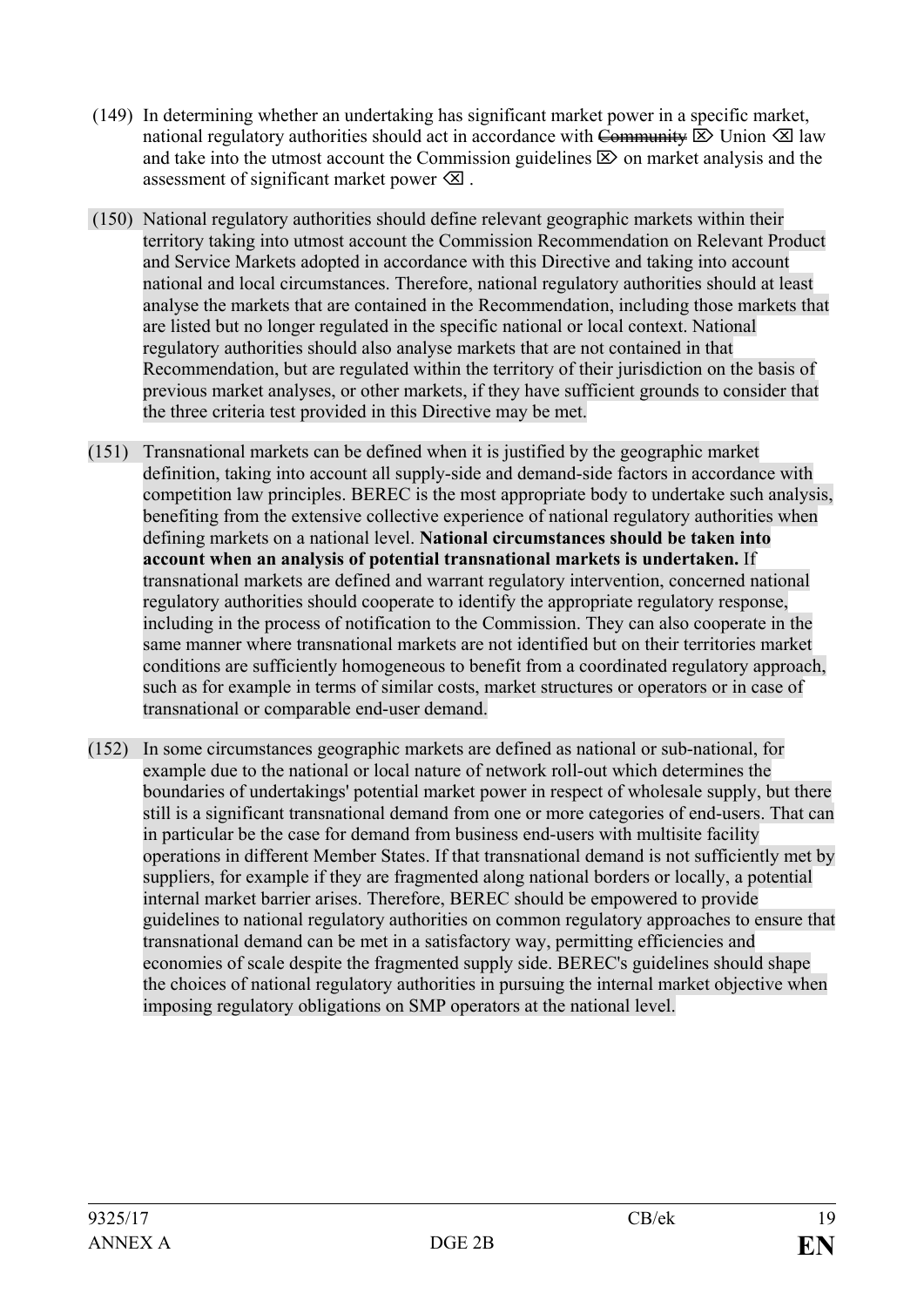- (149) In determining whether an undertaking has significant market power in a specific market, national regulatory authorities should act in accordance with Community  $\boxtimes$  Union  $\boxtimes$  law and take into the utmost account the Commission guidelines  $\mathbb{Z}$  on market analysis and the assessment of significant market power  $\otimes$ .
- (150) National regulatory authorities should define relevant geographic markets within their territory taking into utmost account the Commission Recommendation on Relevant Product and Service Markets adopted in accordance with this Directive and taking into account national and local circumstances. Therefore, national regulatory authorities should at least analyse the markets that are contained in the Recommendation, including those markets that are listed but no longer regulated in the specific national or local context. National regulatory authorities should also analyse markets that are not contained in that Recommendation, but are regulated within the territory of their jurisdiction on the basis of previous market analyses, or other markets, if they have sufficient grounds to consider that the three criteria test provided in this Directive may be met.
- (151) Transnational markets can be defined when it is justified by the geographic market definition, taking into account all supply-side and demand-side factors in accordance with competition law principles. BEREC is the most appropriate body to undertake such analysis, benefiting from the extensive collective experience of national regulatory authorities when defining markets on a national level. **National circumstances should be taken into account when an analysis of potential transnational markets is undertaken.** If transnational markets are defined and warrant regulatory intervention, concerned national regulatory authorities should cooperate to identify the appropriate regulatory response, including in the process of notification to the Commission. They can also cooperate in the same manner where transnational markets are not identified but on their territories market conditions are sufficiently homogeneous to benefit from a coordinated regulatory approach, such as for example in terms of similar costs, market structures or operators or in case of transnational or comparable end-user demand.
- (152) In some circumstances geographic markets are defined as national or sub-national, for example due to the national or local nature of network roll-out which determines the boundaries of undertakings' potential market power in respect of wholesale supply, but there still is a significant transnational demand from one or more categories of end-users. That can in particular be the case for demand from business end-users with multisite facility operations in different Member States. If that transnational demand is not sufficiently met by suppliers, for example if they are fragmented along national borders or locally, a potential internal market barrier arises. Therefore, BEREC should be empowered to provide guidelines to national regulatory authorities on common regulatory approaches to ensure that transnational demand can be met in a satisfactory way, permitting efficiencies and economies of scale despite the fragmented supply side. BEREC's guidelines should shape the choices of national regulatory authorities in pursuing the internal market objective when imposing regulatory obligations on SMP operators at the national level.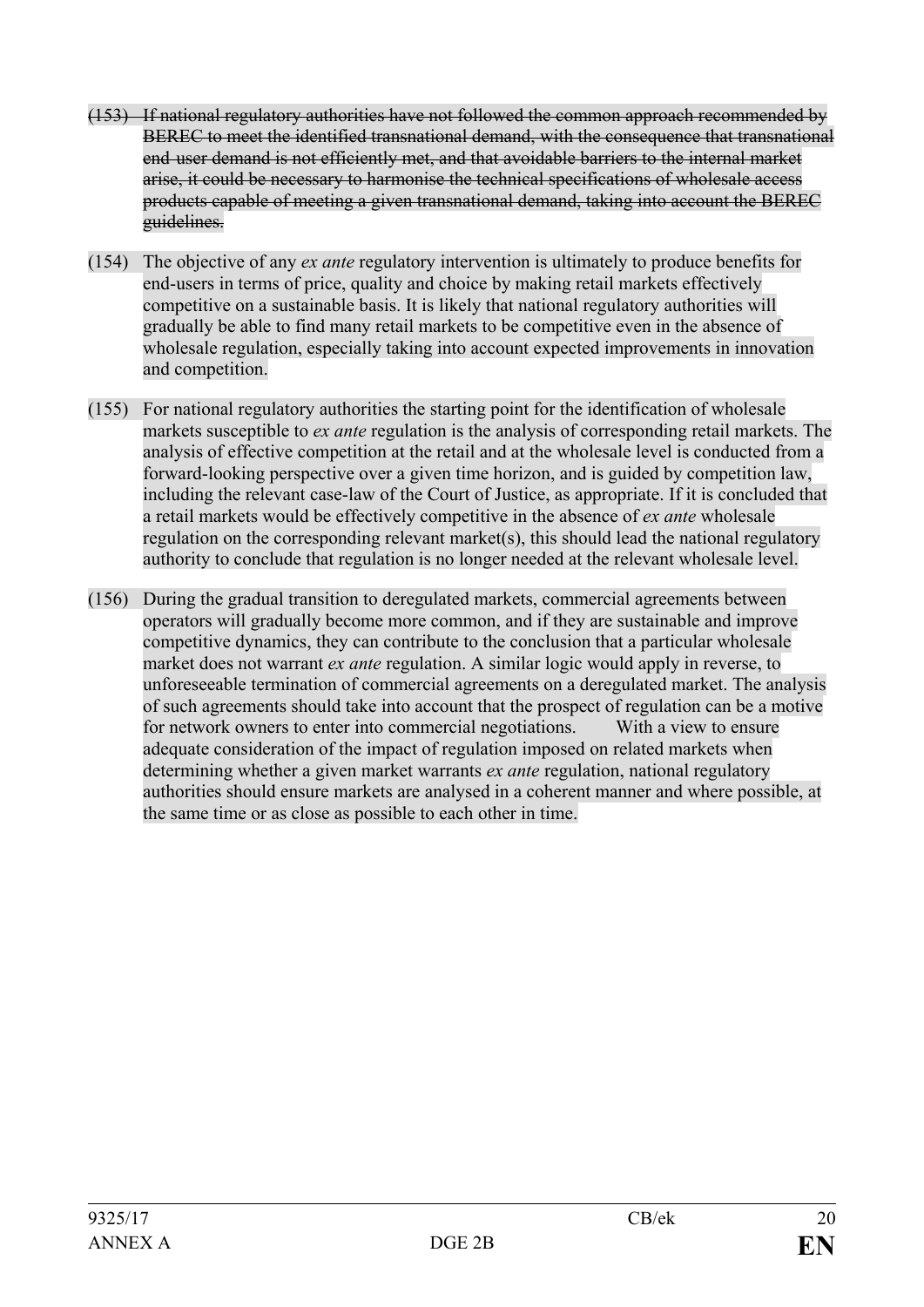- (153) If national regulatory authorities have not followed the common approach recommended by BEREC to meet the identified transnational demand, with the consequence that transnational end user demand is not efficiently met, and that avoidable barriers to the internal market arise, it could be necessary to harmonise the technical specifications of wholesale access products capable of meeting a given transnational demand, taking into account the BEREC guidelines.
- (154) The objective of any *ex ante* regulatory intervention is ultimately to produce benefits for end-users in terms of price, quality and choice by making retail markets effectively competitive on a sustainable basis. It is likely that national regulatory authorities will gradually be able to find many retail markets to be competitive even in the absence of wholesale regulation, especially taking into account expected improvements in innovation and competition.
- (155) For national regulatory authorities the starting point for the identification of wholesale markets susceptible to *ex ante* regulation is the analysis of corresponding retail markets. The analysis of effective competition at the retail and at the wholesale level is conducted from a forward-looking perspective over a given time horizon, and is guided by competition law, including the relevant case-law of the Court of Justice, as appropriate. If it is concluded that a retail markets would be effectively competitive in the absence of *ex ante* wholesale regulation on the corresponding relevant market(s), this should lead the national regulatory authority to conclude that regulation is no longer needed at the relevant wholesale level.
- (156) During the gradual transition to deregulated markets, commercial agreements between operators will gradually become more common, and if they are sustainable and improve competitive dynamics, they can contribute to the conclusion that a particular wholesale market does not warrant *ex ante* regulation. A similar logic would apply in reverse, to unforeseeable termination of commercial agreements on a deregulated market. The analysis of such agreements should take into account that the prospect of regulation can be a motive for network owners to enter into commercial negotiations. With a view to ensure adequate consideration of the impact of regulation imposed on related markets when determining whether a given market warrants *ex ante* regulation, national regulatory authorities should ensure markets are analysed in a coherent manner and where possible, at the same time or as close as possible to each other in time.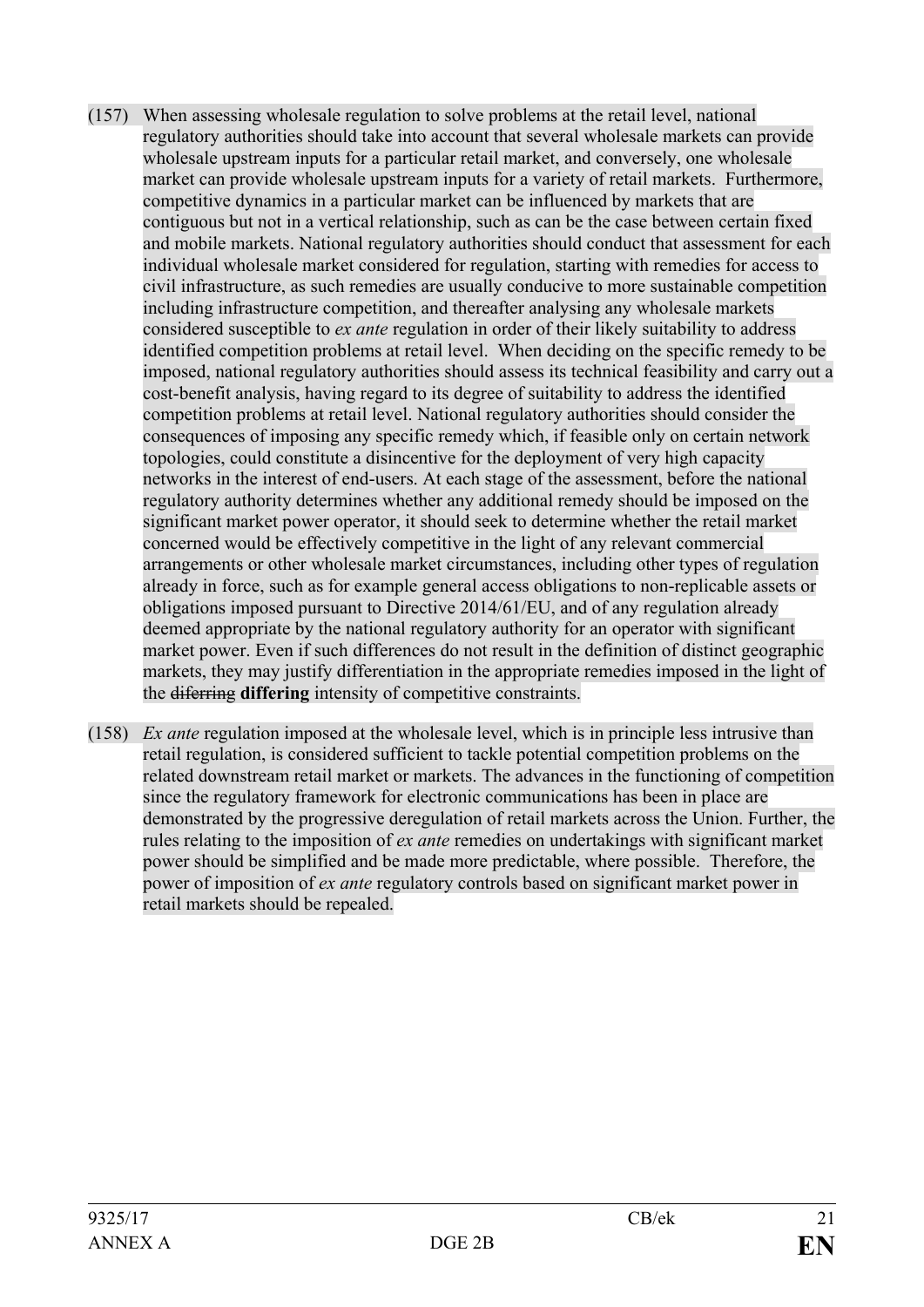- (157) When assessing wholesale regulation to solve problems at the retail level, national regulatory authorities should take into account that several wholesale markets can provide wholesale upstream inputs for a particular retail market, and conversely, one wholesale market can provide wholesale upstream inputs for a variety of retail markets. Furthermore, competitive dynamics in a particular market can be influenced by markets that are contiguous but not in a vertical relationship, such as can be the case between certain fixed and mobile markets. National regulatory authorities should conduct that assessment for each individual wholesale market considered for regulation, starting with remedies for access to civil infrastructure, as such remedies are usually conducive to more sustainable competition including infrastructure competition, and thereafter analysing any wholesale markets considered susceptible to *ex ante* regulation in order of their likely suitability to address identified competition problems at retail level. When deciding on the specific remedy to be imposed, national regulatory authorities should assess its technical feasibility and carry out a cost-benefit analysis, having regard to its degree of suitability to address the identified competition problems at retail level. National regulatory authorities should consider the consequences of imposing any specific remedy which, if feasible only on certain network topologies, could constitute a disincentive for the deployment of very high capacity networks in the interest of end-users. At each stage of the assessment, before the national regulatory authority determines whether any additional remedy should be imposed on the significant market power operator, it should seek to determine whether the retail market concerned would be effectively competitive in the light of any relevant commercial arrangements or other wholesale market circumstances, including other types of regulation already in force, such as for example general access obligations to non-replicable assets or obligations imposed pursuant to Directive 2014/61/EU, and of any regulation already deemed appropriate by the national regulatory authority for an operator with significant market power. Even if such differences do not result in the definition of distinct geographic markets, they may justify differentiation in the appropriate remedies imposed in the light of the diferring **differing** intensity of competitive constraints.
- (158) *Ex ante* regulation imposed at the wholesale level, which is in principle less intrusive than retail regulation, is considered sufficient to tackle potential competition problems on the related downstream retail market or markets. The advances in the functioning of competition since the regulatory framework for electronic communications has been in place are demonstrated by the progressive deregulation of retail markets across the Union. Further, the rules relating to the imposition of *ex ante* remedies on undertakings with significant market power should be simplified and be made more predictable, where possible. Therefore, the power of imposition of *ex ante* regulatory controls based on significant market power in retail markets should be repealed.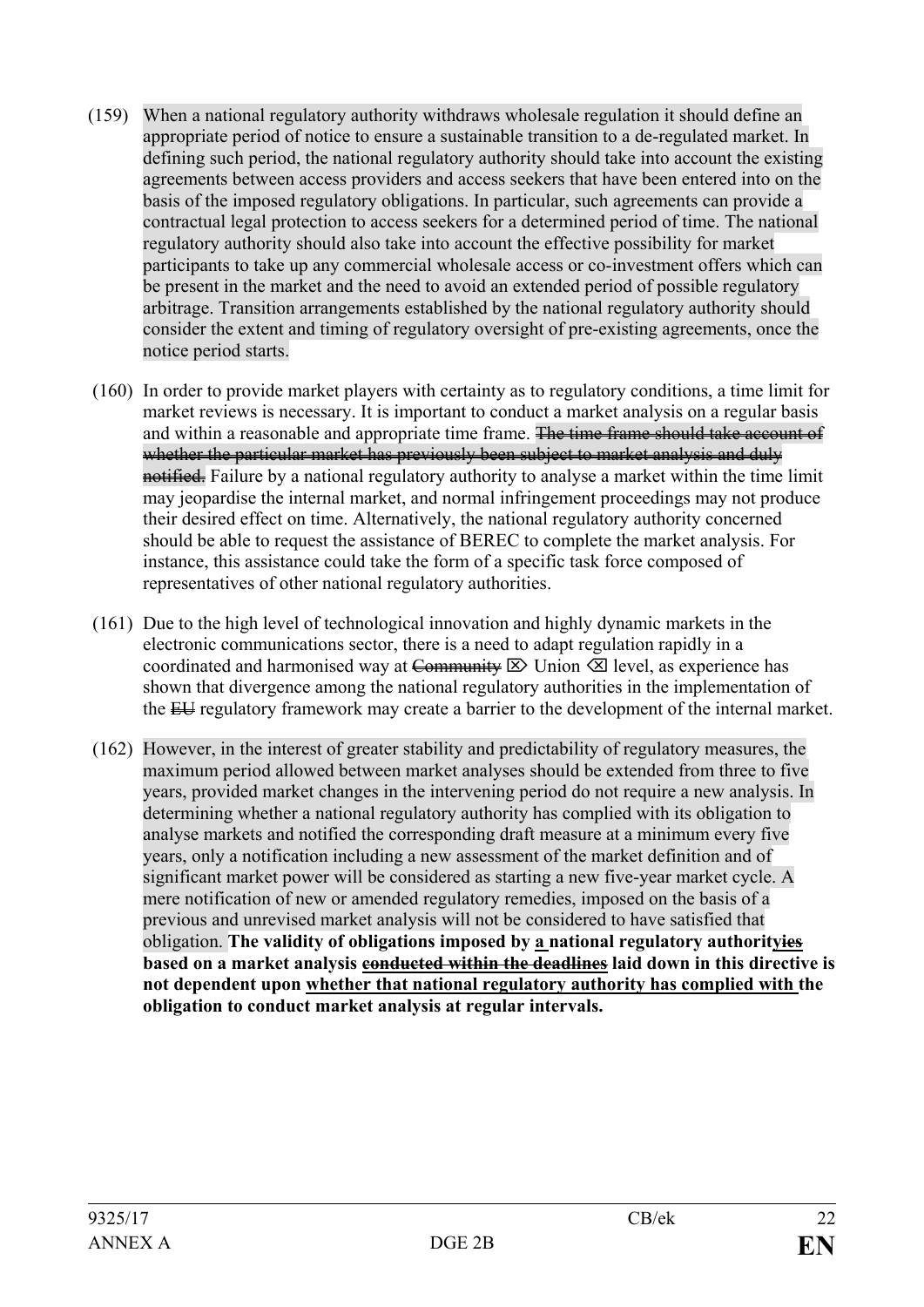- (159) When a national regulatory authority withdraws wholesale regulation it should define an appropriate period of notice to ensure a sustainable transition to a de-regulated market. In defining such period, the national regulatory authority should take into account the existing agreements between access providers and access seekers that have been entered into on the basis of the imposed regulatory obligations. In particular, such agreements can provide a contractual legal protection to access seekers for a determined period of time. The national regulatory authority should also take into account the effective possibility for market participants to take up any commercial wholesale access or co-investment offers which can be present in the market and the need to avoid an extended period of possible regulatory arbitrage. Transition arrangements established by the national regulatory authority should consider the extent and timing of regulatory oversight of pre-existing agreements, once the notice period starts.
- (160) In order to provide market players with certainty as to regulatory conditions, a time limit for market reviews is necessary. It is important to conduct a market analysis on a regular basis and within a reasonable and appropriate time frame. The time frame should take account of whether the particular market has previously been subject to market analysis and duly notified. Failure by a national regulatory authority to analyse a market within the time limit may jeopardise the internal market, and normal infringement proceedings may not produce their desired effect on time. Alternatively, the national regulatory authority concerned should be able to request the assistance of BEREC to complete the market analysis. For instance, this assistance could take the form of a specific task force composed of representatives of other national regulatory authorities.
- (161) Due to the high level of technological innovation and highly dynamic markets in the electronic communications sector, there is a need to adapt regulation rapidly in a coordinated and harmonised way at Community  $\boxtimes$  Union  $\boxtimes$  level, as experience has shown that divergence among the national regulatory authorities in the implementation of the EU regulatory framework may create a barrier to the development of the internal market.
- (162) However, in the interest of greater stability and predictability of regulatory measures, the maximum period allowed between market analyses should be extended from three to five years, provided market changes in the intervening period do not require a new analysis. In determining whether a national regulatory authority has complied with its obligation to analyse markets and notified the corresponding draft measure at a minimum every five years, only a notification including a new assessment of the market definition and of significant market power will be considered as starting a new five-year market cycle. A mere notification of new or amended regulatory remedies, imposed on the basis of a previous and unrevised market analysis will not be considered to have satisfied that obligation. **The validity of obligations imposed by a national regulatory authorityies based on a market analysis conducted within the deadlines laid down in this directive is not dependent upon whether that national regulatory authority has complied with the obligation to conduct market analysis at regular intervals.**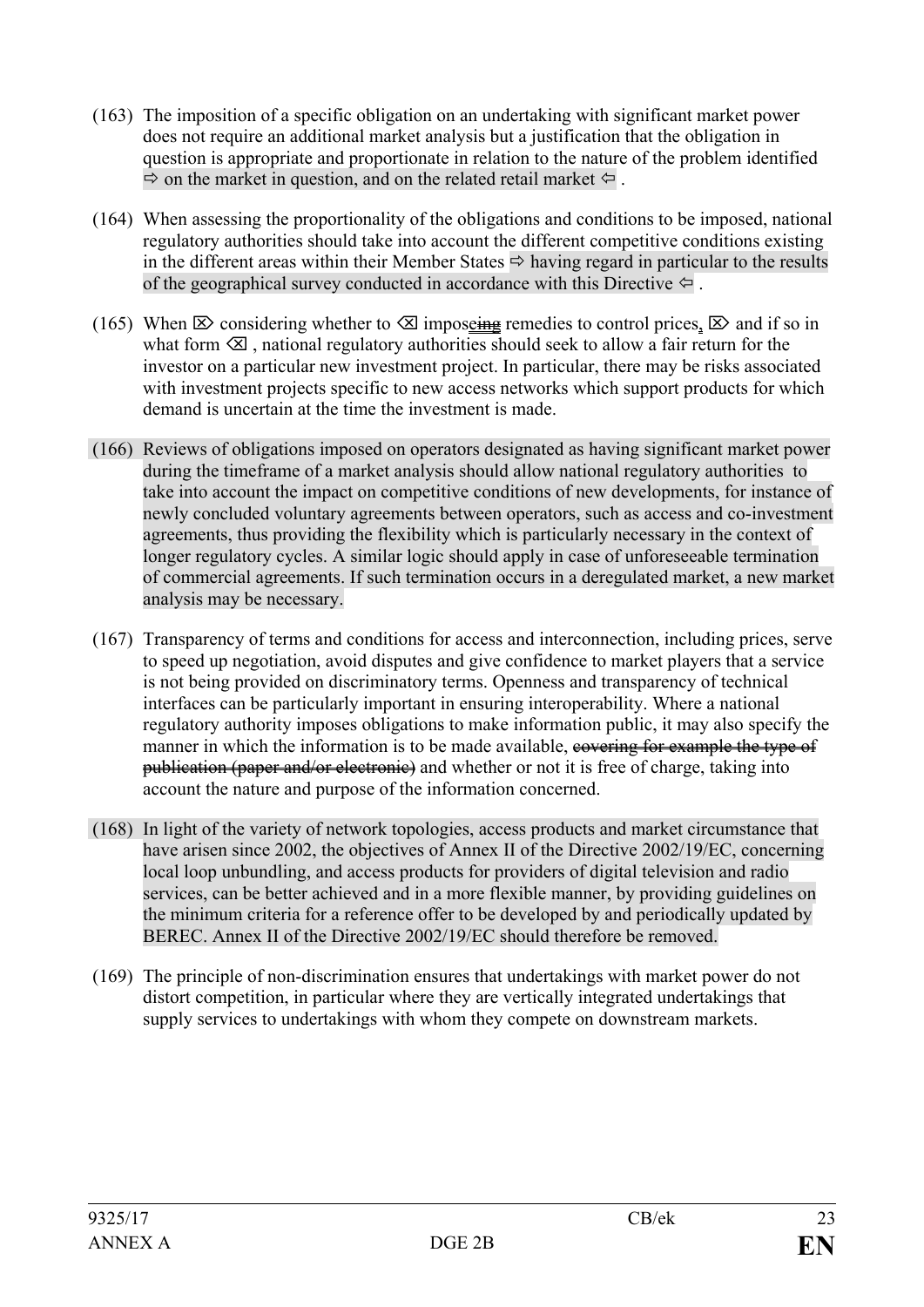- (163) The imposition of a specific obligation on an undertaking with significant market power does not require an additional market analysis but a justification that the obligation in question is appropriate and proportionate in relation to the nature of the problem identified  $\Rightarrow$  on the market in question, and on the related retail market  $\Leftarrow$ .
- (164) When assessing the proportionality of the obligations and conditions to be imposed, national regulatory authorities should take into account the different competitive conditions existing in the different areas within their Member States  $\Rightarrow$  having regard in particular to the results of the geographical survey conducted in accordance with this Directive  $\Leftarrow$ .
- (165) When  $\boxtimes$  considering whether to  $\boxtimes$  imposeing remedies to control prices,  $\boxtimes$  and if so in what form  $\otimes$ , national regulatory authorities should seek to allow a fair return for the investor on a particular new investment project. In particular, there may be risks associated with investment projects specific to new access networks which support products for which demand is uncertain at the time the investment is made.
- (166) Reviews of obligations imposed on operators designated as having significant market power during the timeframe of a market analysis should allow national regulatory authorities to take into account the impact on competitive conditions of new developments, for instance of newly concluded voluntary agreements between operators, such as access and co-investment agreements, thus providing the flexibility which is particularly necessary in the context of longer regulatory cycles. A similar logic should apply in case of unforeseeable termination of commercial agreements. If such termination occurs in a deregulated market, a new market analysis may be necessary.
- (167) Transparency of terms and conditions for access and interconnection, including prices, serve to speed up negotiation, avoid disputes and give confidence to market players that a service is not being provided on discriminatory terms. Openness and transparency of technical interfaces can be particularly important in ensuring interoperability. Where a national regulatory authority imposes obligations to make information public, it may also specify the manner in which the information is to be made available, covering for example the type of publication (paper and/or electronic) and whether or not it is free of charge, taking into account the nature and purpose of the information concerned.
- (168) In light of the variety of network topologies, access products and market circumstance that have arisen since 2002, the objectives of Annex II of the Directive 2002/19/EC, concerning local loop unbundling, and access products for providers of digital television and radio services, can be better achieved and in a more flexible manner, by providing guidelines on the minimum criteria for a reference offer to be developed by and periodically updated by BEREC. Annex II of the Directive 2002/19/EC should therefore be removed.
- (169) The principle of non-discrimination ensures that undertakings with market power do not distort competition, in particular where they are vertically integrated undertakings that supply services to undertakings with whom they compete on downstream markets.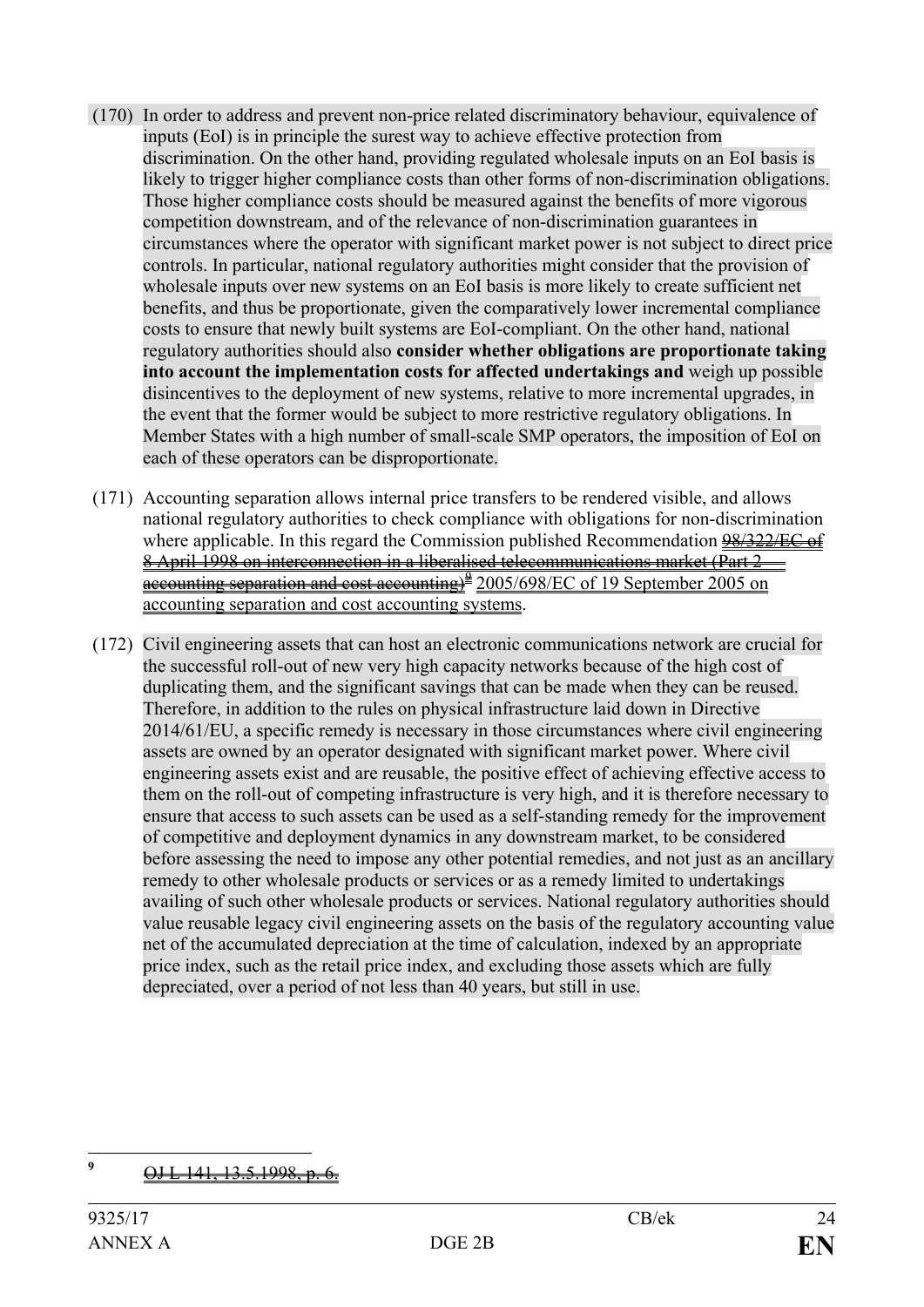- (170) In order to address and prevent non-price related discriminatory behaviour, equivalence of inputs (EoI) is in principle the surest way to achieve effective protection from discrimination. On the other hand, providing regulated wholesale inputs on an EoI basis is likely to trigger higher compliance costs than other forms of non-discrimination obligations. Those higher compliance costs should be measured against the benefits of more vigorous competition downstream, and of the relevance of non-discrimination guarantees in circumstances where the operator with significant market power is not subject to direct price controls. In particular, national regulatory authorities might consider that the provision of wholesale inputs over new systems on an EoI basis is more likely to create sufficient net benefits, and thus be proportionate, given the comparatively lower incremental compliance costs to ensure that newly built systems are EoI-compliant. On the other hand, national regulatory authorities should also **consider whether obligations are proportionate taking into account the implementation costs for affected undertakings and** weigh up possible disincentives to the deployment of new systems, relative to more incremental upgrades, in the event that the former would be subject to more restrictive regulatory obligations. In Member States with a high number of small-scale SMP operators, the imposition of EoI on each of these operators can be disproportionate.
- (171) Accounting separation allows internal price transfers to be rendered visible, and allows national regulatory authorities to check compliance with obligations for non-discrimination where applicable. In this regard the Commission published Recommendation  $\frac{98/322/EC}{\text{eff}}$ 8 April 1998 on interconnection in a liberalised telecommunications market (Part 2 accounting separation and cost accounting) $\frac{2}{3}$  2005/698/EC of 19 September 2005 on accounting separation and cost accounting systems.
- (172) Civil engineering assets that can host an electronic communications network are crucial for the successful roll-out of new very high capacity networks because of the high cost of duplicating them, and the significant savings that can be made when they can be reused. Therefore, in addition to the rules on physical infrastructure laid down in Directive 2014/61/EU, a specific remedy is necessary in those circumstances where civil engineering assets are owned by an operator designated with significant market power. Where civil engineering assets exist and are reusable, the positive effect of achieving effective access to them on the roll-out of competing infrastructure is very high, and it is therefore necessary to ensure that access to such assets can be used as a self-standing remedy for the improvement of competitive and deployment dynamics in any downstream market, to be considered before assessing the need to impose any other potential remedies, and not just as an ancillary remedy to other wholesale products or services or as a remedy limited to undertakings availing of such other wholesale products or services. National regulatory authorities should value reusable legacy civil engineering assets on the basis of the regulatory accounting value net of the accumulated depreciation at the time of calculation, indexed by an appropriate price index, such as the retail price index, and excluding those assets which are fully depreciated, over a period of not less than 40 years, but still in use.

 **9** OJ L 141, 13.5.1998, p. 6.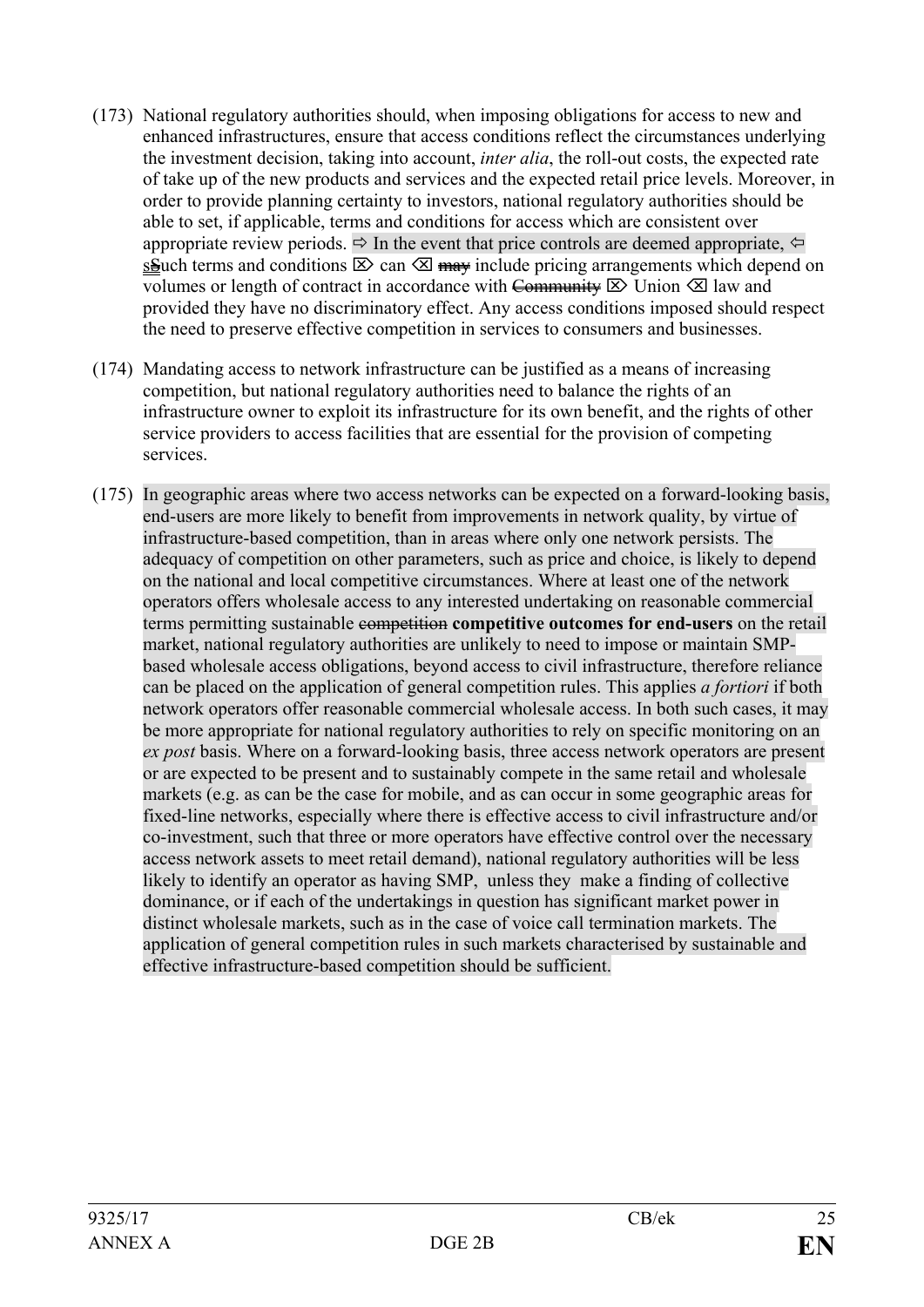- (173) National regulatory authorities should, when imposing obligations for access to new and enhanced infrastructures, ensure that access conditions reflect the circumstances underlying the investment decision, taking into account, *inter alia*, the roll-out costs, the expected rate of take up of the new products and services and the expected retail price levels. Moreover, in order to provide planning certainty to investors, national regulatory authorities should be able to set, if applicable, terms and conditions for access which are consistent over appropriate review periods.  $\Rightarrow$  In the event that price controls are deemed appropriate,  $\Leftrightarrow$ sSuch terms and conditions  $\boxtimes$  can  $\boxtimes$   $\Longleftrightarrow$  include pricing arrangements which depend on volumes or length of contract in accordance with  $\epsilon$  = Union  $\otimes$  law and provided they have no discriminatory effect. Any access conditions imposed should respect the need to preserve effective competition in services to consumers and businesses.
- (174) Mandating access to network infrastructure can be justified as a means of increasing competition, but national regulatory authorities need to balance the rights of an infrastructure owner to exploit its infrastructure for its own benefit, and the rights of other service providers to access facilities that are essential for the provision of competing services.
- (175) In geographic areas where two access networks can be expected on a forward-looking basis, end-users are more likely to benefit from improvements in network quality, by virtue of infrastructure-based competition, than in areas where only one network persists. The adequacy of competition on other parameters, such as price and choice, is likely to depend on the national and local competitive circumstances. Where at least one of the network operators offers wholesale access to any interested undertaking on reasonable commercial terms permitting sustainable competition **competitive outcomes for end-users** on the retail market, national regulatory authorities are unlikely to need to impose or maintain SMPbased wholesale access obligations, beyond access to civil infrastructure, therefore reliance can be placed on the application of general competition rules. This applies *a fortiori* if both network operators offer reasonable commercial wholesale access. In both such cases, it may be more appropriate for national regulatory authorities to rely on specific monitoring on an *ex post* basis. Where on a forward-looking basis, three access network operators are present or are expected to be present and to sustainably compete in the same retail and wholesale markets (e.g. as can be the case for mobile, and as can occur in some geographic areas for fixed-line networks, especially where there is effective access to civil infrastructure and/or co-investment, such that three or more operators have effective control over the necessary access network assets to meet retail demand), national regulatory authorities will be less likely to identify an operator as having SMP, unless they make a finding of collective dominance, or if each of the undertakings in question has significant market power in distinct wholesale markets, such as in the case of voice call termination markets. The application of general competition rules in such markets characterised by sustainable and effective infrastructure-based competition should be sufficient.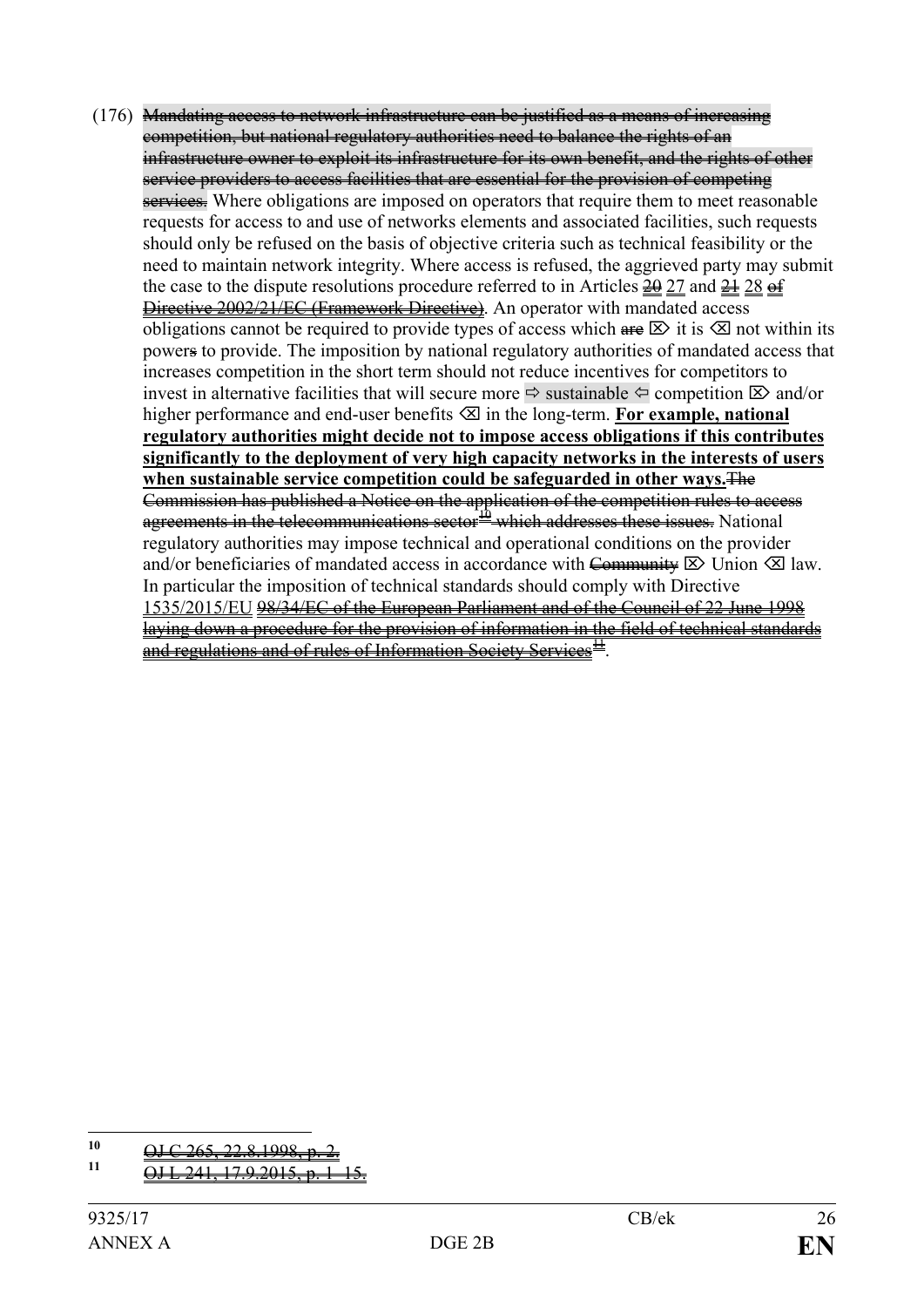(176) Mandating access to network infrastructure can be justified as a means of increasing competition, but national regulatory authorities need to balance the rights of an infrastructure owner to exploit its infrastructure for its own benefit, and the rights of other service providers to access facilities that are essential for the provision of competing services. Where obligations are imposed on operators that require them to meet reasonable requests for access to and use of networks elements and associated facilities, such requests should only be refused on the basis of objective criteria such as technical feasibility or the need to maintain network integrity. Where access is refused, the aggrieved party may submit the case to the dispute resolutions procedure referred to in Articles  $\frac{20}{27}$  and  $\frac{21}{28}$  of Directive 2002/21/EC (Framework Directive). An operator with mandated access obligations cannot be required to provide types of access which  $\frac{d}{dt} \otimes \mathbf{i}$  it is  $\otimes$  not within its powers to provide. The imposition by national regulatory authorities of mandated access that increases competition in the short term should not reduce incentives for competitors to invest in alternative facilities that will secure more  $\Rightarrow$  sustainable  $\Leftrightarrow$  competition  $\boxtimes$  and/or higher performance and end-user benefits  $\otimes$  in the long-term. For example, national **regulatory authorities might decide not to impose access obligations if this contributes significantly to the deployment of very high capacity networks in the interests of users when sustainable service competition could be safeguarded in other ways.**The Commission has published a Notice on the application of the competition rules to access agreements in the telecommunications sector $\frac{10}{2}$  which addresses these issues. National regulatory authorities may impose technical and operational conditions on the provider and/or beneficiaries of mandated access in accordance with Community  $\boxtimes$  Union  $\boxtimes$  law. In particular the imposition of technical standards should comply with Directive 1535/2015/EU 98/34/EC of the European Parliament and of the Council of 22 June 1998 laying down a procedure for the provision of information in the field of technical standards and regulations and of rules of Information Society Services $\frac{11}{11}$ .

 $10$ 10 **QJ C 265, 22.8.1998, p. 2.** 

 $11 \quad \overline{OH} \quad 241 \quad 17.9 \quad 2015 \quad n$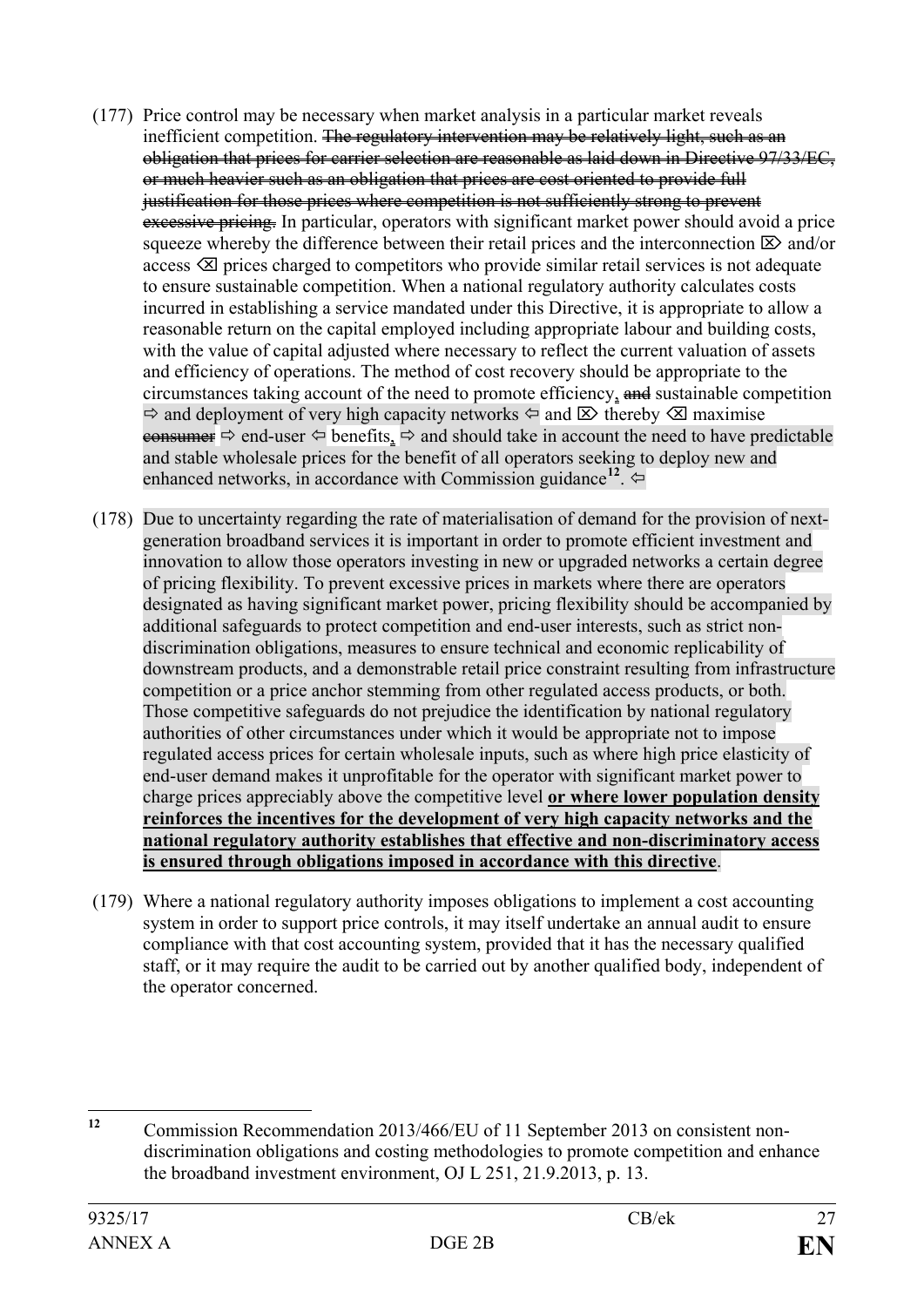- (177) Price control may be necessary when market analysis in a particular market reveals inefficient competition. The regulatory intervention may be relatively light, such as an obligation that prices for carrier selection are reasonable as laid down in Directive 97/33/EC, or much heavier such as an obligation that prices are cost oriented to provide full justification for those prices where competition is not sufficiently strong to prevent excessive pricing. In particular, operators with significant market power should avoid a price squeeze whereby the difference between their retail prices and the interconnection  $\boxtimes$  and/or access  $\otimes$  prices charged to competitors who provide similar retail services is not adequate to ensure sustainable competition. When a national regulatory authority calculates costs incurred in establishing a service mandated under this Directive, it is appropriate to allow a reasonable return on the capital employed including appropriate labour and building costs, with the value of capital adjusted where necessary to reflect the current valuation of assets and efficiency of operations. The method of cost recovery should be appropriate to the circumstances taking account of the need to promote efficiency, and sustainable competition  $\Rightarrow$  and deployment of very high capacity networks  $\Leftrightarrow$  and  $\boxtimes$  thereby  $\boxtimes$  maximise consumer  $\Rightarrow$  end-user  $\Leftarrow$  benefits,  $\Rightarrow$  and should take in account the need to have predictable and stable wholesale prices for the benefit of all operators seeking to deploy new and enhanced networks, in accordance with Commission guidance<sup>12</sup>.  $\Leftrightarrow$
- (178) Due to uncertainty regarding the rate of materialisation of demand for the provision of nextgeneration broadband services it is important in order to promote efficient investment and innovation to allow those operators investing in new or upgraded networks a certain degree of pricing flexibility. To prevent excessive prices in markets where there are operators designated as having significant market power, pricing flexibility should be accompanied by additional safeguards to protect competition and end-user interests, such as strict nondiscrimination obligations, measures to ensure technical and economic replicability of downstream products, and a demonstrable retail price constraint resulting from infrastructure competition or a price anchor stemming from other regulated access products, or both. Those competitive safeguards do not prejudice the identification by national regulatory authorities of other circumstances under which it would be appropriate not to impose regulated access prices for certain wholesale inputs, such as where high price elasticity of end-user demand makes it unprofitable for the operator with significant market power to charge prices appreciably above the competitive level **or where lower population density reinforces the incentives for the development of very high capacity networks and the national regulatory authority establishes that effective and non-discriminatory access is ensured through obligations imposed in accordance with this directive**.
- (179) Where a national regulatory authority imposes obligations to implement a cost accounting system in order to support price controls, it may itself undertake an annual audit to ensure compliance with that cost accounting system, provided that it has the necessary qualified staff, or it may require the audit to be carried out by another qualified body, independent of the operator concerned.

**<sup>12</sup>** Commission Recommendation 2013/466/EU of 11 September 2013 on consistent nondiscrimination obligations and costing methodologies to promote competition and enhance the broadband investment environment, OJ L 251, 21.9.2013, p. 13.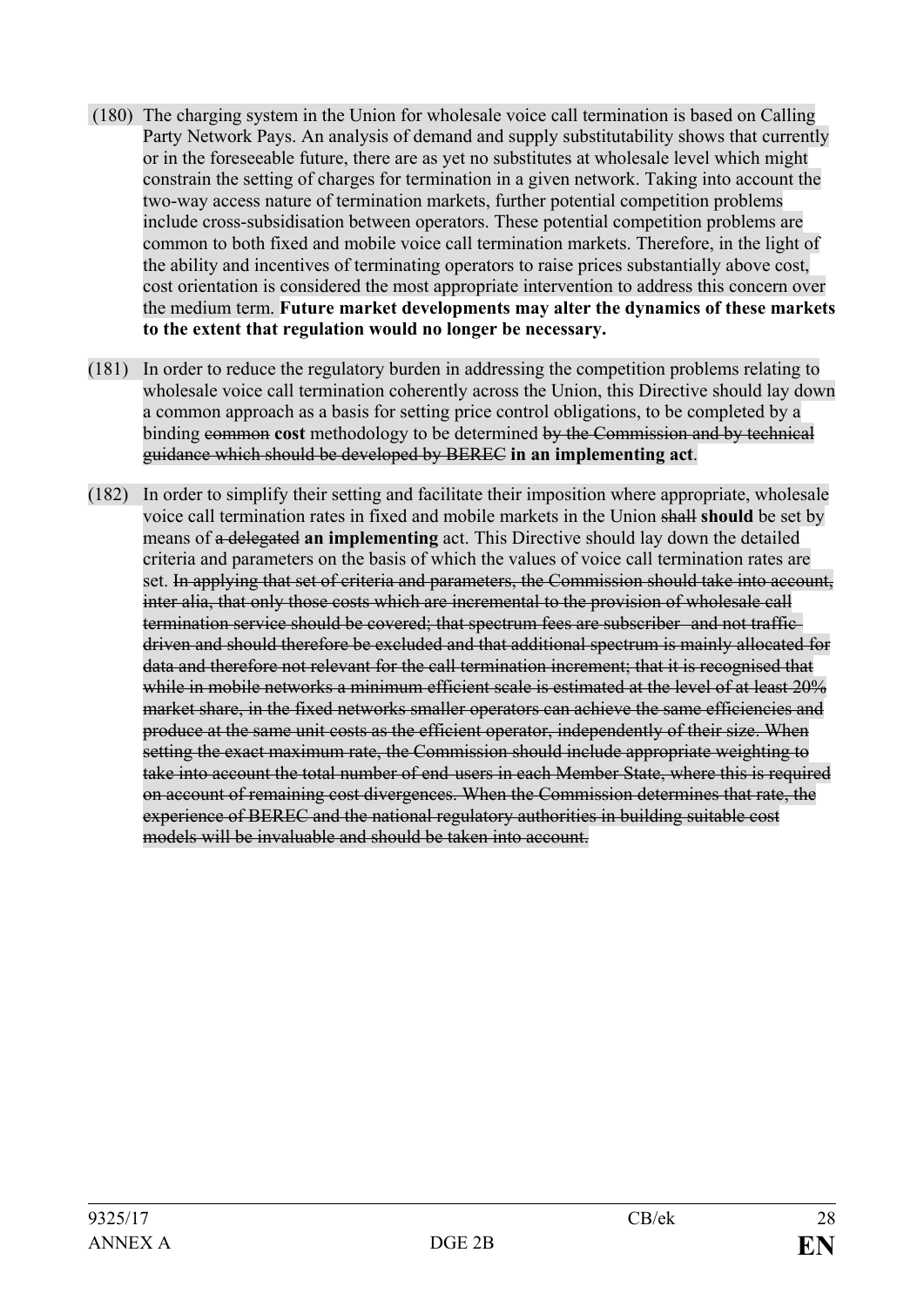- (180) The charging system in the Union for wholesale voice call termination is based on Calling Party Network Pays. An analysis of demand and supply substitutability shows that currently or in the foreseeable future, there are as yet no substitutes at wholesale level which might constrain the setting of charges for termination in a given network. Taking into account the two-way access nature of termination markets, further potential competition problems include cross-subsidisation between operators. These potential competition problems are common to both fixed and mobile voice call termination markets. Therefore, in the light of the ability and incentives of terminating operators to raise prices substantially above cost, cost orientation is considered the most appropriate intervention to address this concern over the medium term. **Future market developments may alter the dynamics of these markets to the extent that regulation would no longer be necessary.**
- (181) In order to reduce the regulatory burden in addressing the competition problems relating to wholesale voice call termination coherently across the Union, this Directive should lay down a common approach as a basis for setting price control obligations, to be completed by a binding common **cost** methodology to be determined by the Commission and by technical guidance which should be developed by BEREC **in an implementing act**.
- (182) In order to simplify their setting and facilitate their imposition where appropriate, wholesale voice call termination rates in fixed and mobile markets in the Union shall **should** be set by means of a delegated **an implementing** act. This Directive should lay down the detailed criteria and parameters on the basis of which the values of voice call termination rates are set. In applying that set of criteria and parameters, the Commission should take into account, inter alia, that only those costs which are incremental to the provision of wholesale call termination service should be covered; that spectrum fees are subscriber and not traffic driven and should therefore be excluded and that additional spectrum is mainly allocated for data and therefore not relevant for the call termination increment; that it is recognised that while in mobile networks a minimum efficient scale is estimated at the level of at least 20% market share, in the fixed networks smaller operators can achieve the same efficiencies and produce at the same unit costs as the efficient operator, independently of their size. When setting the exact maximum rate, the Commission should include appropriate weighting to take into account the total number of end users in each Member State, where this is required on account of remaining cost divergences. When the Commission determines that rate, the experience of BEREC and the national regulatory authorities in building suitable cost models will be invaluable and should be taken into account.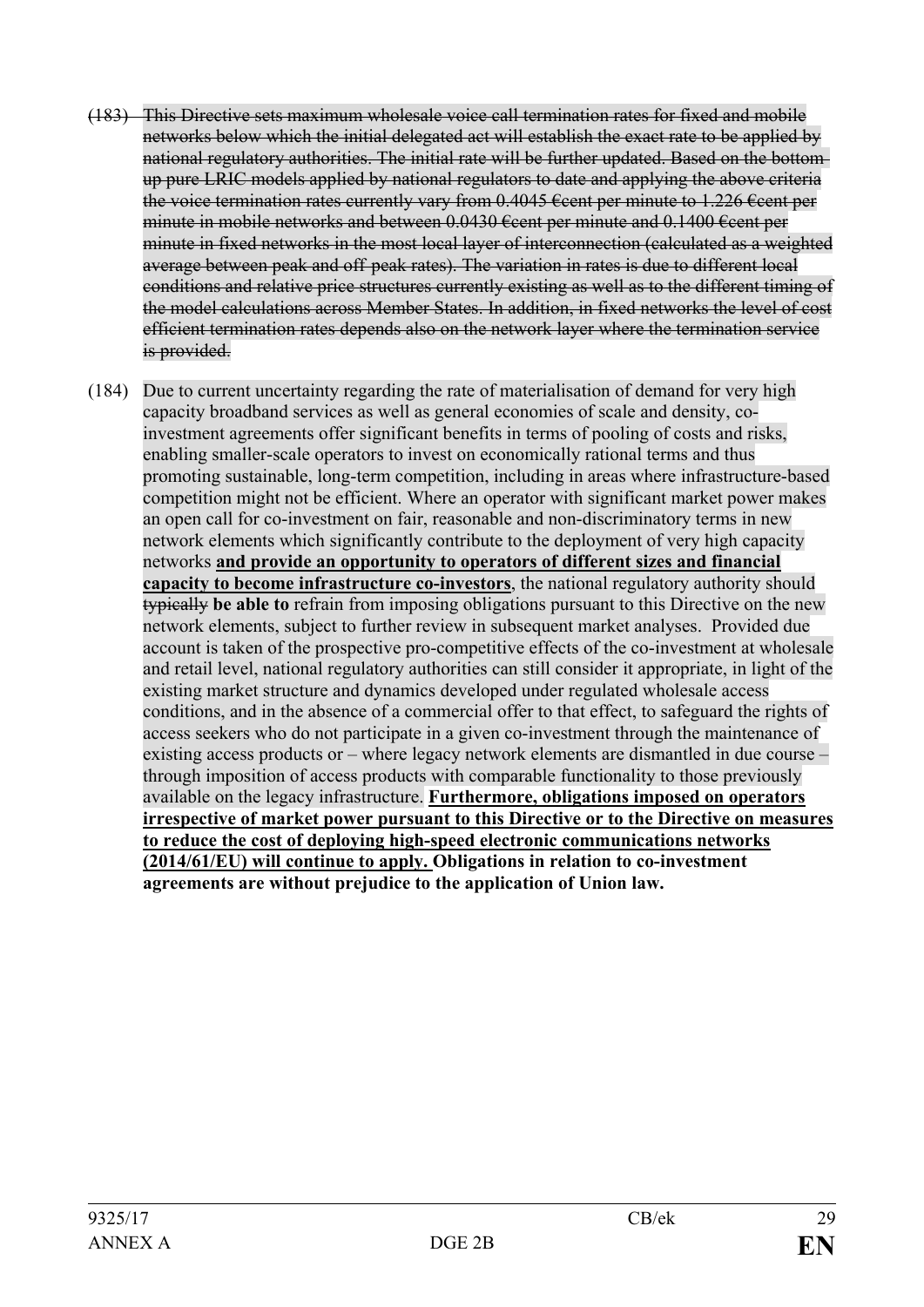- (183) This Directive sets maximum wholesale voice call termination rates for fixed and mobile networks below which the initial delegated act will establish the exact rate to be applied by national regulatory authorities. The initial rate will be further updated. Based on the bottom up pure LRIC models applied by national regulators to date and applying the above criteria the voice termination rates currently vary from  $0.4045$  €cent per minute to 1.226 €cent per minute in mobile networks and between 0.0430 €cent per minute and 0.1400 €cent per minute in fixed networks in the most local layer of interconnection (calculated as a weighted average between peak and off peak rates). The variation in rates is due to different local conditions and relative price structures currently existing as well as to the different timing of the model calculations across Member States. In addition, in fixed networks the level of cost efficient termination rates depends also on the network layer where the termination service is provided.
- (184) Due to current uncertainty regarding the rate of materialisation of demand for very high capacity broadband services as well as general economies of scale and density, coinvestment agreements offer significant benefits in terms of pooling of costs and risks, enabling smaller-scale operators to invest on economically rational terms and thus promoting sustainable, long-term competition, including in areas where infrastructure-based competition might not be efficient. Where an operator with significant market power makes an open call for co-investment on fair, reasonable and non-discriminatory terms in new network elements which significantly contribute to the deployment of very high capacity networks **and provide an opportunity to operators of different sizes and financial capacity to become infrastructure co-investors**, the national regulatory authority should typically **be able to** refrain from imposing obligations pursuant to this Directive on the new network elements, subject to further review in subsequent market analyses. Provided due account is taken of the prospective pro-competitive effects of the co-investment at wholesale and retail level, national regulatory authorities can still consider it appropriate, in light of the existing market structure and dynamics developed under regulated wholesale access conditions, and in the absence of a commercial offer to that effect, to safeguard the rights of access seekers who do not participate in a given co-investment through the maintenance of existing access products or – where legacy network elements are dismantled in due course – through imposition of access products with comparable functionality to those previously available on the legacy infrastructure. **Furthermore, obligations imposed on operators irrespective of market power pursuant to this Directive or to the Directive on measures to reduce the cost of deploying high-speed electronic communications networks (2014/61/EU) will continue to apply. Obligations in relation to co-investment agreements are without prejudice to the application of Union law.**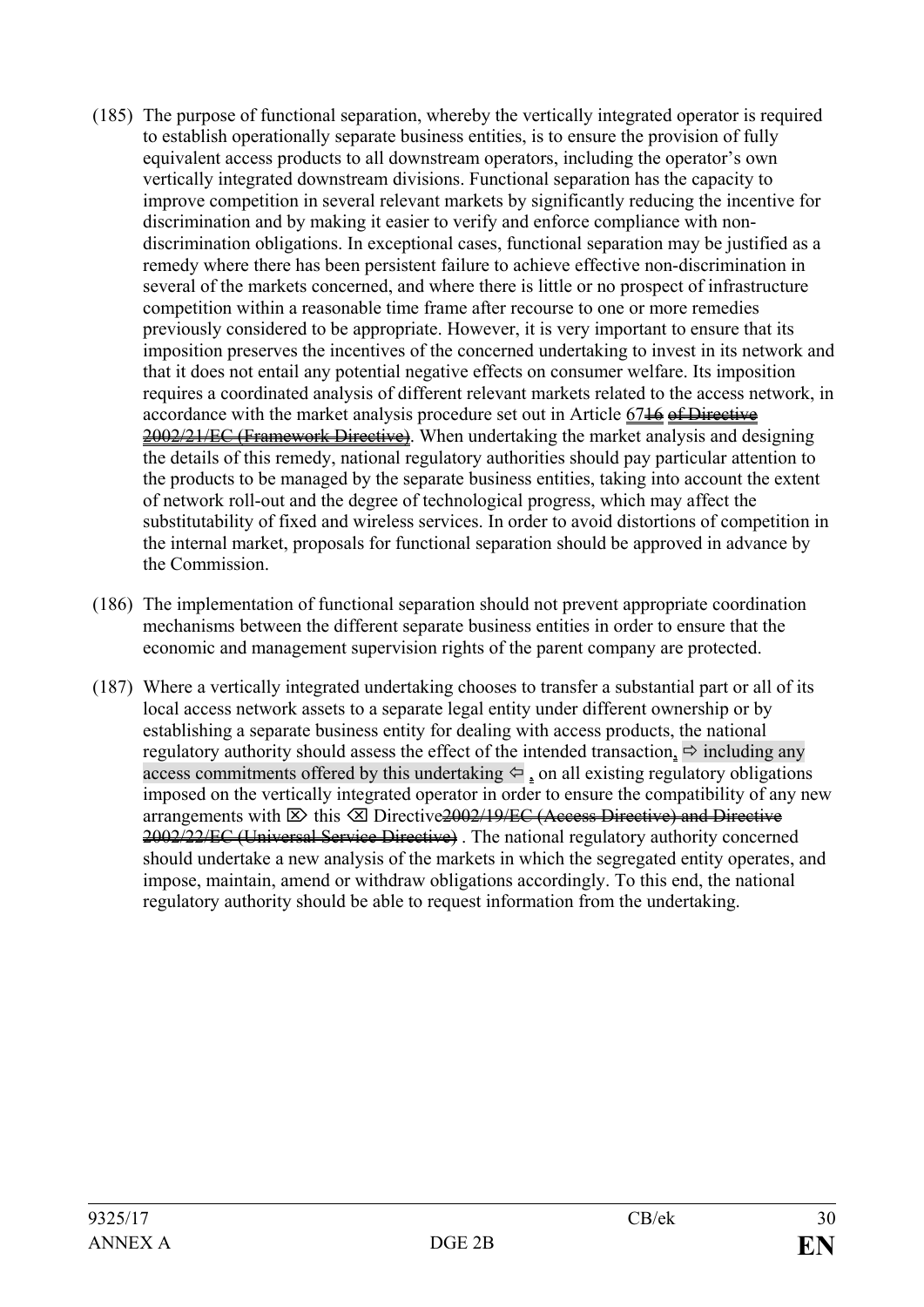- (185) The purpose of functional separation, whereby the vertically integrated operator is required to establish operationally separate business entities, is to ensure the provision of fully equivalent access products to all downstream operators, including the operator's own vertically integrated downstream divisions. Functional separation has the capacity to improve competition in several relevant markets by significantly reducing the incentive for discrimination and by making it easier to verify and enforce compliance with nondiscrimination obligations. In exceptional cases, functional separation may be justified as a remedy where there has been persistent failure to achieve effective non-discrimination in several of the markets concerned, and where there is little or no prospect of infrastructure competition within a reasonable time frame after recourse to one or more remedies previously considered to be appropriate. However, it is very important to ensure that its imposition preserves the incentives of the concerned undertaking to invest in its network and that it does not entail any potential negative effects on consumer welfare. Its imposition requires a coordinated analysis of different relevant markets related to the access network, in accordance with the market analysis procedure set out in Article  $6746$  of Directive 2002/21/EC (Framework Directive). When undertaking the market analysis and designing the details of this remedy, national regulatory authorities should pay particular attention to the products to be managed by the separate business entities, taking into account the extent of network roll-out and the degree of technological progress, which may affect the substitutability of fixed and wireless services. In order to avoid distortions of competition in the internal market, proposals for functional separation should be approved in advance by the Commission.
- (186) The implementation of functional separation should not prevent appropriate coordination mechanisms between the different separate business entities in order to ensure that the economic and management supervision rights of the parent company are protected.
- (187) Where a vertically integrated undertaking chooses to transfer a substantial part or all of its local access network assets to a separate legal entity under different ownership or by establishing a separate business entity for dealing with access products, the national regulatory authority should assess the effect of the intended transaction,  $\Rightarrow$  including any access commitments offered by this undertaking  $\Leftrightarrow$ , on all existing regulatory obligations imposed on the vertically integrated operator in order to ensure the compatibility of any new arrangements with  $\boxtimes$  this  $\boxtimes$  Directive<del>2002/19/EC (Access Directive) and Directive</del> 2002/22/EC (Universal Service Directive) . The national regulatory authority concerned should undertake a new analysis of the markets in which the segregated entity operates, and impose, maintain, amend or withdraw obligations accordingly. To this end, the national regulatory authority should be able to request information from the undertaking.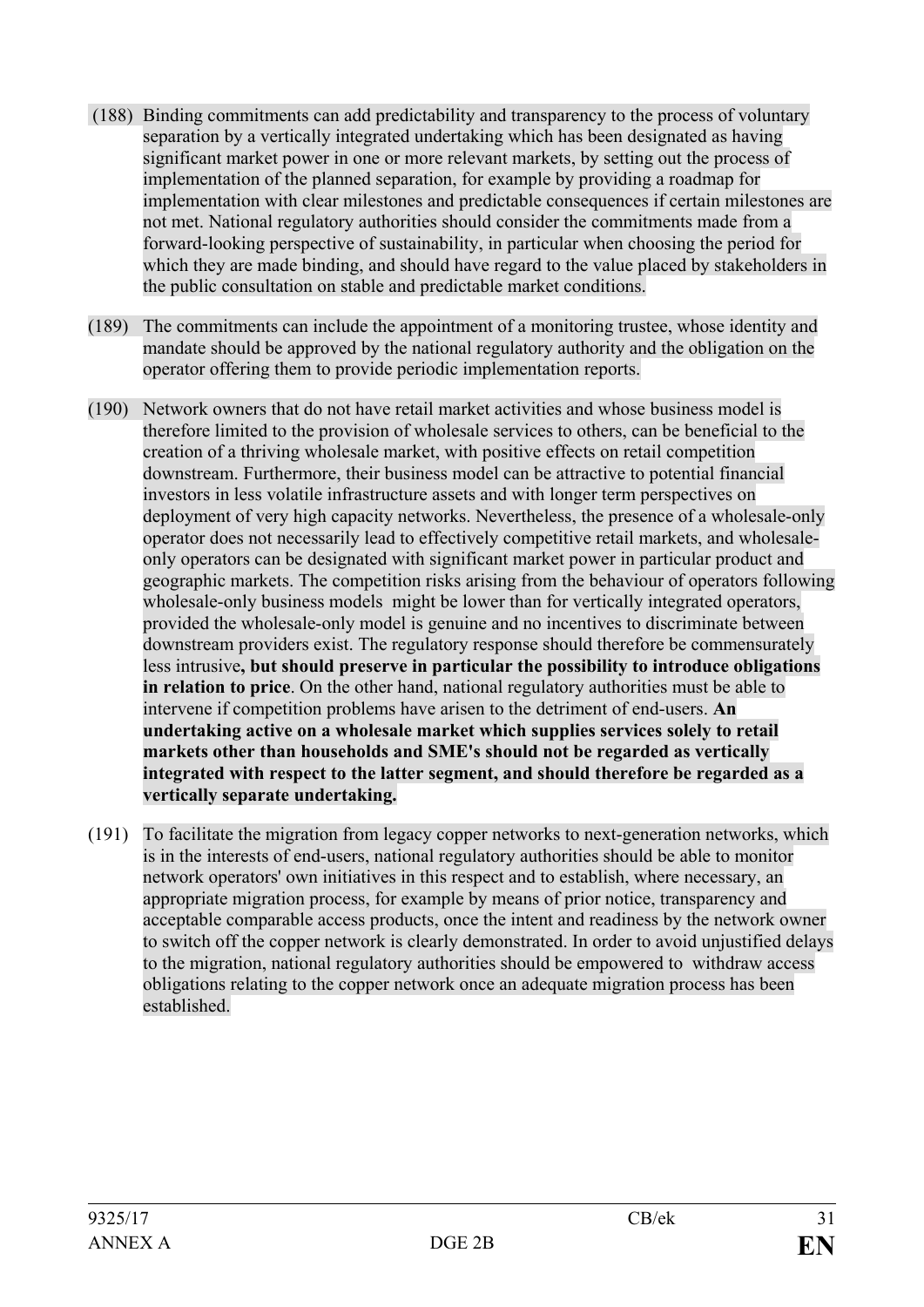- (188) Binding commitments can add predictability and transparency to the process of voluntary separation by a vertically integrated undertaking which has been designated as having significant market power in one or more relevant markets, by setting out the process of implementation of the planned separation, for example by providing a roadmap for implementation with clear milestones and predictable consequences if certain milestones are not met. National regulatory authorities should consider the commitments made from a forward-looking perspective of sustainability, in particular when choosing the period for which they are made binding, and should have regard to the value placed by stakeholders in the public consultation on stable and predictable market conditions.
- (189) The commitments can include the appointment of a monitoring trustee, whose identity and mandate should be approved by the national regulatory authority and the obligation on the operator offering them to provide periodic implementation reports.
- (190) Network owners that do not have retail market activities and whose business model is therefore limited to the provision of wholesale services to others, can be beneficial to the creation of a thriving wholesale market, with positive effects on retail competition downstream. Furthermore, their business model can be attractive to potential financial investors in less volatile infrastructure assets and with longer term perspectives on deployment of very high capacity networks. Nevertheless, the presence of a wholesale-only operator does not necessarily lead to effectively competitive retail markets, and wholesaleonly operators can be designated with significant market power in particular product and geographic markets. The competition risks arising from the behaviour of operators following wholesale-only business models might be lower than for vertically integrated operators, provided the wholesale-only model is genuine and no incentives to discriminate between downstream providers exist. The regulatory response should therefore be commensurately less intrusive**, but should preserve in particular the possibility to introduce obligations in relation to price**. On the other hand, national regulatory authorities must be able to intervene if competition problems have arisen to the detriment of end-users. **An undertaking active on a wholesale market which supplies services solely to retail markets other than households and SME's should not be regarded as vertically integrated with respect to the latter segment, and should therefore be regarded as a vertically separate undertaking.**
- (191) To facilitate the migration from legacy copper networks to next-generation networks, which is in the interests of end-users, national regulatory authorities should be able to monitor network operators' own initiatives in this respect and to establish, where necessary, an appropriate migration process, for example by means of prior notice, transparency and acceptable comparable access products, once the intent and readiness by the network owner to switch off the copper network is clearly demonstrated. In order to avoid unjustified delays to the migration, national regulatory authorities should be empowered to withdraw access obligations relating to the copper network once an adequate migration process has been established.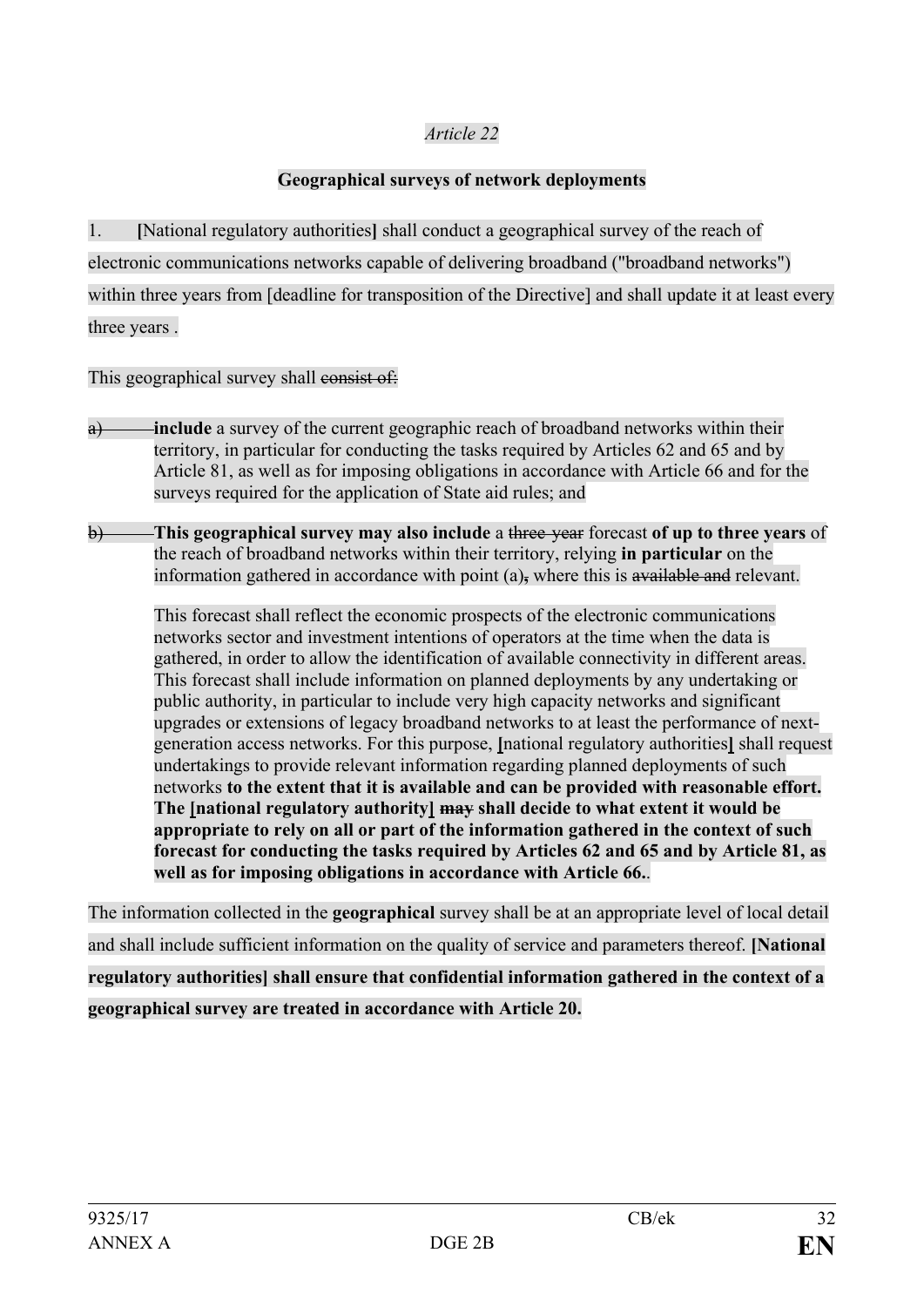## *Article 22*

## **Geographical surveys of network deployments**

1. **[**National regulatory authorities**]** shall conduct a geographical survey of the reach of electronic communications networks capable of delivering broadband ("broadband networks") within three years from [deadline for transposition of the Directive] and shall update it at least every three years .

This geographical survey shall consist of:

- a) **include** a survey of the current geographic reach of broadband networks within their territory, in particular for conducting the tasks required by Articles 62 and 65 and by Article 81, as well as for imposing obligations in accordance with Article 66 and for the surveys required for the application of State aid rules; and
- b) **This geographical survey may also include** a three year forecast **of up to three years** of the reach of broadband networks within their territory, relying **in particular** on the information gathered in accordance with point (a)**,** where this is available and relevant.

This forecast shall reflect the economic prospects of the electronic communications networks sector and investment intentions of operators at the time when the data is gathered, in order to allow the identification of available connectivity in different areas. This forecast shall include information on planned deployments by any undertaking or public authority, in particular to include very high capacity networks and significant upgrades or extensions of legacy broadband networks to at least the performance of nextgeneration access networks. For this purpose, **[**national regulatory authorities**]** shall request undertakings to provide relevant information regarding planned deployments of such networks **to the extent that it is available and can be provided with reasonable effort. The [national regulatory authority] may shall decide to what extent it would be appropriate to rely on all or part of the information gathered in the context of such forecast for conducting the tasks required by Articles 62 and 65 and by Article 81, as well as for imposing obligations in accordance with Article 66.**.

The information collected in the **geographical** survey shall be at an appropriate level of local detail and shall include sufficient information on the quality of service and parameters thereof. **[National regulatory authorities] shall ensure that confidential information gathered in the context of a geographical survey are treated in accordance with Article 20.**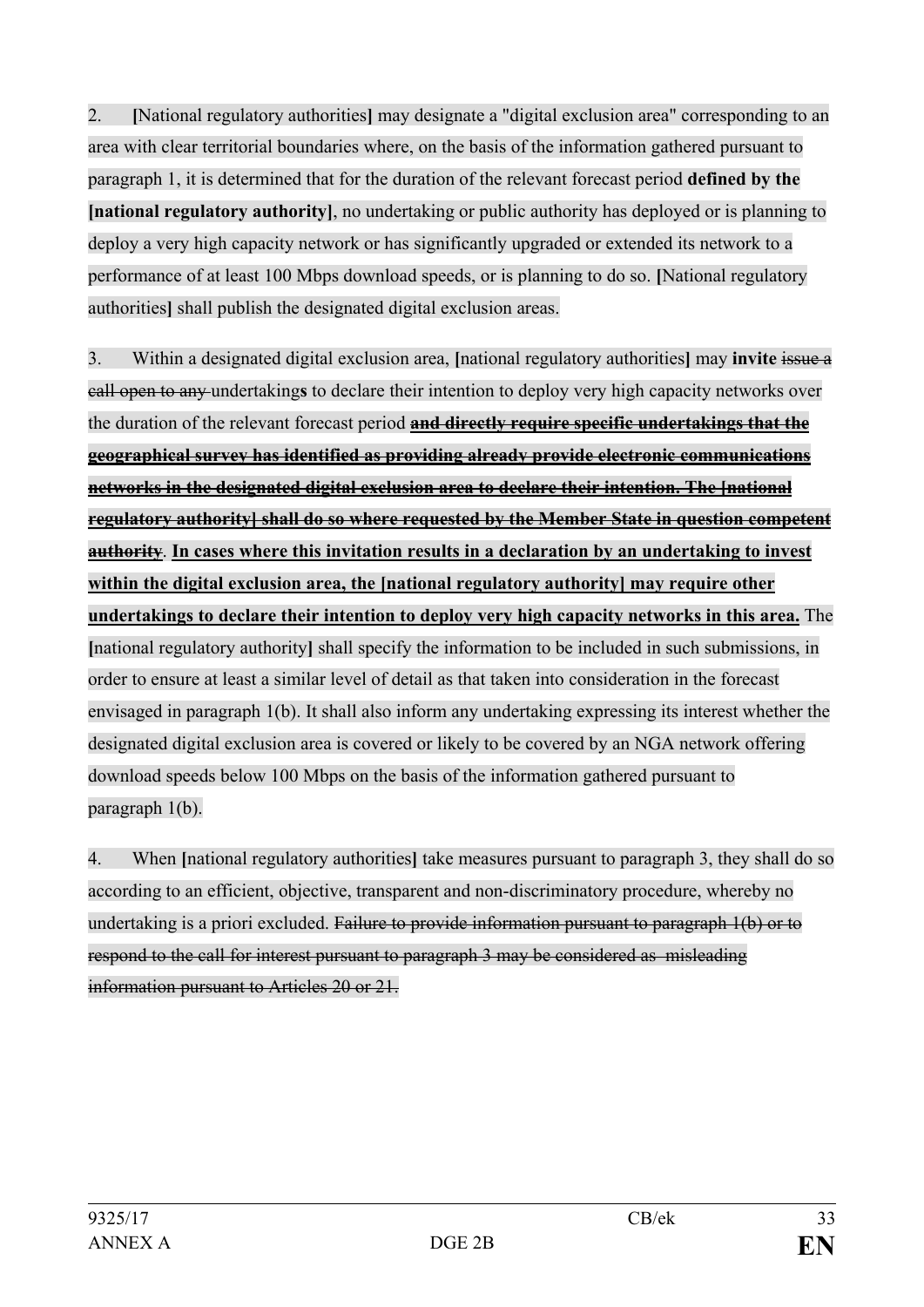2. **[**National regulatory authorities**]** may designate a "digital exclusion area" corresponding to an area with clear territorial boundaries where, on the basis of the information gathered pursuant to paragraph 1, it is determined that for the duration of the relevant forecast period **defined by the [national regulatory authority]**, no undertaking or public authority has deployed or is planning to deploy a very high capacity network or has significantly upgraded or extended its network to a performance of at least 100 Mbps download speeds, or is planning to do so. **[**National regulatory authorities**]** shall publish the designated digital exclusion areas.

3. Within a designated digital exclusion area, **[**national regulatory authorities**]** may **invite** issue a call open to any undertaking**s** to declare their intention to deploy very high capacity networks over the duration of the relevant forecast period **and directly require specific undertakings that the geographical survey has identified as providing already provide electronic communications networks in the designated digital exclusion area to declare their intention. The [national regulatory authority] shall do so where requested by the Member State in question competent authority**. **In cases where this invitation results in a declaration by an undertaking to invest within the digital exclusion area, the [national regulatory authority] may require other undertakings to declare their intention to deploy very high capacity networks in this area.** The **[**national regulatory authority**]** shall specify the information to be included in such submissions, in order to ensure at least a similar level of detail as that taken into consideration in the forecast envisaged in paragraph 1(b). It shall also inform any undertaking expressing its interest whether the designated digital exclusion area is covered or likely to be covered by an NGA network offering download speeds below 100 Mbps on the basis of the information gathered pursuant to paragraph 1(b).

4. When **[**national regulatory authorities**]** take measures pursuant to paragraph 3, they shall do so according to an efficient, objective, transparent and non-discriminatory procedure, whereby no undertaking is a priori excluded. Failure to provide information pursuant to paragraph 1(b) or to respond to the call for interest pursuant to paragraph 3 may be considered as misleading information pursuant to Articles 20 or 21.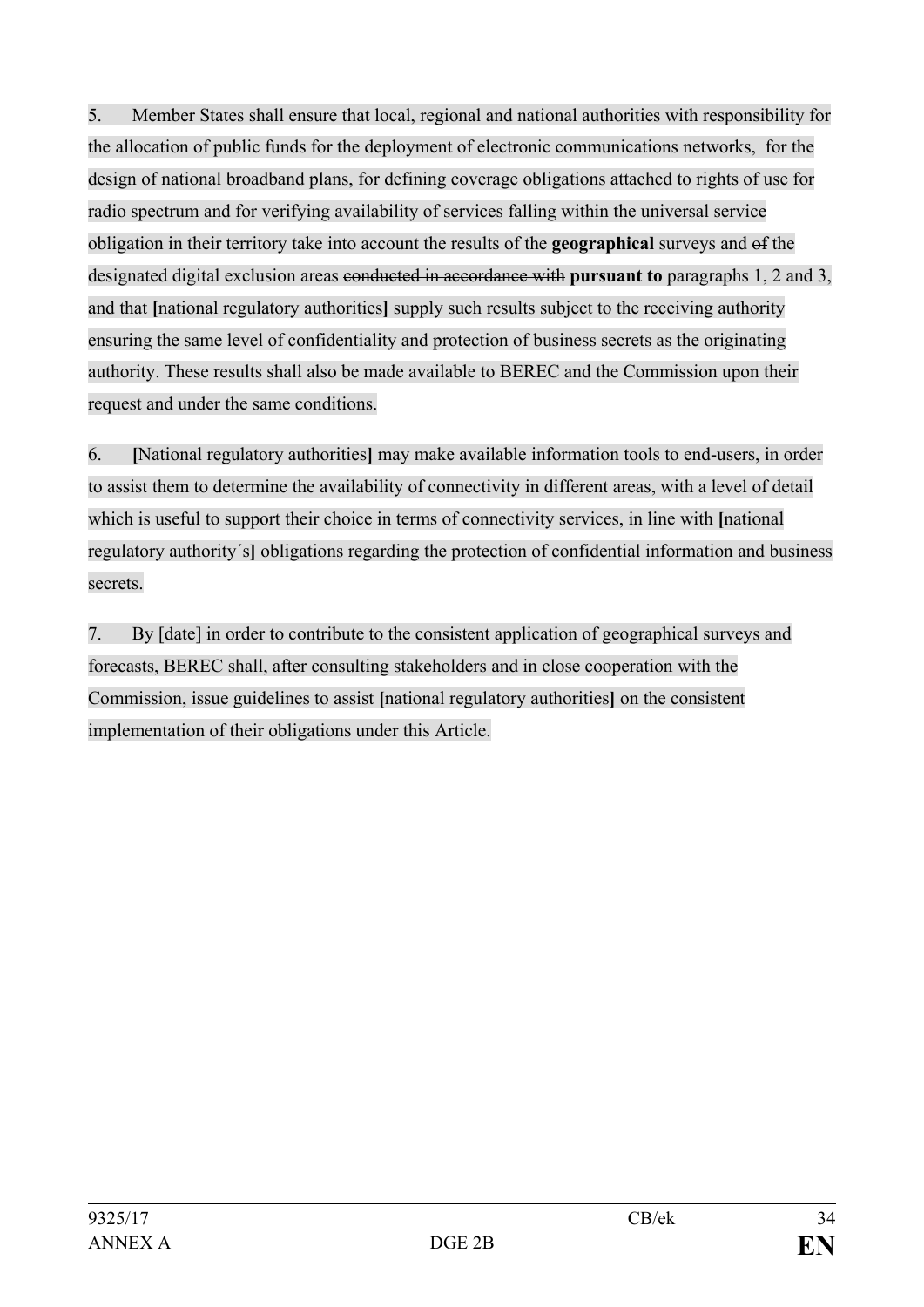5. Member States shall ensure that local, regional and national authorities with responsibility for the allocation of public funds for the deployment of electronic communications networks, for the design of national broadband plans, for defining coverage obligations attached to rights of use for radio spectrum and for verifying availability of services falling within the universal service obligation in their territory take into account the results of the **geographical** surveys and of the designated digital exclusion areas conducted in accordance with **pursuant to** paragraphs 1, 2 and 3, and that **[**national regulatory authorities**]** supply such results subject to the receiving authority ensuring the same level of confidentiality and protection of business secrets as the originating authority. These results shall also be made available to BEREC and the Commission upon their request and under the same conditions.

6. **[**National regulatory authorities**]** may make available information tools to end-users, in order to assist them to determine the availability of connectivity in different areas, with a level of detail which is useful to support their choice in terms of connectivity services, in line with **[**national regulatory authority´s**]** obligations regarding the protection of confidential information and business secrets.

7. By [date] in order to contribute to the consistent application of geographical surveys and forecasts, BEREC shall, after consulting stakeholders and in close cooperation with the Commission, issue guidelines to assist **[**national regulatory authorities**]** on the consistent implementation of their obligations under this Article.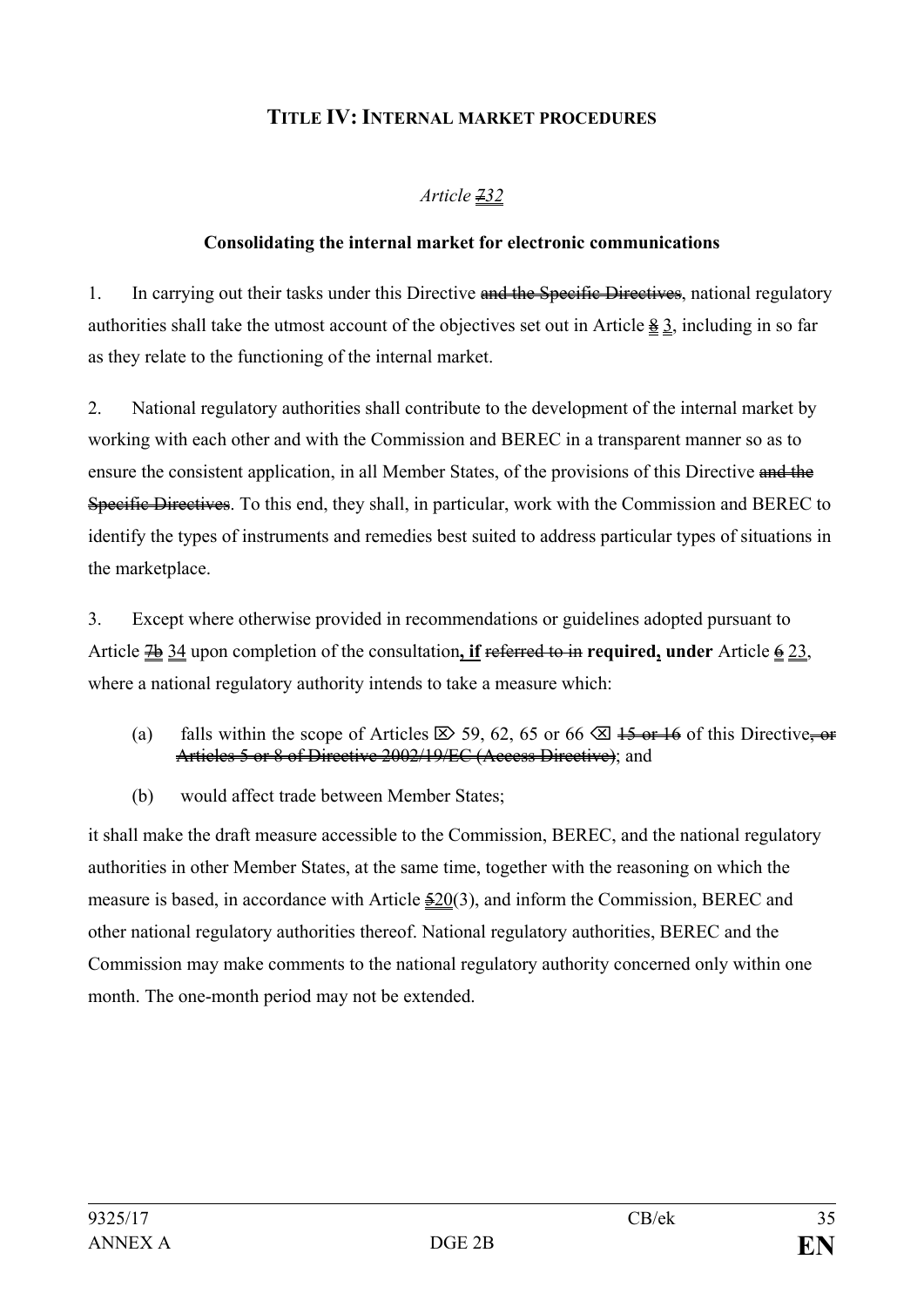## **TITLE IV: INTERNAL MARKET PROCEDURES**

# *Article 732*

#### **Consolidating the internal market for electronic communications**

1. In carrying out their tasks under this Directive and the Specific Directives, national regulatory authorities shall take the utmost account of the objectives set out in Article  $\frac{8}{3}$ , including in so far as they relate to the functioning of the internal market.

2. National regulatory authorities shall contribute to the development of the internal market by working with each other and with the Commission and BEREC in a transparent manner so as to ensure the consistent application, in all Member States, of the provisions of this Directive and the Specific Directives. To this end, they shall, in particular, work with the Commission and BEREC to identify the types of instruments and remedies best suited to address particular types of situations in the marketplace.

3. Except where otherwise provided in recommendations or guidelines adopted pursuant to Article  $\frac{\pi}{4}$  34 upon completion of the consultation, if referred to in required, under Article  $\frac{23}{3}$ , where a national regulatory authority intends to take a measure which:

- (a) falls within the scope of Articles  $\boxtimes$  59, 62, 65 or 66  $\boxtimes$  +5 or  $\oplus$  of this Directive—or Articles 5 or 8 of Directive 2002/19/EC (Access Directive); and
- (b) would affect trade between Member States;

it shall make the draft measure accessible to the Commission, BEREC, and the national regulatory authorities in other Member States, at the same time, together with the reasoning on which the measure is based, in accordance with Article  $\frac{20(3)}{3}$ , and inform the Commission, BEREC and other national regulatory authorities thereof. National regulatory authorities, BEREC and the Commission may make comments to the national regulatory authority concerned only within one month. The one-month period may not be extended.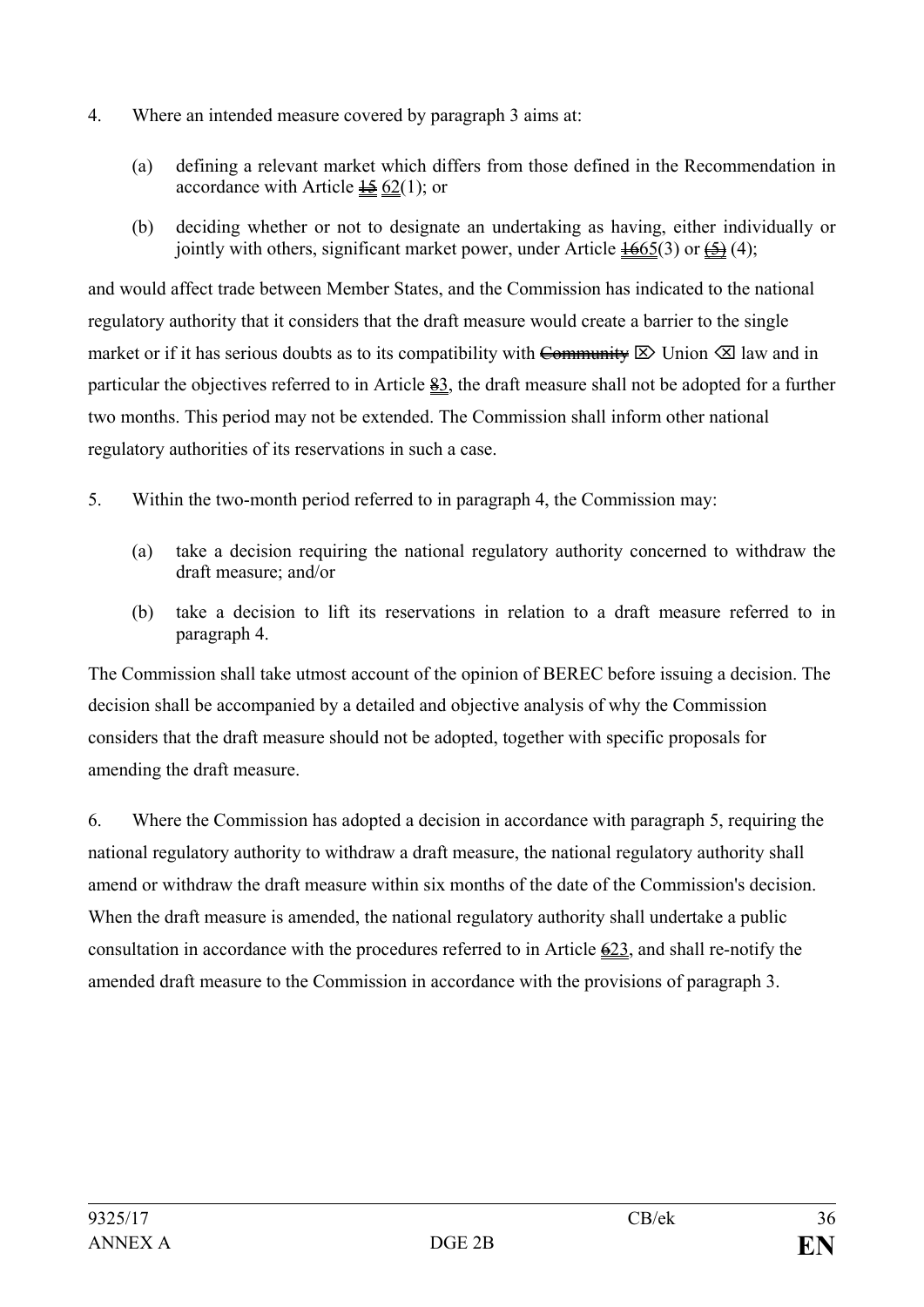- 4. Where an intended measure covered by paragraph 3 aims at:
	- (a) defining a relevant market which differs from those defined in the Recommendation in accordance with Article  $\frac{15}{15}$  62(1); or
	- (b) deciding whether or not to designate an undertaking as having, either individually or jointly with others, significant market power, under Article  $\frac{1665(3)}{16}$  or  $\left(\frac{5}{2}\right)$  (4);

and would affect trade between Member States, and the Commission has indicated to the national regulatory authority that it considers that the draft measure would create a barrier to the single market or if it has serious doubts as to its compatibility with Community  $\boxtimes$  Union  $\boxtimes$  law and in particular the objectives referred to in Article 83, the draft measure shall not be adopted for a further two months. This period may not be extended. The Commission shall inform other national regulatory authorities of its reservations in such a case.

- 5. Within the two-month period referred to in paragraph 4, the Commission may:
	- (a) take a decision requiring the national regulatory authority concerned to withdraw the draft measure; and/or
	- (b) take a decision to lift its reservations in relation to a draft measure referred to in paragraph 4.

The Commission shall take utmost account of the opinion of BEREC before issuing a decision. The decision shall be accompanied by a detailed and objective analysis of why the Commission considers that the draft measure should not be adopted, together with specific proposals for amending the draft measure.

6. Where the Commission has adopted a decision in accordance with paragraph 5, requiring the national regulatory authority to withdraw a draft measure, the national regulatory authority shall amend or withdraw the draft measure within six months of the date of the Commission's decision. When the draft measure is amended, the national regulatory authority shall undertake a public consultation in accordance with the procedures referred to in Article  $\frac{623}{2}$ , and shall re-notify the amended draft measure to the Commission in accordance with the provisions of paragraph 3.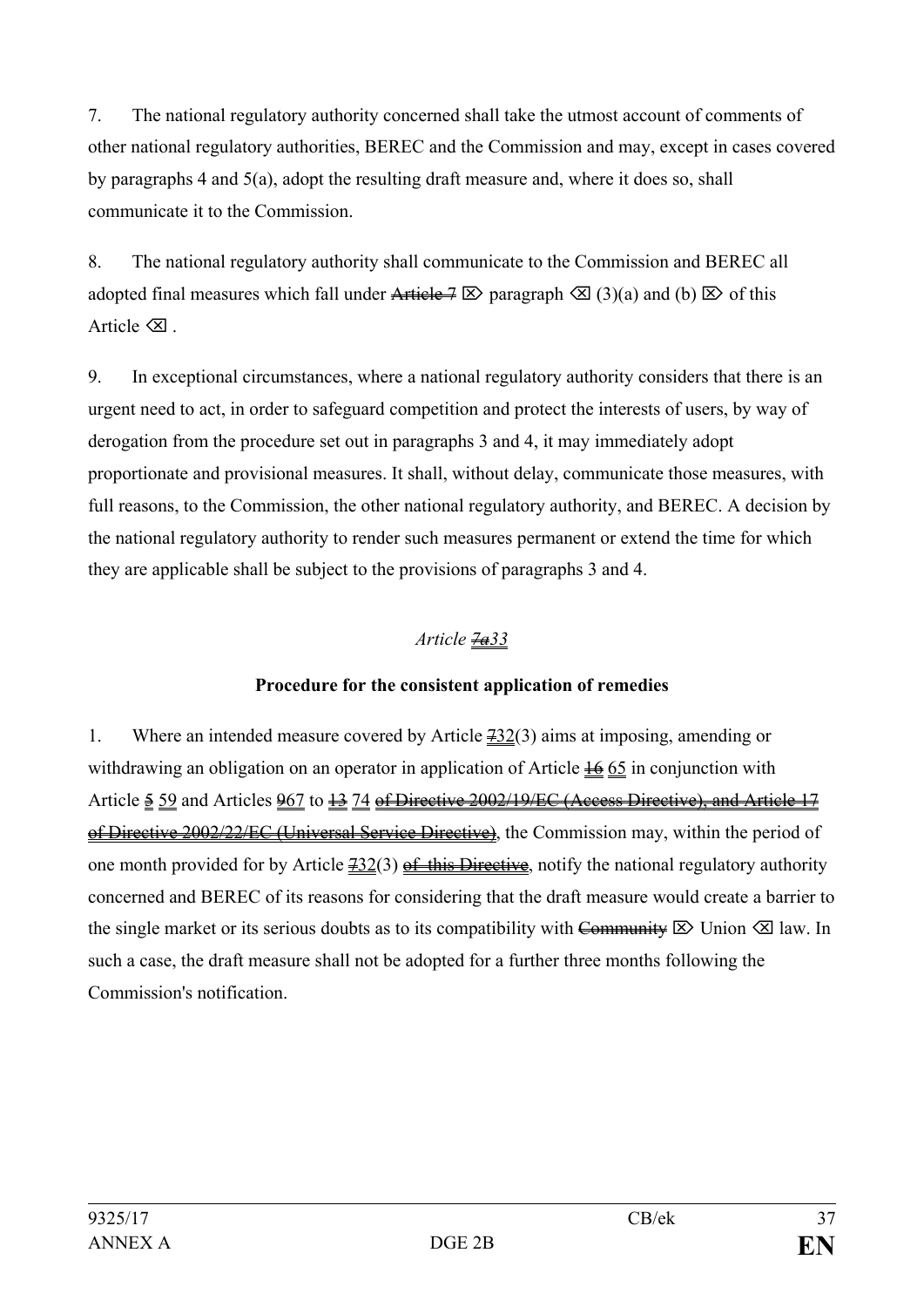7. The national regulatory authority concerned shall take the utmost account of comments of other national regulatory authorities, BEREC and the Commission and may, except in cases covered by paragraphs 4 and 5(a), adopt the resulting draft measure and, where it does so, shall communicate it to the Commission.

8. The national regulatory authority shall communicate to the Commission and BEREC all adopted final measures which fall under Article 7  $\boxtimes$  paragraph  $\boxtimes$  (3)(a) and (b)  $\boxtimes$  of this Article  $\otimes$ .

9. In exceptional circumstances, where a national regulatory authority considers that there is an urgent need to act, in order to safeguard competition and protect the interests of users, by way of derogation from the procedure set out in paragraphs 3 and 4, it may immediately adopt proportionate and provisional measures. It shall, without delay, communicate those measures, with full reasons, to the Commission, the other national regulatory authority, and BEREC. A decision by the national regulatory authority to render such measures permanent or extend the time for which they are applicable shall be subject to the provisions of paragraphs 3 and 4.

# *Article 7a33*

# **Procedure for the consistent application of remedies**

1. Where an intended measure covered by Article  $\frac{432}{3}$  aims at imposing, amending or withdrawing an obligation on an operator in application of Article  $\frac{16}{16}$  65 in conjunction with Article 5 59 and Articles 967 to <del>13</del> 74 of Directive 2002/19/EC (Access Directive), and Article 17 of Directive 2002/22/EC (Universal Service Directive), the Commission may, within the period of one month provided for by Article  $\frac{432}{3}$  ef this Directive, notify the national regulatory authority concerned and BEREC of its reasons for considering that the draft measure would create a barrier to the single market or its serious doubts as to its compatibility with Community  $\boxtimes$  Union  $\boxtimes$  law. In such a case, the draft measure shall not be adopted for a further three months following the Commission's notification.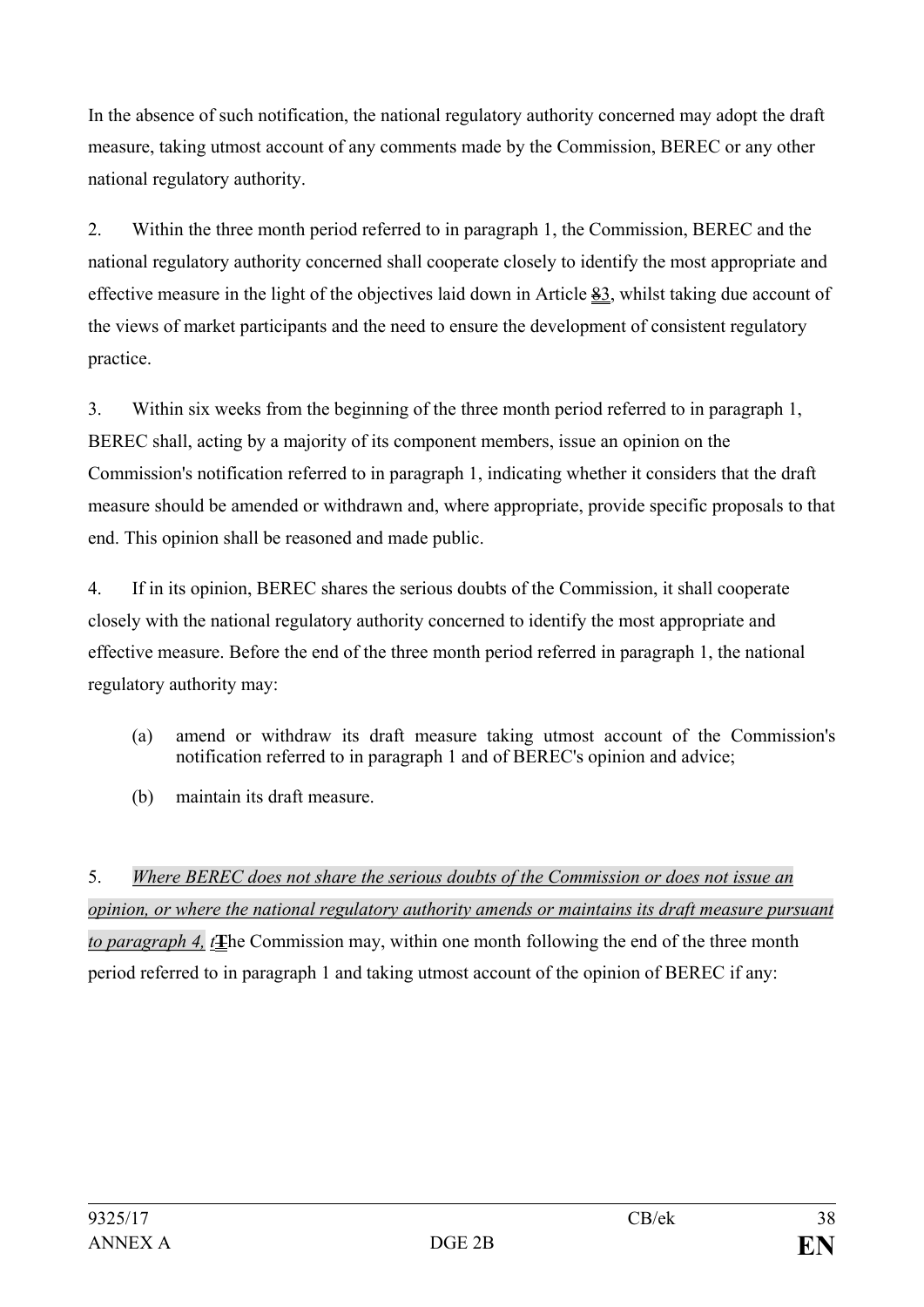In the absence of such notification, the national regulatory authority concerned may adopt the draft measure, taking utmost account of any comments made by the Commission, BEREC or any other national regulatory authority.

2. Within the three month period referred to in paragraph 1, the Commission, BEREC and the national regulatory authority concerned shall cooperate closely to identify the most appropriate and effective measure in the light of the objectives laid down in Article  $\frac{83}{3}$ , whilst taking due account of the views of market participants and the need to ensure the development of consistent regulatory practice.

3. Within six weeks from the beginning of the three month period referred to in paragraph 1, BEREC shall, acting by a majority of its component members, issue an opinion on the Commission's notification referred to in paragraph 1, indicating whether it considers that the draft measure should be amended or withdrawn and, where appropriate, provide specific proposals to that end. This opinion shall be reasoned and made public.

4. If in its opinion, BEREC shares the serious doubts of the Commission, it shall cooperate closely with the national regulatory authority concerned to identify the most appropriate and effective measure. Before the end of the three month period referred in paragraph 1, the national regulatory authority may:

- (a) amend or withdraw its draft measure taking utmost account of the Commission's notification referred to in paragraph 1 and of BEREC's opinion and advice;
- (b) maintain its draft measure.

5. *Where BEREC does not share the serious doubts of the Commission or does not issue an opinion, or where the national regulatory authority amends or maintains its draft measure pursuant to paragraph* 4, *t***The Commission may, within one month following the end of the three month** period referred to in paragraph 1 and taking utmost account of the opinion of BEREC if any: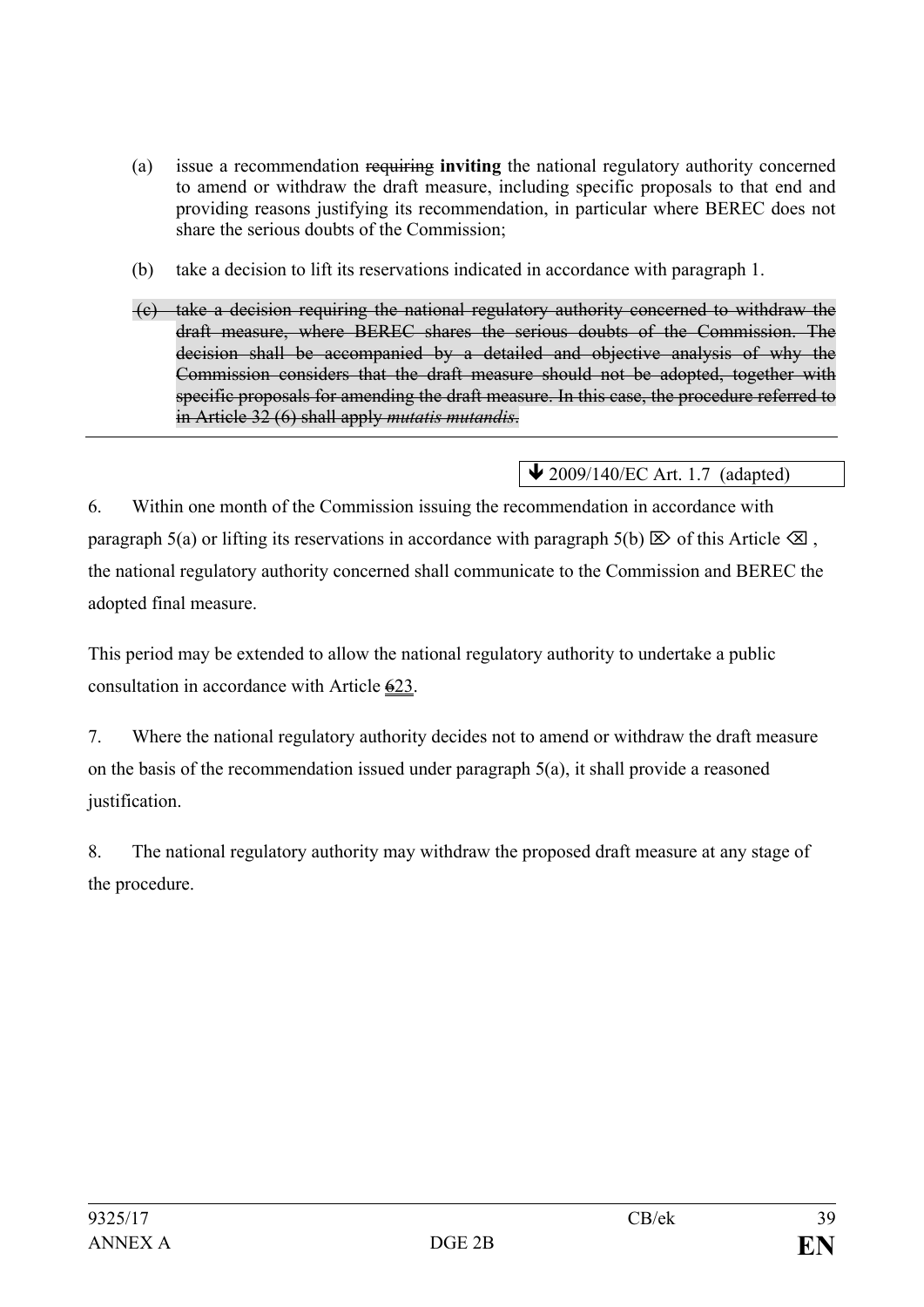- (a) issue a recommendation requiring **inviting** the national regulatory authority concerned to amend or withdraw the draft measure, including specific proposals to that end and providing reasons justifying its recommendation, in particular where BEREC does not share the serious doubts of the Commission;
- (b) take a decision to lift its reservations indicated in accordance with paragraph 1.
- (c) take a decision requiring the national regulatory authority concerned to withdraw the draft measure, where BEREC shares the serious doubts of the Commission. The decision shall be accompanied by a detailed and objective analysis of why the Commission considers that the draft measure should not be adopted, together with specific proposals for amending the draft measure. In this case, the procedure referred to in Article 32 (6) shall apply *mutatis mutandis*.

 $\triangle$  2009/140/EC Art. 1.7 (adapted)

6. Within one month of the Commission issuing the recommendation in accordance with paragraph 5(a) or lifting its reservations in accordance with paragraph 5(b)  $\boxtimes$  of this Article  $\boxtimes$ . the national regulatory authority concerned shall communicate to the Commission and BEREC the adopted final measure.

This period may be extended to allow the national regulatory authority to undertake a public consultation in accordance with Article  $\frac{623}{623}$ .

7. Where the national regulatory authority decides not to amend or withdraw the draft measure on the basis of the recommendation issued under paragraph 5(a), it shall provide a reasoned justification.

8. The national regulatory authority may withdraw the proposed draft measure at any stage of the procedure.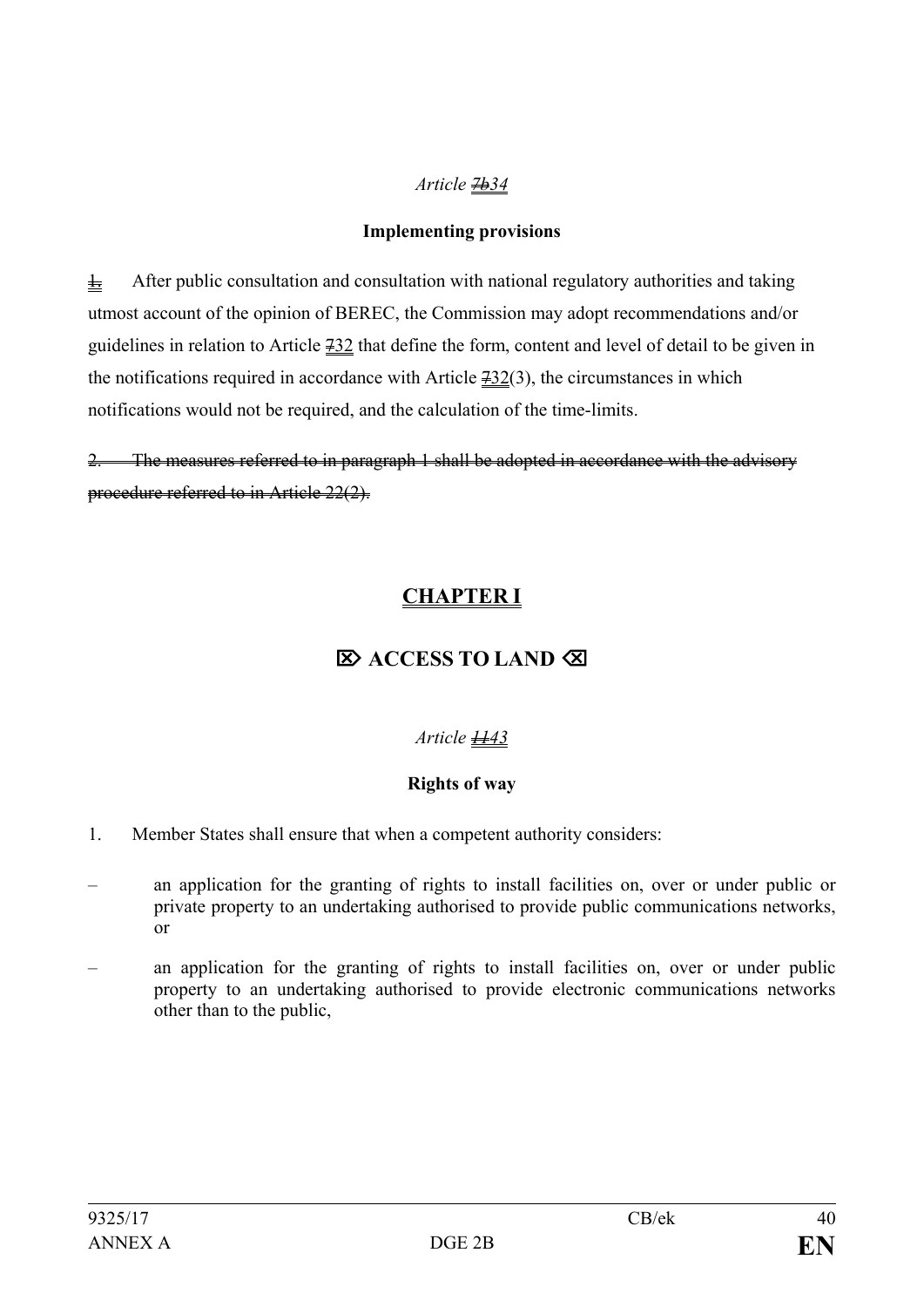### *Article 7b34*

#### **Implementing provisions**

 $\pm$  After public consultation and consultation with national regulatory authorities and taking utmost account of the opinion of BEREC, the Commission may adopt recommendations and/or guidelines in relation to Article  $\frac{732}{132}$  that define the form, content and level of detail to be given in the notifications required in accordance with Article  $\frac{1232}{3}$ , the circumstances in which notifications would not be required, and the calculation of the time-limits.

2. The measures referred to in paragraph 1 shall be adopted in accordance with the advisory procedure referred to in Article 22(2).

# **CHAPTER I**

# **ACCESS TO LAND <b>EX**

## *Article*  $#43$

#### **Rights of way**

- 1. Member States shall ensure that when a competent authority considers:
- an application for the granting of rights to install facilities on, over or under public or private property to an undertaking authorised to provide public communications networks, or
- an application for the granting of rights to install facilities on, over or under public property to an undertaking authorised to provide electronic communications networks other than to the public,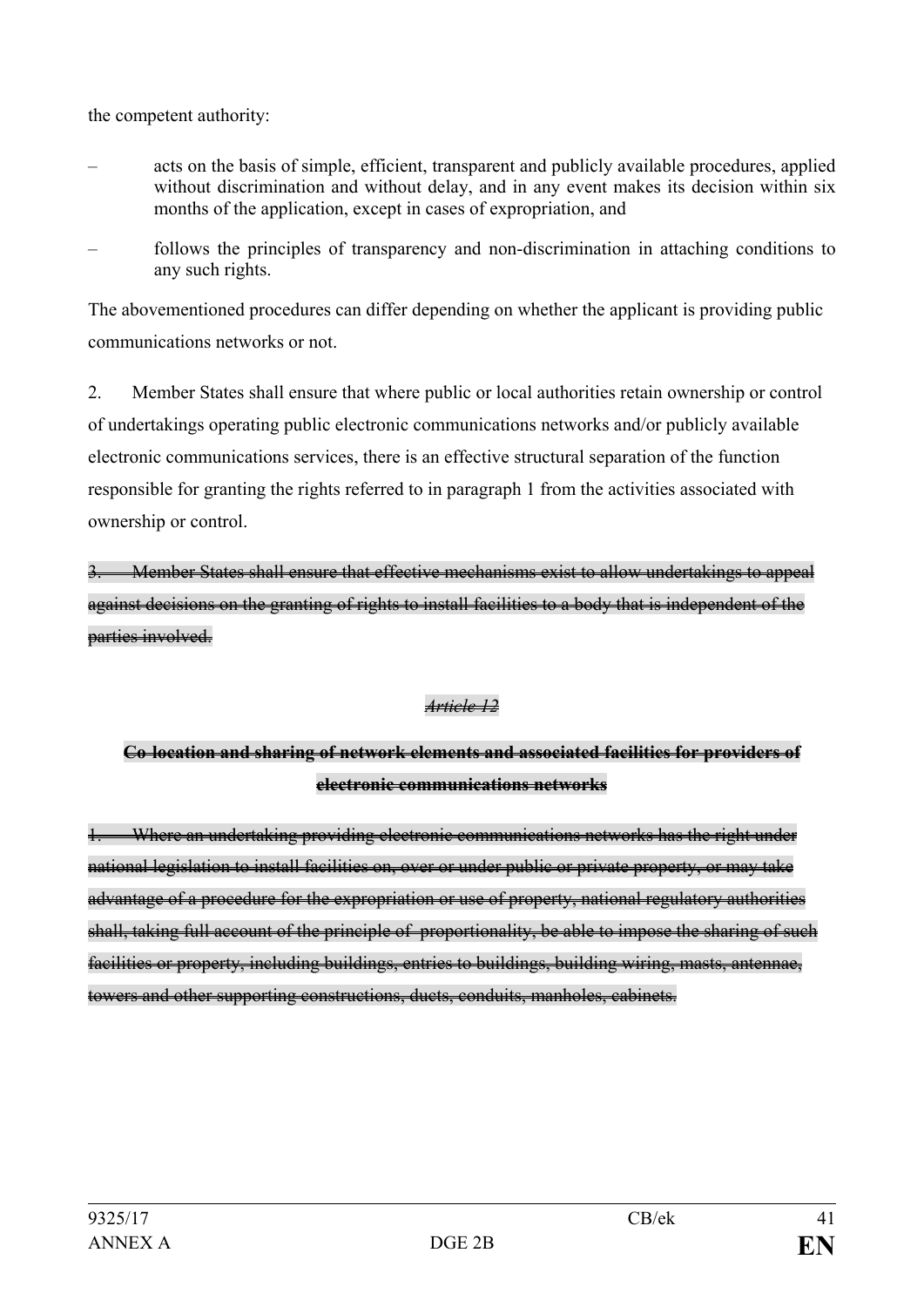the competent authority:

- acts on the basis of simple, efficient, transparent and publicly available procedures, applied without discrimination and without delay, and in any event makes its decision within six months of the application, except in cases of expropriation, and
- follows the principles of transparency and non-discrimination in attaching conditions to any such rights.

The abovementioned procedures can differ depending on whether the applicant is providing public communications networks or not.

2. Member States shall ensure that where public or local authorities retain ownership or control of undertakings operating public electronic communications networks and/or publicly available electronic communications services, there is an effective structural separation of the function responsible for granting the rights referred to in paragraph 1 from the activities associated with ownership or control.

3. Member States shall ensure that effective mechanisms exist to allow undertakings to appeal against decisions on the granting of rights to install facilities to a body that is independent of the parties involved.

## *Article 12*

# **Co location and sharing of network elements and associated facilities for providers of electronic communications networks**

1. Where an undertaking providing electronic communications networks has the right under national legislation to install facilities on, over or under public or private property, or may take advantage of a procedure for the expropriation or use of property, national regulatory authorities shall, taking full account of the principle of proportionality, be able to impose the sharing of such facilities or property, including buildings, entries to buildings, building wiring, masts, antennae, towers and other supporting constructions, ducts, conduits, manholes, cabinets.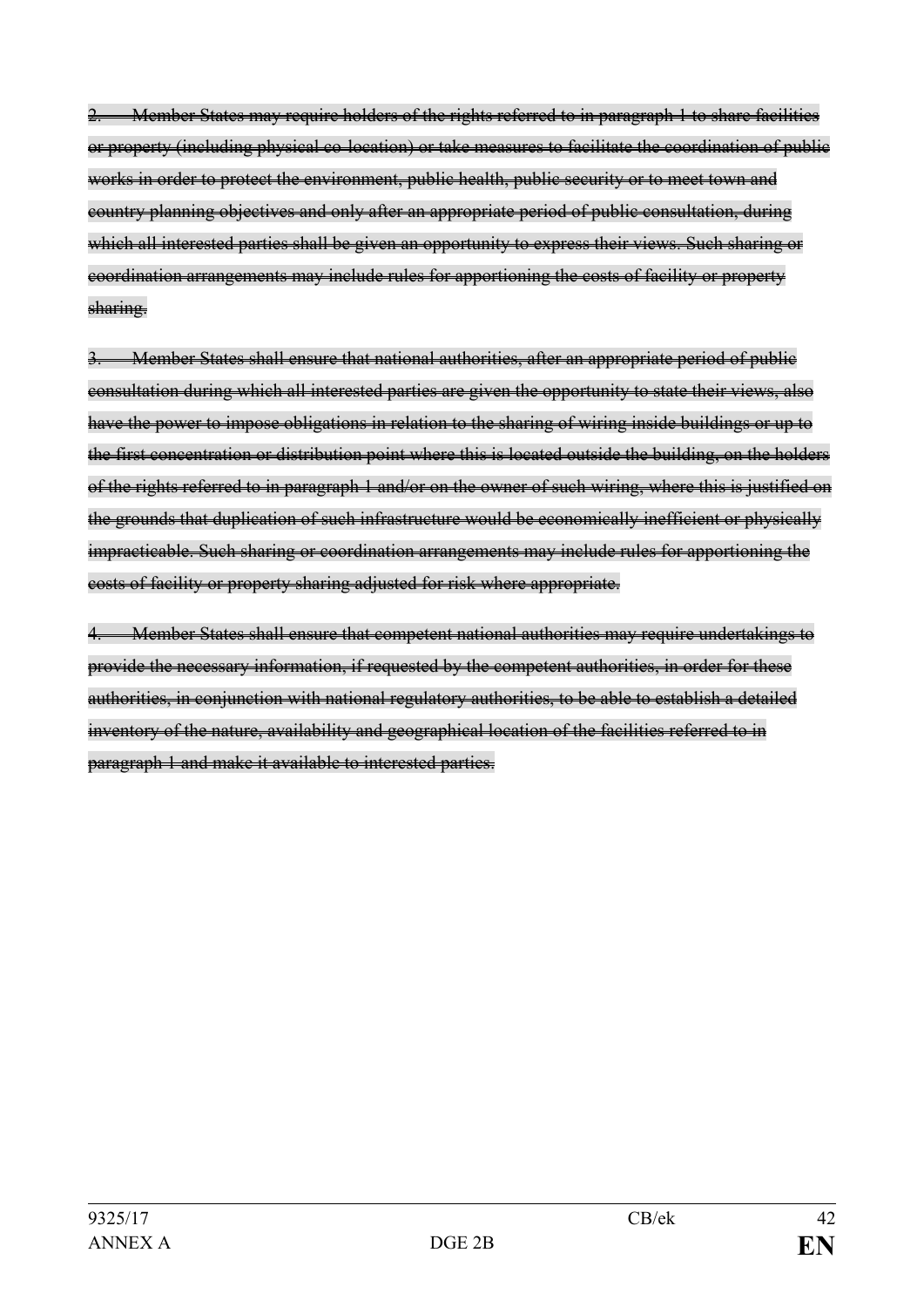2. Member States may require holders of the rights referred to in paragraph 1 to share facilities or property (including physical co location) or take measures to facilitate the coordination of public works in order to protect the environment, public health, public security or to meet town and country planning objectives and only after an appropriate period of public consultation, during which all interested parties shall be given an opportunity to express their views. Such sharing or coordination arrangements may include rules for apportioning the costs of facility or property sharing.

3. Member States shall ensure that national authorities, after an appropriate period of public consultation during which all interested parties are given the opportunity to state their views, also have the power to impose obligations in relation to the sharing of wiring inside buildings or up to the first concentration or distribution point where this is located outside the building, on the holders of the rights referred to in paragraph 1 and/or on the owner of such wiring, where this is justified on the grounds that duplication of such infrastructure would be economically inefficient or physically impracticable. Such sharing or coordination arrangements may include rules for apportioning the costs of facility or property sharing adjusted for risk where appropriate.

4. Member States shall ensure that competent national authorities may require undertakings to provide the necessary information, if requested by the competent authorities, in order for these authorities, in conjunction with national regulatory authorities, to be able to establish a detailed inventory of the nature, availability and geographical location of the facilities referred to in paragraph 1 and make it available to interested parties.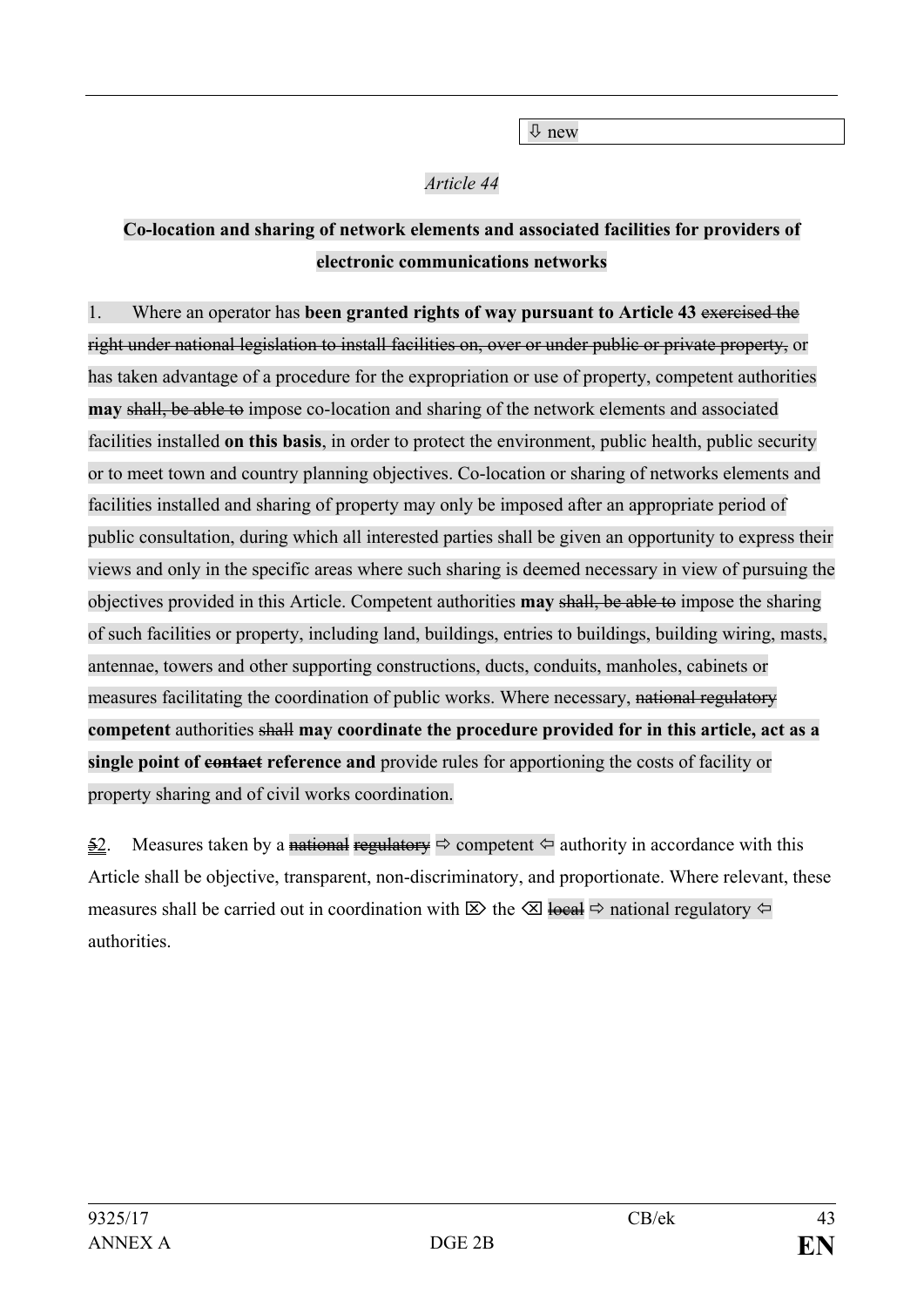new

#### *Article 44*

# **Co-location and sharing of network elements and associated facilities for providers of electronic communications networks**

1. Where an operator has **been granted rights of way pursuant to Article 43** exercised the right under national legislation to install facilities on, over or under public or private property, or has taken advantage of a procedure for the expropriation or use of property, competent authorities **may** shall, be able to impose co-location and sharing of the network elements and associated facilities installed **on this basis**, in order to protect the environment, public health, public security or to meet town and country planning objectives. Co-location or sharing of networks elements and facilities installed and sharing of property may only be imposed after an appropriate period of public consultation, during which all interested parties shall be given an opportunity to express their views and only in the specific areas where such sharing is deemed necessary in view of pursuing the objectives provided in this Article. Competent authorities **may** shall, be able to impose the sharing of such facilities or property, including land, buildings, entries to buildings, building wiring, masts, antennae, towers and other supporting constructions, ducts, conduits, manholes, cabinets or measures facilitating the coordination of public works. Where necessary, national regulatory **competent** authorities shall **may coordinate the procedure provided for in this article, act as a single point of contact reference and** provide rules for apportioning the costs of facility or property sharing and of civil works coordination.

 $\frac{52}{2}$ . Measures taken by a nuttional regulatory  $\Rightarrow$  competent  $\Leftrightarrow$  authority in accordance with this Article shall be objective, transparent, non-discriminatory, and proportionate. Where relevant, these measures shall be carried out in coordination with  $\boxtimes$  the  $\boxtimes$  local  $\ominus$  national regulatory  $\ominus$ authorities.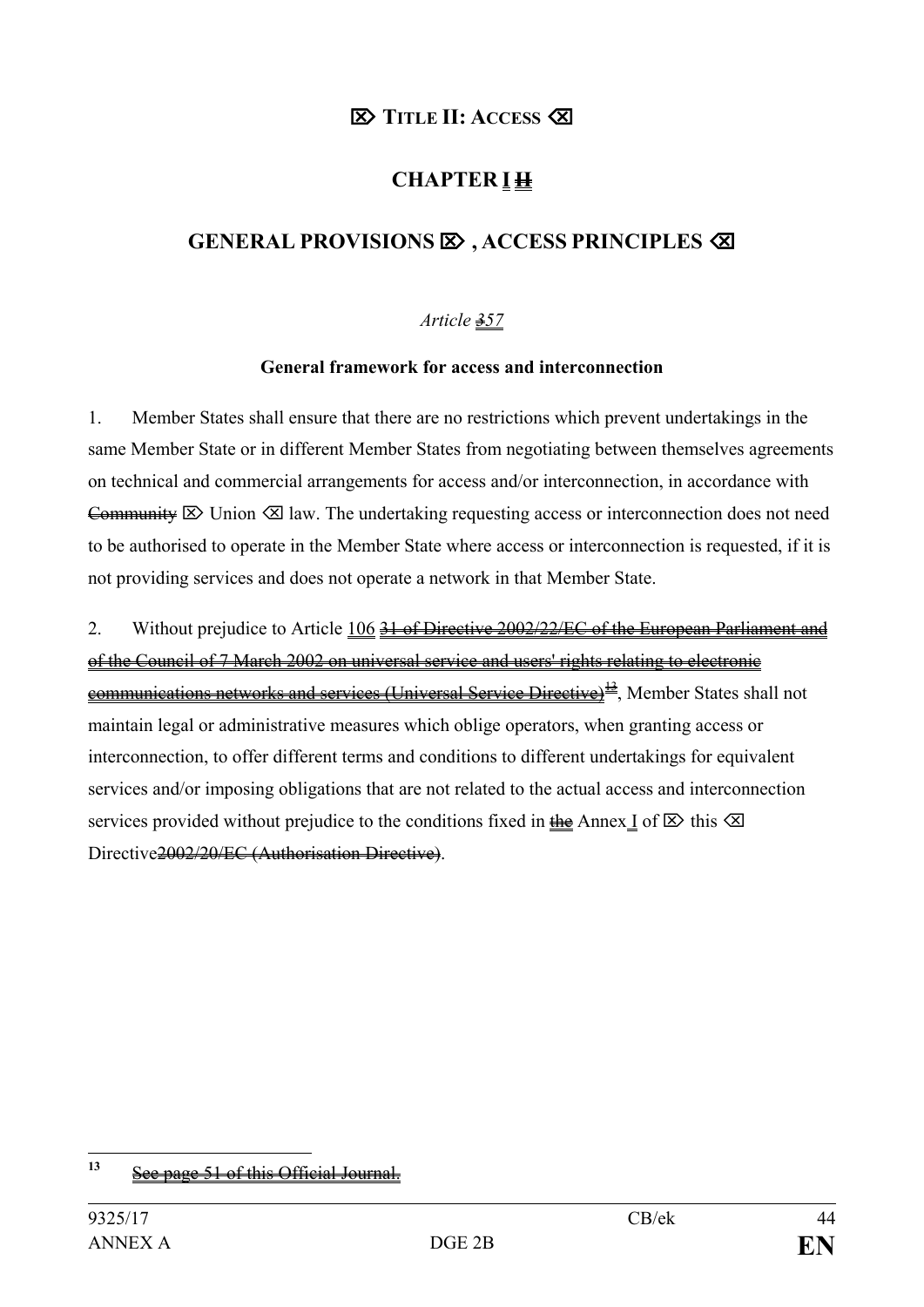# **EXACTITLE II: ACCESS**  $\overline{\mathbf{X}}$

# **CHAPTER I II**

# **GENERAL PROVISIONS , ACCESS PRINCIPLES**

### *Article 357*

#### **General framework for access and interconnection**

1. Member States shall ensure that there are no restrictions which prevent undertakings in the same Member State or in different Member States from negotiating between themselves agreements on technical and commercial arrangements for access and/or interconnection, in accordance with Community  $\boxtimes$  Union  $\boxtimes$  law. The undertaking requesting access or interconnection does not need to be authorised to operate in the Member State where access or interconnection is requested, if it is not providing services and does not operate a network in that Member State.

2. Without prejudice to Article 106 31 of Directive 2002/22/EC of the European Parliament and of the Council of 7 March 2002 on universal service and users' rights relating to electronic eommunications networks and services (Universal Service Directive)<sup>12</sup>, Member States shall not maintain legal or administrative measures which oblige operators, when granting access or interconnection, to offer different terms and conditions to different undertakings for equivalent services and/or imposing obligations that are not related to the actual access and interconnection services provided without prejudice to the conditions fixed in  $\frac{1}{2}$  Annex I of  $\boxtimes$  this  $\boxtimes$ Directive 2002/20/EC (Authorisation Directive).

**<sup>13</sup>** See page 51 of this Official Journal.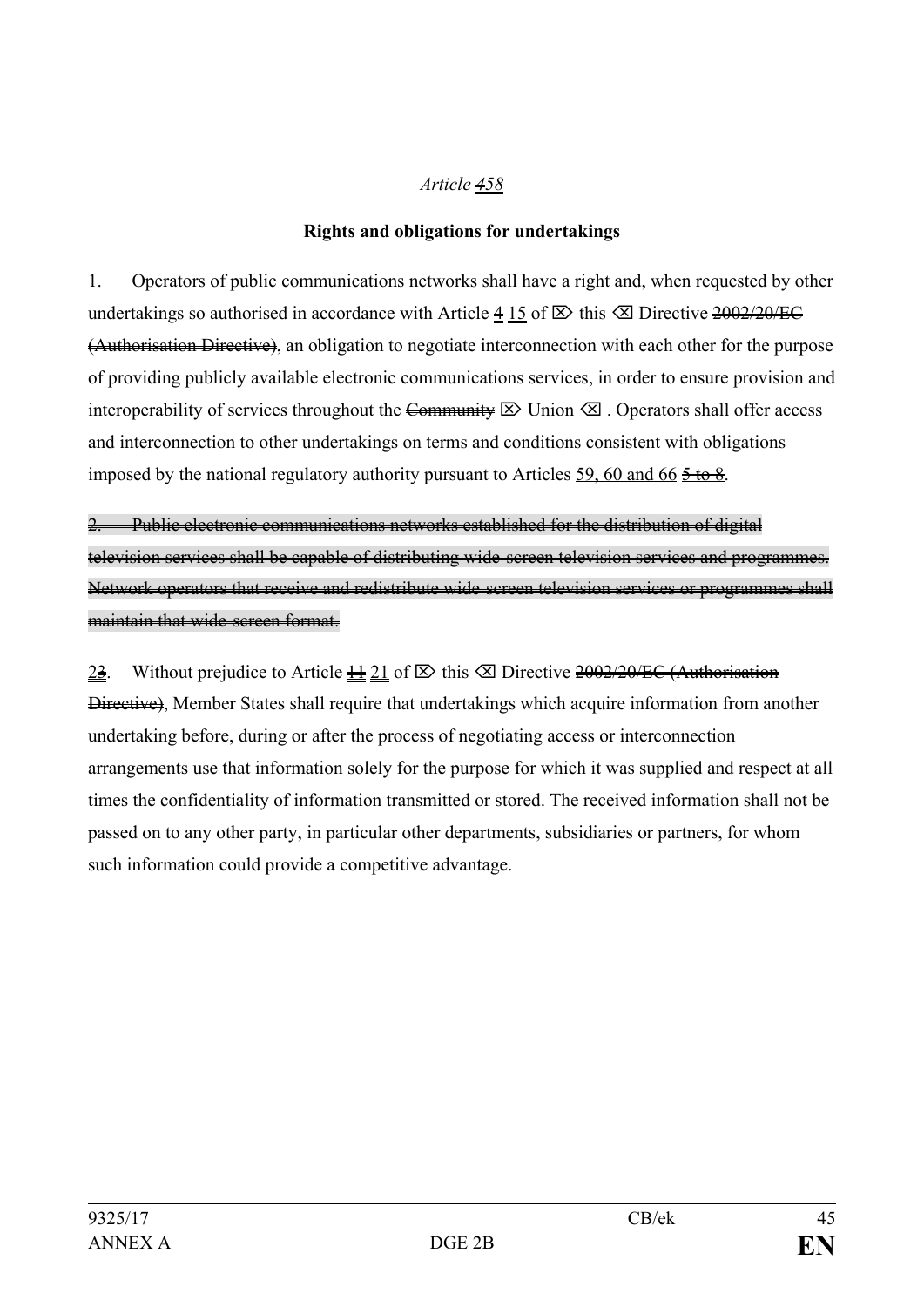#### *Article 458*

#### **Rights and obligations for undertakings**

1. Operators of public communications networks shall have a right and, when requested by other undertakings so authorised in accordance with Article  $\frac{4}{15}$  of  $\boxtimes$  this  $\boxtimes$  Directive 2002/20/EC (Authorisation Directive), an obligation to negotiate interconnection with each other for the purpose of providing publicly available electronic communications services, in order to ensure provision and interoperability of services throughout the Community  $\boxtimes$  Union  $\boxtimes$ . Operators shall offer access and interconnection to other undertakings on terms and conditions consistent with obligations imposed by the national regulatory authority pursuant to Articles 59, 60 and 66  $\frac{1}{2}$  to 8.

2. Public electronic communications networks established for the distribution of digital television services shall be capable of distributing wide screen television services and programmes. Network operators that receive and redistribute wide screen television services or programmes shall maintain that wide screen format.

23. Without prejudice to Article  $\overline{44}$  21 of  $\overline{2}$  this  $\overline{2}$  Directive 2002/20/EC (Authorisation Directive), Member States shall require that undertakings which acquire information from another undertaking before, during or after the process of negotiating access or interconnection arrangements use that information solely for the purpose for which it was supplied and respect at all times the confidentiality of information transmitted or stored. The received information shall not be passed on to any other party, in particular other departments, subsidiaries or partners, for whom such information could provide a competitive advantage.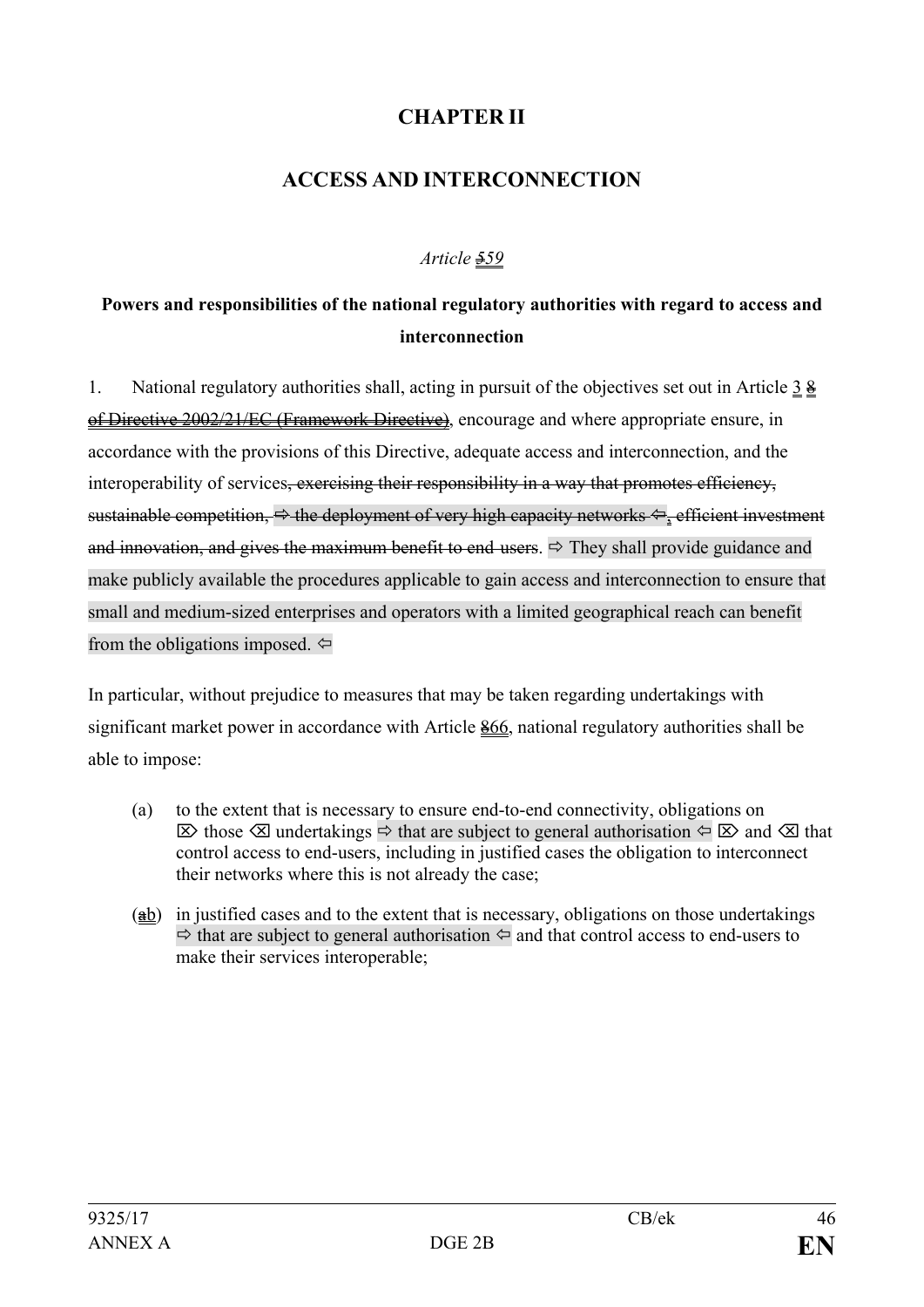## **CHAPTER II**

## **ACCESS AND INTERCONNECTION**

### *Article 559*

# **Powers and responsibilities of the national regulatory authorities with regard to access and interconnection**

1. National regulatory authorities shall, acting in pursuit of the objectives set out in Article  $3\frac{8}{5}$ of Directive 2002/21/EC (Framework Directive), encourage and where appropriate ensure, in accordance with the provisions of this Directive, adequate access and interconnection, and the interoperability of services, exercising their responsibility in a way that promotes efficiency, sustainable competition,  $\Rightarrow$  the deployment of very high capacity networks  $\Leftarrow$  efficient investment and innovation, and gives the maximum benefit to end users.  $\Rightarrow$  They shall provide guidance and make publicly available the procedures applicable to gain access and interconnection to ensure that small and medium-sized enterprises and operators with a limited geographical reach can benefit from the obligations imposed.  $\Leftrightarrow$ 

In particular, without prejudice to measures that may be taken regarding undertakings with significant market power in accordance with Article 866, national regulatory authorities shall be able to impose:

- (a) to the extent that is necessary to ensure end-to-end connectivity, obligations on  $\triangleright$  those  $\triangleright$  undertakings  $\Rightarrow$  that are subject to general authorisation  $\Leftrightarrow \triangleright$  and  $\triangleleft$  that control access to end-users, including in justified cases the obligation to interconnect their networks where this is not already the case;
- $(a+b)$  in justified cases and to the extent that is necessary, obligations on those undertakings  $\Rightarrow$  that are subject to general authorisation  $\Leftrightarrow$  and that control access to end-users to make their services interoperable;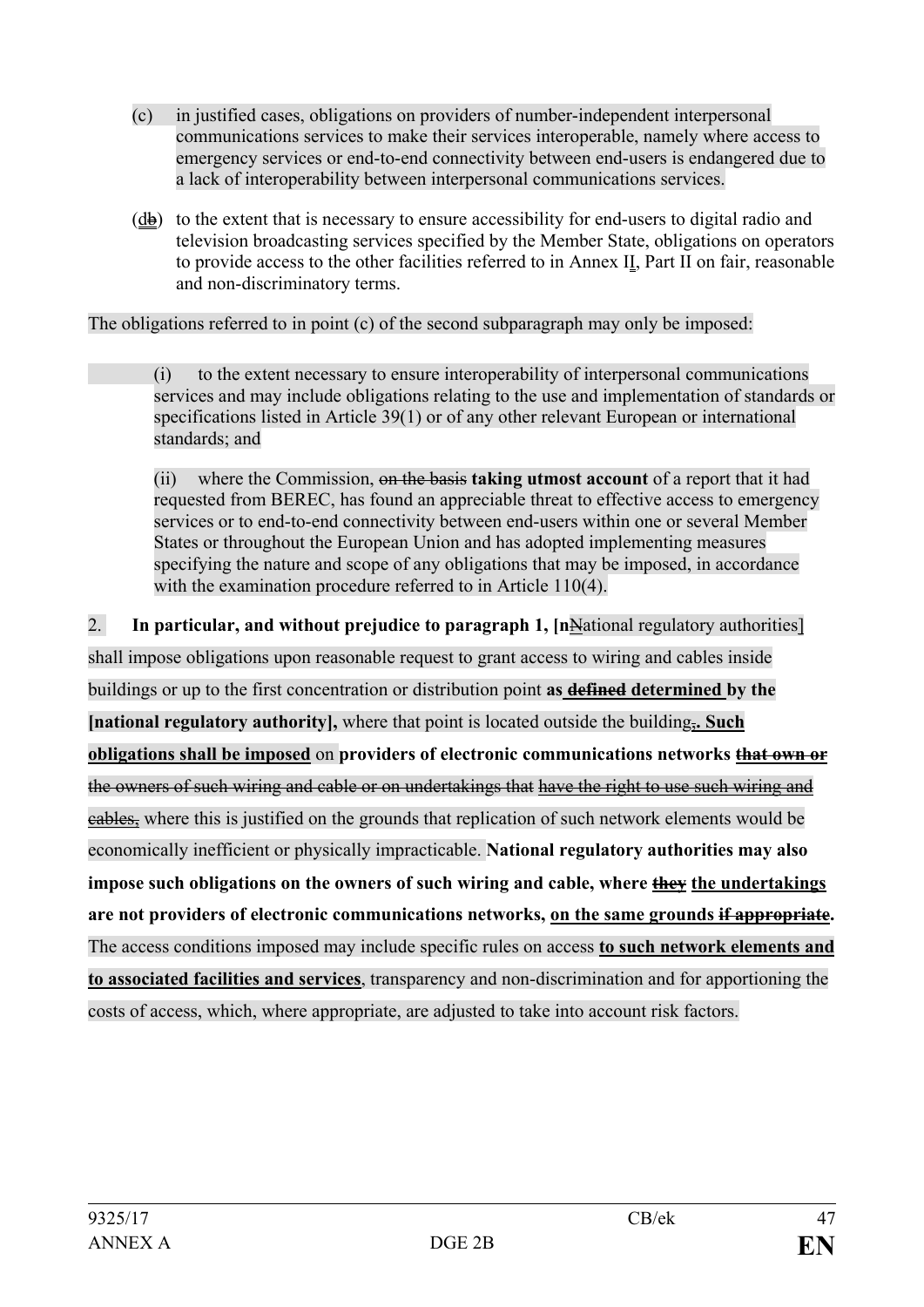- (c) in justified cases, obligations on providers of number-independent interpersonal communications services to make their services interoperable, namely where access to emergency services or end-to-end connectivity between end-users is endangered due to a lack of interoperability between interpersonal communications services.
- $(d\mathbf{b})$  to the extent that is necessary to ensure accessibility for end-users to digital radio and television broadcasting services specified by the Member State, obligations on operators to provide access to the other facilities referred to in Annex II, Part II on fair, reasonable and non-discriminatory terms.

The obligations referred to in point (c) of the second subparagraph may only be imposed:

(i) to the extent necessary to ensure interoperability of interpersonal communications services and may include obligations relating to the use and implementation of standards or specifications listed in Article 39(1) or of any other relevant European or international standards; and

(ii) where the Commission, on the basis **taking utmost account** of a report that it had requested from BEREC, has found an appreciable threat to effective access to emergency services or to end-to-end connectivity between end-users within one or several Member States or throughout the European Union and has adopted implementing measures specifying the nature and scope of any obligations that may be imposed, in accordance with the examination procedure referred to in Article 110(4).

2. **In particular, and without prejudice to paragraph 1, [n**National regulatory authorities] shall impose obligations upon reasonable request to grant access to wiring and cables inside buildings or up to the first concentration or distribution point **as defined determined by the [national regulatory authority],** where that point is located outside the building,**. Such obligations shall be imposed** on **providers of electronic communications networks that own or** the owners of such wiring and cable or on undertakings that have the right to use such wiring and cables, where this is justified on the grounds that replication of such network elements would be economically inefficient or physically impracticable. **National regulatory authorities may also impose such obligations on the owners of such wiring and cable, where they the undertakings are not providers of electronic communications networks, on the same grounds if appropriate.** The access conditions imposed may include specific rules on access **to such network elements and to associated facilities and services**, transparency and non-discrimination and for apportioning the costs of access, which, where appropriate, are adjusted to take into account risk factors.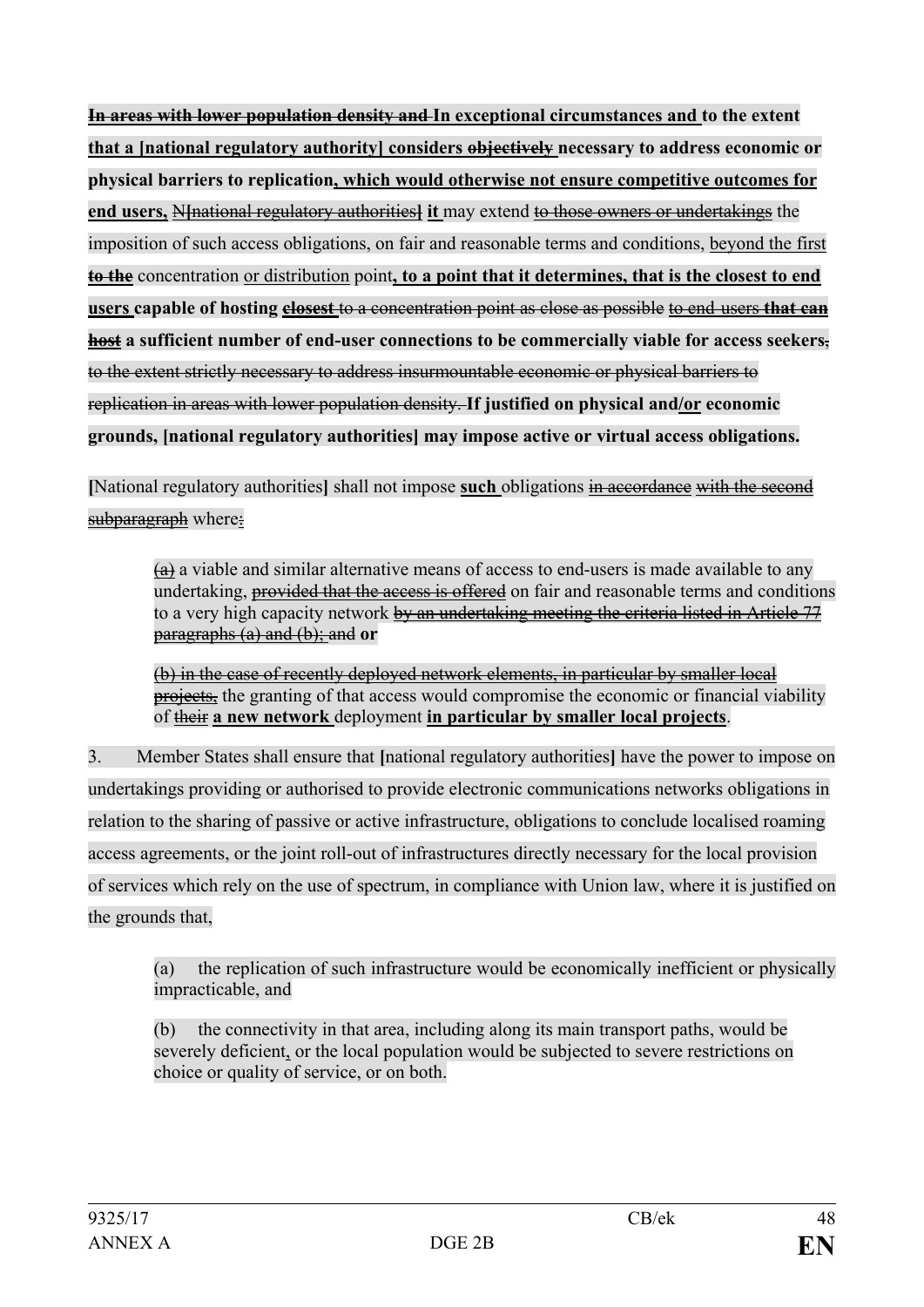**In areas with lower population density and In exceptional circumstances and to the extent that a [national regulatory authority] considers objectively necessary to address economic or physical barriers to replication, which would otherwise not ensure competitive outcomes for end users,** N**[**national regulatory authorities**] it** may extend to those owners or undertakings the imposition of such access obligations, on fair and reasonable terms and conditions, beyond the first **to the** concentration or distribution point**, to a point that it determines, that is the closest to end users capable of hosting closest** to a concentration point as close as possible to end users **that can host a sufficient number of end-user connections to be commercially viable for access seekers**, to the extent strictly necessary to address insurmountable economic or physical barriers to replication in areas with lower population density. **If justified on physical and/or economic grounds, [national regulatory authorities] may impose active or virtual access obligations.**

**[**National regulatory authorities**]** shall not impose **such** obligations in accordance with the second subparagraph where:

 $(a)$  a viable and similar alternative means of access to end-users is made available to any undertaking, provided that the access is offered on fair and reasonable terms and conditions to a very high capacity network by an undertaking meeting the criteria listed in Article 77 paragraphs (a) and (b); and **or**

(b) in the case of recently deployed network elements, in particular by smaller local projects, the granting of that access would compromise the economic or financial viability of their **a new network** deployment **in particular by smaller local projects**.

3. Member States shall ensure that **[**national regulatory authorities**]** have the power to impose on undertakings providing or authorised to provide electronic communications networks obligations in relation to the sharing of passive or active infrastructure, obligations to conclude localised roaming access agreements, or the joint roll-out of infrastructures directly necessary for the local provision of services which rely on the use of spectrum, in compliance with Union law, where it is justified on the grounds that,

(a) the replication of such infrastructure would be economically inefficient or physically impracticable, and

(b) the connectivity in that area, including along its main transport paths, would be severely deficient, or the local population would be subjected to severe restrictions on choice or quality of service, or on both.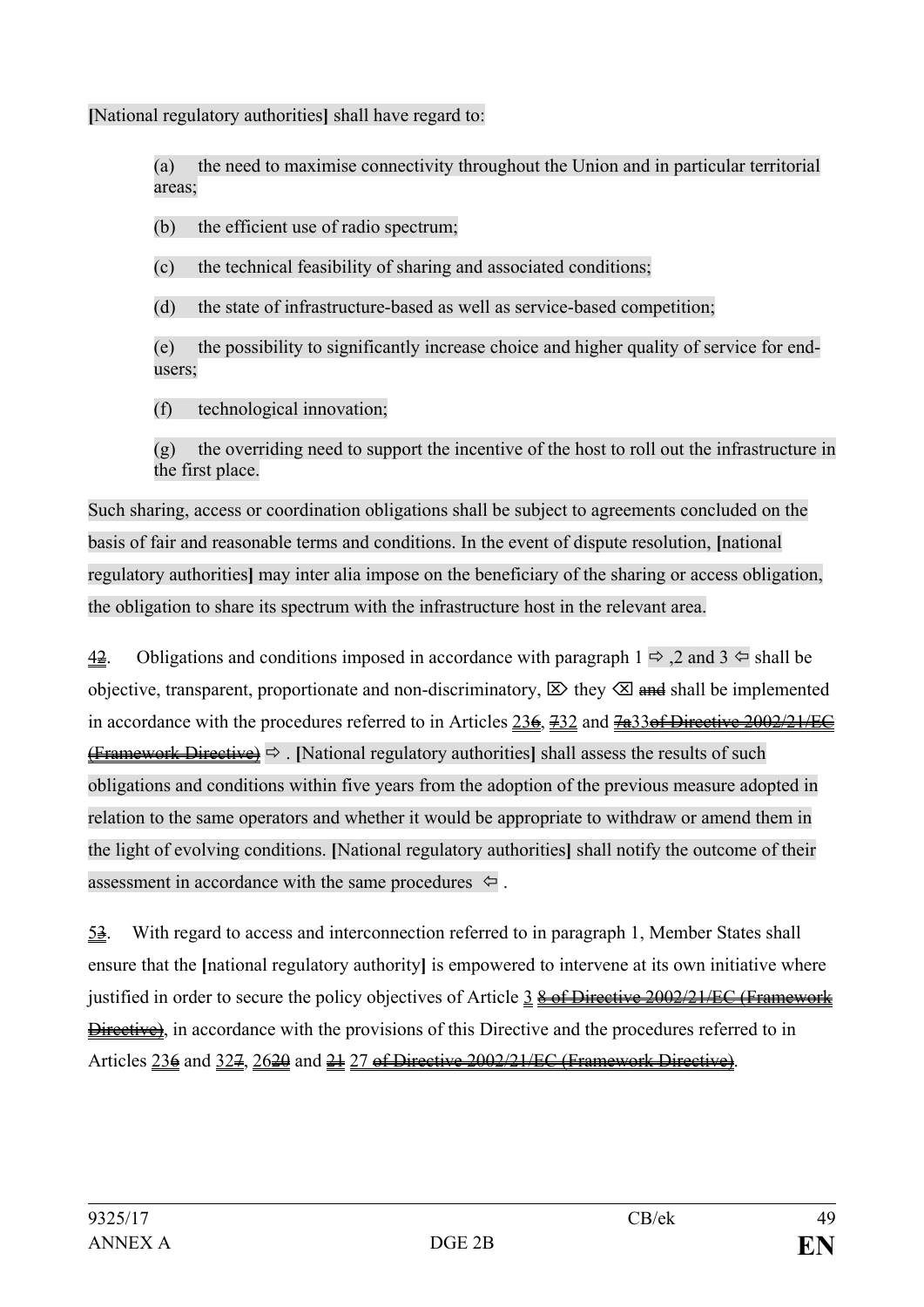**[**National regulatory authorities**]** shall have regard to:

(a) the need to maximise connectivity throughout the Union and in particular territorial areas;

(b) the efficient use of radio spectrum;

(c) the technical feasibility of sharing and associated conditions;

(d) the state of infrastructure-based as well as service-based competition;

(e) the possibility to significantly increase choice and higher quality of service for endusers;

(f) technological innovation;

(g) the overriding need to support the incentive of the host to roll out the infrastructure in the first place.

Such sharing, access or coordination obligations shall be subject to agreements concluded on the basis of fair and reasonable terms and conditions. In the event of dispute resolution, **[**national regulatory authorities**]** may inter alia impose on the beneficiary of the sharing or access obligation, the obligation to share its spectrum with the infrastructure host in the relevant area.

4<del>2</del>. Obligations and conditions imposed in accordance with paragraph  $1 \Rightarrow 2$  and  $3 \Leftrightarrow$  shall be objective, transparent, proportionate and non-discriminatory,  $\boxtimes$  they  $\boxtimes$  and shall be implemented in accordance with the procedures referred to in Articles  $236$ ,  $732$  and  $7233$  of Directive 2002/21/EC  $(Frame work Directive)$   $\Rightarrow$  [National regulatory authorities] shall assess the results of such obligations and conditions within five years from the adoption of the previous measure adopted in relation to the same operators and whether it would be appropriate to withdraw or amend them in the light of evolving conditions. **[**National regulatory authorities**]** shall notify the outcome of their assessment in accordance with the same procedures  $\Leftarrow$ .

53. With regard to access and interconnection referred to in paragraph 1, Member States shall ensure that the **[**national regulatory authority**]** is empowered to intervene at its own initiative where justified in order to secure the policy objectives of Article 3 8 of Directive 2002/21/EC (Framework Directive), in accordance with the provisions of this Directive and the procedures referred to in Articles 236 and 327, 2620 and 21 27 of Directive 2002/21/EC (Framework Directive).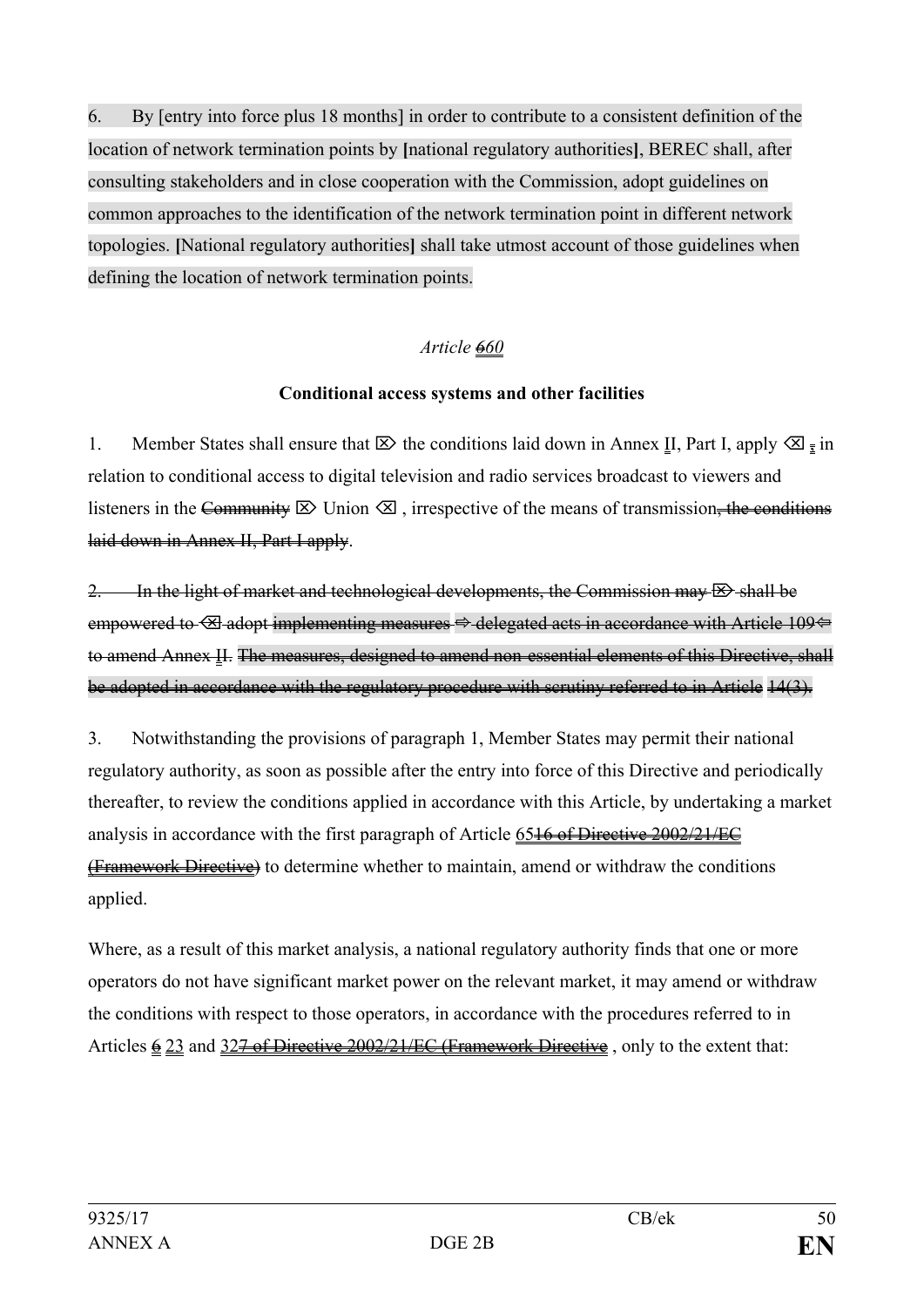6. By [entry into force plus 18 months] in order to contribute to a consistent definition of the location of network termination points by **[**national regulatory authorities**]**, BEREC shall, after consulting stakeholders and in close cooperation with the Commission, adopt guidelines on common approaches to the identification of the network termination point in different network topologies. **[**National regulatory authorities**]** shall take utmost account of those guidelines when defining the location of network termination points.

### *Article 660*

#### **Conditional access systems and other facilities**

1. Member States shall ensure that  $\boxtimes$  the conditions laid down in Annex II, Part I, apply  $\boxtimes \neq$  in relation to conditional access to digital television and radio services broadcast to viewers and listeners in the Community  $\boxtimes$  Union  $\boxtimes$ , irrespective of the means of transmission<del>, the conditions</del> laid down in Annex II, Part I apply.

2. In the light of market and technological developments, the Commission may  $\mathbb{B}$  shall be empowered to  $\otimes$  adopt implementing measures  $\Leftrightarrow$  delegated acts in accordance with Article 109 $\Leftrightarrow$ to amend Annex II. The measures, designed to amend non-essential elements of this Directive, shall be adopted in accordance with the regulatory procedure with scrutiny referred to in Article 14(3).

3. Notwithstanding the provisions of paragraph 1, Member States may permit their national regulatory authority, as soon as possible after the entry into force of this Directive and periodically thereafter, to review the conditions applied in accordance with this Article, by undertaking a market analysis in accordance with the first paragraph of Article 6516 of Directive 2002/21/EC (Framework Directive) to determine whether to maintain, amend or withdraw the conditions applied.

Where, as a result of this market analysis, a national regulatory authority finds that one or more operators do not have significant market power on the relevant market, it may amend or withdraw the conditions with respect to those operators, in accordance with the procedures referred to in Articles  $\frac{6}{9}$  23 and 32<del>7 of Directive 2002/21/EC (Framework Directive</del>, only to the extent that: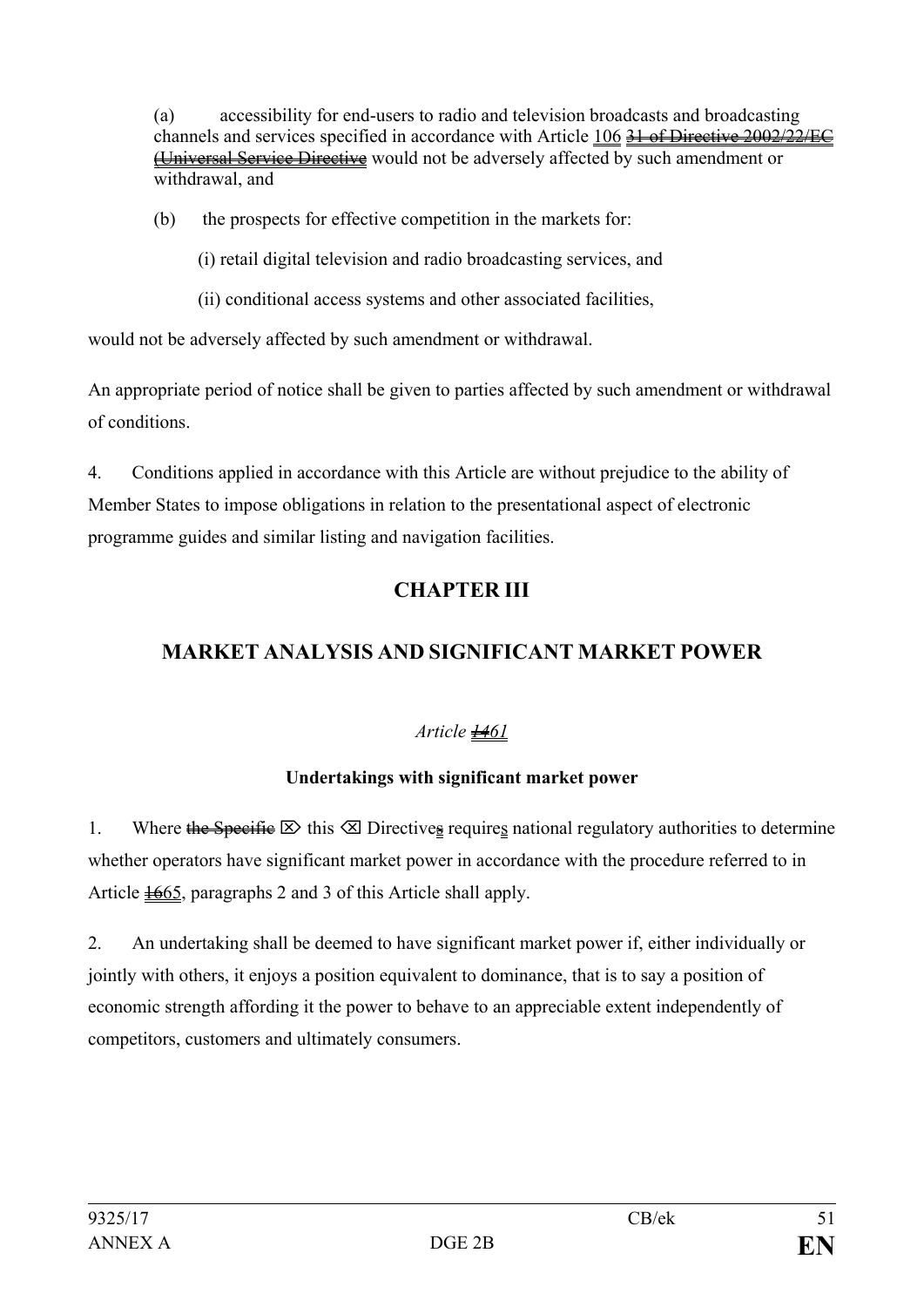(a) accessibility for end-users to radio and television broadcasts and broadcasting channels and services specified in accordance with Article 106 31 of Directive 2002/22/EC (Universal Service Directive would not be adversely affected by such amendment or withdrawal, and

- (b) the prospects for effective competition in the markets for:
	- (i) retail digital television and radio broadcasting services, and
	- (ii) conditional access systems and other associated facilities,

would not be adversely affected by such amendment or withdrawal.

An appropriate period of notice shall be given to parties affected by such amendment or withdrawal of conditions.

4. Conditions applied in accordance with this Article are without prejudice to the ability of Member States to impose obligations in relation to the presentational aspect of electronic programme guides and similar listing and navigation facilities.

# **CHAPTER III**

# **MARKET ANALYSIS AND SIGNIFICANT MARKET POWER**

# *Article 1461*

## **Undertakings with significant market power**

1. Where the Specific  $\boxtimes$  this  $\boxtimes$  Directives requires national regulatory authorities to determine whether operators have significant market power in accordance with the procedure referred to in Article 1665, paragraphs 2 and 3 of this Article shall apply.

2. An undertaking shall be deemed to have significant market power if, either individually or jointly with others, it enjoys a position equivalent to dominance, that is to say a position of economic strength affording it the power to behave to an appreciable extent independently of competitors, customers and ultimately consumers.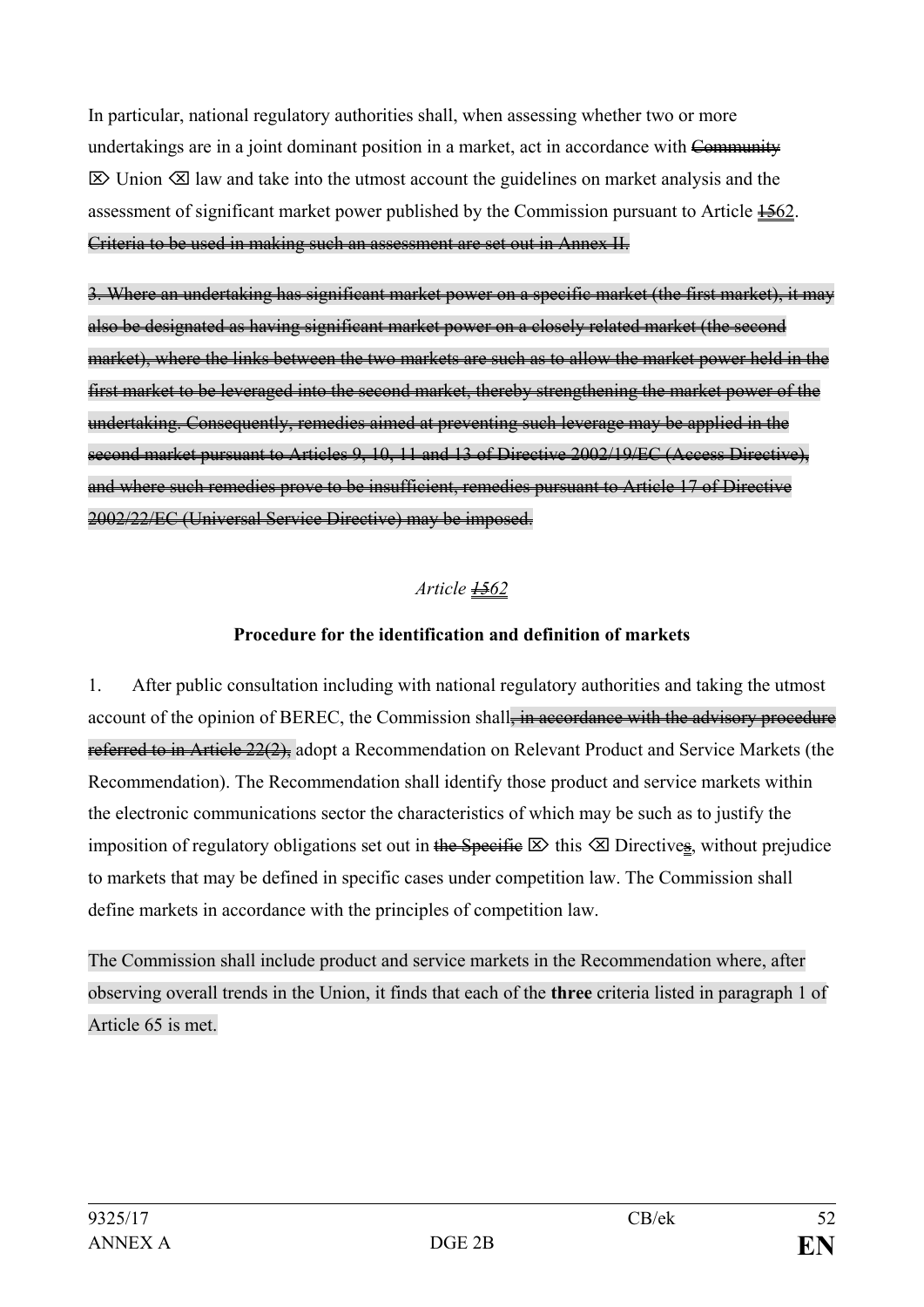In particular, national regulatory authorities shall, when assessing whether two or more undertakings are in a joint dominant position in a market, act in accordance with Community  $\boxtimes$  Union  $\boxtimes$  law and take into the utmost account the guidelines on market analysis and the assessment of significant market power published by the Commission pursuant to Article  $\frac{1562}{120}$ . Criteria to be used in making such an assessment are set out in Annex II.

3. Where an undertaking has significant market power on a specific market (the first market), it may also be designated as having significant market power on a closely related market (the second market), where the links between the two markets are such as to allow the market power held in the first market to be leveraged into the second market, thereby strengthening the market power of the undertaking. Consequently, remedies aimed at preventing such leverage may be applied in the second market pursuant to Articles 9, 10, 11 and 13 of Directive 2002/19/EC (Access Directive). and where such remedies prove to be insufficient, remedies pursuant to Article 17 of Directive 2002/22/EC (Universal Service Directive) may be imposed.

## *Article 1562*

## **Procedure for the identification and definition of markets**

1. After public consultation including with national regulatory authorities and taking the utmost account of the opinion of BEREC, the Commission shall<del>, in accordance with the advisory procedure</del> referred to in Article 22(2), adopt a Recommendation on Relevant Product and Service Markets (the Recommendation). The Recommendation shall identify those product and service markets within the electronic communications sector the characteristics of which may be such as to justify the imposition of regulatory obligations set out in the Specific  $\boxtimes$  this  $\boxtimes$  Directive<sub>s</sub>, without prejudice to markets that may be defined in specific cases under competition law. The Commission shall define markets in accordance with the principles of competition law.

The Commission shall include product and service markets in the Recommendation where, after observing overall trends in the Union, it finds that each of the **three** criteria listed in paragraph 1 of Article 65 is met.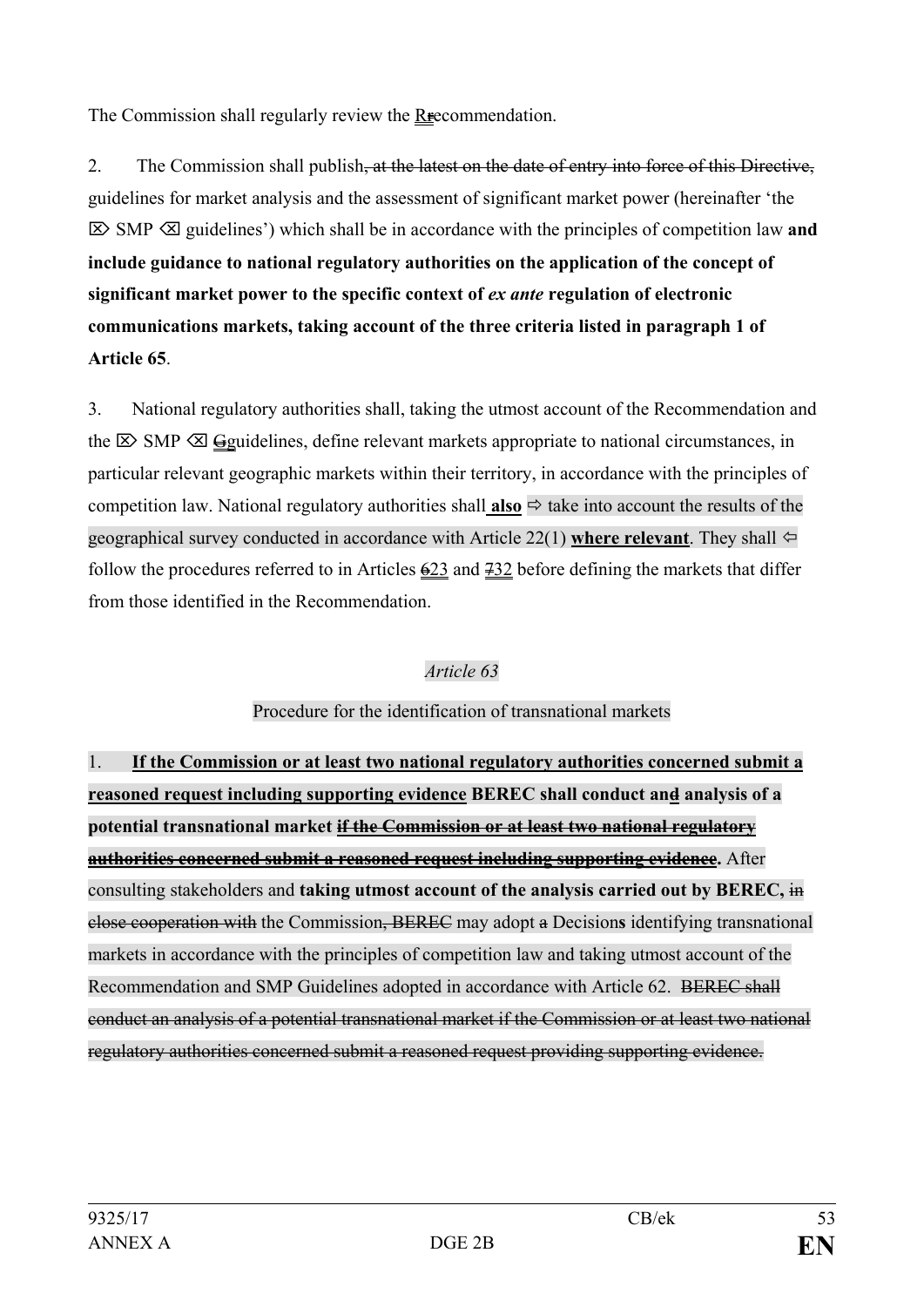The Commission shall regularly review the R<sub>F</sub>ecommendation.

2. The Commission shall publish, at the latest on the date of entry into force of this Directive, guidelines for market analysis and the assessment of significant market power (hereinafter 'the  $\boxtimes$  SMP  $\boxtimes$  guidelines') which shall be in accordance with the principles of competition law **and include guidance to national regulatory authorities on the application of the concept of significant market power to the specific context of** *ex ante* **regulation of electronic communications markets, taking account of the three criteria listed in paragraph 1 of Article 65**.

3. National regulatory authorities shall, taking the utmost account of the Recommendation and the  $\boxtimes$  SMP  $\boxtimes$   $\bigoplus$  guidelines, define relevant markets appropriate to national circumstances, in particular relevant geographic markets within their territory, in accordance with the principles of competition law. National regulatory authorities shall **also**  $\Rightarrow$  take into account the results of the geographical survey conducted in accordance with Article 22(1) **where relevant**. They shall follow the procedures referred to in Articles  $623$  and  $432$  before defining the markets that differ from those identified in the Recommendation.

## *Article 63*

# Procedure for the identification of transnational markets

1. **If the Commission or at least two national regulatory authorities concerned submit a reasoned request including supporting evidence BEREC shall conduct and analysis of a potential transnational market if the Commission or at least two national regulatory authorities concerned submit a reasoned request including supporting evidence.** After consulting stakeholders and **taking utmost account of the analysis carried out by BEREC,** in close cooperation with the Commission, BEREC may adopt a Decision**s** identifying transnational markets in accordance with the principles of competition law and taking utmost account of the Recommendation and SMP Guidelines adopted in accordance with Article 62. BEREC shall conduct an analysis of a potential transnational market if the Commission or at least two national regulatory authorities concerned submit a reasoned request providing supporting evidence.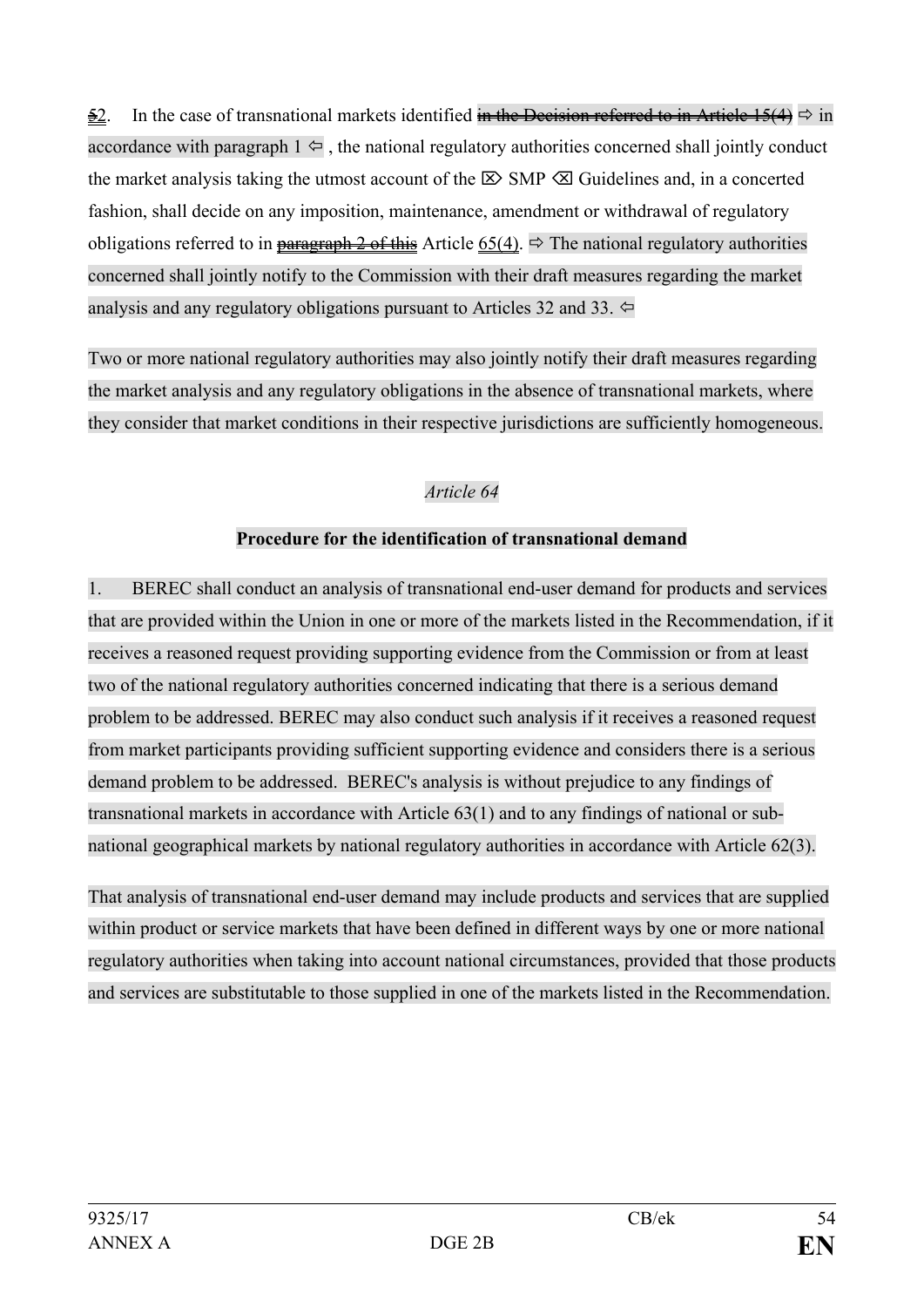$\overline{52}$ . In the case of transnational markets identified in the Decision referred to in Article 15(4)  $\Rightarrow$  in accordance with paragraph  $1 \Leftrightarrow$ , the national regulatory authorities concerned shall jointly conduct the market analysis taking the utmost account of the  $\boxtimes$  SMP  $\boxtimes$  Guidelines and, in a concerted fashion, shall decide on any imposition, maintenance, amendment or withdrawal of regulatory obligations referred to in paragraph 2 of this Article  $65(4)$ .  $\Rightarrow$  The national regulatory authorities concerned shall jointly notify to the Commission with their draft measures regarding the market analysis and any regulatory obligations pursuant to Articles 32 and 33.  $\Leftrightarrow$ 

Two or more national regulatory authorities may also jointly notify their draft measures regarding the market analysis and any regulatory obligations in the absence of transnational markets, where they consider that market conditions in their respective jurisdictions are sufficiently homogeneous.

## *Article 64*

#### **Procedure for the identification of transnational demand**

1. BEREC shall conduct an analysis of transnational end-user demand for products and services that are provided within the Union in one or more of the markets listed in the Recommendation, if it receives a reasoned request providing supporting evidence from the Commission or from at least two of the national regulatory authorities concerned indicating that there is a serious demand problem to be addressed. BEREC may also conduct such analysis if it receives a reasoned request from market participants providing sufficient supporting evidence and considers there is a serious demand problem to be addressed. BEREC's analysis is without prejudice to any findings of transnational markets in accordance with Article 63(1) and to any findings of national or subnational geographical markets by national regulatory authorities in accordance with Article 62(3).

That analysis of transnational end-user demand may include products and services that are supplied within product or service markets that have been defined in different ways by one or more national regulatory authorities when taking into account national circumstances, provided that those products and services are substitutable to those supplied in one of the markets listed in the Recommendation.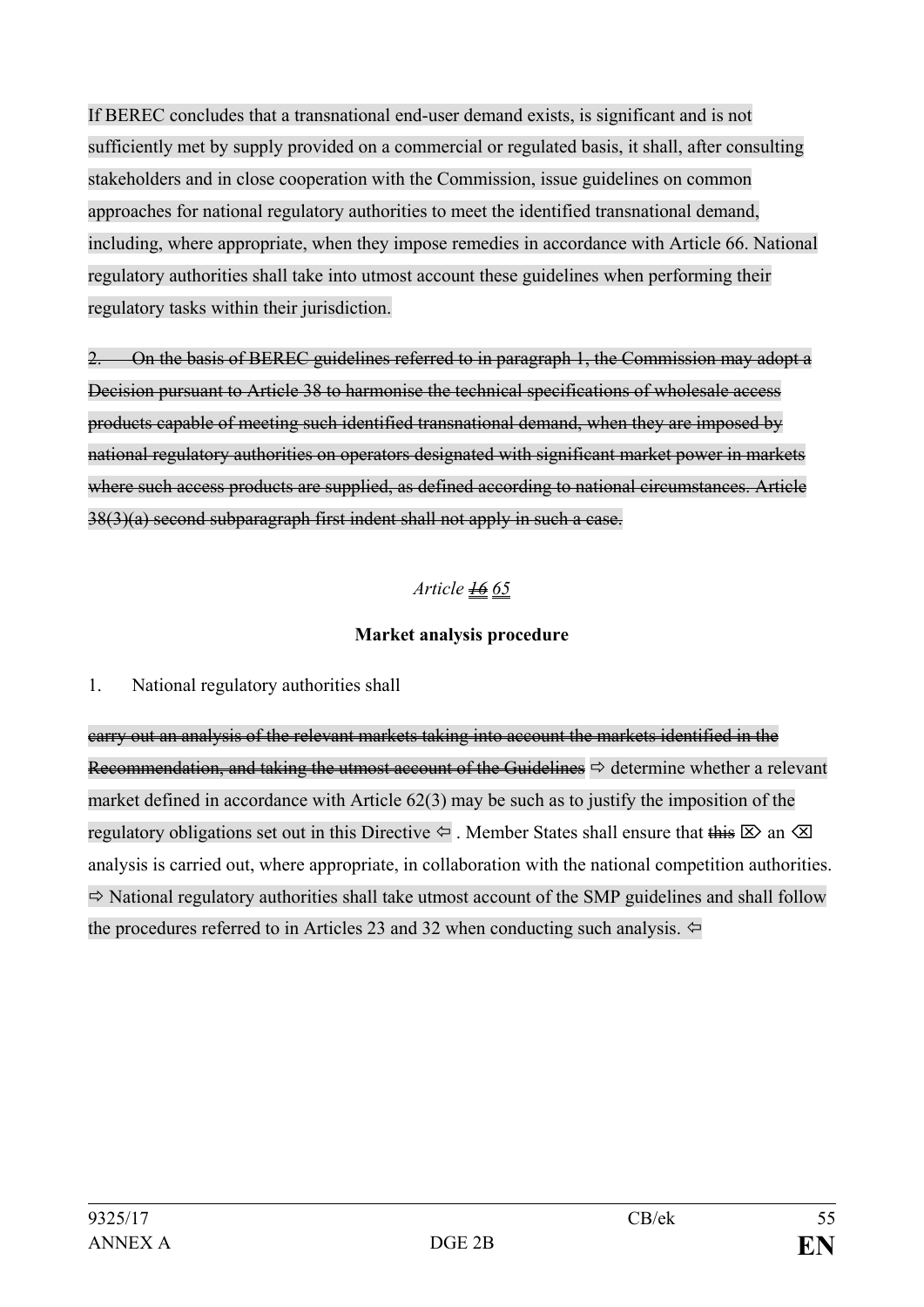If BEREC concludes that a transnational end-user demand exists, is significant and is not sufficiently met by supply provided on a commercial or regulated basis, it shall, after consulting stakeholders and in close cooperation with the Commission, issue guidelines on common approaches for national regulatory authorities to meet the identified transnational demand, including, where appropriate, when they impose remedies in accordance with Article 66. National regulatory authorities shall take into utmost account these guidelines when performing their regulatory tasks within their jurisdiction.

2. On the basis of BEREC guidelines referred to in paragraph 1, the Commission may adopt a Decision pursuant to Article 38 to harmonise the technical specifications of wholesale access products capable of meeting such identified transnational demand, when they are imposed by national regulatory authorities on operators designated with significant market power in markets where such access products are supplied, as defined according to national circumstances. Article 38(3)(a) second subparagraph first indent shall not apply in such a case.

## *Article 16 65*

## **Market analysis procedure**

## 1. National regulatory authorities shall

carry out an analysis of the relevant markets taking into account the markets identified in the Recommendation, and taking the utmost account of the Guidelines  $\Rightarrow$  determine whether a relevant market defined in accordance with Article 62(3) may be such as to justify the imposition of the regulatory obligations set out in this Directive  $\Leftarrow$ . Member States shall ensure that this  $\boxtimes$  an  $\boxtimes$ analysis is carried out, where appropriate, in collaboration with the national competition authorities.  $\Rightarrow$  National regulatory authorities shall take utmost account of the SMP guidelines and shall follow the procedures referred to in Articles 23 and 32 when conducting such analysis.  $\Leftrightarrow$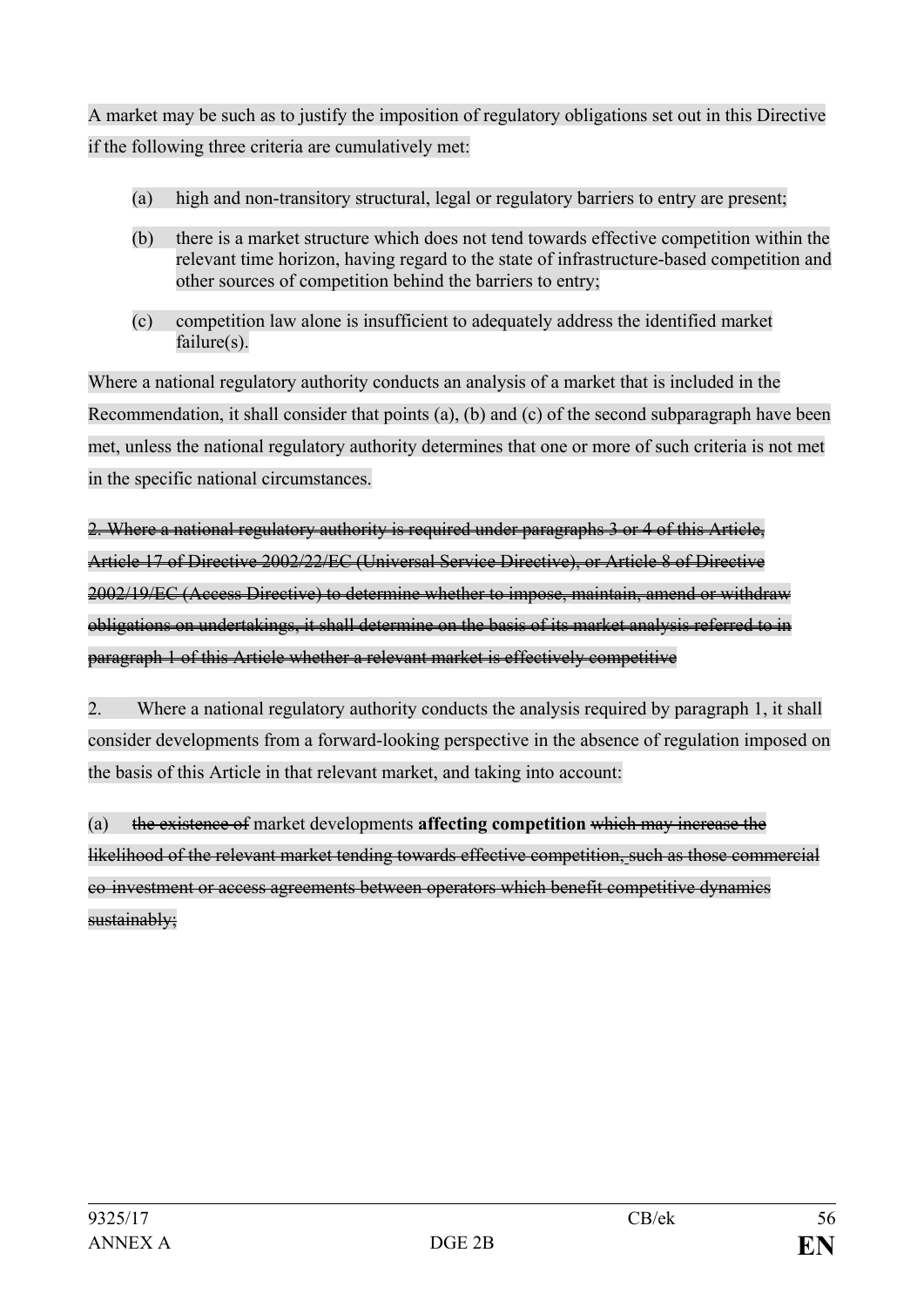A market may be such as to justify the imposition of regulatory obligations set out in this Directive if the following three criteria are cumulatively met:

- (a) high and non-transitory structural, legal or regulatory barriers to entry are present;
- (b) there is a market structure which does not tend towards effective competition within the relevant time horizon, having regard to the state of infrastructure-based competition and other sources of competition behind the barriers to entry;
- (c) competition law alone is insufficient to adequately address the identified market failure(s)

Where a national regulatory authority conducts an analysis of a market that is included in the Recommendation, it shall consider that points (a), (b) and (c) of the second subparagraph have been met, unless the national regulatory authority determines that one or more of such criteria is not met in the specific national circumstances.

2. Where a national regulatory authority is required under paragraphs 3 or 4 of this Article, Article 17 of Directive 2002/22/EC (Universal Service Directive), or Article 8 of Directive 2002/19/EC (Access Directive) to determine whether to impose, maintain, amend or withdraw obligations on undertakings, it shall determine on the basis of its market analysis referred to in paragraph 1 of this Article whether a relevant market is effectively competitive

2. Where a national regulatory authority conducts the analysis required by paragraph 1, it shall consider developments from a forward-looking perspective in the absence of regulation imposed on the basis of this Article in that relevant market, and taking into account:

(a) the existence of market developments **affecting competition** which may increase the likelihood of the relevant market tending towards effective competition, such as those commercial co investment or access agreements between operators which benefit competitive dynamics sustainably;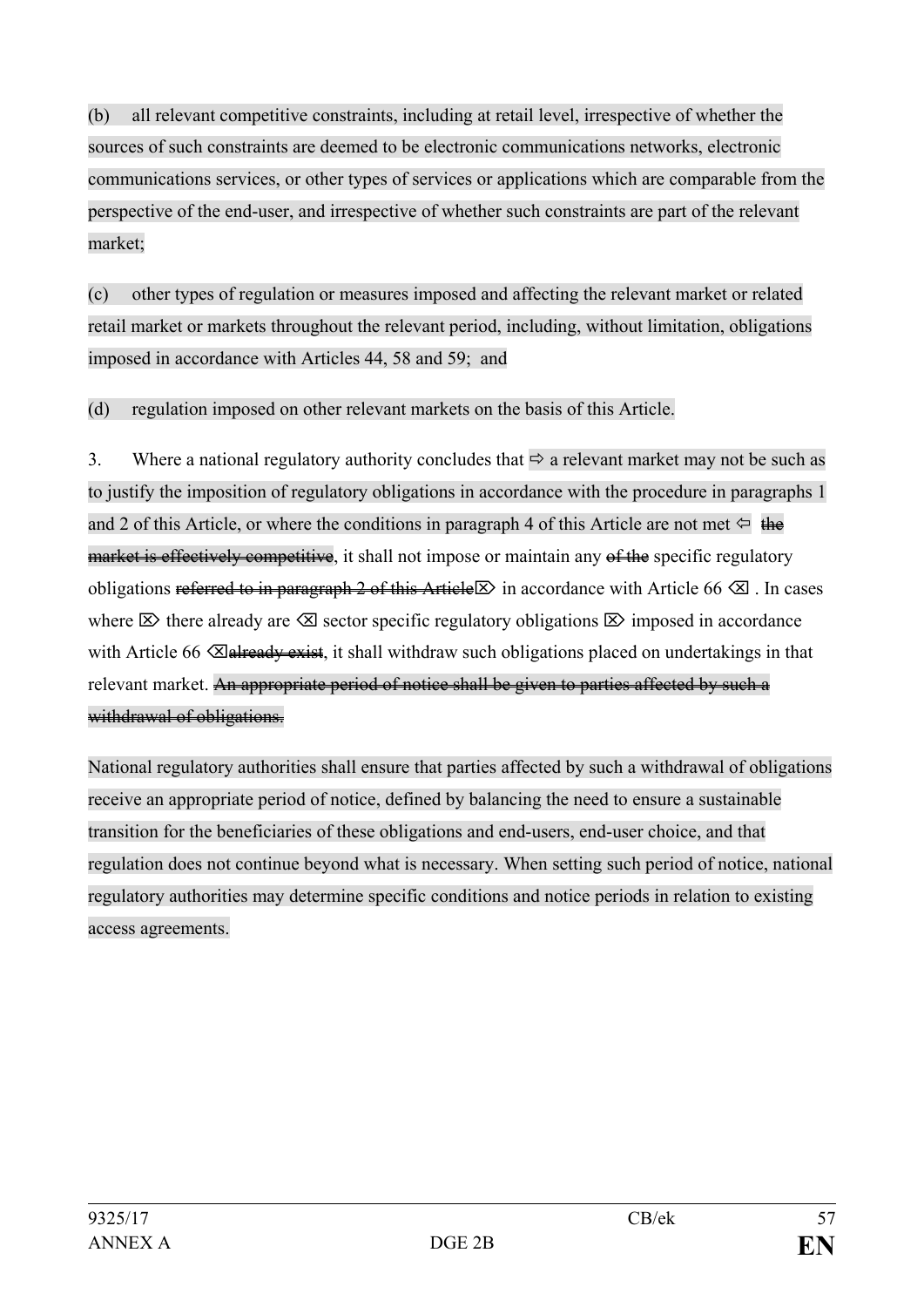(b) all relevant competitive constraints, including at retail level, irrespective of whether the sources of such constraints are deemed to be electronic communications networks, electronic communications services, or other types of services or applications which are comparable from the perspective of the end-user, and irrespective of whether such constraints are part of the relevant market;

(c) other types of regulation or measures imposed and affecting the relevant market or related retail market or markets throughout the relevant period, including, without limitation, obligations imposed in accordance with Articles 44, 58 and 59; and

(d) regulation imposed on other relevant markets on the basis of this Article.

3. Where a national regulatory authority concludes that  $\Rightarrow$  a relevant market may not be such as to justify the imposition of regulatory obligations in accordance with the procedure in paragraphs 1 and 2 of this Article, or where the conditions in paragraph 4 of this Article are not met  $\Leftrightarrow$  the market is effectively competitive, it shall not impose or maintain any of the specific regulatory obligations referred to in paragraph 2 of this Article  $\boxtimes$  in accordance with Article 66  $\boxtimes$ . In cases where  $\boxtimes$  there already are  $\boxtimes$  sector specific regulatory obligations  $\boxtimes$  imposed in accordance with Article 66  $\otimes$  already exist, it shall withdraw such obligations placed on undertakings in that relevant market. An appropriate period of notice shall be given to parties affected by such a withdrawal of obligations.

National regulatory authorities shall ensure that parties affected by such a withdrawal of obligations receive an appropriate period of notice, defined by balancing the need to ensure a sustainable transition for the beneficiaries of these obligations and end-users, end-user choice, and that regulation does not continue beyond what is necessary. When setting such period of notice, national regulatory authorities may determine specific conditions and notice periods in relation to existing access agreements.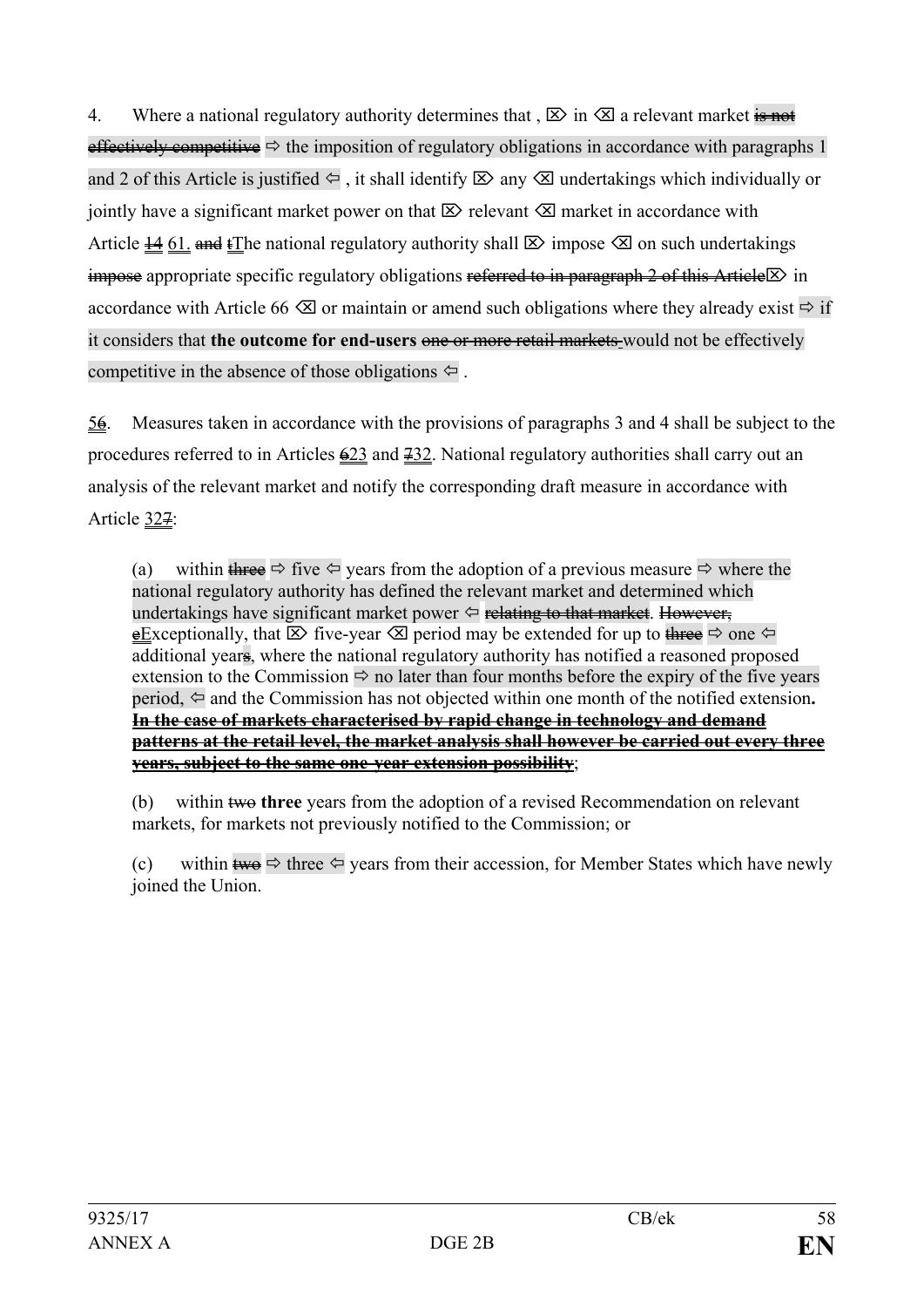4. Where a national regulatory authority determines that  $\sum$  in  $\otimes$  a relevant market is not effectively competitive  $\Rightarrow$  the imposition of regulatory obligations in accordance with paragraphs 1 and 2 of this Article is justified  $\Leftrightarrow$ , it shall identify  $\boxtimes$  any  $\boxtimes$  undertakings which individually or jointly have a significant market power on that  $\boxtimes$  relevant  $\boxtimes$  market in accordance with Article  $\overline{44}$  61. and  $\overline{4}$  The national regulatory authority shall  $\overline{2}$  impose  $\overline{2}$  on such undertakings  $impose$  appropriate specific regulatory obligations referred to in paragraph 2 of this Article  $\triangleright$  in accordance with Article 66  $\otimes$  or maintain or amend such obligations where they already exist  $\Rightarrow$  if it considers that **the outcome for end-users** one or more retail markets would not be effectively competitive in the absence of those obligations  $\Leftarrow$ .

56. Measures taken in accordance with the provisions of paragraphs 3 and 4 shall be subject to the procedures referred to in Articles  $\frac{623}{2}$  and  $\frac{732}{2}$ . National regulatory authorities shall carry out an analysis of the relevant market and notify the corresponding draft measure in accordance with Article 327:

(a) within three  $\Rightarrow$  five  $\Leftarrow$  years from the adoption of a previous measure  $\Rightarrow$  where the national regulatory authority has defined the relevant market and determined which undertakings have significant market power  $\Leftrightarrow$  relating to that market. However,  $\triangle$ Exceptionally, that  $\boxtimes$  five-year  $\triangleleft$  period may be extended for up to three  $\Rightarrow$  one  $\Leftrightarrow$ additional years, where the national regulatory authority has notified a reasoned proposed extension to the Commission  $\Rightarrow$  no later than four months before the expiry of the five years period,  $\Leftarrow$  and the Commission has not objected within one month of the notified extension. **In the case of markets characterised by rapid change in technology and demand patterns at the retail level, the market analysis shall however be carried out every three years, subject to the same one year extension possibility**;

(b) within two **three** years from the adoption of a revised Recommendation on relevant markets, for markets not previously notified to the Commission; or

(c) within  $\downarrow \downarrow \downarrow \Rightarrow$  three  $\Leftrightarrow$  vears from their accession, for Member States which have newly joined the Union.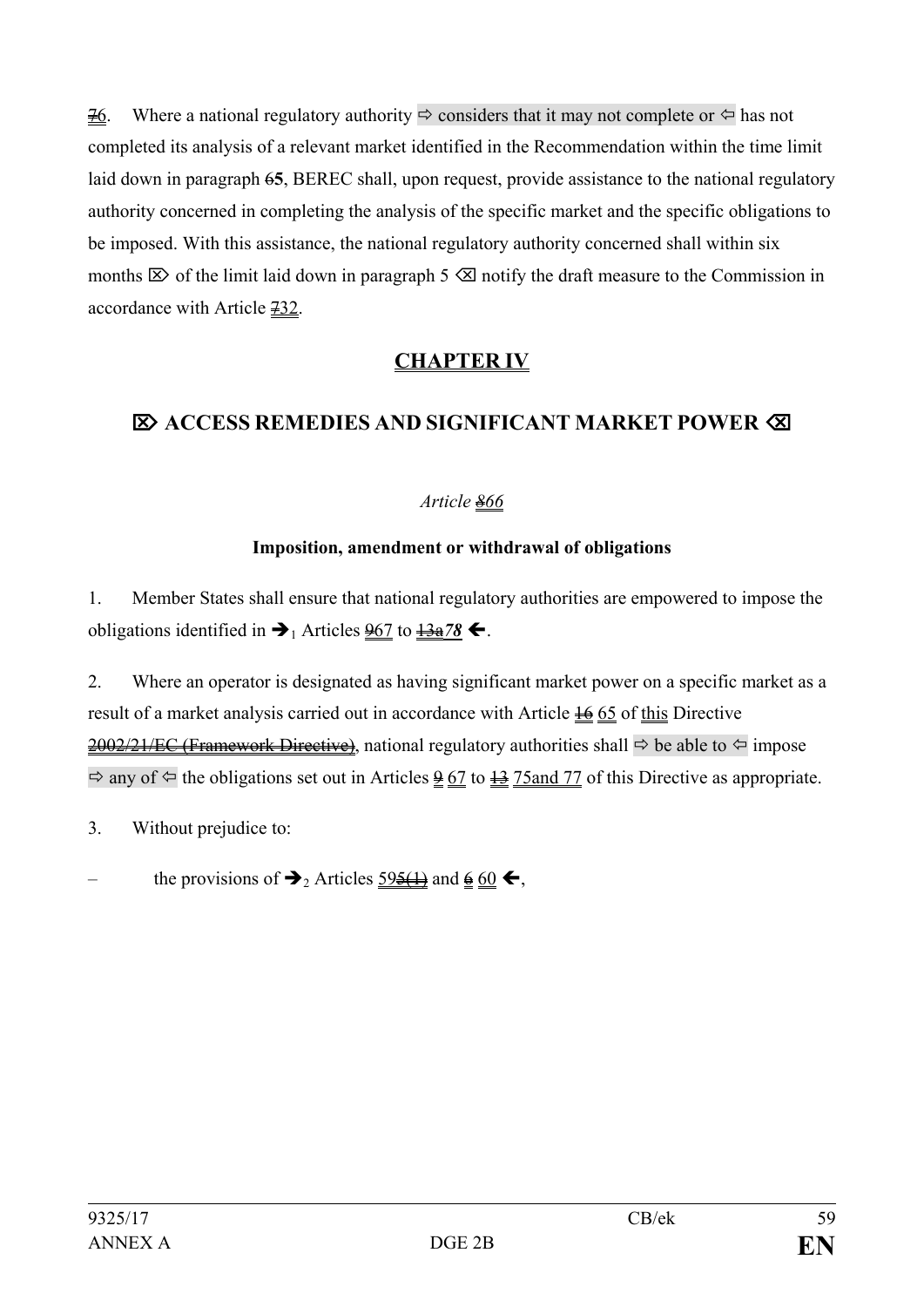$\frac{4}{6}$ . Where a national regulatory authority  $\Rightarrow$  considers that it may not complete or  $\Leftarrow$  has not completed its analysis of a relevant market identified in the Recommendation within the time limit laid down in paragraph 6**5**, BEREC shall, upon request, provide assistance to the national regulatory authority concerned in completing the analysis of the specific market and the specific obligations to be imposed. With this assistance, the national regulatory authority concerned shall within six months  $\boxtimes$  of the limit laid down in paragraph 5  $\boxtimes$  notify the draft measure to the Commission in accordance with Article 732.

# **CHAPTER IV**

## **ACCESS REMEDIES AND SIGNIFICANT MARKET POWER**

### *Article 866*

#### **Imposition, amendment or withdrawal of obligations**

1. Member States shall ensure that national regulatory authorities are empowered to impose the obligations identified in  $\rightarrow$ <sub>1</sub> Articles  $\frac{967}{2}$  to  $\frac{13a}{8}$   $\leftarrow$ .

2. Where an operator is designated as having significant market power on a specific market as a result of a market analysis carried out in accordance with Article  $\frac{16}{16}$  of this Directive 2002/21/EC (Framework Directive), national regulatory authorities shall  $\Rightarrow$  be able to  $\Leftrightarrow$  impose  $\Rightarrow$  any of  $\Leftarrow$  the obligations set out in Articles  $\frac{12}{13}$  75 and 77 of this Directive as appropriate.

3. Without prejudice to:

the provisions of  $\rightarrow$  2 Articles  $\frac{595(1)}{2}$  and  $\frac{6}{2}$  (60  $\leftarrow$ ),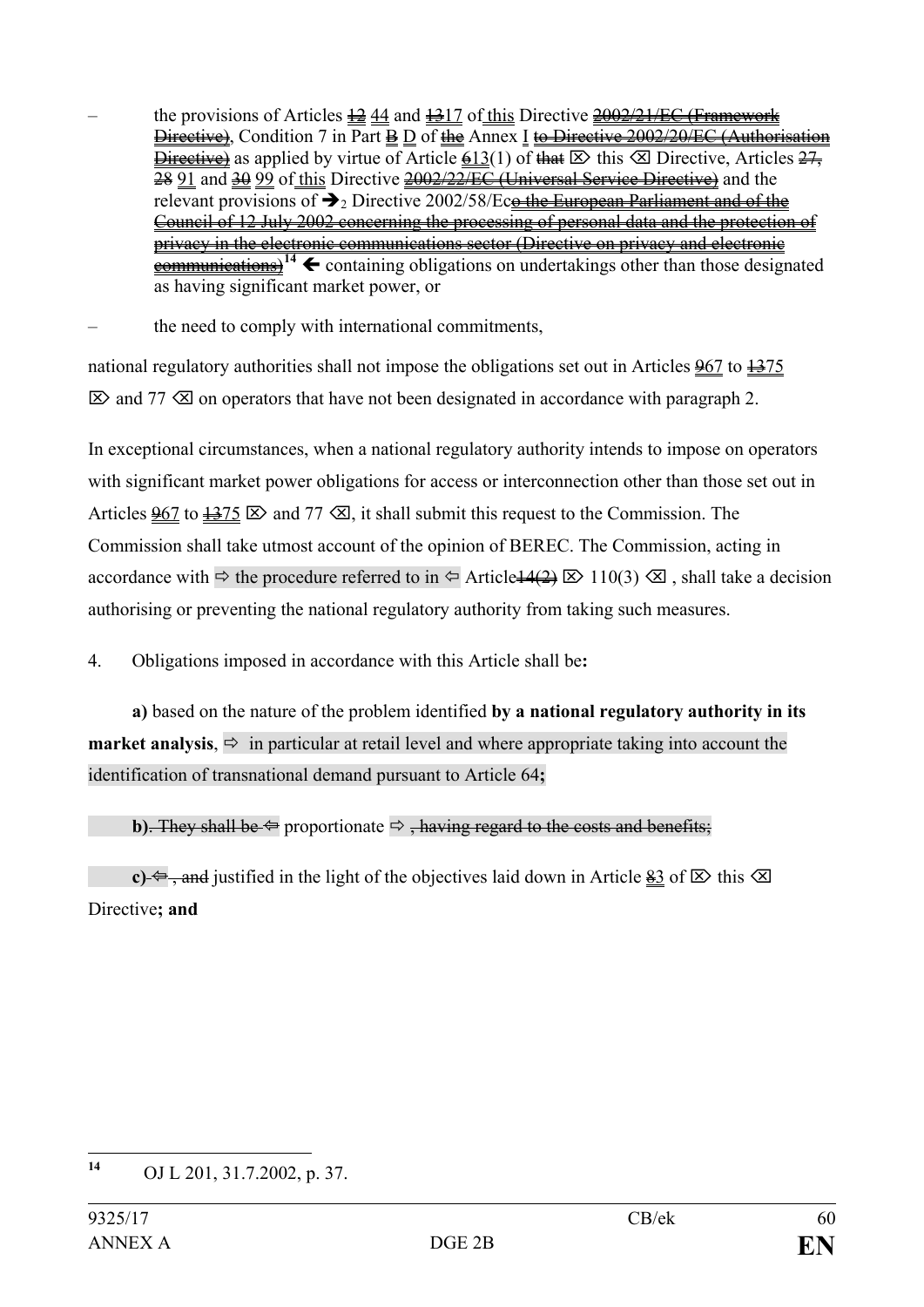the provisions of Articles  $\frac{12}{12}$  44 and  $\frac{131}{7}$  of this Directive  $\frac{2002}{21/EC}$  (Framework Directive), Condition 7 in Part  $\underline{B} D$  of  $\underline{the}$  Annex I to Directive 2002/20/EC (Authorisation Directive) as applied by virtue of Article  $\frac{613}{10}$  of that  $\boxtimes$  this  $\boxtimes$  Directive, Articles  $\frac{27}{10}$ 28 91 and 30 99 of this Directive 2002/22/EC (Universal Service Directive) and the relevant provisions of  $\rightarrow$  Directive 2002/58/Eco the European Parliament and of the Council of 12 July 2002 concerning the processing of personal data and the protection of privacy in the electronic communications sector (Directive on privacy and electronic  $\overline{\mathbf{e}^{\mathbf{a}}$   $\mathbf{e}^{\mathbf{b}}$  and  $\mathbf{e}^{\mathbf{b}}$  and  $\mathbf{e}^{\mathbf{b}}$  containing obligations on undertakings other than those designated as having significant market power, or

– the need to comply with international commitments,

national regulatory authorities shall not impose the obligations set out in Articles  $967$  to  $\frac{1375}{130}$  $\boxtimes$  and 77  $\boxtimes$  on operators that have not been designated in accordance with paragraph 2.

In exceptional circumstances, when a national regulatory authority intends to impose on operators with significant market power obligations for access or interconnection other than those set out in Articles  $\frac{967}{10}$  to  $\frac{1375}{10}$   $\overline{\infty}$  and 77  $\overline{\infty}$ , it shall submit this request to the Commission. The Commission shall take utmost account of the opinion of BEREC. The Commission, acting in accordance with  $\Rightarrow$  the procedure referred to in  $\Leftrightarrow$  Article<del>14(2)</del>  $\boxtimes$  110(3)  $\boxtimes$ , shall take a decision authorising or preventing the national regulatory authority from taking such measures.

4. Obligations imposed in accordance with this Article shall be**:**

**a)** based on the nature of the problem identified **by a national regulatory authority in its market analysis**,  $\Rightarrow$  in particular at retail level and where appropriate taking into account the identification of transnational demand pursuant to Article 64**;**

**b**). They shall be  $\Leftarrow$  proportionate  $\Rightarrow$  -having regard to the costs and benefits;

**c**)  $\Leftrightarrow$  and justified in the light of the objectives laid down in Article  $\frac{2}{3}$  of  $\boxtimes$  this  $\boxtimes$ Directive**; and**

**<sup>14</sup>** OJ L 201, 31.7.2002, p. 37.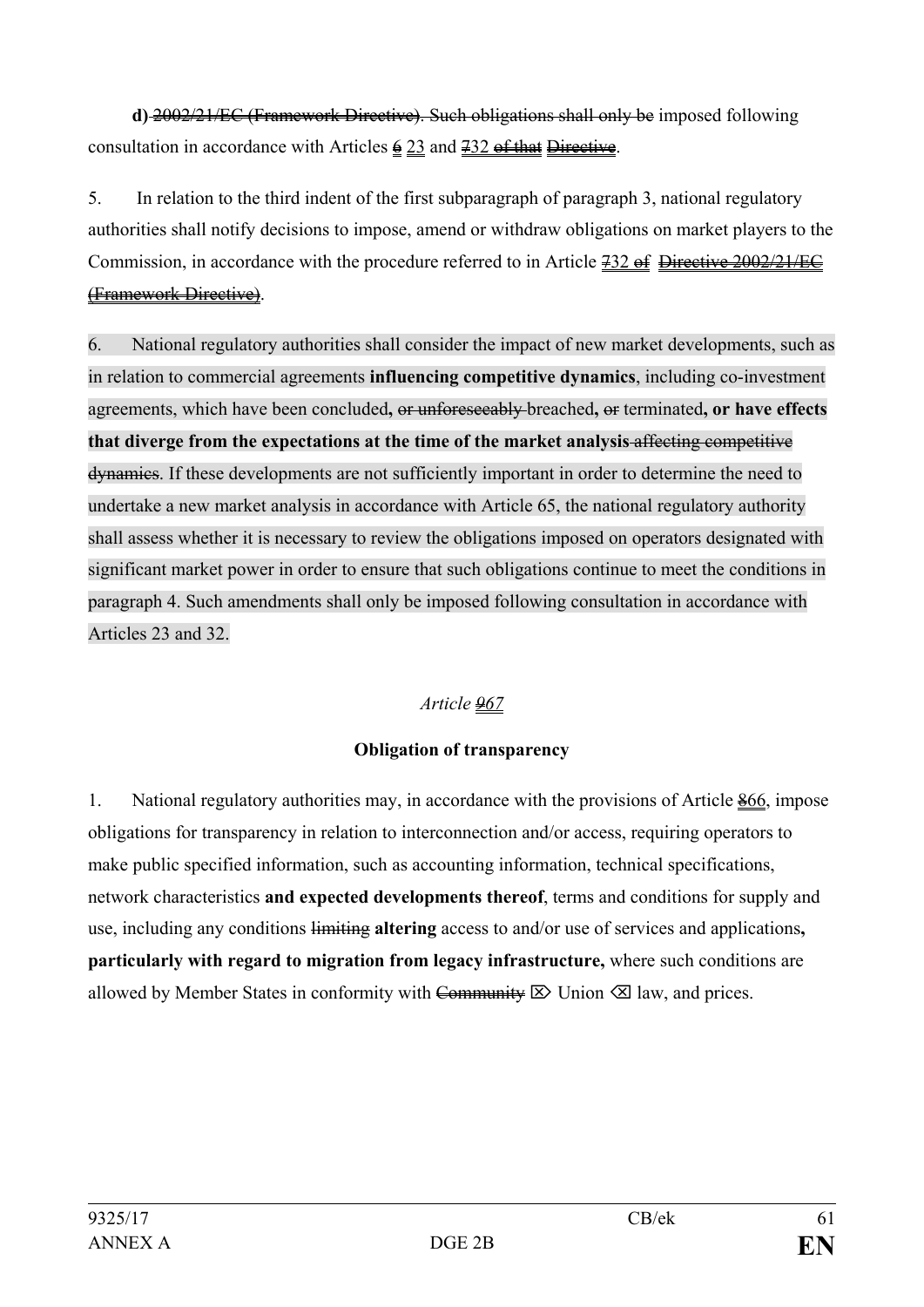**d)** 2002/21/EC (Framework Directive). Such obligations shall only be imposed following consultation in accordance with Articles  $\frac{6}{23}$  and  $\frac{732}{132}$  of that Directive.

5. In relation to the third indent of the first subparagraph of paragraph 3, national regulatory authorities shall notify decisions to impose, amend or withdraw obligations on market players to the Commission, in accordance with the procedure referred to in Article 732 of Directive 2002/21/EC (Framework Directive).

6. National regulatory authorities shall consider the impact of new market developments, such as in relation to commercial agreements **influencing competitive dynamics**, including co-investment agreements, which have been concluded**,** or unforeseeably breached**,** or terminated**, or have effects that diverge from the expectations at the time of the market analysis** affecting competitive dynamics. If these developments are not sufficiently important in order to determine the need to undertake a new market analysis in accordance with Article 65, the national regulatory authority shall assess whether it is necessary to review the obligations imposed on operators designated with significant market power in order to ensure that such obligations continue to meet the conditions in paragraph 4. Such amendments shall only be imposed following consultation in accordance with Articles 23 and 32.

#### *Article 967*

## **Obligation of transparency**

1. National regulatory authorities may, in accordance with the provisions of Article 866, impose obligations for transparency in relation to interconnection and/or access, requiring operators to make public specified information, such as accounting information, technical specifications, network characteristics **and expected developments thereof**, terms and conditions for supply and use, including any conditions limiting **altering** access to and/or use of services and applications**, particularly with regard to migration from legacy infrastructure,** where such conditions are allowed by Member States in conformity with Community  $\boxtimes$  Union  $\boxtimes$  law, and prices.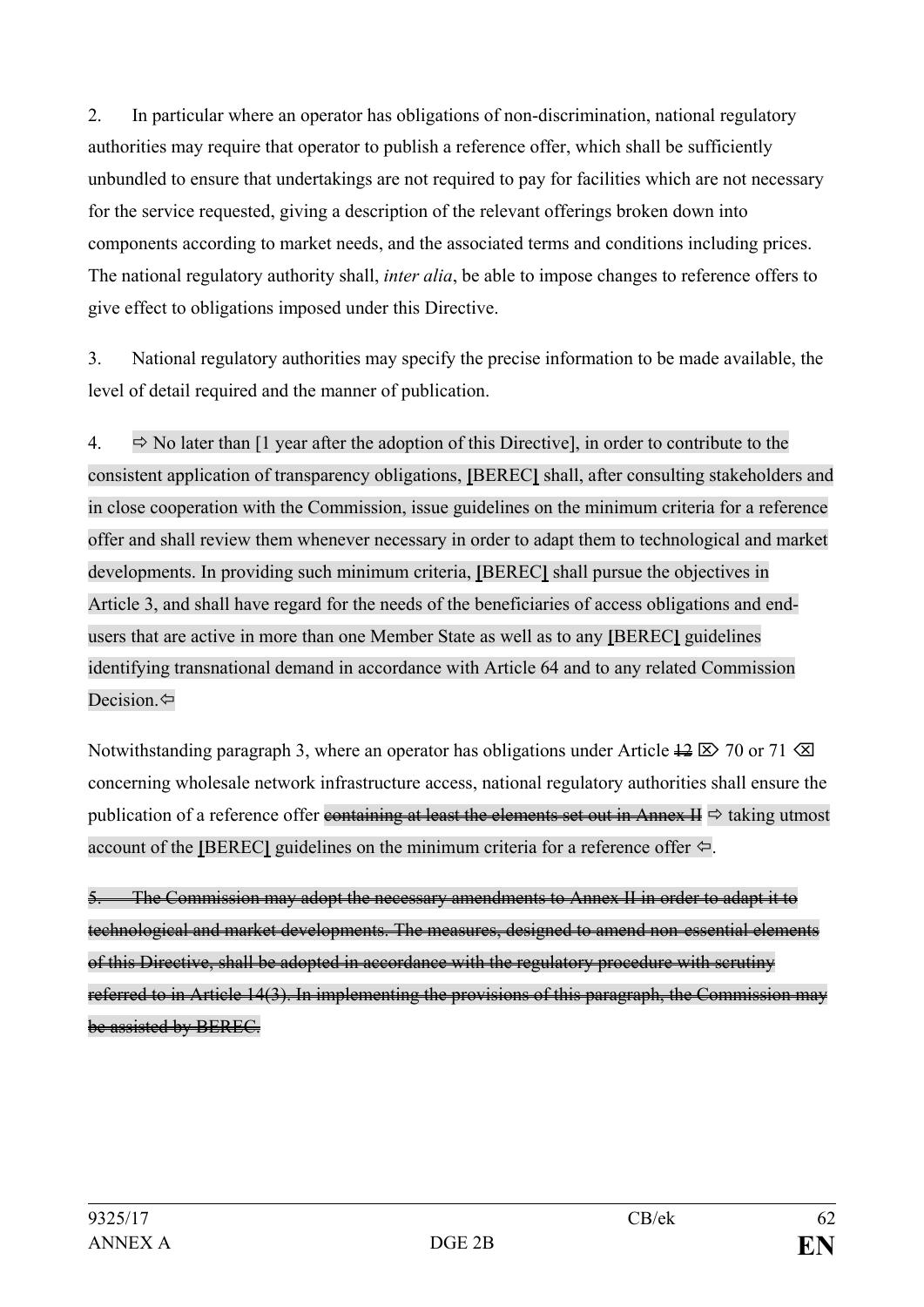2. In particular where an operator has obligations of non-discrimination, national regulatory authorities may require that operator to publish a reference offer, which shall be sufficiently unbundled to ensure that undertakings are not required to pay for facilities which are not necessary for the service requested, giving a description of the relevant offerings broken down into components according to market needs, and the associated terms and conditions including prices. The national regulatory authority shall, *inter alia*, be able to impose changes to reference offers to give effect to obligations imposed under this Directive.

3. National regulatory authorities may specify the precise information to be made available, the level of detail required and the manner of publication.

4.  $\Rightarrow$  No later than [1 year after the adoption of this Directive], in order to contribute to the consistent application of transparency obligations, **[**BEREC**]** shall, after consulting stakeholders and in close cooperation with the Commission, issue guidelines on the minimum criteria for a reference offer and shall review them whenever necessary in order to adapt them to technological and market developments. In providing such minimum criteria, **[**BEREC**]** shall pursue the objectives in Article 3, and shall have regard for the needs of the beneficiaries of access obligations and endusers that are active in more than one Member State as well as to any **[**BEREC**]** guidelines identifying transnational demand in accordance with Article 64 and to any related Commission Decision. ⇔

Notwithstanding paragraph 3, where an operator has obligations under Article  $\frac{12}{2}$   $\otimes$  70 or 71  $\otimes$ concerning wholesale network infrastructure access, national regulatory authorities shall ensure the publication of a reference offer containing at least the elements set out in Annex II  $\Rightarrow$  taking utmost account of the **[BEREC]** guidelines on the minimum criteria for a reference offer  $\Leftrightarrow$ .

5. The Commission may adopt the necessary amendments to Annex II in order to adapt it to technological and market developments. The measures, designed to amend non essential elements of this Directive, shall be adopted in accordance with the regulatory procedure with scrutiny referred to in Article 14(3). In implementing the provisions of this paragraph, the Commission may be assisted by BEREC.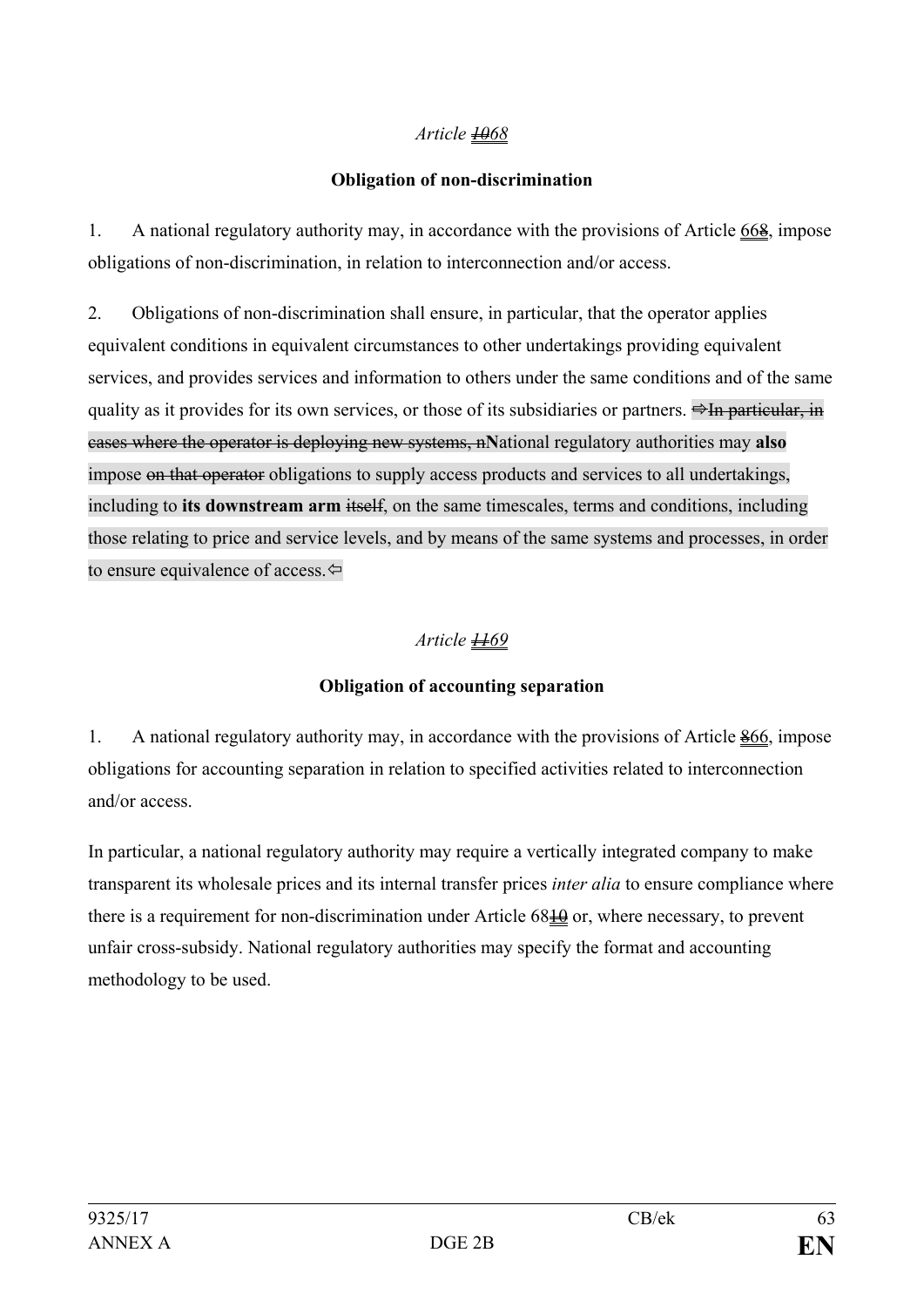### *Article 1068*

#### **Obligation of non-discrimination**

1. A national regulatory authority may, in accordance with the provisions of Article 668, impose obligations of non-discrimination, in relation to interconnection and/or access.

2. Obligations of non-discrimination shall ensure, in particular, that the operator applies equivalent conditions in equivalent circumstances to other undertakings providing equivalent services, and provides services and information to others under the same conditions and of the same quality as it provides for its own services, or those of its subsidiaries or partners.  $\Rightarrow$  In particular, in cases where the operator is deploying new systems, n**N**ational regulatory authorities may **also** impose on that operator obligations to supply access products and services to all undertakings, including to **its downstream arm** itself, on the same timescales, terms and conditions, including those relating to price and service levels, and by means of the same systems and processes, in order to ensure equivalence of access. $\Leftrightarrow$ 

### *Article 1169*

## **Obligation of accounting separation**

1. A national regulatory authority may, in accordance with the provisions of Article 866, impose obligations for accounting separation in relation to specified activities related to interconnection and/or access.

In particular, a national regulatory authority may require a vertically integrated company to make transparent its wholesale prices and its internal transfer prices *inter alia* to ensure compliance where there is a requirement for non-discrimination under Article  $68\frac{10}{10}$  or, where necessary, to prevent unfair cross-subsidy. National regulatory authorities may specify the format and accounting methodology to be used.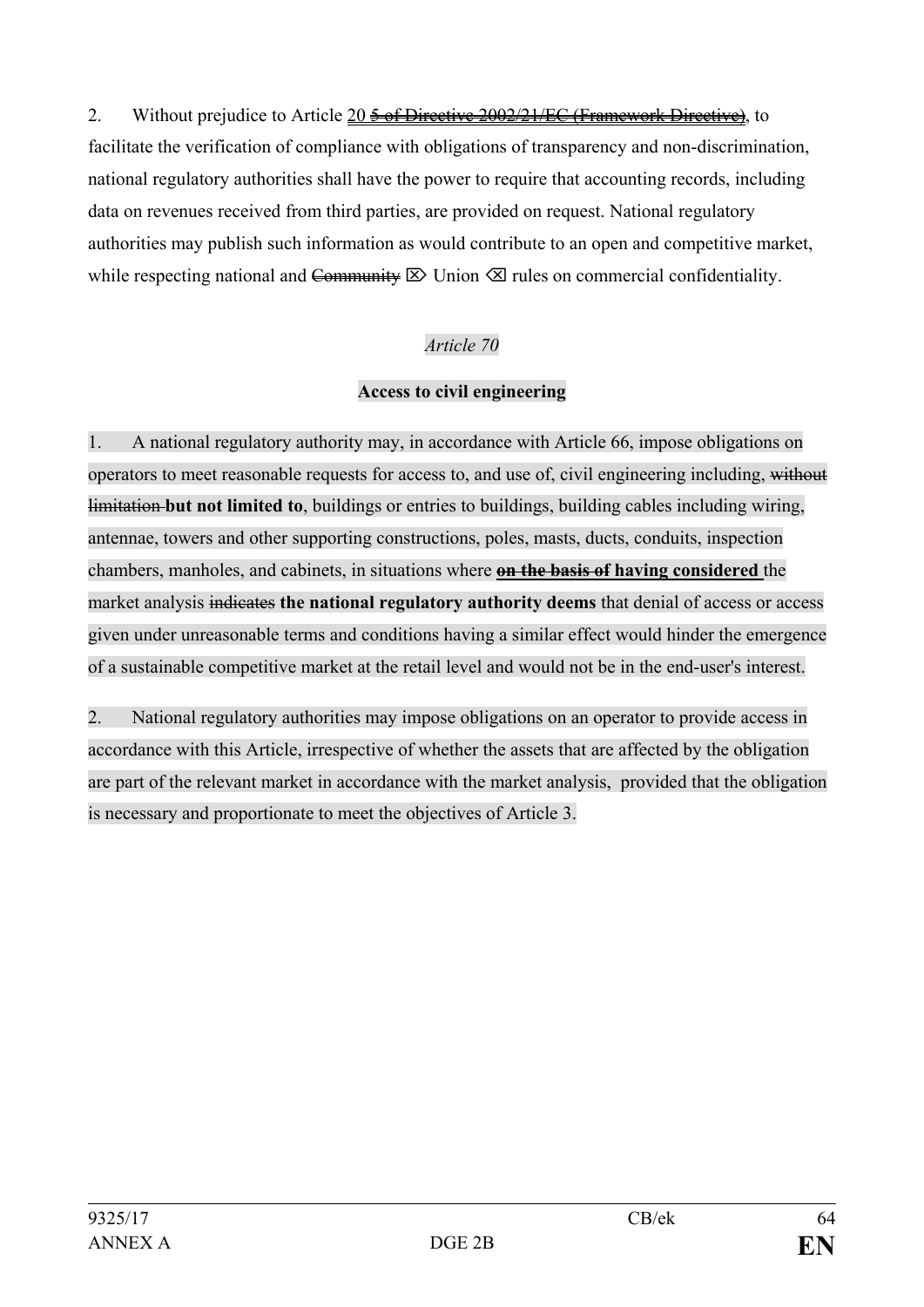2. Without prejudice to Article 20 5 of Directive 2002/21/EC (Framework Directive), to facilitate the verification of compliance with obligations of transparency and non-discrimination, national regulatory authorities shall have the power to require that accounting records, including data on revenues received from third parties, are provided on request. National regulatory authorities may publish such information as would contribute to an open and competitive market, while respecting national and Community  $\boxtimes$  Union  $\boxtimes$  rules on commercial confidentiality.

## *Article 70*

## **Access to civil engineering**

1. A national regulatory authority may, in accordance with Article 66, impose obligations on operators to meet reasonable requests for access to, and use of, civil engineering including, without limitation **but not limited to**, buildings or entries to buildings, building cables including wiring, antennae, towers and other supporting constructions, poles, masts, ducts, conduits, inspection chambers, manholes, and cabinets, in situations where **on the basis of having considered** the market analysis indicates **the national regulatory authority deems** that denial of access or access given under unreasonable terms and conditions having a similar effect would hinder the emergence of a sustainable competitive market at the retail level and would not be in the end-user's interest.

2. National regulatory authorities may impose obligations on an operator to provide access in accordance with this Article, irrespective of whether the assets that are affected by the obligation are part of the relevant market in accordance with the market analysis, provided that the obligation is necessary and proportionate to meet the objectives of Article 3.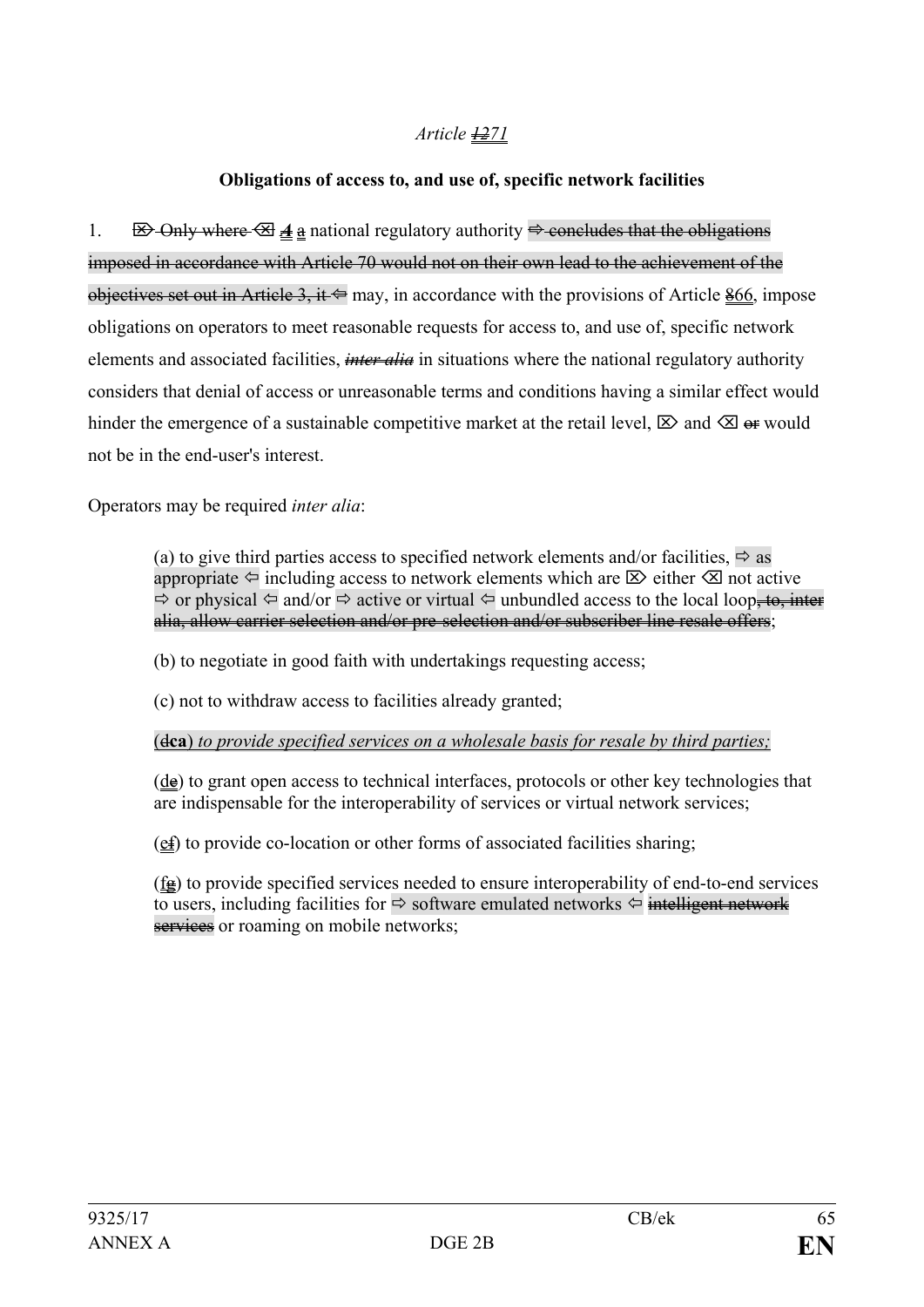### *Article 1271*

#### **Obligations of access to, and use of, specific network facilities**

1.  $\overline{\mathbf{B}}$  Only where  $\overline{\mathbf{A}}$  a national regulatory authority  $\Rightarrow$  concludes that the obligations imposed in accordance with Article 70 would not on their own lead to the achievement of the objectives set out in Article 3, it  $\Leftarrow$  may, in accordance with the provisions of Article  $\frac{866}{60}$ , impose obligations on operators to meet reasonable requests for access to, and use of, specific network elements and associated facilities, *inter alia* in situations where the national regulatory authority considers that denial of access or unreasonable terms and conditions having a similar effect would hinder the emergence of a sustainable competitive market at the retail level,  $\boxtimes$  and  $\boxtimes$  or would not be in the end-user's interest.

Operators may be required *inter alia*:

(a) to give third parties access to specified network elements and/or facilities,  $\Rightarrow$  as appropriate  $\Leftarrow$  including access to network elements which are  $\boxtimes$  either  $\boxtimes$  not active  $\Rightarrow$  or physical  $\Leftrightarrow$  and/or  $\Leftrightarrow$  active or virtual  $\Leftrightarrow$  unbundled access to the local loop<del>, to, inter</del> alia, allow carrier selection and/or pre selection and/or subscriber line resale offers;

(b) to negotiate in good faith with undertakings requesting access;

(c) not to withdraw access to facilities already granted;

#### (d**ca**) *to provide specified services on a wholesale basis for resale by third parties;*

 (de) to grant open access to technical interfaces, protocols or other key technologies that are indispensable for the interoperability of services or virtual network services;

(ef) to provide co-location or other forms of associated facilities sharing;

 $(f_{\hat{\theta}})$  to provide specified services needed to ensure interoperability of end-to-end services to users, including facilities for  $\Rightarrow$  software emulated networks  $\Leftrightarrow$  intelligent network services or roaming on mobile networks;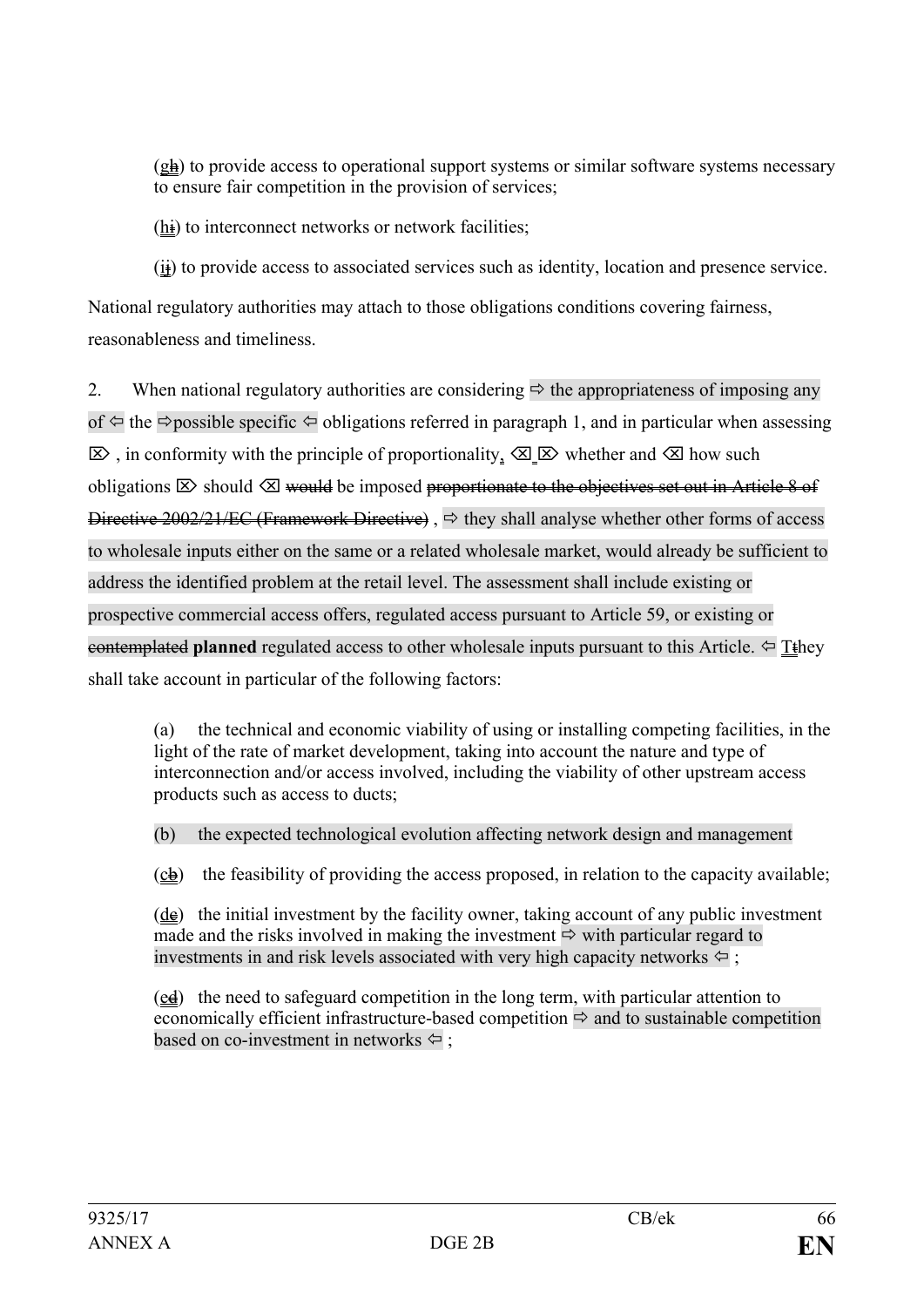$(g<sub>H</sub>)$  to provide access to operational support systems or similar software systems necessary to ensure fair competition in the provision of services;

 $(h<sub>i</sub>)$  to interconnect networks or network facilities;

 $(i<sub>i</sub>)$  to provide access to associated services such as identity, location and presence service.

National regulatory authorities may attach to those obligations conditions covering fairness, reasonableness and timeliness.

2. When national regulatory authorities are considering  $\Rightarrow$  the appropriateness of imposing any of  $\Leftrightarrow$  the  $\Leftrightarrow$  possible specific  $\Leftrightarrow$  obligations referred in paragraph 1, and in particular when assessing  $\boxtimes$ , in conformity with the principle of proportionality,  $\boxtimes \boxtimes$  whether and  $\boxtimes$  how such obligations  $\boxtimes$  should  $\boxtimes$  would be imposed proportionate to the objectives set out in Article 8 of Directive 2002/21/EC (Framework Directive),  $\Rightarrow$  they shall analyse whether other forms of access to wholesale inputs either on the same or a related wholesale market, would already be sufficient to address the identified problem at the retail level. The assessment shall include existing or prospective commercial access offers, regulated access pursuant to Article 59, or existing or contemplated **planned** regulated access to other wholesale inputs pursuant to this Article.  $\Leftarrow$  Tthey shall take account in particular of the following factors:

(a) the technical and economic viability of using or installing competing facilities, in the light of the rate of market development, taking into account the nature and type of interconnection and/or access involved, including the viability of other upstream access products such as access to ducts;

(b) the expected technological evolution affecting network design and management

 $(c\phi)$  the feasibility of providing the access proposed, in relation to the capacity available;

 $(d\mathbf{e})$  the initial investment by the facility owner, taking account of any public investment made and the risks involved in making the investment  $\Rightarrow$  with particular regard to investments in and risk levels associated with very high capacity networks  $\Leftrightarrow$ .

 $\text{ (ed)}$  the need to safeguard competition in the long term, with particular attention to economically efficient infrastructure-based competition  $\Rightarrow$  and to sustainable competition based on co-investment in networks  $\Leftrightarrow$ ;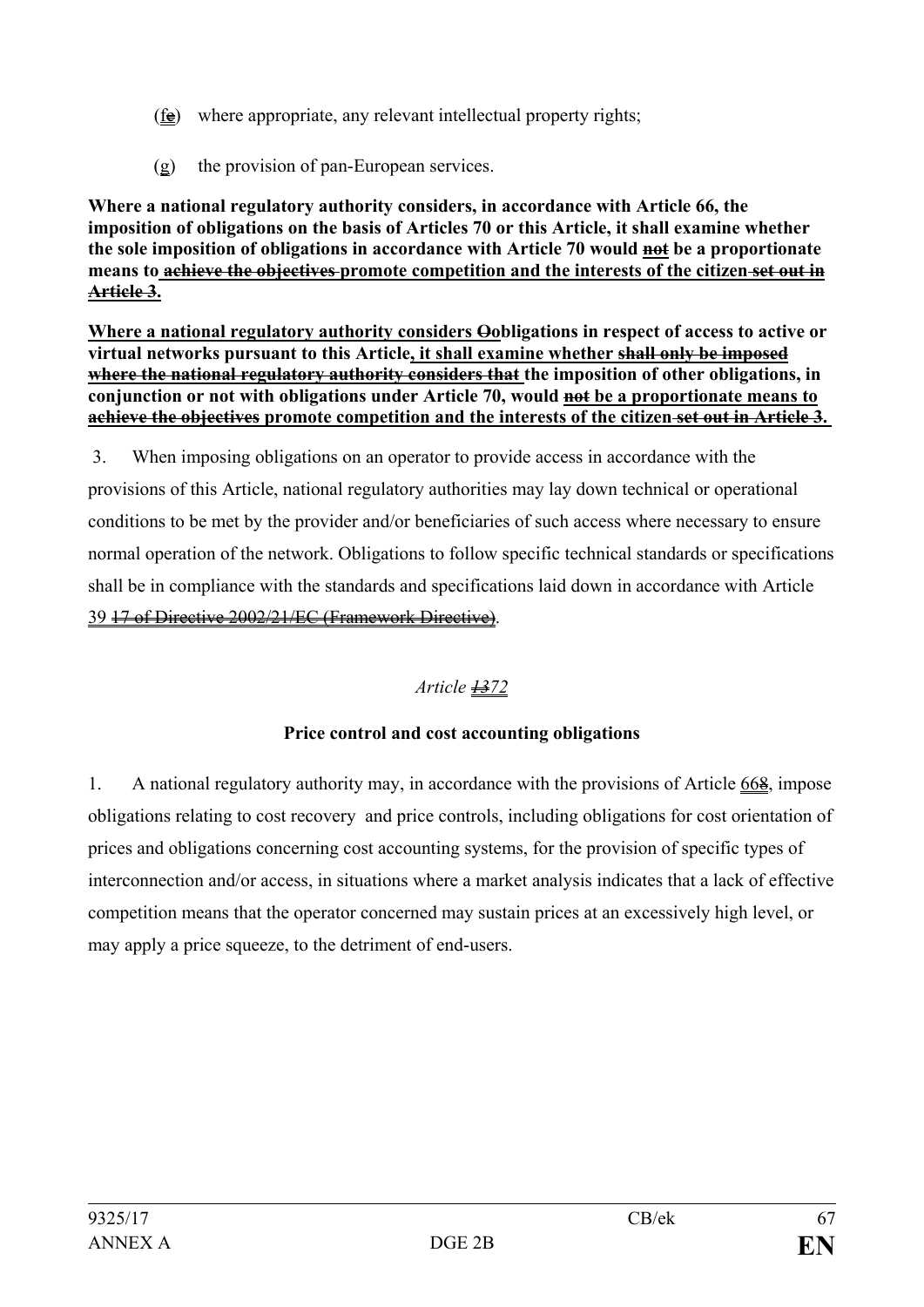- (fe) where appropriate, any relevant intellectual property rights;
- (g) the provision of pan-European services.

**Where a national regulatory authority considers, in accordance with Article 66, the imposition of obligations on the basis of Articles 70 or this Article, it shall examine whether the sole imposition of obligations in accordance with Article 70 would not be a proportionate means to achieve the objectives promote competition and the interests of the citizen set out in Article 3.** 

**Where a national regulatory authority considers Oobligations in respect of access to active or virtual networks pursuant to this Article, it shall examine whether shall only be imposed where the national regulatory authority considers that the imposition of other obligations, in conjunction or not with obligations under Article 70, would not be a proportionate means to achieve the objectives promote competition and the interests of the citizen set out in Article 3.**

3. When imposing obligations on an operator to provide access in accordance with the

provisions of this Article, national regulatory authorities may lay down technical or operational conditions to be met by the provider and/or beneficiaries of such access where necessary to ensure normal operation of the network. Obligations to follow specific technical standards or specifications shall be in compliance with the standards and specifications laid down in accordance with Article 39 17 of Directive 2002/21/EC (Framework Directive).

## *Article 1372*

## **Price control and cost accounting obligations**

1. A national regulatory authority may, in accordance with the provisions of Article 668, impose obligations relating to cost recovery and price controls, including obligations for cost orientation of prices and obligations concerning cost accounting systems, for the provision of specific types of interconnection and/or access, in situations where a market analysis indicates that a lack of effective competition means that the operator concerned may sustain prices at an excessively high level, or may apply a price squeeze, to the detriment of end-users.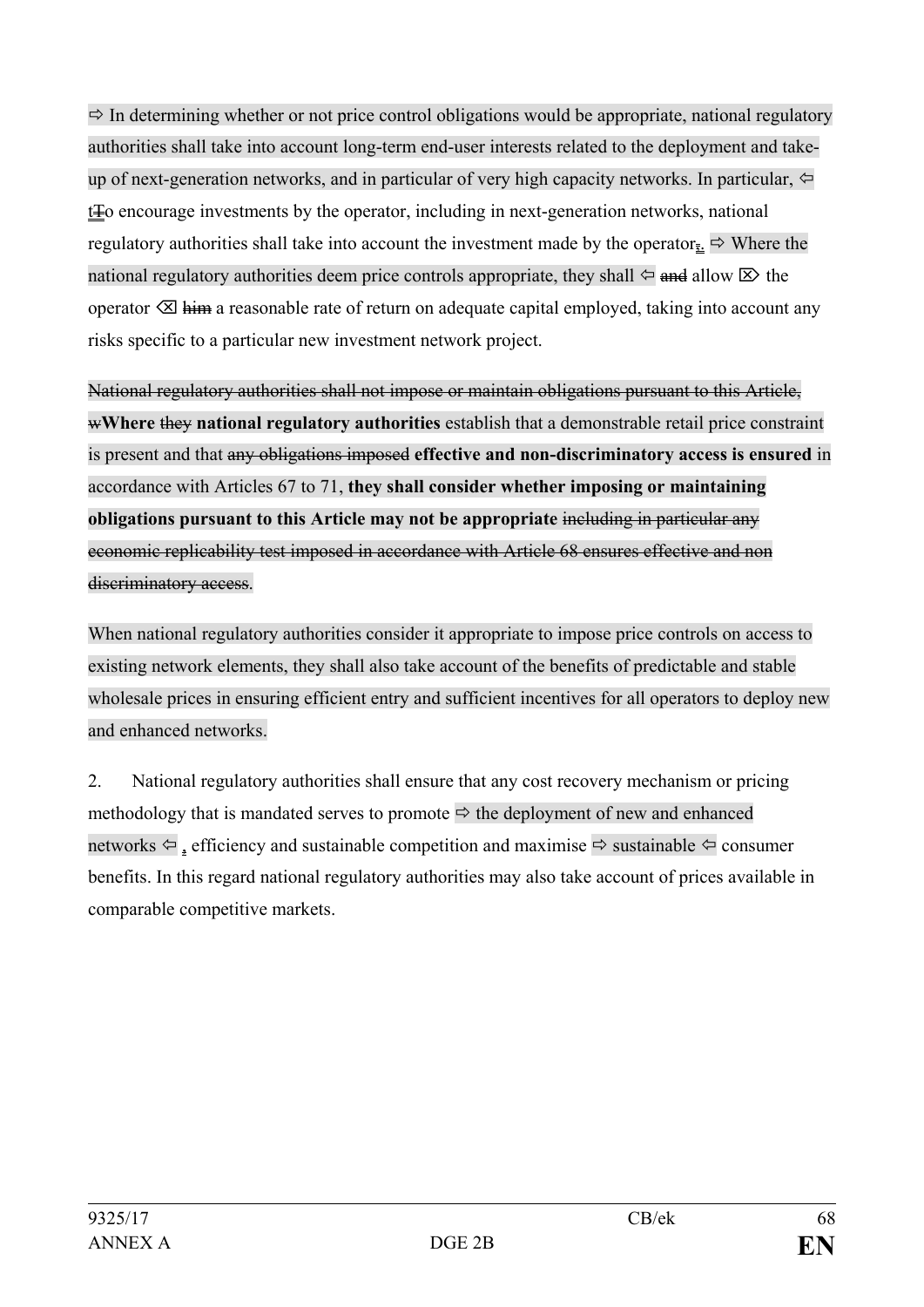$\Rightarrow$  In determining whether or not price control obligations would be appropriate, national regulatory authorities shall take into account long-term end-user interests related to the deployment and takeup of next-generation networks, and in particular of very high capacity networks. In particular,  $\Leftrightarrow$  $t\ddot{=}$  encourage investments by the operator, including in next-generation networks, national regulatory authorities shall take into account the investment made by the operator<sub> $\overline{z}$ </sub>.  $\Rightarrow$  Where the national regulatory authorities deem price controls appropriate, they shall  $\Leftrightarrow$  and allow  $\boxtimes$  the operator  $\otimes$  him a reasonable rate of return on adequate capital employed, taking into account any risks specific to a particular new investment network project.

National regulatory authorities shall not impose or maintain obligations pursuant to this Article, w**Where** they **national regulatory authorities** establish that a demonstrable retail price constraint is present and that any obligations imposed **effective and non-discriminatory access is ensured** in accordance with Articles 67 to 71, **they shall consider whether imposing or maintaining obligations pursuant to this Article may not be appropriate including in particular any** economic replicability test imposed in accordance with Article 68 ensures effective and non discriminatory access.

When national regulatory authorities consider it appropriate to impose price controls on access to existing network elements, they shall also take account of the benefits of predictable and stable wholesale prices in ensuring efficient entry and sufficient incentives for all operators to deploy new and enhanced networks.

2. National regulatory authorities shall ensure that any cost recovery mechanism or pricing methodology that is mandated serves to promote  $\Rightarrow$  the deployment of new and enhanced networks  $\Leftarrow$ , efficiency and sustainable competition and maximise  $\Rightarrow$  sustainable  $\Leftarrow$  consumer benefits. In this regard national regulatory authorities may also take account of prices available in comparable competitive markets.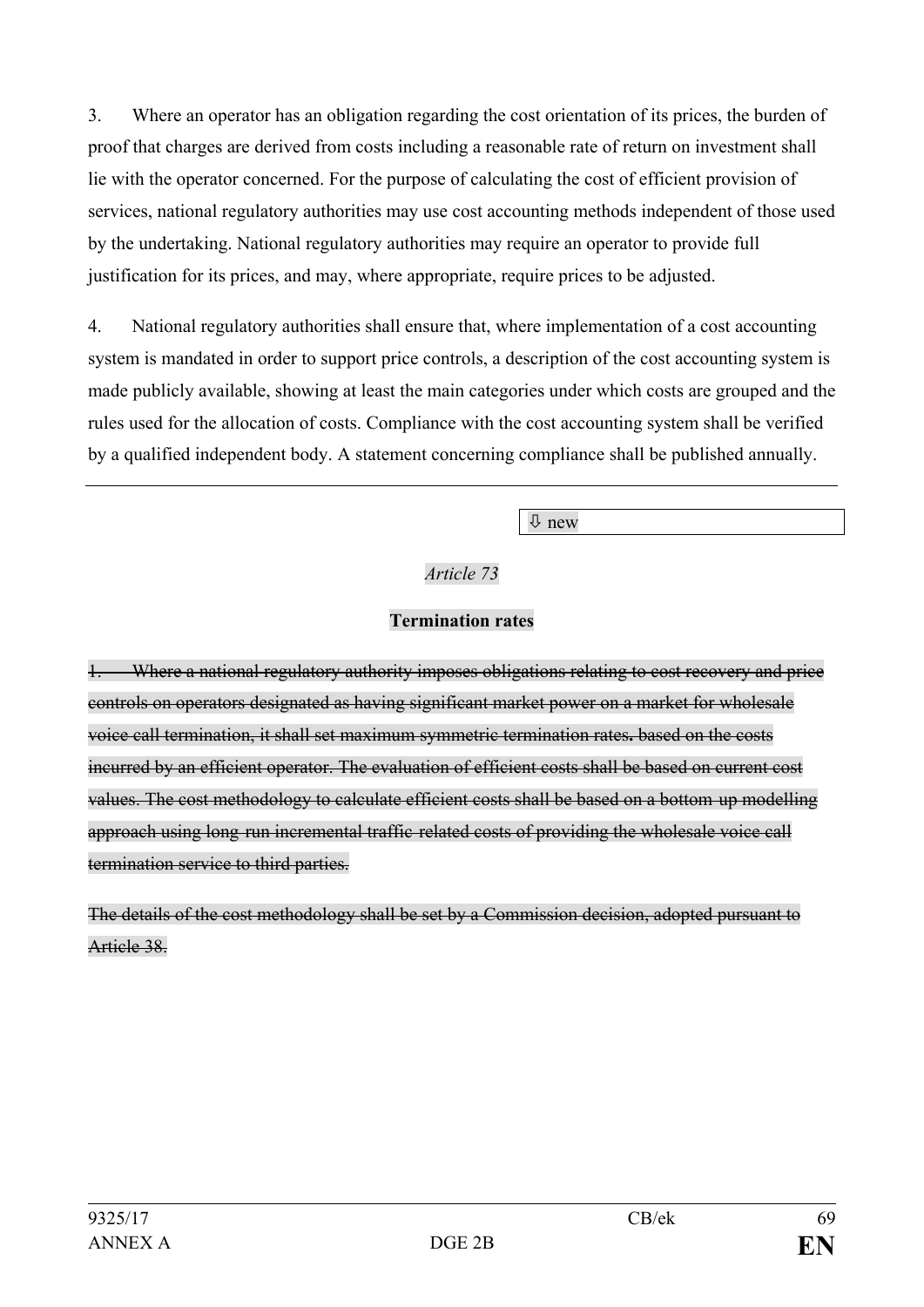3. Where an operator has an obligation regarding the cost orientation of its prices, the burden of proof that charges are derived from costs including a reasonable rate of return on investment shall lie with the operator concerned. For the purpose of calculating the cost of efficient provision of services, national regulatory authorities may use cost accounting methods independent of those used by the undertaking. National regulatory authorities may require an operator to provide full justification for its prices, and may, where appropriate, require prices to be adjusted.

4. National regulatory authorities shall ensure that, where implementation of a cost accounting system is mandated in order to support price controls, a description of the cost accounting system is made publicly available, showing at least the main categories under which costs are grouped and the rules used for the allocation of costs. Compliance with the cost accounting system shall be verified by a qualified independent body. A statement concerning compliance shall be published annually.

new

## *Article 73*

#### **Termination rates**

Where a national regulatory authority imposes obligations relating to cost recovery and price controls on operators designated as having significant market power on a market for wholesale voice call termination, it shall set maximum symmetric termination rates**.** based on the costs incurred by an efficient operator. The evaluation of efficient costs shall be based on current cost values. The cost methodology to calculate efficient costs shall be based on a bottom up modelling approach using long run incremental traffic related costs of providing the wholesale voice call termination service to third parties.

The details of the cost methodology shall be set by a Commission decision, adopted pursuant to Article 38.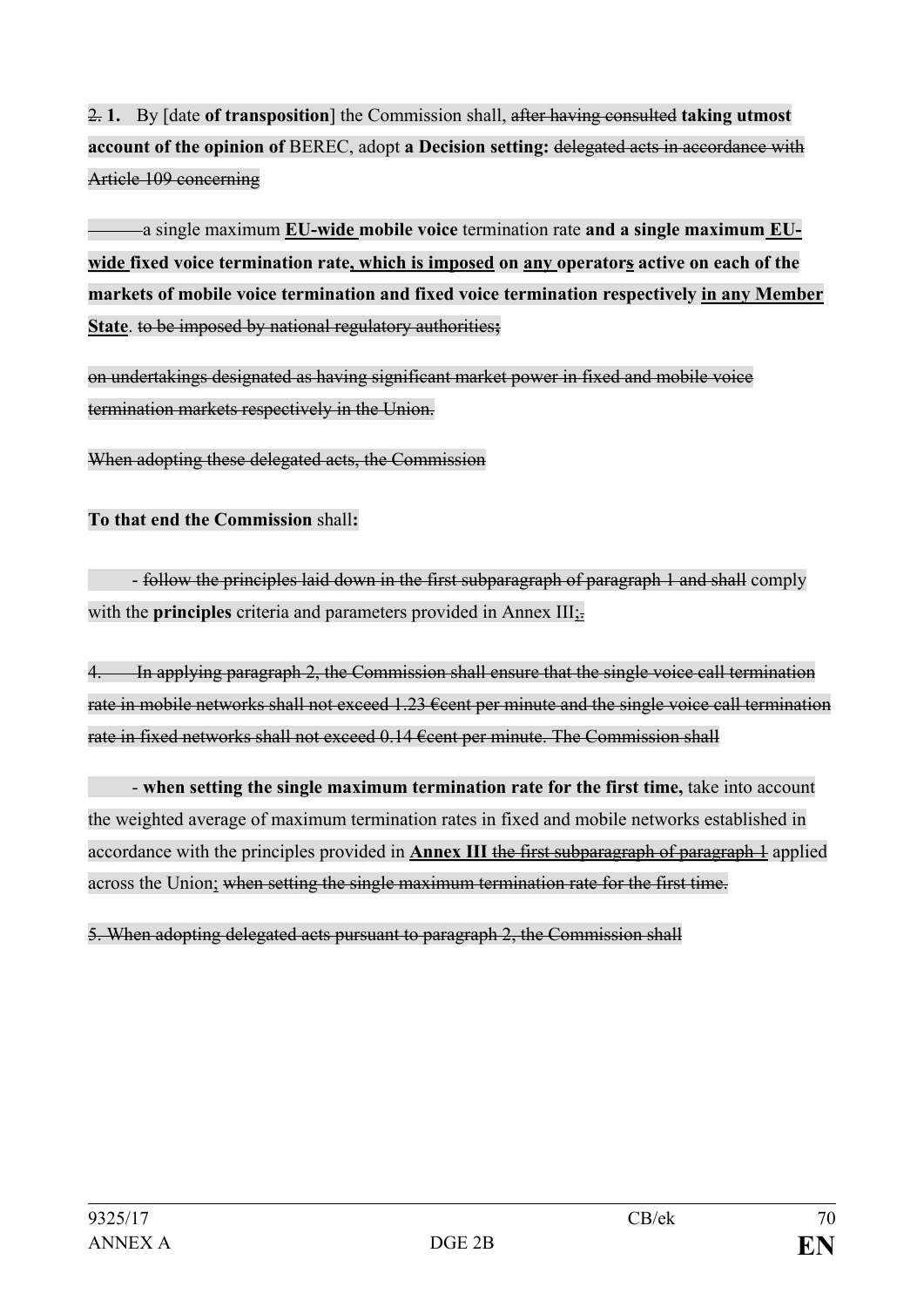2. **1.** By [date **of transposition**] the Commission shall, after having consulted **taking utmost account of the opinion of** BEREC, adopt **a Decision setting:** delegated acts in accordance with Article 109 concerning

 a single maximum **EU-wide mobile voice** termination rate **and a single maximum EUwide fixed voice termination rate, which is imposed on any operators active on each of the markets of mobile voice termination and fixed voice termination respectively in any Member State**. to be imposed by national regulatory authorities**;**

on undertakings designated as having significant market power in fixed and mobile voice termination markets respectively in the Union.

When adopting these delegated acts, the Commission

#### **To that end the Commission** shall**:**

 - follow the principles laid down in the first subparagraph of paragraph 1 and shall comply with the **principles** criteria and parameters provided in Annex III;

4. In applying paragraph 2, the Commission shall ensure that the single voice call termination rate in mobile networks shall not exceed 1.23 €cent per minute and the single voice call termination rate in fixed networks shall not exceed 0.14 €cent per minute. The Commission shall

- **when setting the single maximum termination rate for the first time,** take into account the weighted average of maximum termination rates in fixed and mobile networks established in accordance with the principles provided in **Annex III** the first subparagraph of paragraph 1 applied across the Union; when setting the single maximum termination rate for the first time.

5. When adopting delegated acts pursuant to paragraph 2, the Commission shall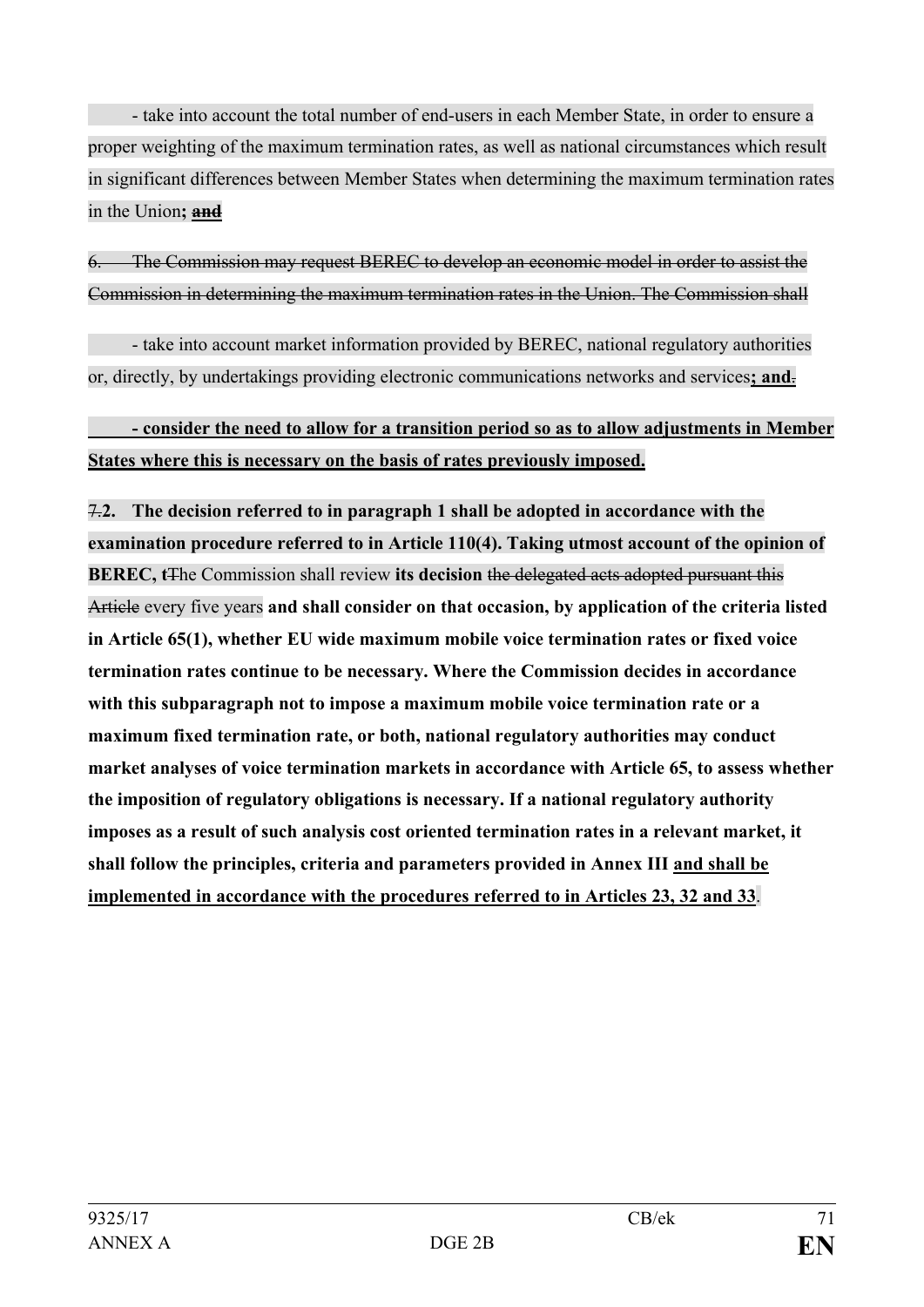- take into account the total number of end-users in each Member State, in order to ensure a proper weighting of the maximum termination rates, as well as national circumstances which result in significant differences between Member States when determining the maximum termination rates in the Union**; and**

The Commission may request BEREC to develop an economic model in order to assist the Commission in determining the maximum termination rates in the Union. The Commission shall

- take into account market information provided by BEREC, national regulatory authorities or, directly, by undertakings providing electronic communications networks and services**; and**.

**- consider the need to allow for a transition period so as to allow adjustments in Member States where this is necessary on the basis of rates previously imposed.**

7.**2. The decision referred to in paragraph 1 shall be adopted in accordance with the examination procedure referred to in Article 110(4). Taking utmost account of the opinion of BEREC, t**The Commission shall review **its decision** the delegated acts adopted pursuant this Article every five years **and shall consider on that occasion, by application of the criteria listed in Article 65(1), whether EU wide maximum mobile voice termination rates or fixed voice termination rates continue to be necessary. Where the Commission decides in accordance with this subparagraph not to impose a maximum mobile voice termination rate or a maximum fixed termination rate, or both, national regulatory authorities may conduct market analyses of voice termination markets in accordance with Article 65, to assess whether the imposition of regulatory obligations is necessary. If a national regulatory authority imposes as a result of such analysis cost oriented termination rates in a relevant market, it shall follow the principles, criteria and parameters provided in Annex III and shall be implemented in accordance with the procedures referred to in Articles 23, 32 and 33**.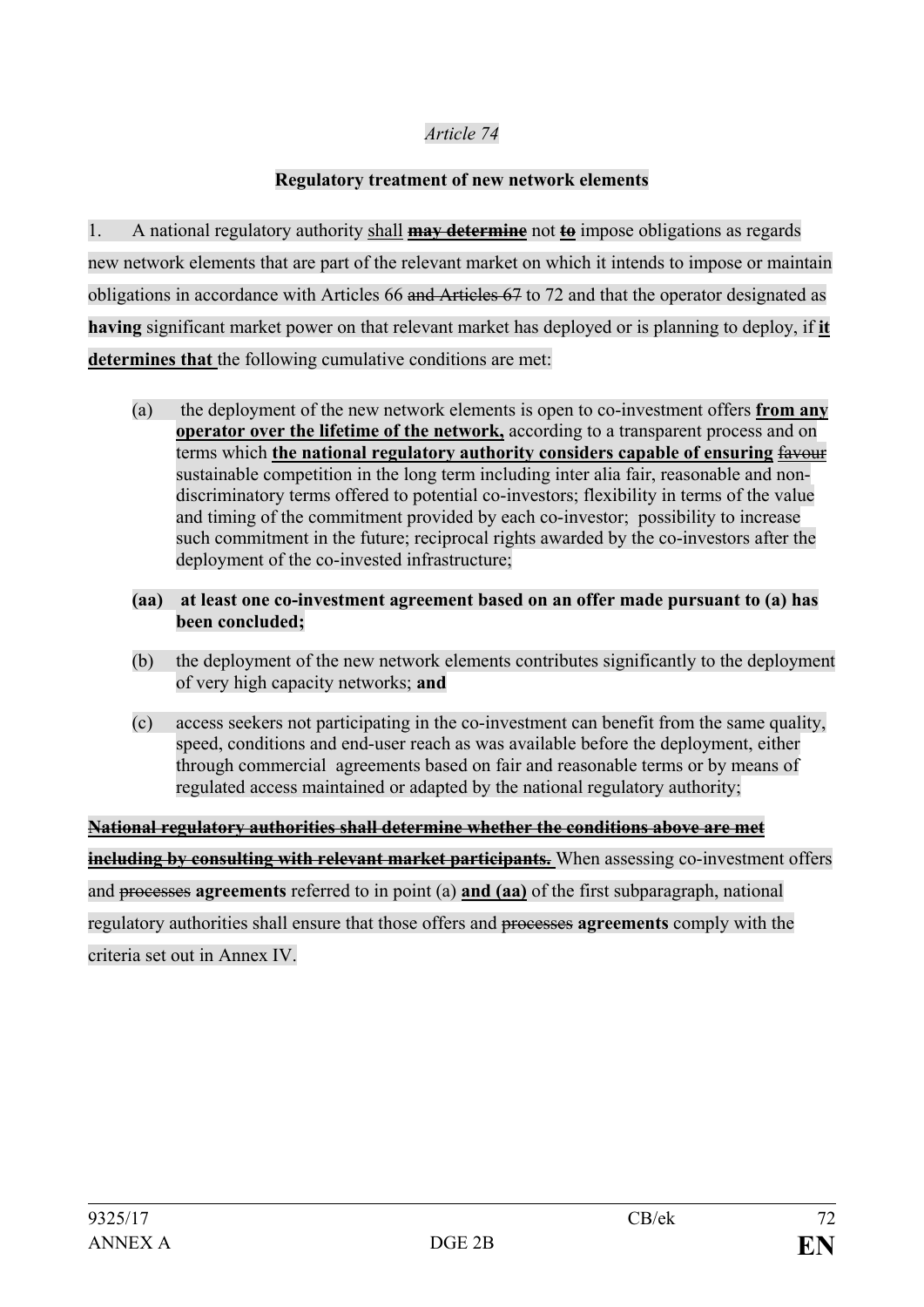#### *Article 74*

#### **Regulatory treatment of new network elements**

1. A national regulatory authority shall **may determine** not **to** impose obligations as regards new network elements that are part of the relevant market on which it intends to impose or maintain obligations in accordance with Articles 66 and Articles 67 to 72 and that the operator designated as **having** significant market power on that relevant market has deployed or is planning to deploy, if **it determines that** the following cumulative conditions are met:

(a) the deployment of the new network elements is open to co-investment offers **from any operator over the lifetime of the network,** according to a transparent process and on terms which **the national regulatory authority considers capable of ensuring** favour sustainable competition in the long term including inter alia fair, reasonable and nondiscriminatory terms offered to potential co-investors; flexibility in terms of the value and timing of the commitment provided by each co-investor; possibility to increase such commitment in the future; reciprocal rights awarded by the co-investors after the deployment of the co-invested infrastructure;

#### **(aa) at least one co-investment agreement based on an offer made pursuant to (a) has been concluded;**

- (b) the deployment of the new network elements contributes significantly to the deployment of very high capacity networks; **and**
- (c) access seekers not participating in the co-investment can benefit from the same quality, speed, conditions and end-user reach as was available before the deployment, either through commercial agreements based on fair and reasonable terms or by means of regulated access maintained or adapted by the national regulatory authority;

**National regulatory authorities shall determine whether the conditions above are met including by consulting with relevant market participants.** When assessing co-investment offers and processes **agreements** referred to in point (a) **and (aa)** of the first subparagraph, national regulatory authorities shall ensure that those offers and processes **agreements** comply with the criteria set out in Annex IV.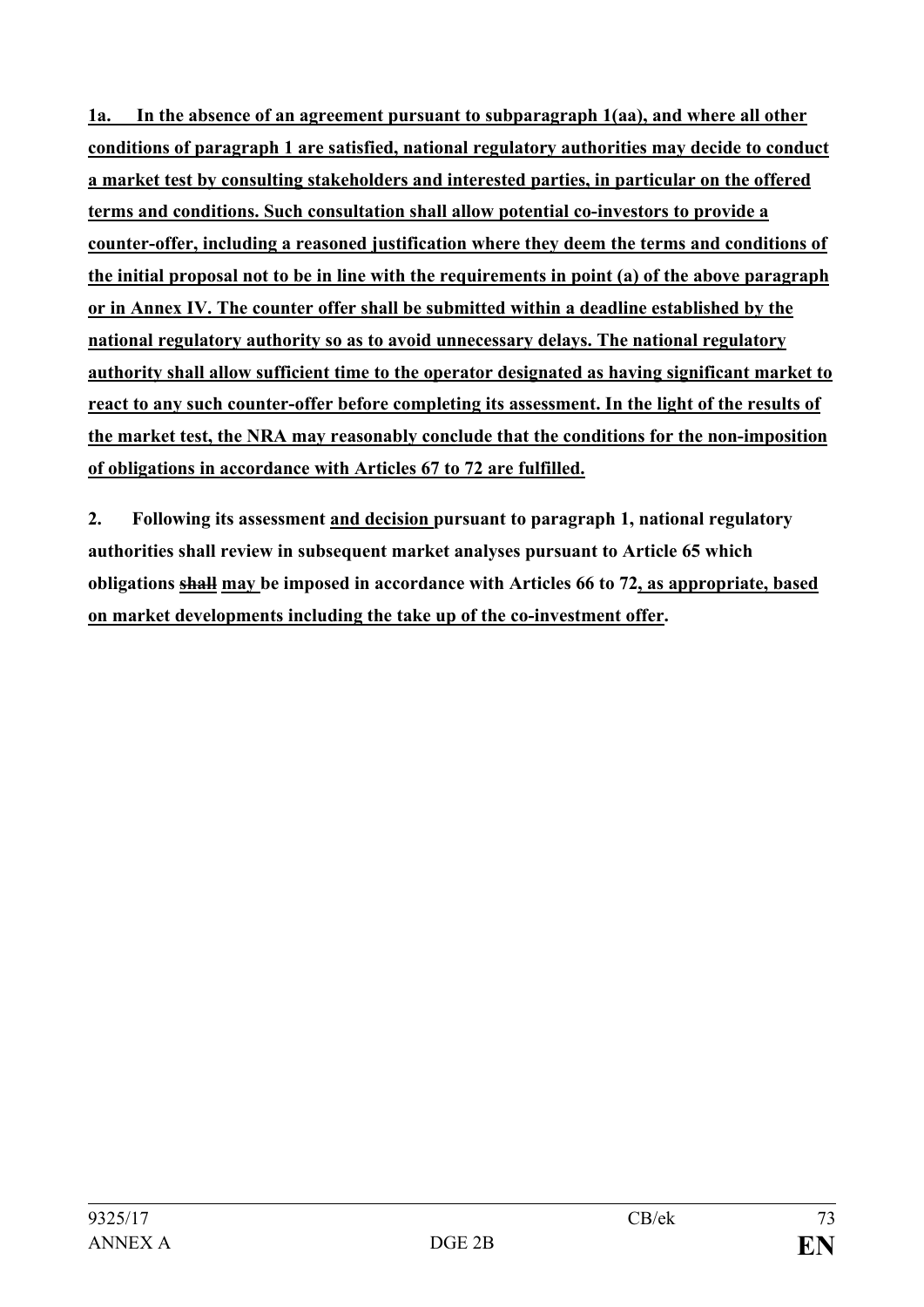**1a. In the absence of an agreement pursuant to subparagraph 1(aa), and where all other conditions of paragraph 1 are satisfied, national regulatory authorities may decide to conduct a market test by consulting stakeholders and interested parties, in particular on the offered terms and conditions. Such consultation shall allow potential co-investors to provide a counter-offer, including a reasoned justification where they deem the terms and conditions of the initial proposal not to be in line with the requirements in point (a) of the above paragraph or in Annex IV. The counter offer shall be submitted within a deadline established by the national regulatory authority so as to avoid unnecessary delays. The national regulatory authority shall allow sufficient time to the operator designated as having significant market to react to any such counter-offer before completing its assessment. In the light of the results of the market test, the NRA may reasonably conclude that the conditions for the non-imposition of obligations in accordance with Articles 67 to 72 are fulfilled.**

**2. Following its assessment and decision pursuant to paragraph 1, national regulatory authorities shall review in subsequent market analyses pursuant to Article 65 which obligations shall may be imposed in accordance with Articles 66 to 72, as appropriate, based on market developments including the take up of the co-investment offer.**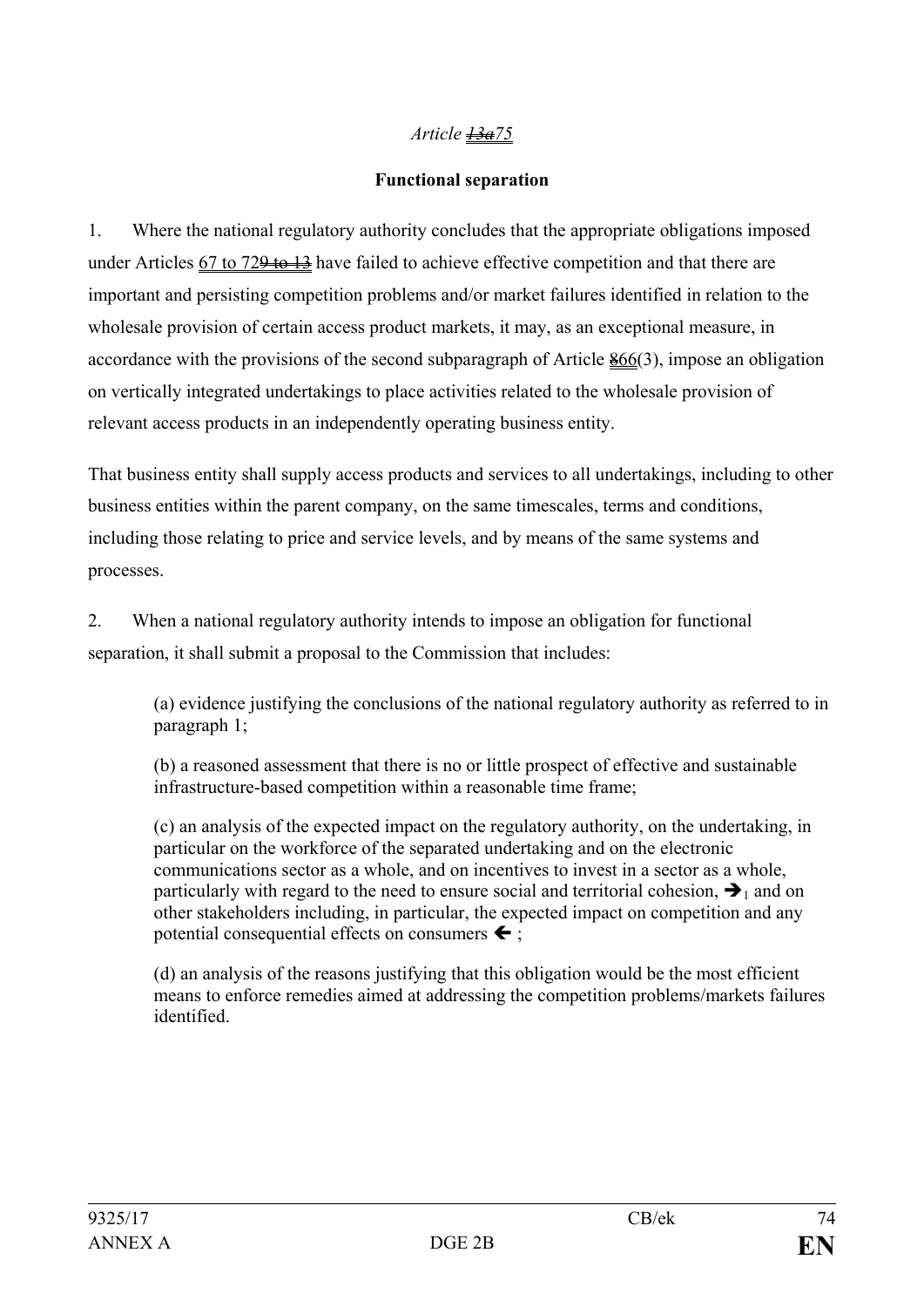## *Article 13a75*

#### **Functional separation**

1. Where the national regulatory authority concludes that the appropriate obligations imposed under Articles  $67$  to  $729 \text{ to } 13$  have failed to achieve effective competition and that there are important and persisting competition problems and/or market failures identified in relation to the wholesale provision of certain access product markets, it may, as an exceptional measure, in accordance with the provisions of the second subparagraph of Article  $\frac{866}{3}$ , impose an obligation on vertically integrated undertakings to place activities related to the wholesale provision of relevant access products in an independently operating business entity.

That business entity shall supply access products and services to all undertakings, including to other business entities within the parent company, on the same timescales, terms and conditions, including those relating to price and service levels, and by means of the same systems and processes.

2. When a national regulatory authority intends to impose an obligation for functional separation, it shall submit a proposal to the Commission that includes:

> (a) evidence justifying the conclusions of the national regulatory authority as referred to in paragraph 1;

(b) a reasoned assessment that there is no or little prospect of effective and sustainable infrastructure-based competition within a reasonable time frame;

(c) an analysis of the expected impact on the regulatory authority, on the undertaking, in particular on the workforce of the separated undertaking and on the electronic communications sector as a whole, and on incentives to invest in a sector as a whole, particularly with regard to the need to ensure social and territorial cohesion,  $\rightarrow$  and on other stakeholders including, in particular, the expected impact on competition and any potential consequential effects on consumers  $\blacktriangle$ ;

(d) an analysis of the reasons justifying that this obligation would be the most efficient means to enforce remedies aimed at addressing the competition problems/markets failures identified.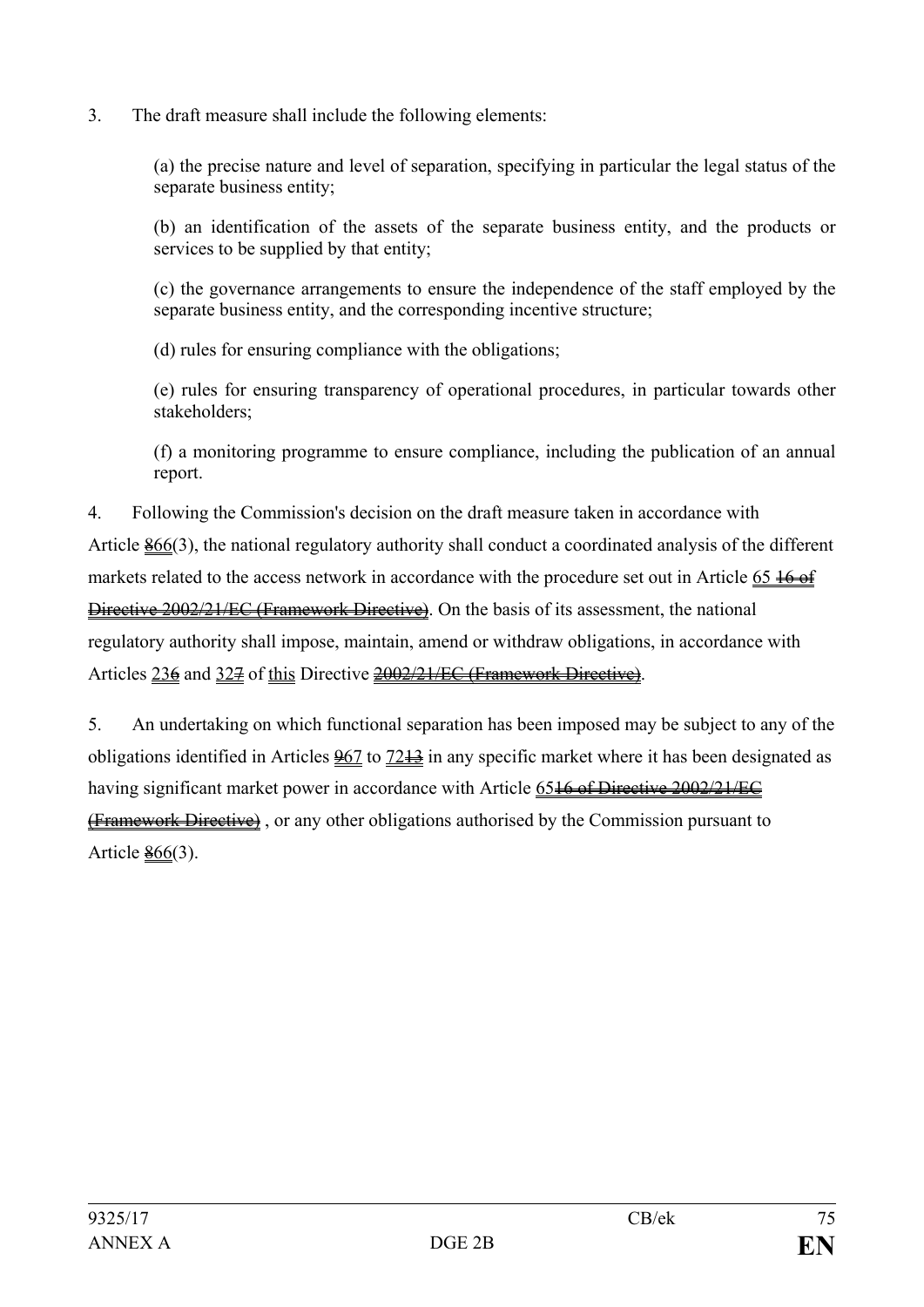3. The draft measure shall include the following elements:

(a) the precise nature and level of separation, specifying in particular the legal status of the separate business entity;

(b) an identification of the assets of the separate business entity, and the products or services to be supplied by that entity;

(c) the governance arrangements to ensure the independence of the staff employed by the separate business entity, and the corresponding incentive structure;

(d) rules for ensuring compliance with the obligations;

(e) rules for ensuring transparency of operational procedures, in particular towards other stakeholders;

(f) a monitoring programme to ensure compliance, including the publication of an annual report.

4. Following the Commission's decision on the draft measure taken in accordance with Article  $\frac{866}{3}$ , the national regulatory authority shall conduct a coordinated analysis of the different markets related to the access network in accordance with the procedure set out in Article 65  $\frac{16}{16}$ Directive 2002/21/EC (Framework Directive). On the basis of its assessment, the national regulatory authority shall impose, maintain, amend or withdraw obligations, in accordance with Articles 236 and 327 of this Directive 2002/21/EC (Framework Directive).

5. An undertaking on which functional separation has been imposed may be subject to any of the obligations identified in Articles 967 to 7213 in any specific market where it has been designated as having significant market power in accordance with Article 6516 of Directive 2002/21/EC (Framework Directive) , or any other obligations authorised by the Commission pursuant to Article 866(3).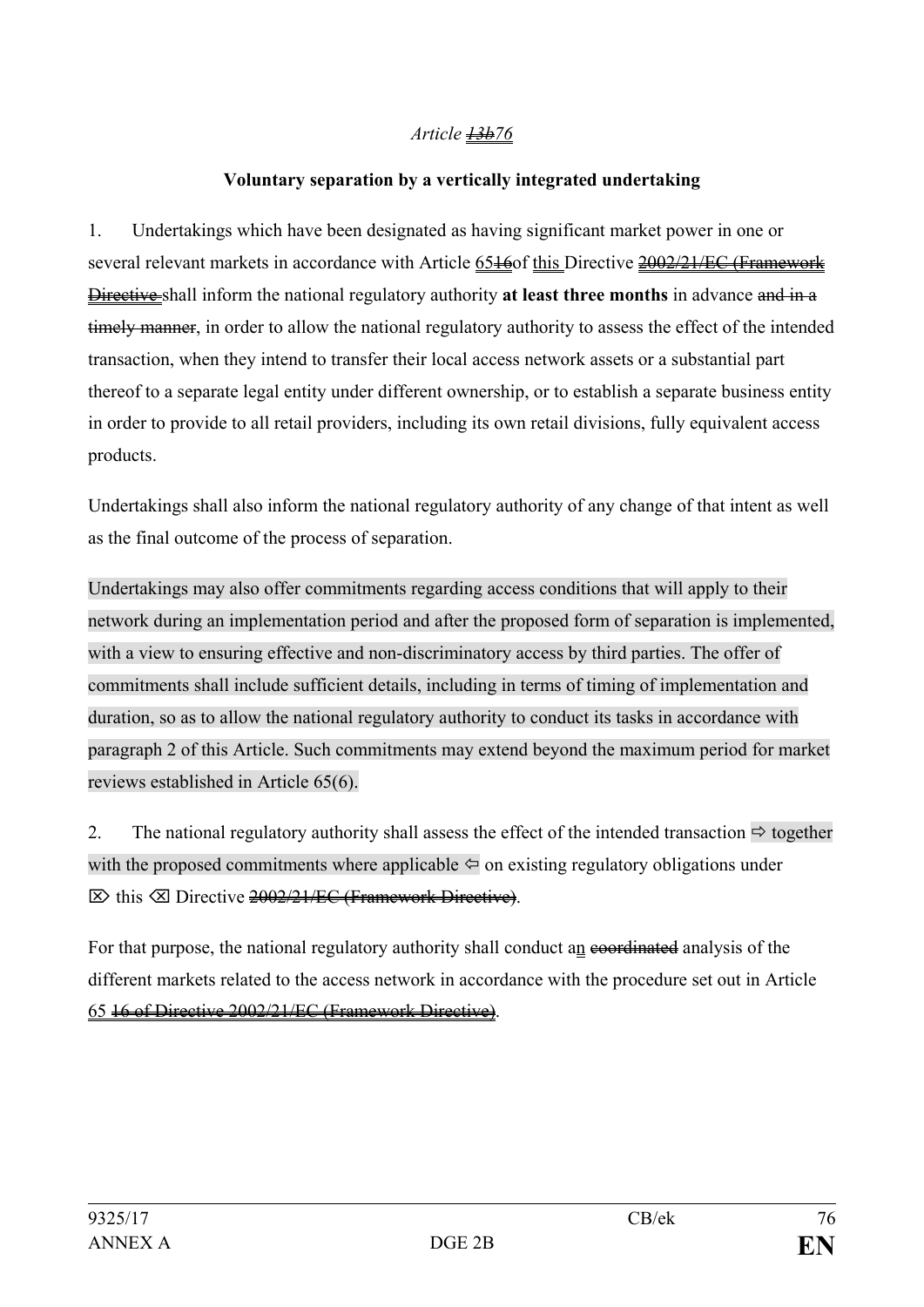## *Article 13b76*

#### **Voluntary separation by a vertically integrated undertaking**

1. Undertakings which have been designated as having significant market power in one or several relevant markets in accordance with Article 6546 of this Directive 2002/21/EC (Framework Directive shall inform the national regulatory authority **at least three months** in advance and in a timely manner, in order to allow the national regulatory authority to assess the effect of the intended transaction, when they intend to transfer their local access network assets or a substantial part thereof to a separate legal entity under different ownership, or to establish a separate business entity in order to provide to all retail providers, including its own retail divisions, fully equivalent access products.

Undertakings shall also inform the national regulatory authority of any change of that intent as well as the final outcome of the process of separation.

Undertakings may also offer commitments regarding access conditions that will apply to their network during an implementation period and after the proposed form of separation is implemented, with a view to ensuring effective and non-discriminatory access by third parties. The offer of commitments shall include sufficient details, including in terms of timing of implementation and duration, so as to allow the national regulatory authority to conduct its tasks in accordance with paragraph 2 of this Article. Such commitments may extend beyond the maximum period for market reviews established in Article 65(6).

2. The national regulatory authority shall assess the effect of the intended transaction  $\Rightarrow$  together with the proposed commitments where applicable  $\Leftarrow$  on existing regulatory obligations under  $\boxtimes$  this  $\boxtimes$  Directive 2002/21/EC (Framework Directive).

For that purpose, the national regulatory authority shall conduct an every directed analysis of the different markets related to the access network in accordance with the procedure set out in Article 65 16 of Directive 2002/21/EC (Framework Directive).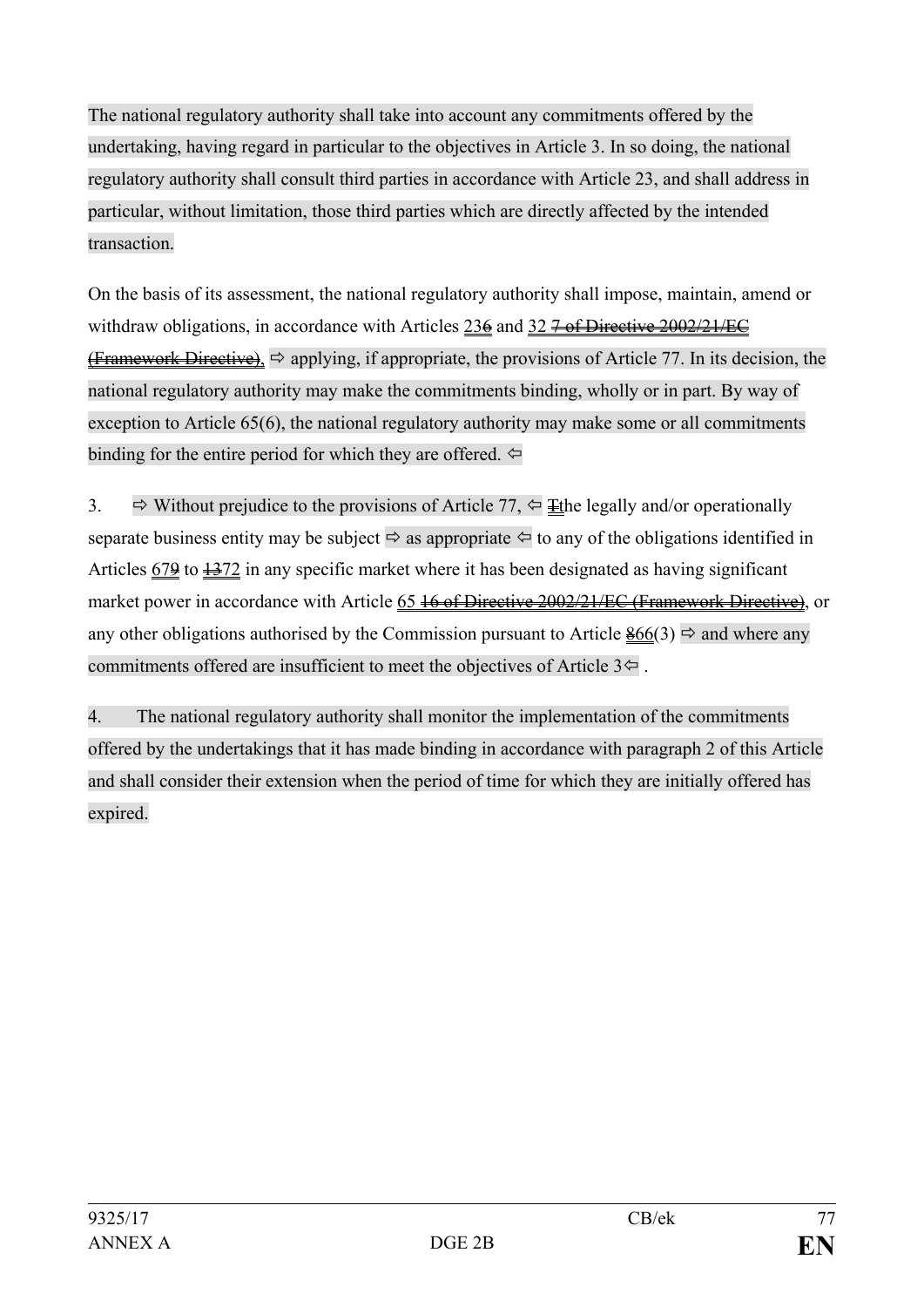The national regulatory authority shall take into account any commitments offered by the undertaking, having regard in particular to the objectives in Article 3. In so doing, the national regulatory authority shall consult third parties in accordance with Article 23, and shall address in particular, without limitation, those third parties which are directly affected by the intended transaction.

On the basis of its assessment, the national regulatory authority shall impose, maintain, amend or withdraw obligations, in accordance with Articles  $236$  and  $32 \div 6f$  Directive  $2002/21/EE$  $(Frame work Directive)$ ,  $\Rightarrow$  applying, if appropriate, the provisions of Article 77. In its decision, the national regulatory authority may make the commitments binding, wholly or in part. By way of exception to Article 65(6), the national regulatory authority may make some or all commitments binding for the entire period for which they are offered.  $\Leftrightarrow$ 

3.  $\Rightarrow$  Without prejudice to the provisions of Article 77,  $\Leftrightarrow$   $\frac{1}{2}$ the legally and/or operationally separate business entity may be subject  $\Rightarrow$  as appropriate  $\Leftarrow$  to any of the obligations identified in Articles  $679$  to  $\frac{1372}{2}$  in any specific market where it has been designated as having significant market power in accordance with Article 65 16 of Directive 2002/21/EC (Framework Directive), or any other obligations authorised by the Commission pursuant to Article  $\frac{866}{3} \Rightarrow$  and where any commitments offered are insufficient to meet the objectives of Article  $3 \approx$ .

4. The national regulatory authority shall monitor the implementation of the commitments offered by the undertakings that it has made binding in accordance with paragraph 2 of this Article and shall consider their extension when the period of time for which they are initially offered has expired.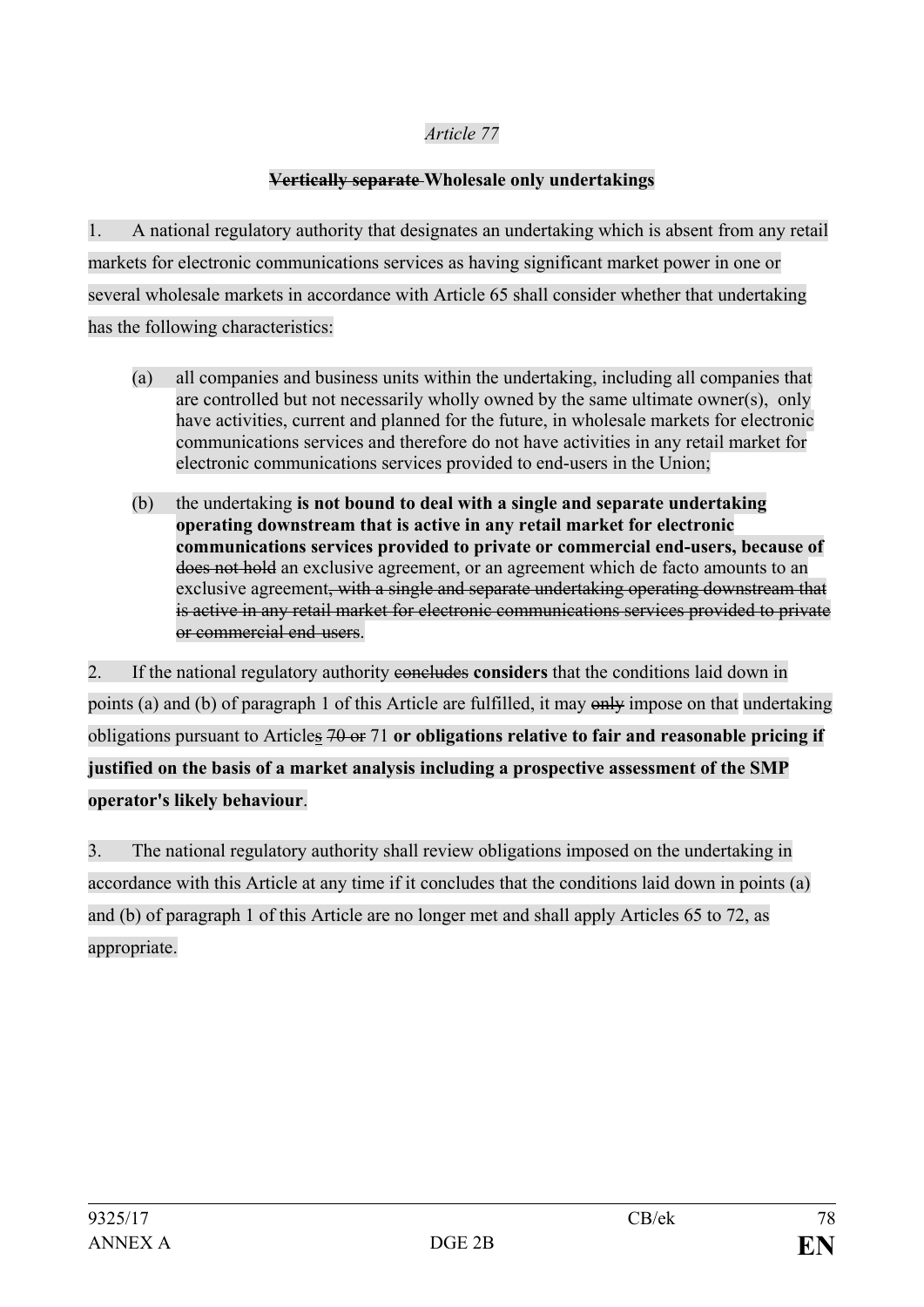#### *Article 77*

#### **Vertically separate Wholesale only undertakings**

1. A national regulatory authority that designates an undertaking which is absent from any retail markets for electronic communications services as having significant market power in one or several wholesale markets in accordance with Article 65 shall consider whether that undertaking has the following characteristics:

- (a) all companies and business units within the undertaking, including all companies that are controlled but not necessarily wholly owned by the same ultimate owner(s), only have activities, current and planned for the future, in wholesale markets for electronic communications services and therefore do not have activities in any retail market for electronic communications services provided to end-users in the Union;
- (b) the undertaking **is not bound to deal with a single and separate undertaking operating downstream that is active in any retail market for electronic communications services provided to private or commercial end-users, because of**  does not hold an exclusive agreement, or an agreement which de facto amounts to an exclusive agreement, with a single and separate undertaking operating downstream that is active in any retail market for electronic communications services provided to private or commercial end users.

2. If the national regulatory authority concludes **considers** that the conditions laid down in points (a) and (b) of paragraph 1 of this Article are fulfilled, it may only impose on that undertaking obligations pursuant to Articles 70 or 71 **or obligations relative to fair and reasonable pricing if justified on the basis of a market analysis including a prospective assessment of the SMP operator's likely behaviour**.

3. The national regulatory authority shall review obligations imposed on the undertaking in accordance with this Article at any time if it concludes that the conditions laid down in points (a) and (b) of paragraph 1 of this Article are no longer met and shall apply Articles 65 to 72, as appropriate.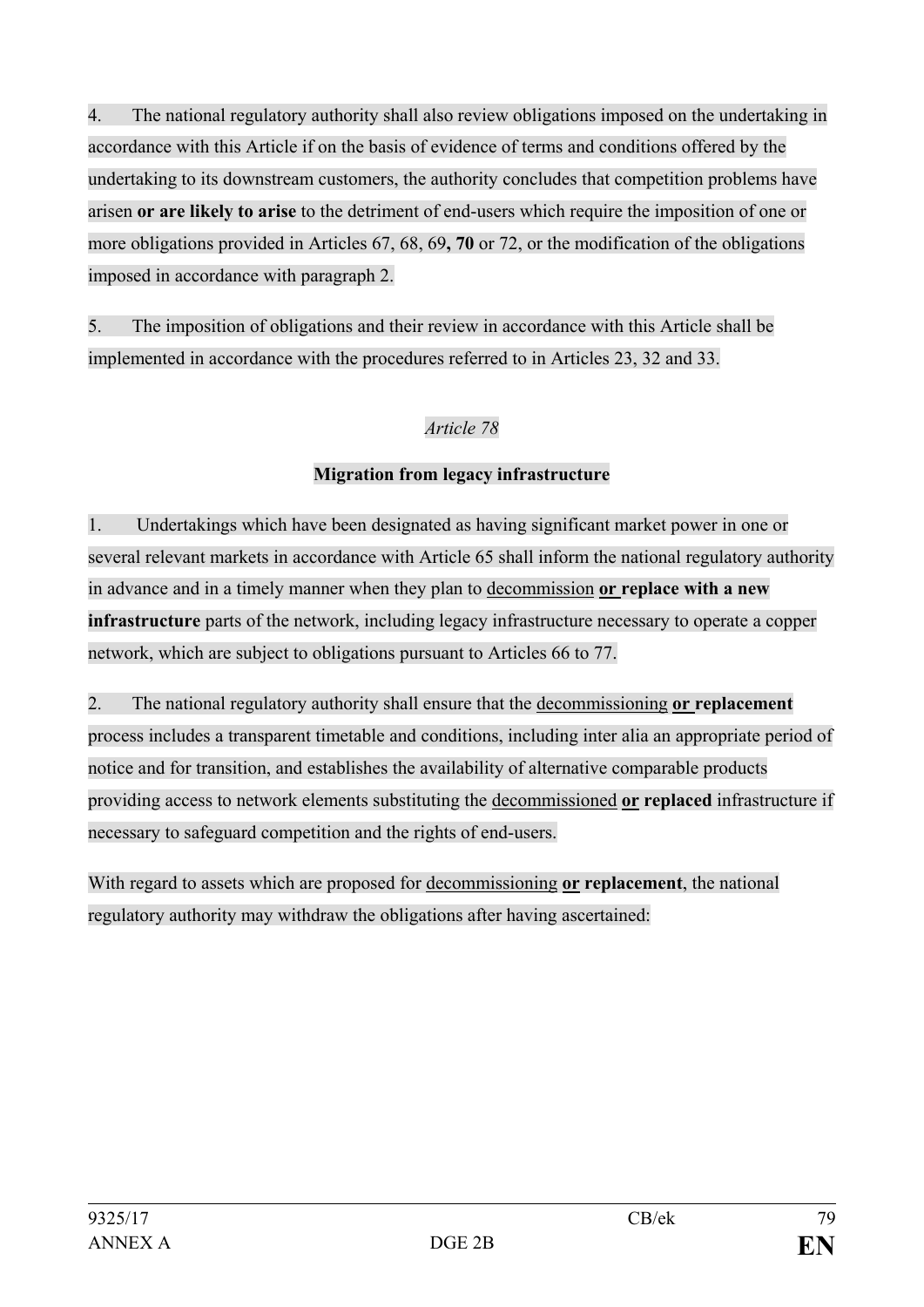4. The national regulatory authority shall also review obligations imposed on the undertaking in accordance with this Article if on the basis of evidence of terms and conditions offered by the undertaking to its downstream customers, the authority concludes that competition problems have arisen **or are likely to arise** to the detriment of end-users which require the imposition of one or more obligations provided in Articles 67, 68, 69**, 70** or 72, or the modification of the obligations imposed in accordance with paragraph 2.

5. The imposition of obligations and their review in accordance with this Article shall be implemented in accordance with the procedures referred to in Articles 23, 32 and 33.

## *Article 78*

#### **Migration from legacy infrastructure**

1. Undertakings which have been designated as having significant market power in one or several relevant markets in accordance with Article 65 shall inform the national regulatory authority in advance and in a timely manner when they plan to decommission **or replace with a new infrastructure** parts of the network, including legacy infrastructure necessary to operate a copper network, which are subject to obligations pursuant to Articles 66 to 77.

2. The national regulatory authority shall ensure that the decommissioning **or replacement** process includes a transparent timetable and conditions, including inter alia an appropriate period of notice and for transition, and establishes the availability of alternative comparable products providing access to network elements substituting the decommissioned **or replaced** infrastructure if necessary to safeguard competition and the rights of end-users.

With regard to assets which are proposed for decommissioning **or replacement**, the national regulatory authority may withdraw the obligations after having ascertained: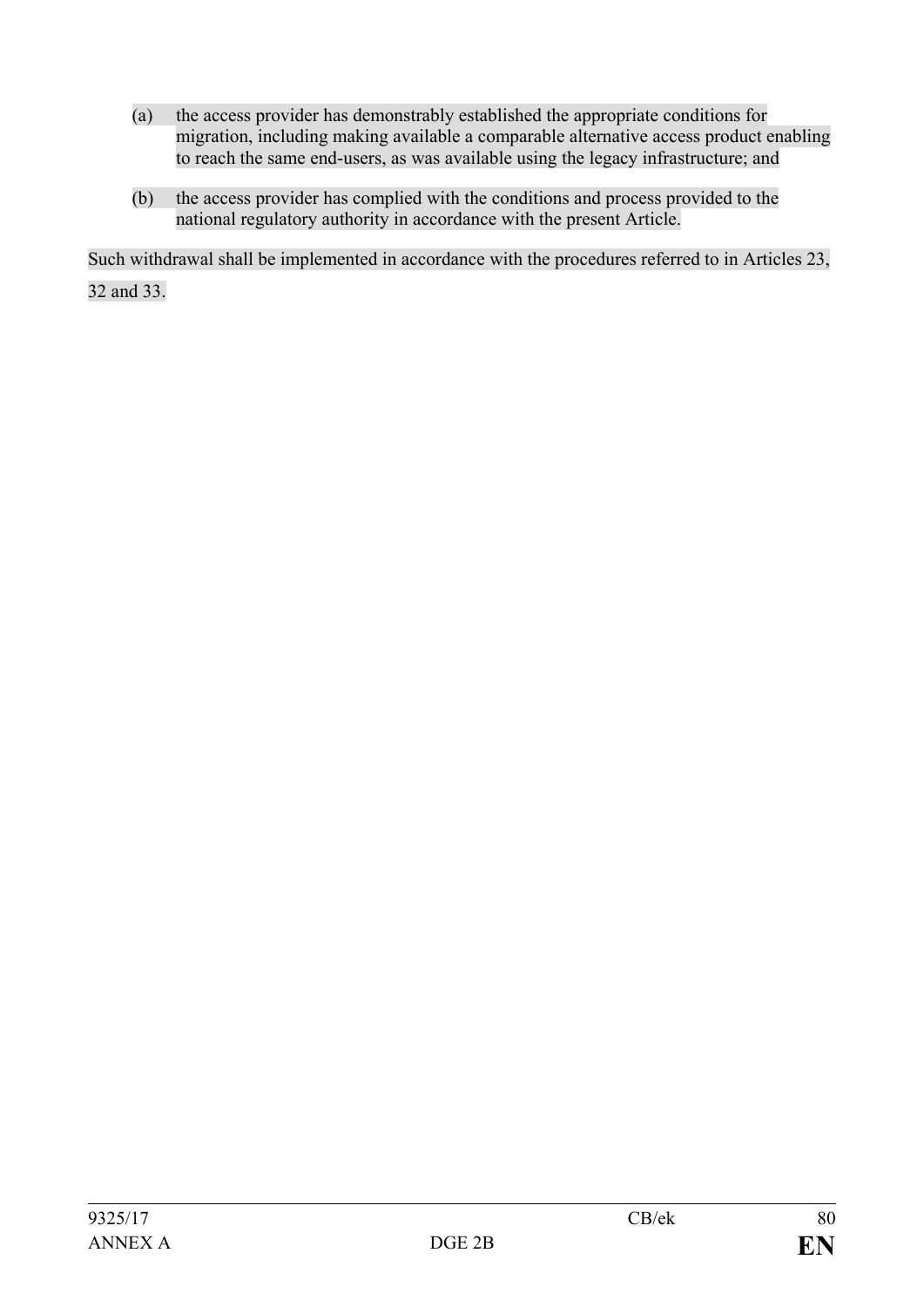- (a) the access provider has demonstrably established the appropriate conditions for migration, including making available a comparable alternative access product enabling to reach the same end-users, as was available using the legacy infrastructure; and
- (b) the access provider has complied with the conditions and process provided to the national regulatory authority in accordance with the present Article.

Such withdrawal shall be implemented in accordance with the procedures referred to in Articles 23,

32 and 33.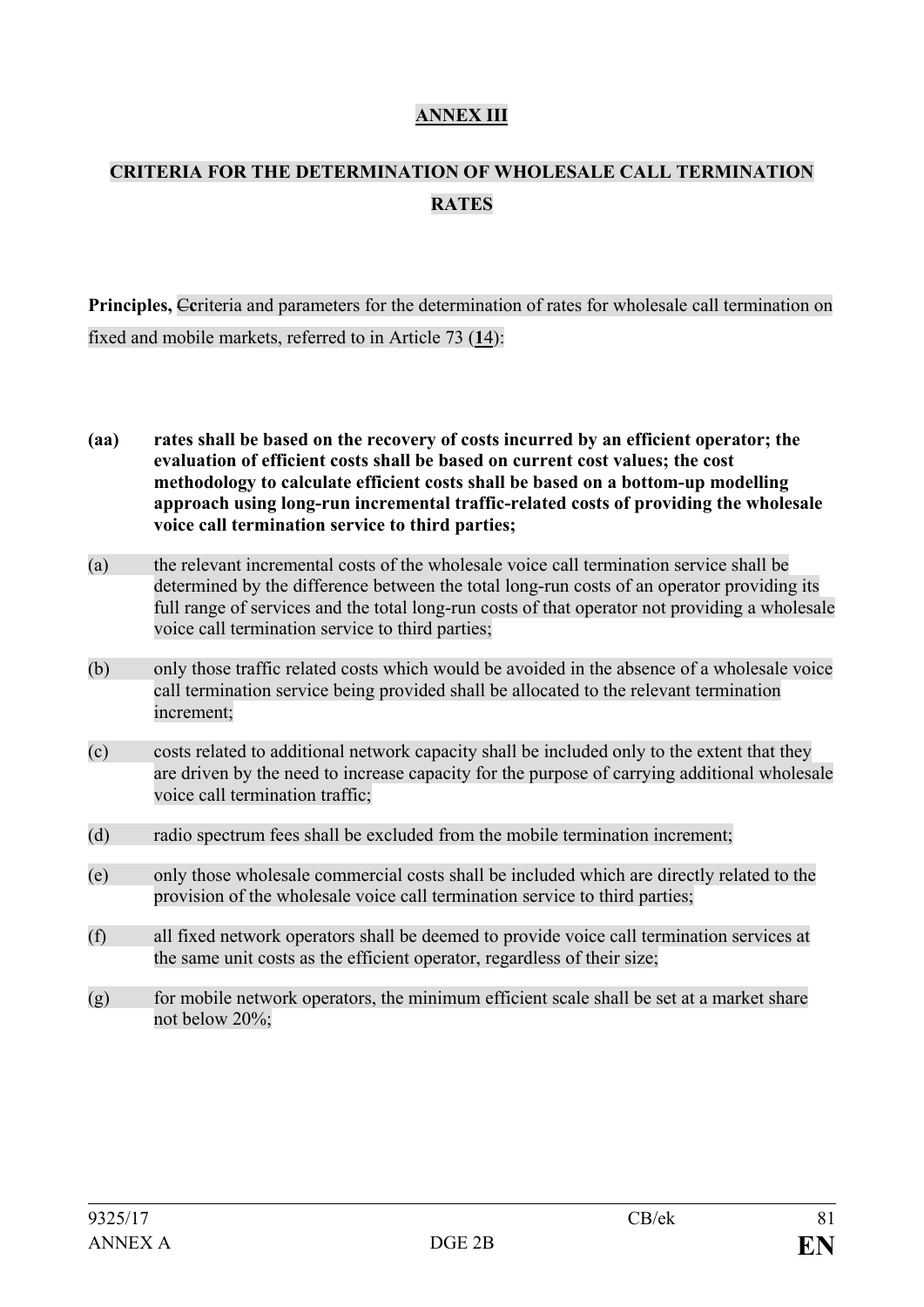## **ANNEX III**

# **CRITERIA FOR THE DETERMINATION OF WHOLESALE CALL TERMINATION RATES**

**Principles, Contraria and parameters for the determination of rates for wholesale call termination on** fixed and mobile markets, referred to in Article 73 (**1**4):

- **(aa) rates shall be based on the recovery of costs incurred by an efficient operator; the evaluation of efficient costs shall be based on current cost values; the cost methodology to calculate efficient costs shall be based on a bottom-up modelling approach using long-run incremental traffic-related costs of providing the wholesale voice call termination service to third parties;**
- (a) the relevant incremental costs of the wholesale voice call termination service shall be determined by the difference between the total long-run costs of an operator providing its full range of services and the total long-run costs of that operator not providing a wholesale voice call termination service to third parties;
- (b) only those traffic related costs which would be avoided in the absence of a wholesale voice call termination service being provided shall be allocated to the relevant termination increment;
- (c) costs related to additional network capacity shall be included only to the extent that they are driven by the need to increase capacity for the purpose of carrying additional wholesale voice call termination traffic;
- (d) radio spectrum fees shall be excluded from the mobile termination increment;
- (e) only those wholesale commercial costs shall be included which are directly related to the provision of the wholesale voice call termination service to third parties;
- (f) all fixed network operators shall be deemed to provide voice call termination services at the same unit costs as the efficient operator, regardless of their size;
- $(g)$  for mobile network operators, the minimum efficient scale shall be set at a market share not below 20%;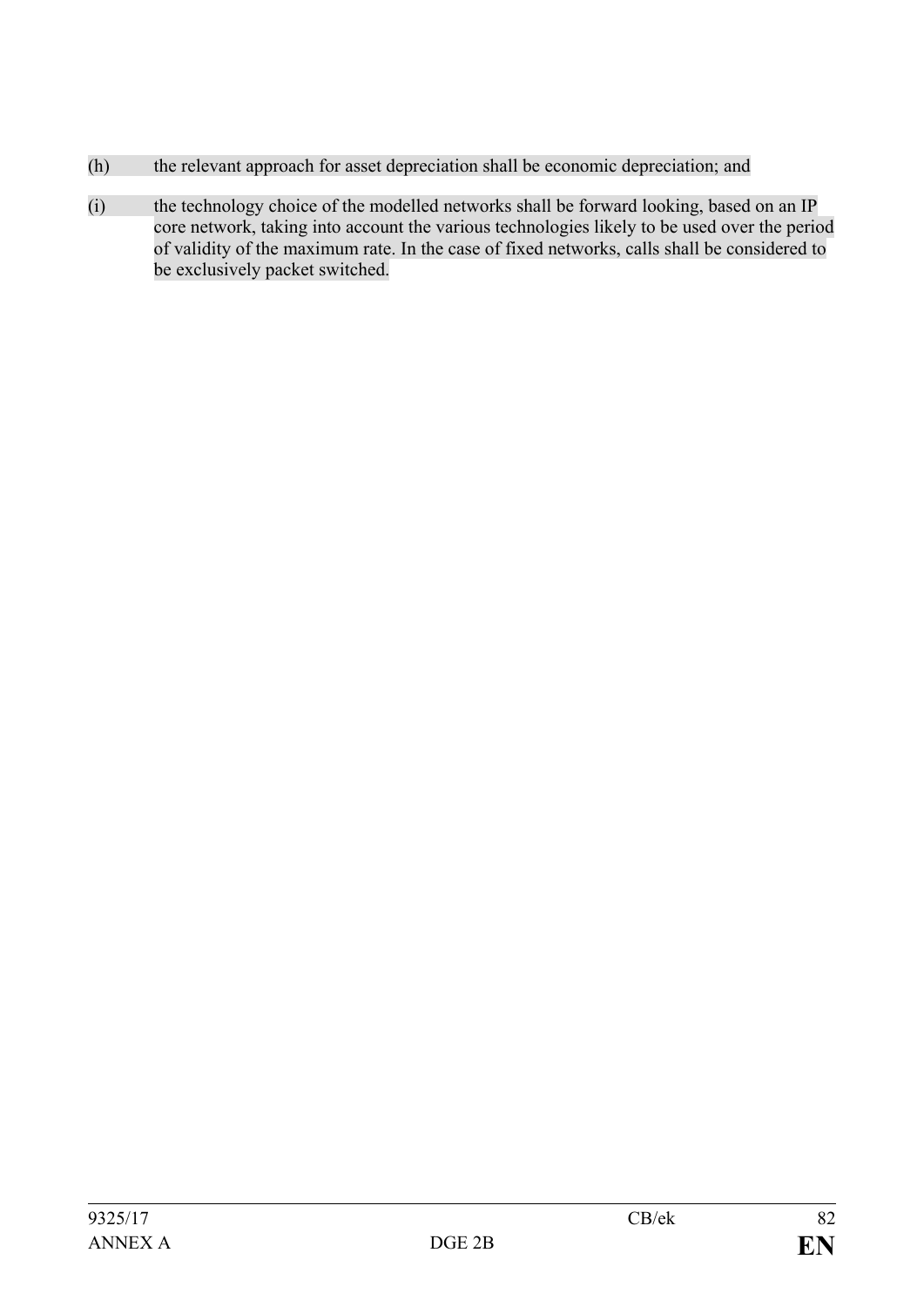- (h) the relevant approach for asset depreciation shall be economic depreciation; and
- (i) the technology choice of the modelled networks shall be forward looking, based on an IP core network, taking into account the various technologies likely to be used over the period of validity of the maximum rate. In the case of fixed networks, calls shall be considered to be exclusively packet switched.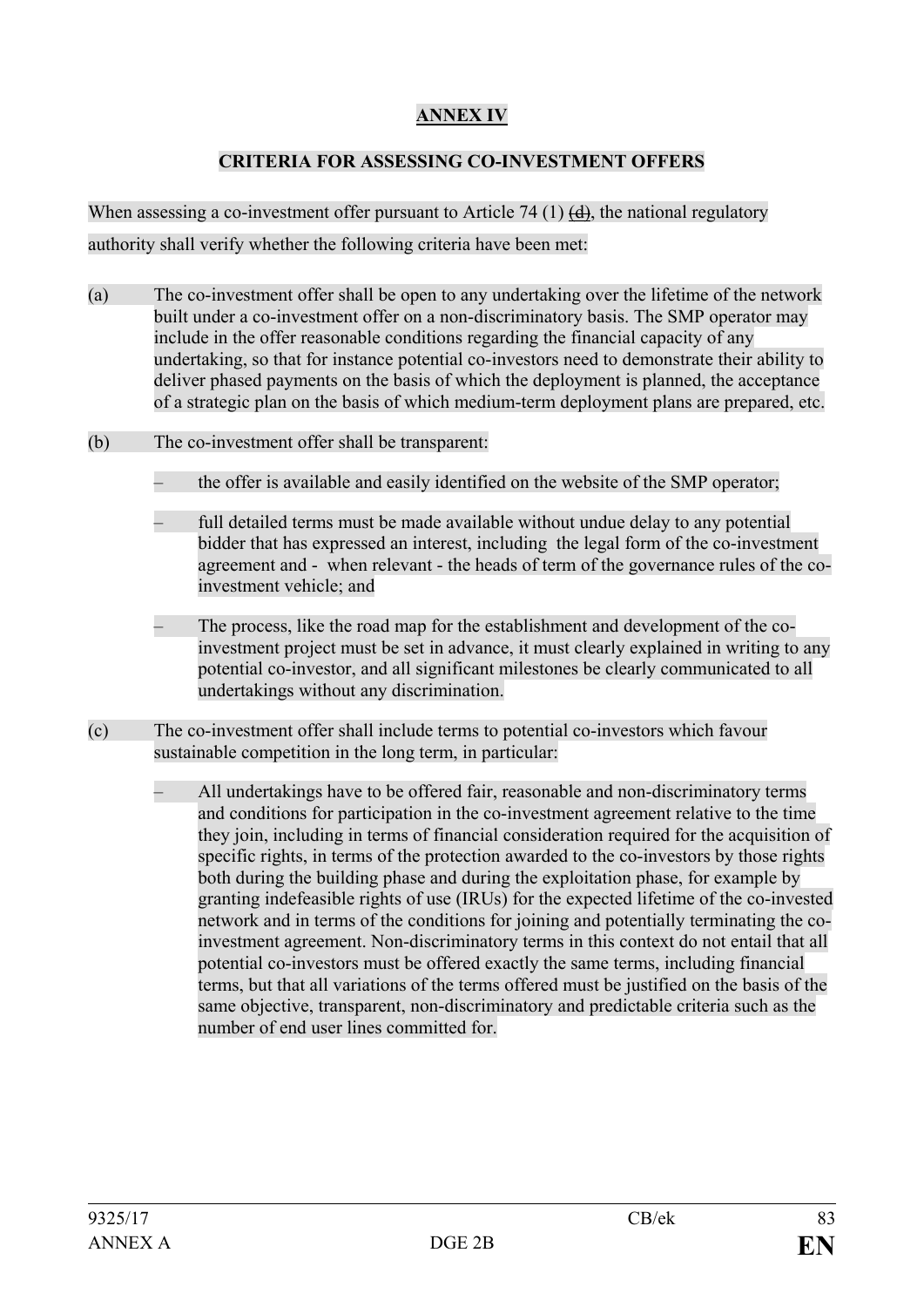# **ANNEX IV**

## **CRITERIA FOR ASSESSING CO-INVESTMENT OFFERS**

When assessing a co-investment offer pursuant to Article 74 (1)  $(d)$ , the national regulatory authority shall verify whether the following criteria have been met:

- (a) The co-investment offer shall be open to any undertaking over the lifetime of the network built under a co-investment offer on a non-discriminatory basis. The SMP operator may include in the offer reasonable conditions regarding the financial capacity of any undertaking, so that for instance potential co-investors need to demonstrate their ability to deliver phased payments on the basis of which the deployment is planned, the acceptance of a strategic plan on the basis of which medium-term deployment plans are prepared, etc.
- (b) The co-investment offer shall be transparent:
	- the offer is available and easily identified on the website of the SMP operator;
	- full detailed terms must be made available without undue delay to any potential bidder that has expressed an interest, including the legal form of the co-investment agreement and - when relevant - the heads of term of the governance rules of the coinvestment vehicle; and
	- The process, like the road map for the establishment and development of the coinvestment project must be set in advance, it must clearly explained in writing to any potential co-investor, and all significant milestones be clearly communicated to all undertakings without any discrimination.
- (c) The co-investment offer shall include terms to potential co-investors which favour sustainable competition in the long term, in particular:
	- All undertakings have to be offered fair, reasonable and non-discriminatory terms and conditions for participation in the co-investment agreement relative to the time they join, including in terms of financial consideration required for the acquisition of specific rights, in terms of the protection awarded to the co-investors by those rights both during the building phase and during the exploitation phase, for example by granting indefeasible rights of use (IRUs) for the expected lifetime of the co-invested network and in terms of the conditions for joining and potentially terminating the coinvestment agreement. Non-discriminatory terms in this context do not entail that all potential co-investors must be offered exactly the same terms, including financial terms, but that all variations of the terms offered must be justified on the basis of the same objective, transparent, non-discriminatory and predictable criteria such as the number of end user lines committed for.